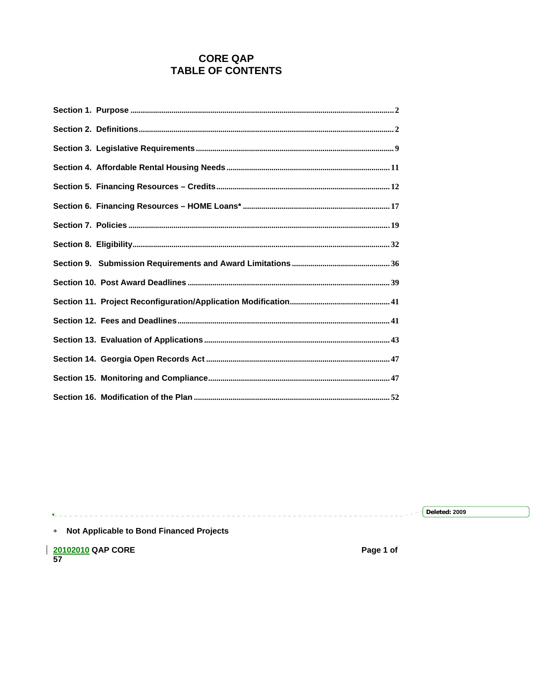# **CORE QAP TABLE OF CONTENTS**

 $\sqrt{\phantom{1}$  Deleted: 2009 ------------------------- $\mathbf{v}_+$ \* Not Applicable to Bond Financed Projects

 $\frac{20102010}{57}$  QAP CORE

Page 1 of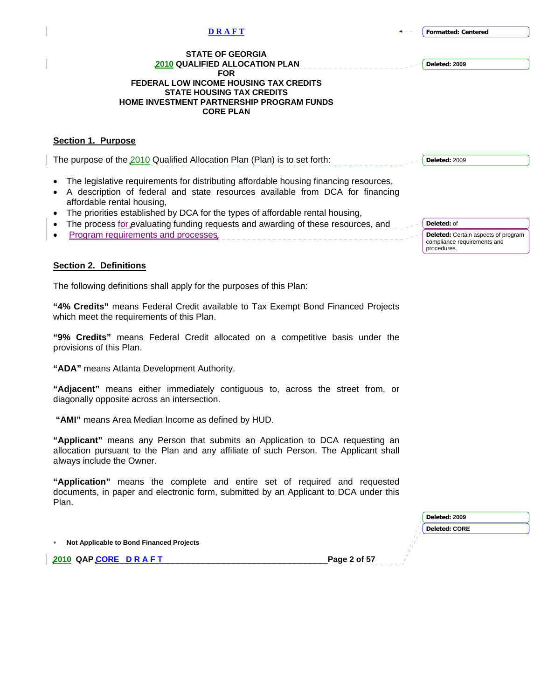<span id="page-1-0"></span>

| <b>DRAFT</b>                                                                                                                                                                                                                                | <b>Formatted: Centered</b>                                                                       |
|---------------------------------------------------------------------------------------------------------------------------------------------------------------------------------------------------------------------------------------------|--------------------------------------------------------------------------------------------------|
| <b>STATE OF GEORGIA</b><br><b>2010 QUALIFIED ALLOCATION PLAN</b><br><b>FOR</b><br><b>FEDERAL LOW INCOME HOUSING TAX CREDITS</b><br><b>STATE HOUSING TAX CREDITS</b><br><b>HOME INVESTMENT PARTNERSHIP PROGRAM FUNDS</b><br><b>CORE PLAN</b> | Deleted: 2009                                                                                    |
| <b>Section 1. Purpose</b>                                                                                                                                                                                                                   |                                                                                                  |
| The purpose of the 2010 Qualified Allocation Plan (Plan) is to set forth:                                                                                                                                                                   | Deleted: 2009                                                                                    |
| The legislative requirements for distributing affordable housing financing resources,<br>A description of federal and state resources available from DCA for financing<br>affordable rental housing,                                        |                                                                                                  |
| The priorities established by DCA for the types of affordable rental housing,<br>$\bullet$                                                                                                                                                  |                                                                                                  |
| The process for evaluating funding requests and awarding of these resources, and<br>٠<br>Program requirements and processes                                                                                                                 | Deleted: of<br>Deleted: Certain aspects of program<br>compliance requirements and<br>procedures. |
| <b>Section 2. Definitions</b>                                                                                                                                                                                                               |                                                                                                  |
| The following definitions shall apply for the purposes of this Plan:                                                                                                                                                                        |                                                                                                  |
| "4% Credits" means Federal Credit available to Tax Exempt Bond Financed Projects                                                                                                                                                            |                                                                                                  |

which meet the requirements of this Plan. **"9% Credits"** means Federal Credit allocated on a competitive basis under the

provisions of this Plan.

**"ADA"** means Atlanta Development Authority.

 $\overline{\phantom{a}}$ 

**"Adjacent"** means either immediately contiguous to, across the street from, or diagonally opposite across an intersection.

 **"AMI"** means Area Median Income as defined by HUD.

**"Applicant"** means any Person that submits an Application to DCA requesting an allocation pursuant to the Plan and any affiliate of such Person. The Applicant shall always include the Owner.

**"Application"** means the complete and entire set of required and requested documents, in paper and electronic form, submitted by an Applicant to DCA under this Plan.

|                                          | Deleted: 2009        |
|------------------------------------------|----------------------|
|                                          | <b>Deleted: CORE</b> |
| Not Applicable to Bond Financed Projects |                      |
| Page 2 of 57<br>2010 QAPCORE DRAFT       |                      |
|                                          |                      |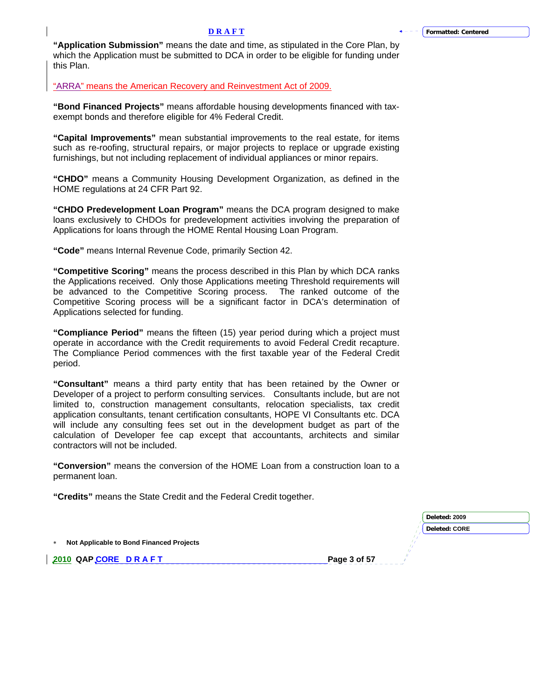**"Application Submission"** means the date and time, as stipulated in the Core Plan, by which the Application must be submitted to DCA in order to be eligible for funding under this Plan.

"ARRA" means the American Recovery and Reinvestment Act of 2009.

**"Bond Financed Projects"** means affordable housing developments financed with taxexempt bonds and therefore eligible for 4% Federal Credit.

**"Capital Improvements"** mean substantial improvements to the real estate, for items such as re-roofing, structural repairs, or major projects to replace or upgrade existing furnishings, but not including replacement of individual appliances or minor repairs.

**"CHDO"** means a Community Housing Development Organization, as defined in the HOME regulations at 24 CFR Part 92.

**"CHDO Predevelopment Loan Program"** means the DCA program designed to make loans exclusively to CHDOs for predevelopment activities involving the preparation of Applications for loans through the HOME Rental Housing Loan Program.

**"Code"** means Internal Revenue Code, primarily Section 42.

**"Competitive Scoring"** means the process described in this Plan by which DCA ranks the Applications received. Only those Applications meeting Threshold requirements will be advanced to the Competitive Scoring process. The ranked outcome of the Competitive Scoring process will be a significant factor in DCA's determination of Applications selected for funding.

**"Compliance Period"** means the fifteen (15) year period during which a project must operate in accordance with the Credit requirements to avoid Federal Credit recapture. The Compliance Period commences with the first taxable year of the Federal Credit period.

**"Consultant"** means a third party entity that has been retained by the Owner or Developer of a project to perform consulting services. Consultants include, but are not limited to, construction management consultants, relocation specialists, tax credit application consultants, tenant certification consultants, HOPE VI Consultants etc. DCA will include any consulting fees set out in the development budget as part of the calculation of Developer fee cap except that accountants, architects and similar contractors will not be included.

**"Conversion"** means the conversion of the HOME Loan from a construction loan to a permanent loan.

**"Credits"** means the State Credit and the Federal Credit together.

|                                                 | Deleted: 2009        |
|-------------------------------------------------|----------------------|
|                                                 | <b>Deleted: CORE</b> |
| Not Applicable to Bond Financed Projects<br>$*$ |                      |
| Page 3 of 57<br>2010 QAPCORE DRAFT              |                      |
|                                                 |                      |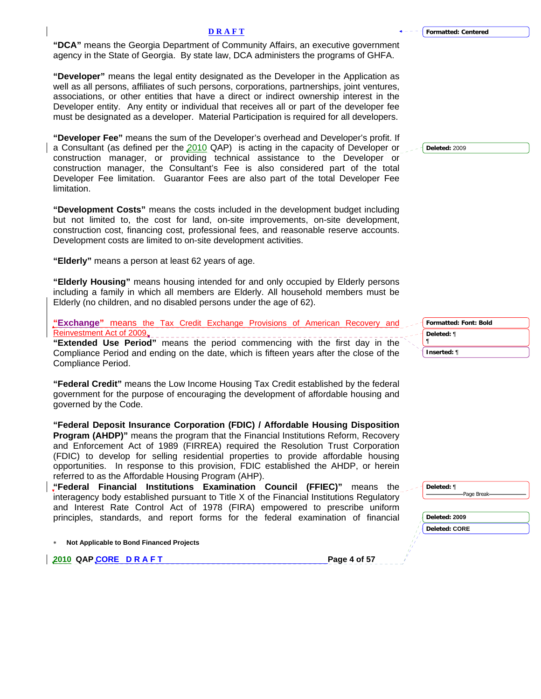**"DCA"** means the Georgia Department of Community Affairs, an executive government agency in the State of Georgia. By state law, DCA administers the programs of GHFA.

**"Developer"** means the legal entity designated as the Developer in the Application as well as all persons, affiliates of such persons, corporations, partnerships, joint ventures, associations, or other entities that have a direct or indirect ownership interest in the Developer entity. Any entity or individual that receives all or part of the developer fee must be designated as a developer. Material Participation is required for all developers.

**"Developer Fee"** means the sum of the Developer's overhead and Developer's profit. If a Consultant (as defined per the 2010 QAP) is acting in the capacity of Developer or construction manager, or providing technical assistance to the Developer or construction manager, the Consultant's Fee is also considered part of the total Developer Fee limitation. Guarantor Fees are also part of the total Developer Fee limitation.

**"Development Costs"** means the costs included in the development budget including but not limited to, the cost for land, on-site improvements, on-site development, construction cost, financing cost, professional fees, and reasonable reserve accounts. Development costs are limited to on-site development activities.

**"Elderly"** means a person at least 62 years of age.

**"Elderly Housing"** means housing intended for and only occupied by Elderly persons including a family in which all members are Elderly. All household members must be Elderly (no children, and no disabled persons under the age of 62).

**"Exchange"** means the Tax Credit Exchange Provisions of American Recovery and Reinvestment Act of 2009.

**"Extended Use Period"** means the period commencing with the first day in the Compliance Period and ending on the date, which is fifteen years after the close of the Compliance Period.

**"Federal Credit"** means the Low Income Housing Tax Credit established by the federal government for the purpose of encouraging the development of affordable housing and governed by the Code.

**"Federal Deposit Insurance Corporation (FDIC) / Affordable Housing Disposition Program (AHDP)"** means the program that the Financial Institutions Reform, Recovery and Enforcement Act of 1989 (FIRREA) required the Resolution Trust Corporation (FDIC) to develop for selling residential properties to provide affordable housing opportunities. In response to this provision, FDIC established the AHDP, or herein referred to as the Affordable Housing Program (AHP).

**"Federal Financial Institutions Examination Council (FFIEC)"** means the interagency body established pursuant to Title X of the Financial Institutions Regulatory and Interest Rate Control Act of 1978 (FIRA) empowered to prescribe uniform principles, standards, and report forms for the federal examination of financial

∗ **Not Applicable to Bond Financed Projects** 

**2010 QAP CORE D R A F T Page 4 of 57** 

**Deleted:** 2009

**Formatted: Font: Bold Deleted:** ¶ ¶ **Inserted:** ¶

| ۱e | Deleted: ¶           |  |
|----|----------------------|--|
| Ŋ  |                      |  |
| m  |                      |  |
| a  | Deleted: 2009        |  |
|    | <b>Deleted: CORE</b> |  |
|    |                      |  |
|    |                      |  |

**Formatted: Centered**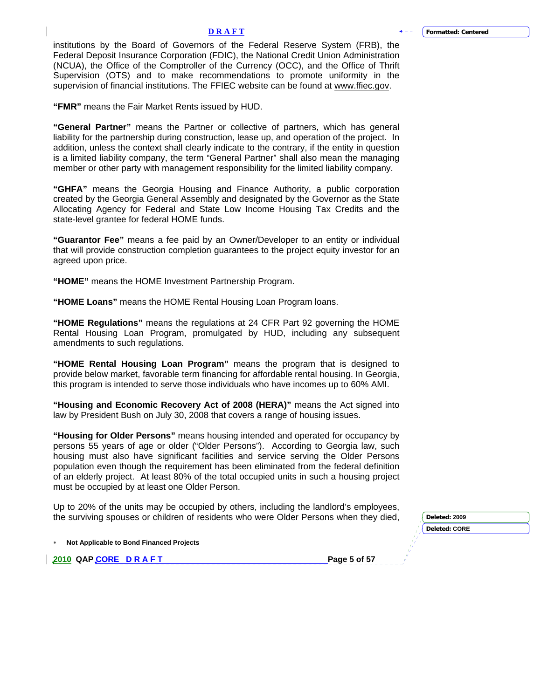institutions by the Board of Governors of the Federal Reserve System (FRB), the Federal Deposit Insurance Corporation (FDIC), the National Credit Union Administration (NCUA), the Office of the Comptroller of the Currency (OCC), and the Office of Thrift Supervision (OTS) and to make recommendations to promote uniformity in the supervision of financial institutions. The FFIEC website can be found at [www.ffiec.gov.](http://www.ffiec.gov/)

**"FMR"** means the Fair Market Rents issued by HUD.

**"General Partner"** means the Partner or collective of partners, which has general liability for the partnership during construction, lease up, and operation of the project. In addition, unless the context shall clearly indicate to the contrary, if the entity in question is a limited liability company, the term "General Partner" shall also mean the managing member or other party with management responsibility for the limited liability company.

**"GHFA"** means the Georgia Housing and Finance Authority, a public corporation created by the Georgia General Assembly and designated by the Governor as the State Allocating Agency for Federal and State Low Income Housing Tax Credits and the state-level grantee for federal HOME funds.

**"Guarantor Fee"** means a fee paid by an Owner/Developer to an entity or individual that will provide construction completion guarantees to the project equity investor for an agreed upon price.

**"HOME"** means the HOME Investment Partnership Program.

**"HOME Loans"** means the HOME Rental Housing Loan Program loans.

**"HOME Regulations"** means the regulations at 24 CFR Part 92 governing the HOME Rental Housing Loan Program, promulgated by HUD, including any subsequent amendments to such regulations.

**"HOME Rental Housing Loan Program"** means the program that is designed to provide below market, favorable term financing for affordable rental housing. In Georgia, this program is intended to serve those individuals who have incomes up to 60% AMI.

**"Housing and Economic Recovery Act of 2008 (HERA)"** means the Act signed into law by President Bush on July 30, 2008 that covers a range of housing issues.

**"Housing for Older Persons"** means housing intended and operated for occupancy by persons 55 years of age or older ("Older Persons"). According to Georgia law, such housing must also have significant facilities and service serving the Older Persons population even though the requirement has been eliminated from the federal definition of an elderly project. At least 80% of the total occupied units in such a housing project must be occupied by at least one Older Person.

Up to 20% of the units may be occupied by others, including the landlord's employees, the surviving spouses or children of residents who were Older Persons when they died,

| Deleted: 2009        |
|----------------------|
| <b>Deleted: CORE</b> |
|                      |
|                      |
|                      |

∗ **Not Applicable to Bond Financed Projects** 

**2010 QAP CORE D R A F T Page 5 of 57**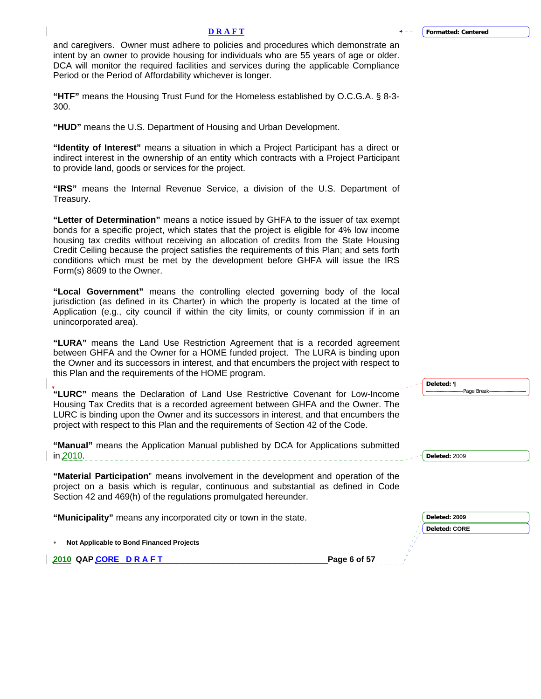**Deleted:** ¶

### **D R A F T**

and caregivers. Owner must adhere to policies and procedures which demonstrate an intent by an owner to provide housing for individuals who are 55 years of age or older. DCA will monitor the required facilities and services during the applicable Compliance Period or the Period of Affordability whichever is longer.

**"HTF"** means the Housing Trust Fund for the Homeless established by O.C.G.A. § 8-3- 300.

**"HUD"** means the U.S. Department of Housing and Urban Development.

**"Identity of Interest"** means a situation in which a Project Participant has a direct or indirect interest in the ownership of an entity which contracts with a Project Participant to provide land, goods or services for the project.

**"IRS"** means the Internal Revenue Service, a division of the U.S. Department of Treasury.

**"Letter of Determination"** means a notice issued by GHFA to the issuer of tax exempt bonds for a specific project, which states that the project is eligible for 4% low income housing tax credits without receiving an allocation of credits from the State Housing Credit Ceiling because the project satisfies the requirements of this Plan; and sets forth conditions which must be met by the development before GHFA will issue the IRS Form(s) 8609 to the Owner.

**"Local Government"** means the controlling elected governing body of the local jurisdiction (as defined in its Charter) in which the property is located at the time of Application (e.g., city council if within the city limits, or county commission if in an unincorporated area).

**"LURA"** means the Land Use Restriction Agreement that is a recorded agreement between GHFA and the Owner for a HOME funded project. The LURA is binding upon the Owner and its successors in interest, and that encumbers the project with respect to this Plan and the requirements of the HOME program.

|                                                                                                                                                                                                                                                           |              | <b>Deleted:</b> 1<br>-Page Break-     |
|-----------------------------------------------------------------------------------------------------------------------------------------------------------------------------------------------------------------------------------------------------------|--------------|---------------------------------------|
| "LURC" means the Declaration of Land Use Restrictive Covenant for Low-Income<br>Housing Tax Credits that is a recorded agreement between GHFA and the Owner. The<br>LURC is binding upon the Owner and its successors in interest, and that encumbers the |              |                                       |
| project with respect to this Plan and the requirements of Section 42 of the Code.                                                                                                                                                                         |              |                                       |
| "Manual" means the Application Manual published by DCA for Applications submitted<br>in 2010.                                                                                                                                                             |              | Deleted: 2009                         |
| "Material Participation" means involvement in the development and operation of the<br>project on a basis which is regular, continuous and substantial as defined in Code<br>Section 42 and 469(h) of the regulations promulgated hereunder.               |              |                                       |
| "Municipality" means any incorporated city or town in the state.                                                                                                                                                                                          |              | Deleted: 2009<br><b>Deleted: CORE</b> |
| Not Applicable to Bond Financed Projects                                                                                                                                                                                                                  |              |                                       |
| 2010 QAPCORE DRAFT                                                                                                                                                                                                                                        | Page 6 of 57 |                                       |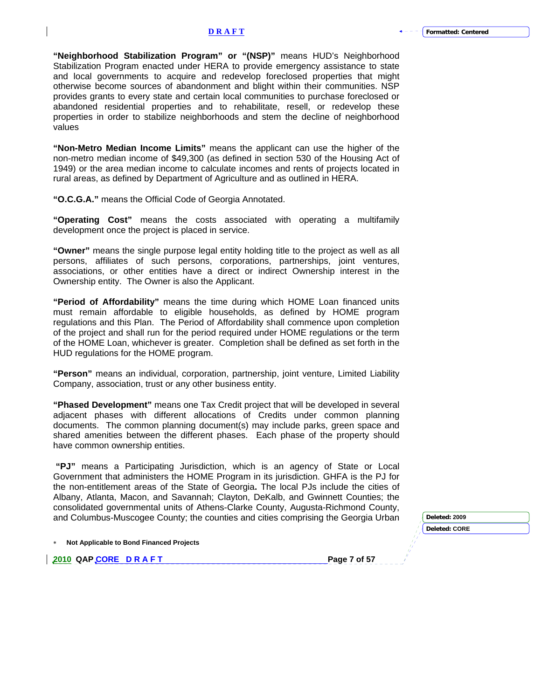**"Neighborhood Stabilization Program" or "(NSP)"** means HUD's Neighborhood Stabilization Program enacted under HERA to provide emergency assistance to state and local governments to acquire and redevelop foreclosed properties that might otherwise become sources of abandonment and blight within their communities. NSP provides grants to every state and certain local communities to purchase foreclosed or abandoned residential properties and to rehabilitate, resell, or redevelop these properties in order to stabilize neighborhoods and stem the decline of neighborhood values

**"Non-Metro Median Income Limits"** means the applicant can use the higher of the non-metro median income of \$49,300 (as defined in section 530 of the Housing Act of 1949) or the area median income to calculate incomes and rents of projects located in rural areas, as defined by Department of Agriculture and as outlined in HERA.

**"O.C.G.A."** means the Official Code of Georgia Annotated.

**"Operating Cost"** means the costs associated with operating a multifamily development once the project is placed in service.

**"Owner"** means the single purpose legal entity holding title to the project as well as all persons, affiliates of such persons, corporations, partnerships, joint ventures, associations, or other entities have a direct or indirect Ownership interest in the Ownership entity. The Owner is also the Applicant.

**"Period of Affordability"** means the time during which HOME Loan financed units must remain affordable to eligible households, as defined by HOME program regulations and this Plan. The Period of Affordability shall commence upon completion of the project and shall run for the period required under HOME regulations or the term of the HOME Loan, whichever is greater. Completion shall be defined as set forth in the HUD regulations for the HOME program.

**"Person"** means an individual, corporation, partnership, joint venture, Limited Liability Company, association, trust or any other business entity.

**"Phased Development"** means one Tax Credit project that will be developed in several adjacent phases with different allocations of Credits under common planning documents. The common planning document(s) may include parks, green space and shared amenities between the different phases. Each phase of the property should have common ownership entities.

**"PJ"** means a Participating Jurisdiction, which is an agency of State or Local Government that administers the HOME Program in its jurisdiction. GHFA is the PJ for the non-entitlement areas of the State of Georgia**.** The local PJs include the cities of Albany, Atlanta, Macon, and Savannah; Clayton, DeKalb, and Gwinnett Counties; the consolidated governmental units of Athens-Clarke County, Augusta-Richmond County, and Columbus-Muscogee County; the counties and cities comprising the G

| Georgia Urban | Deleted: 2009        |
|---------------|----------------------|
|               | <b>Deleted: CORE</b> |
|               |                      |
| 7 .£ E7       |                      |

∗ **Not Applicable to Bond Financed Projects** 

**2010 QAP CORE D R A F T Page 7 of 57**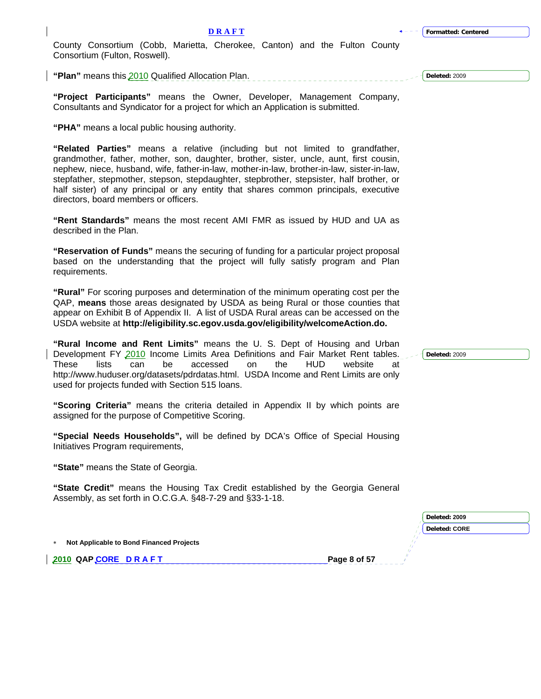County Consortium (Cobb, Marietta, Cherokee, Canton) and the Fulton County Consortium (Fulton, Roswell).

**"Plan"** means this 2010 Qualified Allocation Plan.

**"Project Participants"** means the Owner, Developer, Management Company, Consultants and Syndicator for a project for which an Application is submitted.

**"PHA"** means a local public housing authority.

**"Related Parties"** means a relative (including but not limited to grandfather, grandmother, father, mother, son, daughter, brother, sister, uncle, aunt, first cousin, nephew, niece, husband, wife, father-in-law, mother-in-law, brother-in-law, sister-in-law, stepfather, stepmother, stepson, stepdaughter, stepbrother, stepsister, half brother, or half sister) of any principal or any entity that shares common principals, executive directors, board members or officers.

**"Rent Standards"** means the most recent AMI FMR as issued by HUD and UA as described in the Plan.

**"Reservation of Funds"** means the securing of funding for a particular project proposal based on the understanding that the project will fully satisfy program and Plan requirements.

**"Rural"** For scoring purposes and determination of the minimum operating cost per the QAP, **means** those areas designated by USDA as being Rural or those counties that appear on Exhibit B of Appendix II. A list of USDA Rural areas can be accessed on the USDA website at **http://eligibility.sc.egov.usda.gov/eligibility/welcomeAction.do.**

**"Rural Income and Rent Limits"** means the U. S. Dept of Housing and Urban Development FY 2010 Income Limits Area Definitions and Fair Market Rent tables. These lists can be accessed on the HUD website at http://www.huduser.org/datasets/pdrdatas.html. USDA Income and Rent Limits are only used for projects funded with Section 515 loans.

**"Scoring Criteria"** means the criteria detailed in Appendix II by which points are assigned for the purpose of Competitive Scoring.

**"Special Needs Households",** will be defined by DCA's Office of Special Housing Initiatives Program requirements,

**"State"** means the State of Georgia.

**"State Credit"** means the Housing Tax Credit established by the Georgia General Assembly, as set forth in O.C.G.A. §48-7-29 and §33-1-18.

∗ **Not Applicable to Bond Financed Projects** 

**2010 QAP CORE D R A F T Page 8 of 57** 

**Deleted:** 2009

**Deleted:** 2009

| Deleted: 2009        |  |
|----------------------|--|
| <b>Deleted: CORE</b> |  |
|                      |  |
|                      |  |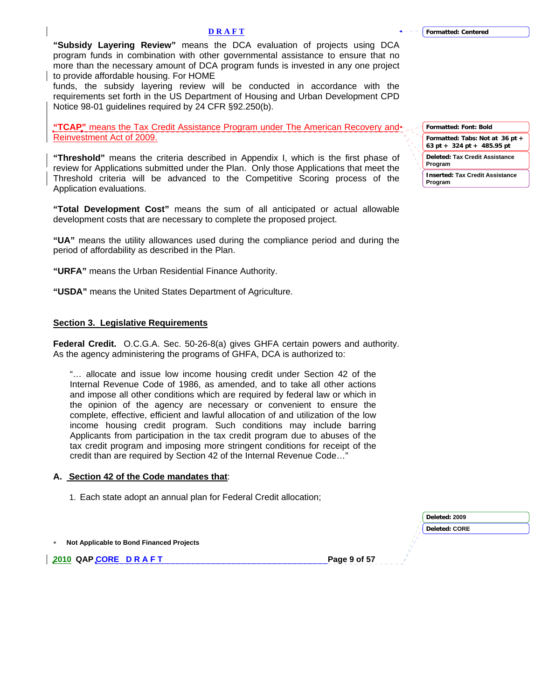<span id="page-8-0"></span>**"Subsidy Layering Review"** means the DCA evaluation of projects using DCA program funds in combination with other governmental assistance to ensure that no more than the necessary amount of DCA program funds is invested in any one project to provide affordable housing. For HOME

funds, the subsidy layering review will be conducted in accordance with the requirements set forth in the US Department of Housing and Urban Development CPD Notice 98-01 guidelines required by 24 CFR §92.250(b).

**"TCAP"** means the Tax Credit Assistance Program under The American Recovery and Reinvestment Act of 2009.

**"Threshold"** means the criteria described in Appendix I, which is the first phase of review for Applications submitted under the Plan. Only those Applications that meet the Threshold criteria will be advanced to the Competitive Scoring process of the Application evaluations.

**"Total Development Cost"** means the sum of all anticipated or actual allowable development costs that are necessary to complete the proposed project.

**"UA"** means the utility allowances used during the compliance period and during the period of affordability as described in the Plan.

**"URFA"** means the Urban Residential Finance Authority.

**"USDA"** means the United States Department of Agriculture.

### **Section 3. Legislative Requirements**

**Federal Credit.** O.C.G.A. Sec. 50-26-8(a) gives GHFA certain powers and authority. As the agency administering the programs of GHFA, DCA is authorized to:

"… allocate and issue low income housing credit under Section 42 of the Internal Revenue Code of 1986, as amended, and to take all other actions and impose all other conditions which are required by federal law or which in the opinion of the agency are necessary or convenient to ensure the complete, effective, efficient and lawful allocation of and utilization of the low income housing credit program. Such conditions may include barring Applicants from participation in the tax credit program due to abuses of the tax credit program and imposing more stringent conditions for receipt of the credit than are required by Section 42 of the Internal Revenue Code…"

## **A. Section 42 of the Code mandates that**:

1. Each state adopt an annual plan for Federal Credit allocation;

|                                            | Deleted: 2009 |  |
|--------------------------------------------|---------------|--|
|                                            | Deleted: CORE |  |
| * Not Applicable to Bond Financed Projects |               |  |
| 2010 QAP CORE DRAFT                        | Page 9 of 57  |  |
|                                            |               |  |

**Formatted: Font: Bold Formatted: Tabs: Not at 36 pt + 63 pt + 324 pt + 485.95 pt Deleted: Tax Credit Assistance Program**

**Inserted: Tax Credit Assistance Program**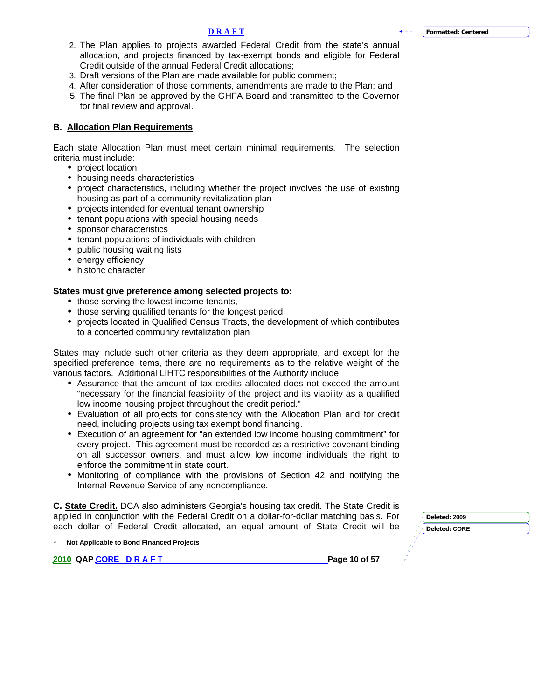- 2. The Plan applies to projects awarded Federal Credit from the state's annual allocation, and projects financed by tax-exempt bonds and eligible for Federal Credit outside of the annual Federal Credit allocations;
- 3. Draft versions of the Plan are made available for public comment;
- 4. After consideration of those comments, amendments are made to the Plan; and
- 5. The final Plan be approved by the GHFA Board and transmitted to the Governor for final review and approval.

# **B. Allocation Plan Requirements**

Each state Allocation Plan must meet certain minimal requirements. The selection criteria must include:

- project location
- housing needs characteristics
- project characteristics, including whether the project involves the use of existing housing as part of a community revitalization plan
- projects intended for eventual tenant ownership
- tenant populations with special housing needs
- sponsor characteristics
- tenant populations of individuals with children
- public housing waiting lists
- energy efficiency
- historic character

# **States must give preference among selected projects to:**

- those serving the lowest income tenants,
- those serving qualified tenants for the longest period
- projects located in Qualified Census Tracts, the development of which contributes to a concerted community revitalization plan

States may include such other criteria as they deem appropriate, and except for the specified preference items, there are no requirements as to the relative weight of the various factors. Additional LIHTC responsibilities of the Authority include:

- Assurance that the amount of tax credits allocated does not exceed the amount "necessary for the financial feasibility of the project and its viability as a qualified low income housing project throughout the credit period."
- Evaluation of all projects for consistency with the Allocation Plan and for credit need, including projects using tax exempt bond financing.
- Execution of an agreement for "an extended low income housing commitment" for every project. This agreement must be recorded as a restrictive covenant binding on all successor owners, and must allow low income individuals the right to enforce the commitment in state court.
- Monitoring of compliance with the provisions of Section 42 and notifying the Internal Revenue Service of any noncompliance.

**C. State Credit.** DCA also administers Georgia's housing tax credit. The State Credit is applied in conjunction with the Federal Credit on a dollar-for-dollar matching basis. For each dollar of Federal Credit allocated, an equal amount of State Credit will be

∗ **Not Applicable to Bond Financed Projects** 

**2010 QAP CORE D R A F T Page 10 of 57 Page 10 of 57** 

**Deleted: 2009**

**Deleted: CORE**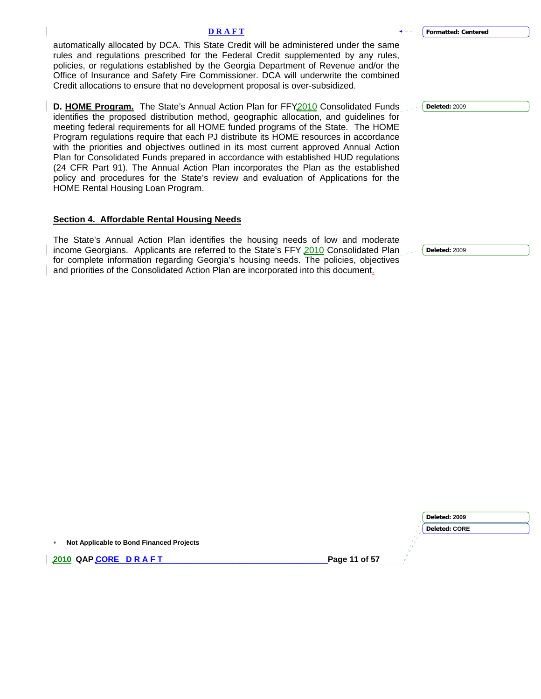| <b>DRAFT</b>                                                                                                                                                                                                                                                                                                                                                                                                                                                                                                                                                                                                                                                                                                                                                | <b>Formatted: Centered</b> |
|-------------------------------------------------------------------------------------------------------------------------------------------------------------------------------------------------------------------------------------------------------------------------------------------------------------------------------------------------------------------------------------------------------------------------------------------------------------------------------------------------------------------------------------------------------------------------------------------------------------------------------------------------------------------------------------------------------------------------------------------------------------|----------------------------|
| automatically allocated by DCA. This State Credit will be administered under the same<br>rules and regulations prescribed for the Federal Credit supplemented by any rules,<br>policies, or regulations established by the Georgia Department of Revenue and/or the<br>Office of Insurance and Safety Fire Commissioner. DCA will underwrite the combined<br>Credit allocations to ensure that no development proposal is over-subsidized.                                                                                                                                                                                                                                                                                                                  |                            |
| D. HOME Program. The State's Annual Action Plan for FFY2010 Consolidated Funds 2009<br>identifies the proposed distribution method, geographic allocation, and guidelines for<br>meeting federal requirements for all HOME funded programs of the State. The HOME<br>Program regulations require that each PJ distribute its HOME resources in accordance<br>with the priorities and objectives outlined in its most current approved Annual Action<br>Plan for Consolidated Funds prepared in accordance with established HUD regulations<br>(24 CFR Part 91). The Annual Action Plan incorporates the Plan as the established<br>policy and procedures for the State's review and evaluation of Applications for the<br>HOME Rental Housing Loan Program. |                            |

**Deleted:** 2009

# **Section 4. Affordable Rental Housing Needs**

<span id="page-10-0"></span> $\overline{\phantom{a}}$ 

 $\overline{\phantom{a}}$ 

 $\overline{\phantom{a}}$ 

The State's Annual Action Plan identifies the housing needs of low and moderate income Georgians. Applicants are referred to the State's FFY 2010 Consolidated Plan for complete information regarding Georgia's housing needs. The policies, objectives and priorities of the Consolidated Action Plan are incorporated into this document.

|                                                 | Deleted: 2009        |
|-------------------------------------------------|----------------------|
|                                                 | <b>Deleted: CORE</b> |
| Not Applicable to Bond Financed Projects<br>$*$ |                      |
| 2010 QAP CORE DRAFT                             | Page 11 of 57        |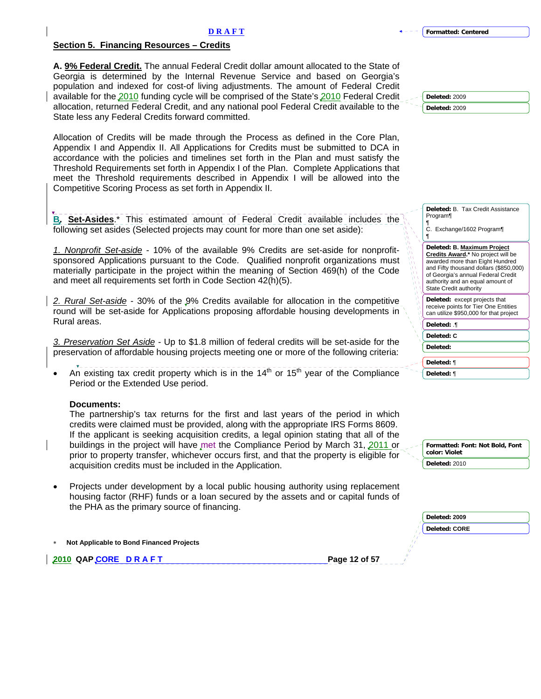# <span id="page-11-0"></span>**Section 5. Financing Resources – Credits**

**A. 9% Federal Credit.** The annual Federal Credit dollar amount allocated to the State of Georgia is determined by the Internal Revenue Service and based on Georgia's population and indexed for cost-of living adjustments. The amount of Federal Credit available for the 2010 funding cycle will be comprised of the State's 2010 Federal Credit allocation, returned Federal Credit, and any national pool Federal Credit available to the State less any Federal Credits forward committed.

Allocation of Credits will be made through the Process as defined in the Core Plan, Appendix I and Appendix II. All Applications for Credits must be submitted to DCA in accordance with the policies and timelines set forth in the Plan and must satisfy the Threshold Requirements set forth in Appendix I of the Plan. Complete Applications that meet the Threshold requirements described in Appendix I will be allowed into the Competitive Scoring Process as set forth in Appendix II.

**B. Set-Asides**.\* This estimated amount of Federal Credit available includes the following set asides (Selected projects may count for more than one set aside):

*1. Nonprofit Set-aside* - 10% of the available 9% Credits are set-aside for nonprofitsponsored Applications pursuant to the Code. Qualified nonprofit organizations must materially participate in the project within the meaning of Section 469(h) of the Code and meet all requirements set forth in Code Section 42(h)(5).

*2. Rural Set-aside* - 30% of the 9% Credits available for allocation in the competitive round will be set-aside for Applications proposing affordable housing developments in Rural areas.

*3. Preservation Set Aside -* Up to \$1.8 million of federal credits will be set-aside for the preservation of affordable housing projects meeting one or more of the following criteria:

An existing tax credit property which is in the  $14<sup>th</sup>$  or  $15<sup>th</sup>$  year of the Compliance Period or the Extended Use period.

# **Documents:**

The partnership's tax returns for the first and last years of the period in which credits were claimed must be provided, along with the appropriate IRS Forms 8609. If the applicant is seeking acquisition credits, a legal opinion stating that all of the buildings in the project will have met the Compliance Period by March 31, 2011 or prior to property transfer, whichever occurs first, and that the property is eligible for acquisition credits must be included in the Application.

• Projects under development by a local public housing authority using replacement housing factor (RHF) funds or a loan secured by the assets and or capital funds of the PHA as the primary source of financing.

∗ **Not Applicable to Bond Financed Projects** 

**2010 QAP CORE D R A F T PAGE 12 OF 57 Page 12 of 57** 

|  | + - - - - Formatted: Centered |  |
|--|-------------------------------|--|
|--|-------------------------------|--|

**Deleted:** 2009 **Deleted:** 2009

| Deleted: B Tax Credit Assistance<br>Program¶<br>¶<br>C. Exchange/1602 Program¶<br>¶                                                                                                                                                                       |
|-----------------------------------------------------------------------------------------------------------------------------------------------------------------------------------------------------------------------------------------------------------|
| Deleted: B. Maximum Project<br>Credits Award.* No project will be<br>awarded more than Eight Hundred<br>and Fifty thousand dollars (\$850,000)<br>of Georgia's annual Federal Credit<br>authority and an equal amount of<br><b>State Credit authority</b> |
| <b>Deleted:</b> except projects that<br>receive points for Tier One Entities<br>can utilize \$950,000 for that project                                                                                                                                    |
| Deleted: ¶                                                                                                                                                                                                                                                |
| Deleted: C                                                                                                                                                                                                                                                |
| Deleted:                                                                                                                                                                                                                                                  |
| Deleted: ¶                                                                                                                                                                                                                                                |
| Deleted: ¶                                                                                                                                                                                                                                                |

| - ↑ Formatted: Font: Not Bold, Font<br>color: Violet |
|------------------------------------------------------|
| Deleted: 2010                                        |

| Deleted: 2009        |  |
|----------------------|--|
| <b>Deleted: CORE</b> |  |
|                      |  |
|                      |  |
|                      |  |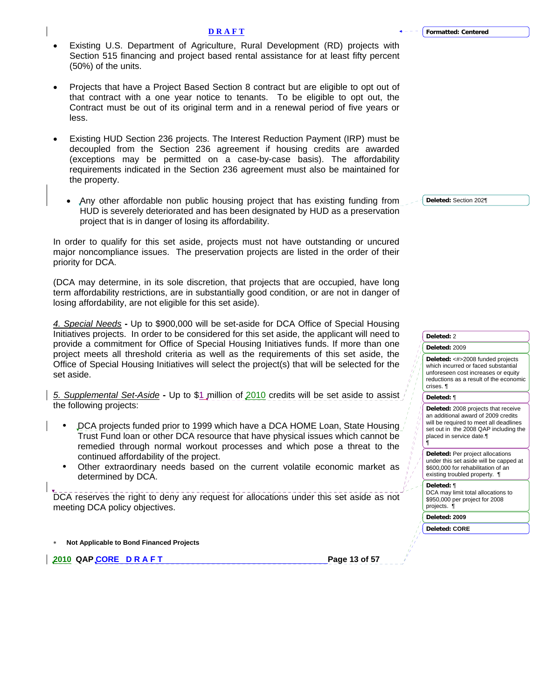- Existing U.S. Department of Agriculture, Rural Development (RD) projects with Section 515 financing and project based rental assistance for at least fifty percent (50%) of the units.
- Projects that have a Project Based Section 8 contract but are eligible to opt out of that contract with a one year notice to tenants. To be eligible to opt out, the Contract must be out of its original term and in a renewal period of five years or less.
- Existing HUD Section 236 projects. The Interest Reduction Payment (IRP) must be decoupled from the Section 236 agreement if housing credits are awarded (exceptions may be permitted on a case-by-case basis). The affordability requirements indicated in the Section 236 agreement must also be maintained for the property.
	- Any other affordable non public housing project that has existing funding from HUD is severely deteriorated and has been designated by HUD as a preservation project that is in danger of losing its affordability.

In order to qualify for this set aside, projects must not have outstanding or uncured major noncompliance issues. The preservation projects are listed in the order of their priority for DCA.

(DCA may determine, in its sole discretion, that projects that are occupied, have long term affordability restrictions, are in substantially good condition, or are not in danger of losing affordability, are not eligible for this set aside).

*4. Special Needs* **-** Up to \$900,000 will be set-aside for DCA Office of Special Housing Initiatives projects. In order to be considered for this set aside, the applicant will need to provide a commitment for Office of Special Housing Initiatives funds. If more than one project meets all threshold criteria as well as the requirements of this set aside, the Office of Special Housing Initiatives will select the project(s) that will be selected for the set aside.

*5. Supplemental Set-Aside* **-** Up to \$1 million of 2010 credits will be set aside to assist the following projects:

- DCA projects funded prior to 1999 which have a DCA HOME Loan, State Housing Trust Fund loan or other DCA resource that have physical issues which cannot be remedied through normal workout processes and which pose a threat to the continued affordability of the project.
- Other extraordinary needs based on the current volatile economic market as determined by DCA.

DCA reserves the right to deny any request for allocations under this set aside as not meeting DCA policy objectives.

∗ **Not Applicable to Bond Financed Projects** 

**2010 QAP CORE D R A F T Page 13 of 57 Page 13 of 57** 

**Deleted:** Section 202¶

|                         | Deleted: 2                                                                                                                                                                                     |
|-------------------------|------------------------------------------------------------------------------------------------------------------------------------------------------------------------------------------------|
|                         | Deleted: 2009                                                                                                                                                                                  |
|                         | Deleted: <#>2008 funded projects<br>which incurred or faced substantial<br>unforeseen cost increases or equity<br>reductions as a result of the economic<br>crises. ¶                          |
|                         | Deleted: ¶                                                                                                                                                                                     |
| 4<br>ı,<br>ħ<br>4<br>ı, | Deleted: 2008 projects that receive<br>an additional award of 2009 credits<br>will be required to meet all deadlines<br>set out in the 2008 QAP including the<br>placed in service date.¶<br>¶ |
|                         | <b>Deleted: Per project allocations</b><br>under this set aside will be capped at<br>\$600,000 for rehabilitation of an<br>existing troubled property. ¶                                       |
|                         | Deleted: ¶<br>DCA may limit total allocations to<br>\$950,000 per project for 2008<br>projects. ¶                                                                                              |
|                         | Deleted: 2009                                                                                                                                                                                  |
|                         | <b>Deleted: CORE</b>                                                                                                                                                                           |
|                         |                                                                                                                                                                                                |

**D R A F T**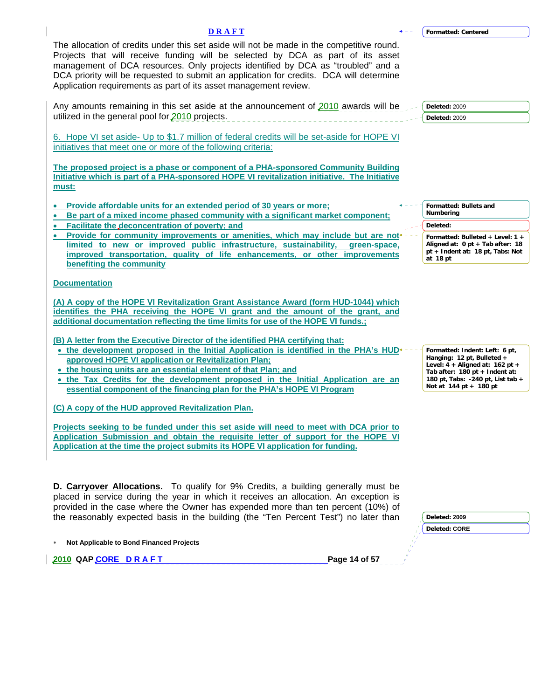| <b>DRAFT</b>                                                                                                                                                                                                                                                                                                                                                                                                                                                      | <b>Formatted: Centered</b>                                                                                                                                       |
|-------------------------------------------------------------------------------------------------------------------------------------------------------------------------------------------------------------------------------------------------------------------------------------------------------------------------------------------------------------------------------------------------------------------------------------------------------------------|------------------------------------------------------------------------------------------------------------------------------------------------------------------|
| The allocation of credits under this set aside will not be made in the competitive round.<br>Projects that will receive funding will be selected by DCA as part of its asset<br>management of DCA resources. Only projects identified by DCA as "troubled" and a<br>DCA priority will be requested to submit an application for credits. DCA will determine<br>Application requirements as part of its asset management review.                                   |                                                                                                                                                                  |
| Any amounts remaining in this set aside at the announcement of 2010 awards will be<br>utilized in the general pool for 2010 projects.<br>6. Hope VI set aside- Up to \$1.7 million of federal credits will be set-aside for HOPE VI                                                                                                                                                                                                                               | Deleted: 2009<br>Deleted: 2009                                                                                                                                   |
| initiatives that meet one or more of the following criteria:<br>The proposed project is a phase or component of a PHA-sponsored Community Building<br>Initiative which is part of a PHA-sponsored HOPE VI revitalization initiative. The Initiative<br>must:                                                                                                                                                                                                      |                                                                                                                                                                  |
| Provide affordable units for an extended period of 30 years or more;<br>Be part of a mixed income phased community with a significant market component;<br>Facilitate the deconcentration of poverty; and                                                                                                                                                                                                                                                         | Formatted: Bullets and<br>Numbering<br>Deleted:                                                                                                                  |
| Provide for community improvements or amenities, which may include but are not<br>limited to new or improved public infrastructure, sustainability,<br>green-space,<br>improved transportation, quality of life enhancements, or other improvements<br>benefiting the community                                                                                                                                                                                   | Formatted: Bulleted + Level: 1 +<br>Aligned at: 0 pt + Tab after: 18<br>pt + Indent at: 18 pt, Tabs: Not<br>at 18 pt                                             |
| <b>Documentation</b><br>(A) A copy of the HOPE VI Revitalization Grant Assistance Award (form HUD-1044) which<br>identifies the PHA receiving the HOPE VI grant and the amount of the grant, and<br>additional documentation reflecting the time limits for use of the HOPE VI funds.;<br>(B) A letter from the Executive Director of the identified PHA certifying that:<br>• the development proposed in the Initial Application is identified in the PHA's HUD | Formatted: Indent: Left: 6 pt,                                                                                                                                   |
| approved HOPE VI application or Revitalization Plan:<br>• the housing units are an essential element of that Plan; and<br>• the Tax Credits for the development proposed in the Initial Application are an<br>essential component of the financing plan for the PHA's HOPE VI Program<br>(C) A copy of the HUD approved Revitalization Plan.                                                                                                                      | Hanging: 12 pt, Bulleted +<br>Level: $4 +$ Aligned at: 162 pt +<br>Tab after: 180 pt + Indent at:<br>180 pt, Tabs: -240 pt, List tab +<br>Not at 144 pt + 180 pt |
| Projects seeking to be funded under this set aside will need to meet with DCA prior to<br>Application Submission and obtain the requisite letter of support for the HOPE VI<br>Application at the time the project submits its HOPE VI application for funding.                                                                                                                                                                                                   |                                                                                                                                                                  |
| <b>D. Carryover Allocations.</b> To qualify for 9% Credits, a building generally must be<br>placed in service during the year in which it receives an allocation. An exception is<br>provided in the case where the Owner has expended more than ten percent (10%) of<br>the reasonably expected basis in the building (the "Ten Percent Test") no later than                                                                                                     | Deleted: 2009<br><b>Deleted: CORE</b>                                                                                                                            |
| Not Applicable to Bond Financed Projects                                                                                                                                                                                                                                                                                                                                                                                                                          |                                                                                                                                                                  |

**2010 QAP CORE D R A F T Page 14 of 57**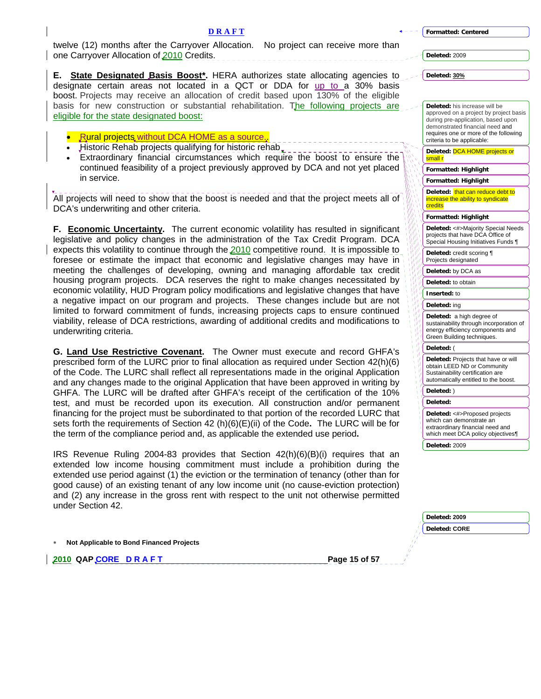**D R A F T** twelve (12) months after the Carryover Allocation. No project can receive more than

**Deleted:** 2009

**Deleted: 30%** 

**E.** State Designated Basis Boost\*. HERA authorizes state allocating agencies to designate certain areas not located in a QCT or DDA for up to a 30% basis boost. Projects may receive an allocation of credit based upon 130% of the eligible basis for new construction or substantial rehabilitation. The following projects are eligible for the state designated boost:

**Rural projects without DCA HOME as a source** 

one Carryover Allocation of 2010 Credits.

- Historic Rehab projects qualifying for historic rehab.
- Extraordinary financial circumstances which require the boost to ensure the continued feasibility of a project previously approved by DCA and not yet placed in service.

All projects will need to show that the boost is needed and that the project meets all of DCA's underwriting and other criteria.

**F. Economic Uncertainty.** The current economic volatility has resulted in significant legislative and policy changes in the administration of the Tax Credit Program. DCA expects this volatility to continue through the 2010 competitive round. It is impossible to foresee or estimate the impact that economic and legislative changes may have in meeting the challenges of developing, owning and managing affordable tax credit housing program projects. DCA reserves the right to make changes necessitated by economic volatility, HUD Program policy modifications and legislative changes that have a negative impact on our program and projects. These changes include but are not limited to forward commitment of funds, increasing projects caps to ensure continued viability, release of DCA restrictions, awarding of additional credits and modifications to underwriting criteria.

**G. Land Use Restrictive Covenant.** The Owner must execute and record GHFA's prescribed form of the LURC prior to final allocation as required under Section 42(h)(6) of the Code. The LURC shall reflect all representations made in the original Application and any changes made to the original Application that have been approved in writing by GHFA. The LURC will be drafted after GHFA's receipt of the certification of the 10% test, and must be recorded upon its execution. All construction and/or permanent financing for the project must be subordinated to that portion of the recorded LURC that sets forth the requirements of Section 42 (h)(6)(E)(ii) of the Code**.** The LURC will be for the term of the compliance period and, as applicable the extended use period**.** 

IRS Revenue Ruling 2004-83 provides that Section 42(h)(6)(B)(i) requires that an extended low income housing commitment must include a prohibition during the extended use period against (1) the eviction or the termination of tenancy (other than for good cause) of an existing tenant of any low income unit (no cause-eviction protection) and (2) any increase in the gross rent with respect to the unit not otherwise permitted under Section 42.

∗ **Not Applicable to Bond Financed Projects** 

**2010 QAP CORE D R A F T Page 15 of 57** 

| <b>Deleted:</b> his increase will be<br>approved on a project by project basis<br>during pre-application, based upon<br>demonstrated financial need and<br>requires one or more of the following<br>criteria to be applicable: |
|--------------------------------------------------------------------------------------------------------------------------------------------------------------------------------------------------------------------------------|
| Deleted: DCA HOME projects or<br>small r                                                                                                                                                                                       |
| Formatted: Highlight                                                                                                                                                                                                           |
| Formatted: Highlight                                                                                                                                                                                                           |
| Deleted: that can reduce debt to<br>increase the ability to syndicate<br>credits                                                                                                                                               |
| <b>Formatted: Highlight</b>                                                                                                                                                                                                    |
| Deleted: <#>Majority Special Needs<br>projects that have DCA Office of<br>Special Housing Initiatives Funds 1                                                                                                                  |
| Deleted: credit scoring ¶<br>Projects designated                                                                                                                                                                               |
| Deleted: by DCA as                                                                                                                                                                                                             |
|                                                                                                                                                                                                                                |
| Deleted: to obtain                                                                                                                                                                                                             |
| Inserted: to                                                                                                                                                                                                                   |
| Deleted: ing                                                                                                                                                                                                                   |
| Deleted: a high degree of<br>sustainability through incorporation of<br>energy efficiency components and<br>Green Building techniques.                                                                                         |
| Deleted: (                                                                                                                                                                                                                     |
| Deleted: Projects that have or will<br>obtain LEED ND or Community<br>Sustainability certification are<br>automatically entitled to the boost.                                                                                 |
| Deleted: )                                                                                                                                                                                                                     |
| Deleted:                                                                                                                                                                                                                       |

| Deleted: 2009        |  |
|----------------------|--|
| <b>Deleted: CORE</b> |  |
|                      |  |
|                      |  |
|                      |  |

**Deleted:** 2009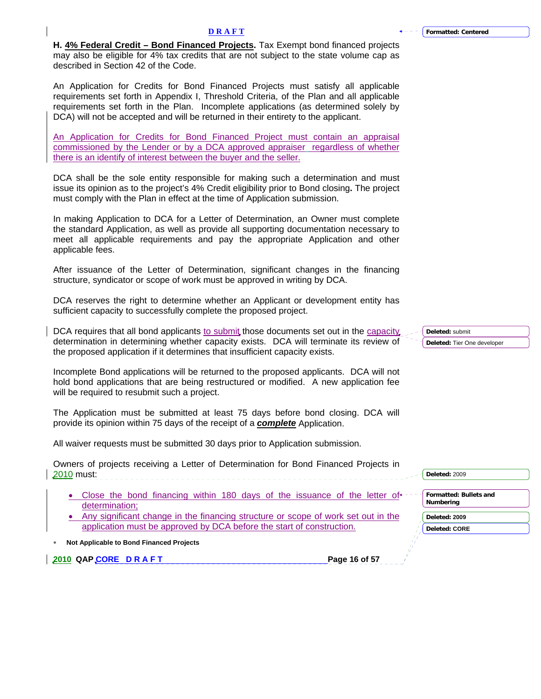**H. 4% Federal Credit – Bond Financed Projects.** Tax Exempt bond financed projects may also be eligible for 4% tax credits that are not subject to the state volume cap as described in Section 42 of the Code.

An Application for Credits for Bond Financed Projects must satisfy all applicable requirements set forth in Appendix I, Threshold Criteria, of the Plan and all applicable requirements set forth in the Plan. Incomplete applications (as determined solely by DCA) will not be accepted and will be returned in their entirety to the applicant.

An Application for Credits for Bond Financed Project must contain an appraisal commissioned by the Lender or by a DCA approved appraiser regardless of whether there is an identify of interest between the buyer and the seller.

DCA shall be the sole entity responsible for making such a determination and must issue its opinion as to the project's 4% Credit eligibility prior to Bond closing**.** The project must comply with the Plan in effect at the time of Application submission.

In making Application to DCA for a Letter of Determination, an Owner must complete the standard Application, as well as provide all supporting documentation necessary to meet all applicable requirements and pay the appropriate Application and other applicable fees.

After issuance of the Letter of Determination, significant changes in the financing structure, syndicator or scope of work must be approved in writing by DCA.

DCA reserves the right to determine whether an Applicant or development entity has sufficient capacity to successfully complete the proposed project.

DCA requires that all bond applicants to submit those documents set out in the capacity determination in determining whether capacity exists. DCA will terminate its review of the proposed application if it determines that insufficient capacity exists.

Incomplete Bond applications will be returned to the proposed applicants. DCA will not hold bond applications that are being restructured or modified. A new application fee will be required to resubmit such a project.

The Application must be submitted at least 75 days before bond closing. DCA will provide its opinion within 75 days of the receipt of a *complete* Application.

All waiver requests must be submitted 30 days prior to Application submission.

| Owners of projects receiving a Letter of Determination for Bond Financed Projects in<br>2010 must:                | Deleted: 2009              |
|-------------------------------------------------------------------------------------------------------------------|----------------------------|
| Close the bond financing within 180 days of the issuance of the letter of $+$ -                                   | Formatted: Bullets and     |
| determination:<br>Any significant change in the financing structure or scope of work set out in the               | Numbering<br>Deleted: 2009 |
| application must be approved by DCA before the start of construction.<br>Not Applicable to Bond Financed Projects | <b>Deleted: CORE</b>       |
| 2010 QAP CORE DRAFT<br>Page 16 of 57                                                                              |                            |

**Deleted:** submit **Deleted:** Tier One developer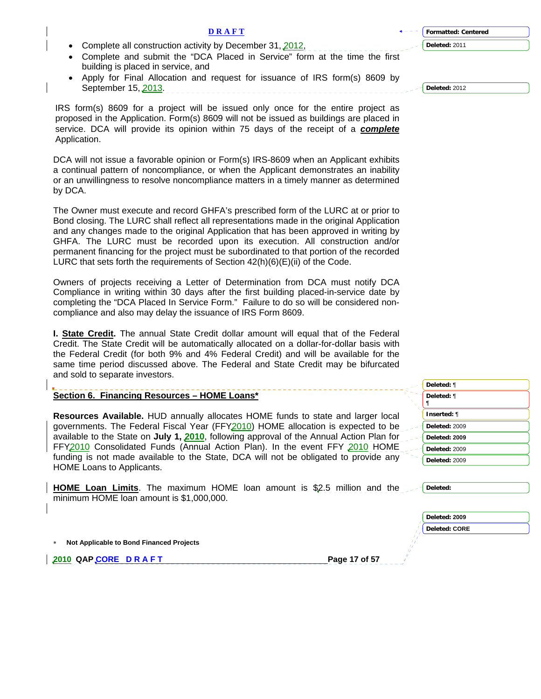| Complete all construction activity by December 31, 2012,                                                                                                                | Deleted: 2011        |
|-------------------------------------------------------------------------------------------------------------------------------------------------------------------------|----------------------|
| Complete and submit the "DCA Placed in Service" form at the time the first                                                                                              |                      |
| building is placed in service, and                                                                                                                                      |                      |
| Apply for Final Allocation and request for issuance of IRS form(s) 8609 by                                                                                              |                      |
| September 15, 2013.                                                                                                                                                     | Deleted: 2012        |
|                                                                                                                                                                         |                      |
| IRS form(s) 8609 for a project will be issued only once for the entire project as                                                                                       |                      |
| proposed in the Application. Form(s) 8609 will not be issued as buildings are placed in                                                                                 |                      |
| service. DCA will provide its opinion within 75 days of the receipt of a complete                                                                                       |                      |
| Application.                                                                                                                                                            |                      |
|                                                                                                                                                                         |                      |
| DCA will not issue a favorable opinion or Form(s) IRS-8609 when an Applicant exhibits                                                                                   |                      |
| a continual pattern of noncompliance, or when the Applicant demonstrates an inability                                                                                   |                      |
| or an unwillingness to resolve noncompliance matters in a timely manner as determined                                                                                   |                      |
| by DCA.                                                                                                                                                                 |                      |
|                                                                                                                                                                         |                      |
| The Owner must execute and record GHFA's prescribed form of the LURC at or prior to                                                                                     |                      |
| Bond closing. The LURC shall reflect all representations made in the original Application                                                                               |                      |
| and any changes made to the original Application that has been approved in writing by                                                                                   |                      |
| GHFA. The LURC must be recorded upon its execution. All construction and/or                                                                                             |                      |
| permanent financing for the project must be subordinated to that portion of the recorded                                                                                |                      |
| LURC that sets forth the requirements of Section 42(h)(6)(E)(ii) of the Code.                                                                                           |                      |
|                                                                                                                                                                         |                      |
| Owners of projects receiving a Letter of Determination from DCA must notify DCA                                                                                         |                      |
| Compliance in writing within 30 days after the first building placed-in-service date by                                                                                 |                      |
| completing the "DCA Placed In Service Form." Failure to do so will be considered non-                                                                                   |                      |
| compliance and also may delay the issuance of IRS Form 8609.                                                                                                            |                      |
|                                                                                                                                                                         |                      |
| I. <b>State Credit.</b> The annual State Credit dollar amount will equal that of the Federal                                                                            |                      |
| Credit. The State Credit will be automatically allocated on a dollar-for-dollar basis with                                                                              |                      |
| the Federal Credit (for both 9% and 4% Federal Credit) and will be available for the                                                                                    |                      |
| same time period discussed above. The Federal and State Credit may be bifurcated                                                                                        |                      |
| and sold to separate investors.                                                                                                                                         |                      |
|                                                                                                                                                                         | Deleted: ¶           |
| Section 6. Financing Resources - HOME Loans*                                                                                                                            | Deleted: ¶           |
|                                                                                                                                                                         |                      |
| Resources Available. HUD annually allocates HOME funds to state and larger local                                                                                        | Inserted: ¶          |
| governments. The Federal Fiscal Year (FFY2010) HOME allocation is expected to be                                                                                        | Deleted: 2009        |
| available to the State on July 1, 2010, following approval of the Annual Action Plan for<br>FFY2010 Consolidated Funds (Annual Action Plan). In the event FFY 2010 HOME | Deleted: 2009        |
|                                                                                                                                                                         | Deleted: 2009        |
| funding is not made available to the State, DCA will not be obligated to provide any                                                                                    |                      |
|                                                                                                                                                                         | Deleted: 2009        |
|                                                                                                                                                                         |                      |
| HOME Loans to Applicants.                                                                                                                                               |                      |
|                                                                                                                                                                         |                      |
| <b>HOME Loan Limits</b> . The maximum HOME loan amount is \$2.5 million and the                                                                                         | Deleted:             |
| minimum HOME loan amount is \$1,000,000.                                                                                                                                |                      |
|                                                                                                                                                                         | Deleted: 2009        |
|                                                                                                                                                                         | <b>Deleted: CORE</b> |
|                                                                                                                                                                         |                      |
| Not Applicable to Bond Financed Projects                                                                                                                                |                      |
| Page 17 of 57<br>2010 QAPCORE DRAFT                                                                                                                                     |                      |

**D R A F T**

<span id="page-16-0"></span> $\mathsf I$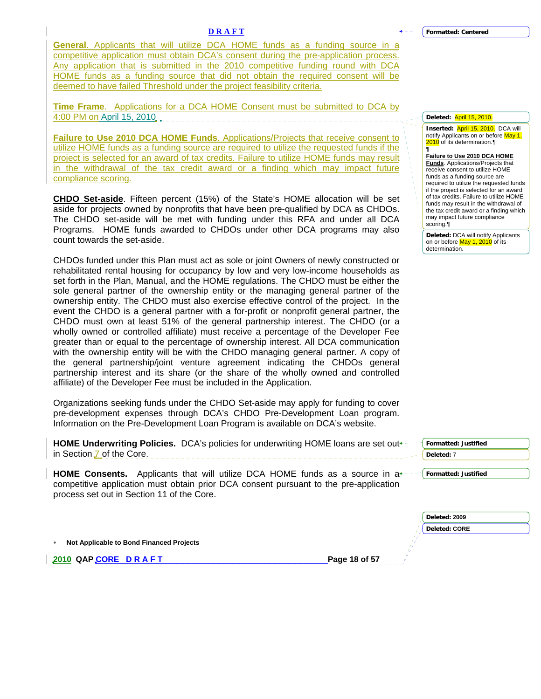**General**. Applicants that will utilize DCA HOME funds as a funding source in a competitive application must obtain DCA's consent during the pre-application process. Any application that is submitted in the 2010 competitive funding round with DCA HOME funds as a funding source that did not obtain the required consent will be deemed to have failed Threshold under the project feasibility criteria.

**Time Frame**. Applications for a DCA HOME Consent must be submitted to DCA by 4:00 PM on April 15, 2010

**Failure to Use 2010 DCA HOME Funds**. Applications/Projects that receive consent to utilize HOME funds as a funding source are required to utilize the requested funds if the project is selected for an award of tax credits. Failure to utilize HOME funds may result in the withdrawal of the tax credit award or a finding which may impact future compliance scoring.

**CHDO Set-aside**. Fifteen percent (15%) of the State's HOME allocation will be set aside for projects owned by nonprofits that have been pre-qualified by DCA as CHDOs. The CHDO set-aside will be met with funding under this RFA and under all DCA Programs. HOME funds awarded to CHDOs under other DCA programs may also count towards the set-aside.

CHDOs funded under this Plan must act as sole or joint Owners of newly constructed or rehabilitated rental housing for occupancy by low and very low-income households as set forth in the Plan, Manual, and the HOME regulations. The CHDO must be either the sole general partner of the ownership entity or the managing general partner of the ownership entity. The CHDO must also exercise effective control of the project. In the event the CHDO is a general partner with a for-profit or nonprofit general partner, the CHDO must own at least 51% of the general partnership interest. The CHDO (or a wholly owned or controlled affiliate) must receive a percentage of the Developer Fee greater than or equal to the percentage of ownership interest. All DCA communication with the ownership entity will be with the CHDO managing general partner. A copy of the general partnership/joint venture agreement indicating the CHDOs general partnership interest and its share (or the share of the wholly owned and controlled affiliate) of the Developer Fee must be included in the Application.

Organizations seeking funds under the CHDO Set-aside may apply for funding to cover pre-development expenses through DCA's CHDO Pre-Development Loan program. Information on the Pre-Development Loan Program is available on DCA's website.

| <b>HOME Underwriting Policies.</b> DCA's policies for underwriting HOME loans are set out +- | <b>Formatted: Justified</b> |
|----------------------------------------------------------------------------------------------|-----------------------------|
| in Section 7 of the Core.                                                                    | Deleted: 7                  |
| <b>HOME Consents.</b> Applicants that will utilize DCA HOME funds as a source in $a^{2}$     | Formatted: Justified        |
| competitive application must obtain prior DCA consent pursuant to the pre-application        |                             |
| process set out in Section 11 of the Core.                                                   |                             |

| $\ast$ | Not Applicable to Bond Financed Projects |  |  |  |
|--------|------------------------------------------|--|--|--|
|--------|------------------------------------------|--|--|--|

**2010 QAP CORE D R A F T Page 18 of 57** 

| Deleted: April 15, 2010. |  |
|--------------------------|--|

**Inserted:** April 15, 2010. DCA will notify Applicants on or before May 1, 2010 of its determination. ¶

**Failure to Use 2010 DCA HOME** 

**Funds**. Applications/Projects that receive consent to utilize HOME funds as a funding source are required to utilize the requested funds if the project is selected for an award of tax credits. Failure to utilize HOME funds may result in the withdrawal of the tax credit award or a finding which may impact future compliance scoring.¶

**Deleted:** DCA will notify Applicants on or before May 1, 2010 of its determination.

**Deleted: 2009 Deleted: CORE**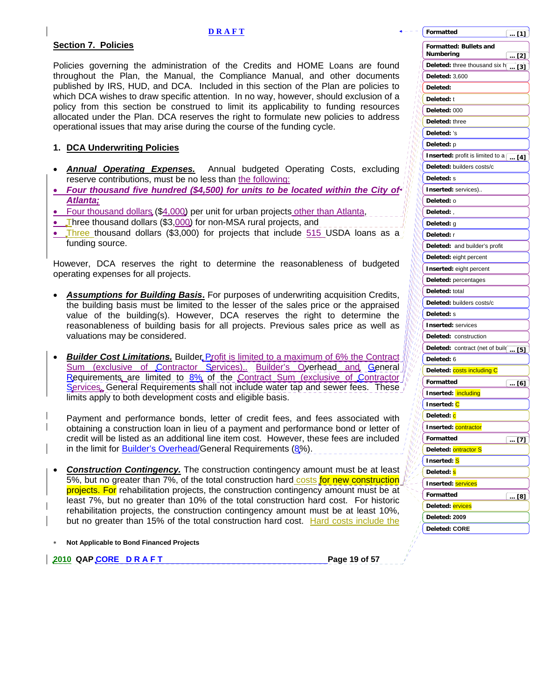# <span id="page-18-0"></span>**Section 7. Policies**

Policies governing the administration of the Credits and HOME Loans are found throughout the Plan, the Manual, the Compliance Manual, and other documents published by IRS, HUD, and DCA. Included in this section of the Plan are policies to which DCA wishes to draw specific attention. In no way, however, should exclusion of a policy from this section be construed to limit its applicability to funding resources allocated under the Plan. DCA reserves the right to formulate new policies to address operational issues that may arise during the course of the funding cycle.

# **1. DCA Underwriting Policies**

- *Annual Operating Expenses.* Annual budgeted Operating Costs, excluding reserve contributions, must be no less than the following:
- *Four thousand five hundred (\$4,500) for units to be located within the City of Atlanta;*
- Four thousand dollars (\$4,000) per unit for urban projects other than Atlanta,
- Three thousand dollars (\$3,000) for non-MSA rural projects, and
- Three thousand dollars (\$3,000) for projects that include  $515$  USDA loans as a funding source.

However, DCA reserves the right to determine the reasonableness of budgeted operating expenses for all projects.

- *Assumptions for Building Basis***.** For purposes of underwriting acquisition Credits, the building basis must be limited to the lesser of the sales price or the appraised value of the building(s). However, DCA reserves the right to determine the reasonableness of building basis for all projects. Previous sales price as well as valuations may be considered.
- **Builder Cost Limitations.** Builder Profit is limited to a maximum of 6% the Contract Sum (exclusive of Contractor Services).. Builder's Overhead and General Requirements are limited to 8% of the Contract Sum (exclusive of Contractor Services. General Requirements shall not include water tap and sewer fees. These limits apply to both development costs and eligible basis.

Payment and performance bonds, letter of credit fees, and fees associated with obtaining a construction loan in lieu of a payment and performance bond or letter of credit will be listed as an additional line item cost. However, these fees are included in the limit for Builder's Overhead/General Requirements (8%).

- **Construction Contingency.** The construction contingency amount must be at least 5%, but no greater than 7%, of the total construction hard costs for new construction projects. For rehabilitation projects, the construction contingency amount must be at least 7%, but no greater than 10% of the total construction hard cost. For historic rehabilitation projects, the construction contingency amount must be at least 10%, but no greater than 15% of the total construction hard cost. Hard costs include the
- ∗ **Not Applicable to Bond Financed Projects**

**2010 QAP CORE D R A F T PAGE 19 of 57 Page 19 of 57** 

| Formatted                                                | $$ [1]        |
|----------------------------------------------------------|---------------|
| <b>Formatted: Bullets and</b><br>Numbering               | … [2]         |
| Deleted: three thousand six $\mathsf{h}$                 |               |
| <b>Deleted: 3,600</b>                                    | [3]           |
| Deleted:                                                 |               |
| Deleted: t                                               |               |
| Deleted: 000                                             |               |
| Deleted: three                                           |               |
| Deleted: 's                                              |               |
| Deleted: p                                               |               |
| <b>Inserted:</b> profit is limited to $a$ $\boxed{ [4]}$ |               |
| Deleted: builders costs/c                                |               |
| Deleted: s                                               |               |
| Inserted: services)                                      |               |
| Deleted: o                                               |               |
| Deleted:                                                 |               |
| Deleted: g                                               |               |
| Deleted: r                                               |               |
| Deleted: and builder's profit                            |               |
| Deleted: eight percent                                   |               |
| Inserted: eight percent                                  |               |
| Deleted: percentages                                     |               |
| Deleted: total                                           |               |
| Deleted: builders costs/c                                |               |
| Deleted: s                                               |               |
| <b>Inserted: services</b>                                |               |
| Deleted: construction                                    |               |
| Deleted: contract (net of buil( [5]                      |               |
| Deleted: 6                                               |               |
| Deleted: <mark>costs including C</mark>                  |               |
| Formatted                                                | <u>[6] … </u> |
| Inserted: including                                      |               |
| Inserted: C                                              |               |
| Deleted: <mark>c</mark>                                  |               |
| <b>Inserted: <mark>contractor</mark></b>                 |               |
| Formatted                                                | [7]           |
| Deleted: ontractor S                                     |               |
| Inserted: <mark>S</mark>                                 |               |
| Deleted: <mark>s</mark>                                  |               |
| Inserted: <mark>services</mark>                          |               |
| Formatted                                                | … [8]         |
| Deleted: <mark>ervices</mark>                            |               |
| Deleted: 2009                                            |               |
| <b>Deleted: CORE</b>                                     |               |
|                                                          |               |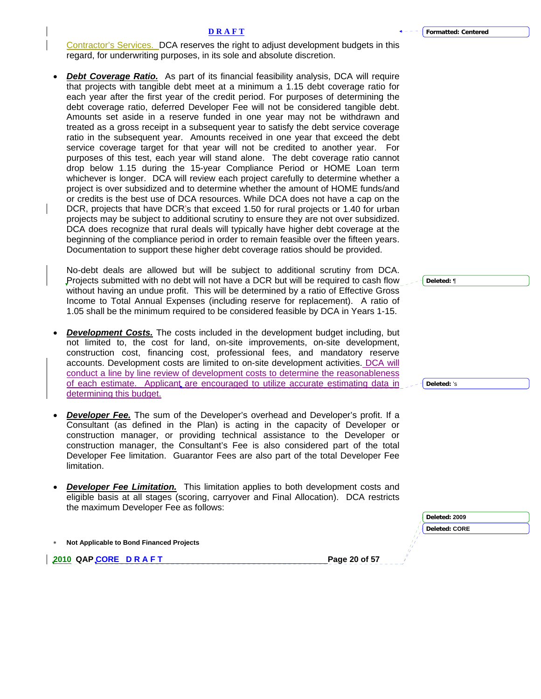Contractor's Services. DCA reserves the right to adjust development budgets in this regard, for underwriting purposes, in its sole and absolute discretion.

*Debt Coverage Ratio.* As part of its financial feasibility analysis, DCA will require that projects with tangible debt meet at a minimum a 1.15 debt coverage ratio for each year after the first year of the credit period. For purposes of determining the debt coverage ratio, deferred Developer Fee will not be considered tangible debt. Amounts set aside in a reserve funded in one year may not be withdrawn and treated as a gross receipt in a subsequent year to satisfy the debt service coverage ratio in the subsequent year. Amounts received in one year that exceed the debt service coverage target for that year will not be credited to another year. For purposes of this test, each year will stand alone. The debt coverage ratio cannot drop below 1.15 during the 15-year Compliance Period or HOME Loan term whichever is longer. DCA will review each project carefully to determine whether a project is over subsidized and to determine whether the amount of HOME funds/and or credits is the best use of DCA resources. While DCA does not have a cap on the DCR, projects that have DCR's that exceed 1.50 for rural projects or 1.40 for urban projects may be subject to additional scrutiny to ensure they are not over subsidized. DCA does recognize that rural deals will typically have higher debt coverage at the beginning of the compliance period in order to remain feasible over the fifteen years. Documentation to support these higher debt coverage ratios should be provided.

No-debt deals are allowed but will be subject to additional scrutiny from DCA. Projects submitted with no debt will not have a DCR but will be required to cash flow without having an undue profit. This will be determined by a ratio of Effective Gross Income to Total Annual Expenses (including reserve for replacement). A ratio of 1.05 shall be the minimum required to be considered feasible by DCA in Years 1-15.

- **Development Costs.** The costs included in the development budget including, but not limited to, the cost for land, on-site improvements, on-site development, construction cost, financing cost, professional fees, and mandatory reserve accounts. Development costs are limited to on-site development activities. DCA will conduct a line by line review of development costs to determine the reasonableness of each estimate. Applicant are encouraged to utilize accurate estimating data in determining this budget.
- *Developer Fee.* The sum of the Developer's overhead and Developer's profit. If a Consultant (as defined in the Plan) is acting in the capacity of Developer or construction manager, or providing technical assistance to the Developer or construction manager, the Consultant's Fee is also considered part of the total Developer Fee limitation. Guarantor Fees are also part of the total Developer Fee limitation.
- **Developer Fee Limitation.** This limitation applies to both development costs and eligible basis at all stages (scoring, carryover and Final Allocation).DCA restricts the maximum Developer Fee as follows:

|                                            | Deleted: 2009 |
|--------------------------------------------|---------------|
|                                            | Deleted: CORE |
| * Not Applicable to Bond Financed Projects |               |
| 2010 QAPCORE DRAFT                         | Page 20 of 57 |
|                                            |               |

**Deleted:** ¶

**Deleted:** 's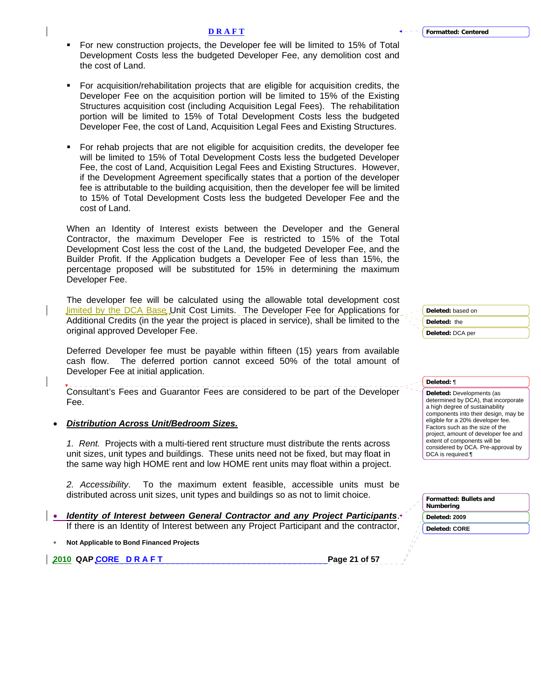- **D R A F T**
- For new construction projects, the Developer fee will be limited to 15% of Total Development Costs less the budgeted Developer Fee, any demolition cost and the cost of Land.
- For acquisition/rehabilitation projects that are eligible for acquisition credits, the Developer Fee on the acquisition portion will be limited to 15% of the Existing Structures acquisition cost (including Acquisition Legal Fees). The rehabilitation portion will be limited to 15% of Total Development Costs less the budgeted Developer Fee, the cost of Land, Acquisition Legal Fees and Existing Structures.
- For rehab projects that are not eligible for acquisition credits, the developer fee will be limited to 15% of Total Development Costs less the budgeted Developer Fee, the cost of Land, Acquisition Legal Fees and Existing Structures. However, if the Development Agreement specifically states that a portion of the developer fee is attributable to the building acquisition, then the developer fee will be limited to 15% of Total Development Costs less the budgeted Developer Fee and the cost of Land.

When an Identity of Interest exists between the Developer and the General Contractor, the maximum Developer Fee is restricted to 15% of the Total Development Cost less the cost of the Land, the budgeted Developer Fee, and the Builder Profit. If the Application budgets a Developer Fee of less than 15%, the percentage proposed will be substituted for 15% in determining the maximum Developer Fee.

The developer fee will be calculated using the allowable total development cost **Jimited by the DCA Base Unit Cost Limits. The Developer Fee for Applications for** Additional Credits (in the year the project is placed in service), shall be limited to the original approved Developer Fee.

Deferred Developer fee must be payable within fifteen (15) years from available cash flow. The deferred portion cannot exceed 50% of the total amount of Developer Fee at initial application.

Consultant's Fees and Guarantor Fees are considered to be part of the Developer Fee.

# • *Distribution Across Unit/Bedroom Sizes.*

*1. Rent.* Projects with a multi-tiered rent structure must distribute the rents across unit sizes, unit types and buildings. These units need not be fixed, but may float in the same way high HOME rent and low HOME rent units may float within a project.

*2. Accessibility*. To the maximum extent feasible, accessible units must be distributed across unit sizes, unit types and buildings so as not to limit choice.

• *Identity of Interest between General Contractor and any Project Participants*. If there is an Identity of Interest between any Project Participant and the contractor,

∗ **Not Applicable to Bond Financed Projects** 

**2010 QAP CORE D R A F T Page 21 of 57 Page 21 of 57 Page 21 of 57 Page 21 of 57 Page 21 of 57 Page 21 of 57 Page 21 of 57 Page 21 of 57 Page 21 of 57 Page 21 of 57 Page 21 of 57 Page 21 of 57 Page 21 of 57 Page 21 of 57 P** 

| Deleted: based on |
|-------------------|
| Deleted: the      |
| Deleted: DCA per  |

#### **Deleted:** ¶

**Deleted:** Developments (as determined by DCA), that incorporate a high degree of sustainability components into their design, may be eligible for a 20% developer fee. Factors such as the size of the project, amount of developer fee and extent of components will be considered by DCA. Pre-approval by DCA is required.¶

| Formatted: Bullets and<br>Numbering |
|-------------------------------------|
| Deleted: 2009                       |
| <b>Deleted: CORE</b>                |
|                                     |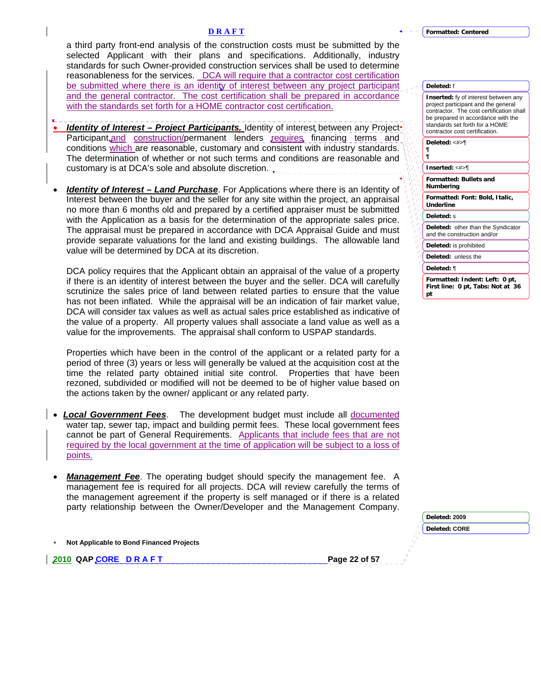a third party front-end analysis of the construction costs must be submitted by the selected Applicant with their plans and specifications. Additionally, industry standards for such Owner-provided construction services shall be used to determine reasonableness for the services. DCA will require that a contractor cost certification be submitted where there is an identity of interest between any project participant and the general contractor. The cost certification shall be prepared in accordance with the standards set forth for a HOME contractor cost certification.

- **Identity of Interest Project Participants.** Identity of interest between any Project Participant, and construction/permanent lenders requires, financing terms and conditions which are reasonable, customary and consistent with industry standards. The determination of whether or not such terms and conditions are reasonable and customary is at DCA's sole and absolute discretion.
- **Identity of Interest Land Purchase**. For Applications where there is an Identity of Interest between the buyer and the seller for any site within the project, an appraisal no more than 6 months old and prepared by a certified appraiser must be submitted with the Application as a basis for the determination of the appropriate sales price. The appraisal must be prepared in accordance with DCA Appraisal Guide and must provide separate valuations for the land and existing buildings. The allowable land value will be determined by DCA at its discretion.

DCA policy requires that the Applicant obtain an appraisal of the value of a property if there is an identity of interest between the buyer and the seller. DCA will carefully scrutinize the sales price of land between related parties to ensure that the value has not been inflated. While the appraisal will be an indication of fair market value, DCA will consider tax values as well as actual sales price established as indicative of the value of a property. All property values shall associate a land value as well as a value for the improvements. The appraisal shall conform to USPAP standards.

Properties which have been in the control of the applicant or a related party for a period of three (3) years or less will generally be valued at the acquisition cost at the time the related party obtained initial site control. Properties that have been rezoned, subdivided or modified will not be deemed to be of higher value based on the actions taken by the owner/ applicant or any related party.

- *Local Government Fees*. The development budget must include all documented water tap, sewer tap, impact and building permit fees. These local government fees cannot be part of General Requirements. Applicants that include fees that are not required by the local government at the time of application will be subject to a loss of points.
- **Management Fee**. The operating budget should specify the management fee. A management fee is required for all projects. DCA will review carefully the terms of the management agreement if the property is self managed or if there is a related party relationship between the Owner/Developer and the Management Company.

∗ **Not Applicable to Bond Financed Projects** 

**2010 QAP CORE D R A F T Page 22 of 57 Page 22 of 57 Page 22 of 57 Page 22 of 57 Page 22 of 57 Page 22 of 57 Page 22 of 57 Page 22 of 57 Page 22 of 57 Page 22 of 57 Page 22 of 57 Page 22 of 57 Page 22 of 57 Page 22 of 57 P** 

| Formatted: Centered |
|---------------------|
|---------------------|

| Deleted: f |
|------------|
|------------|

| <b>Inserted:</b> fy of interest between any<br>project participant and the general<br>contractor. The cost certification shall<br>be prepared in accordance with the<br>standards set forth for a HOME<br>contractor cost certification. |
|------------------------------------------------------------------------------------------------------------------------------------------------------------------------------------------------------------------------------------------|
| Deleted: <#>¶<br>¶<br>¶                                                                                                                                                                                                                  |
| Inserted: $<\#> \mathbb{T}$                                                                                                                                                                                                              |
| <b>Formatted: Bullets and</b><br>Numbering                                                                                                                                                                                               |
| Formatted: Font: Bold, Italic,<br><b>Underline</b>                                                                                                                                                                                       |
| Deleted: s                                                                                                                                                                                                                               |
| Deleted: other than the Syndicator<br>and the construction and/or                                                                                                                                                                        |
| Deleted: is prohibited                                                                                                                                                                                                                   |
| Deleted: unless the                                                                                                                                                                                                                      |
| Deleted: ¶                                                                                                                                                                                                                               |
| Formatted: Indent: Left: 0 pt,<br>First line: 0 pt, Tabs: Not at 36<br>рt                                                                                                                                                                |

| Deleted: 2009        |
|----------------------|
| <b>Deleted: CORE</b> |
|                      |
|                      |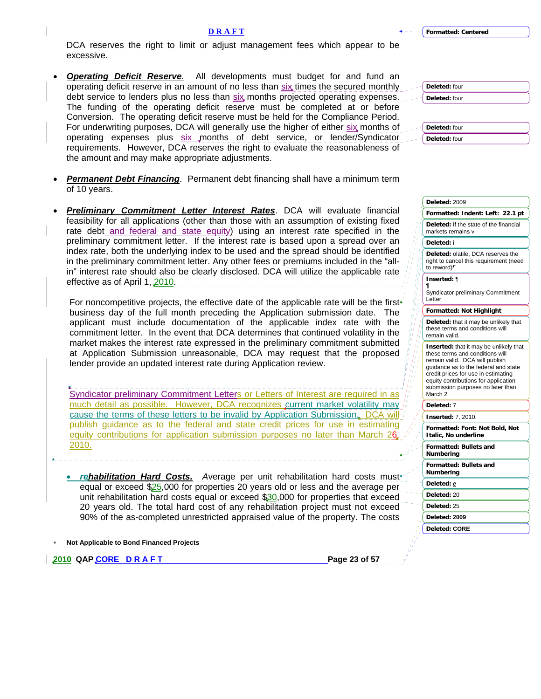#### **D R A F T**

DCA reserves the right to limit or adjust management fees which appear to be excessive.

• *Operating Deficit Reserve.* All developments must budget for and fund an operating deficit reserve in an amount of no less than  $six$  times the secured monthly debt service to lenders plus no less than six months projected operating expenses. The funding of the operating deficit reserve must be completed at or before Conversion. The operating deficit reserve must be held for the Compliance Period. For underwriting purposes, DCA will generally use the higher of either six months of operating expenses plus six months of debt service, or lender/Syndicator requirements. However, DCA reserves the right to evaluate the reasonableness of the amount and may make appropriate adjustments.

| Deleted: four |
|---------------|
| Deleted: four |
|               |
|               |
| Deleted: four |
| Deleted: four |

- **Permanent Debt Financing**. Permanent debt financing shall have a minimum term of 10 years.
- *Preliminary Commitment Letter Interest Rates*. DCA will evaluate financial feasibility for all applications (other than those with an assumption of existing fixed rate debt and federal and state equity) using an interest rate specified in the preliminary commitment letter. If the interest rate is based upon a spread over an index rate, both the underlying index to be used and the spread should be identified in the preliminary commitment letter. Any other fees or premiums included in the "allin" interest rate should also be clearly disclosed. DCA will utilize the applicable rate effective as of April 1, 2010.

For noncompetitive projects, the effective date of the applicable rate will be the first business day of the full month preceding the Application submission date. The applicant must include documentation of the applicable index rate with the commitment letter. In the event that DCA determines that continued volatility in the market makes the interest rate expressed in the preliminary commitment submitted at Application Submission unreasonable, DCA may request that the proposed lender provide an updated interest rate during Application review.

Syndicator preliminary Commitment Letters or Letters of Interest are required in as much detail as possible. However, DCA recognizes current market volatility may cause the terms of these letters to be invalid by Application Submission. DCA will publish guidance as to the federal and state credit prices for use in estimating equity contributions for application submission purposes no later than March 26 2010.

- *rehabilitation Hard Costs. A*verage per unit rehabilitation hard costs must equal or exceed \$25,000 for properties 20 years old or less and the average per unit rehabilitation hard costs equal or exceed \$30,000 for properties that exceed 20 years old. The total hard cost of any rehabilitation project must not exceed 90% of the as-completed unrestricted appraised value of the property. The costs
- ∗ **Not Applicable to Bond Financed Projects**

**2010 QAP CORE D R A F T Page 23 of 57 Page 23 of 57** 

| Deleted: 2009                                                                                                                                                                                                                                                                      |  |
|------------------------------------------------------------------------------------------------------------------------------------------------------------------------------------------------------------------------------------------------------------------------------------|--|
| Formatted: Indent: Left: 22.1 pt                                                                                                                                                                                                                                                   |  |
| Deleted: If the state of the financial<br>markets remains v                                                                                                                                                                                                                        |  |
| Deleted: i                                                                                                                                                                                                                                                                         |  |
| Deleted: olatile, DCA reserves the<br>right to cancel this requirement (need<br>to reword)¶                                                                                                                                                                                        |  |
| <b>Inserted:</b> ¶                                                                                                                                                                                                                                                                 |  |
| ¶<br><b>Syndicator preliminary Commitment</b><br>Letter                                                                                                                                                                                                                            |  |
| Formatted: Not Highlight                                                                                                                                                                                                                                                           |  |
| Deleted: that it may be unlikely that<br>these terms and conditions will<br>remain valid.                                                                                                                                                                                          |  |
| Inserted: that it may be unlikely that<br>these terms and conditions will<br>remain valid. DCA will publish<br>quidance as to the federal and state<br>credit prices for use in estimating<br>equity contributions for application<br>submission purposes no later than<br>March 2 |  |
| Deleted: 7                                                                                                                                                                                                                                                                         |  |
| <b>Inserted: 7, 2010.</b>                                                                                                                                                                                                                                                          |  |
| Formatted: Font: Not Bold, Not<br>Italic, No underline                                                                                                                                                                                                                             |  |
| <b>Formatted: Bullets and</b><br>Numbering                                                                                                                                                                                                                                         |  |
| Formatted: Bullets and<br>Numberina                                                                                                                                                                                                                                                |  |
| Deleted: e                                                                                                                                                                                                                                                                         |  |
| Deleted: 20                                                                                                                                                                                                                                                                        |  |
| Deleted: 25                                                                                                                                                                                                                                                                        |  |
| Deleted: 2009                                                                                                                                                                                                                                                                      |  |
|                                                                                                                                                                                                                                                                                    |  |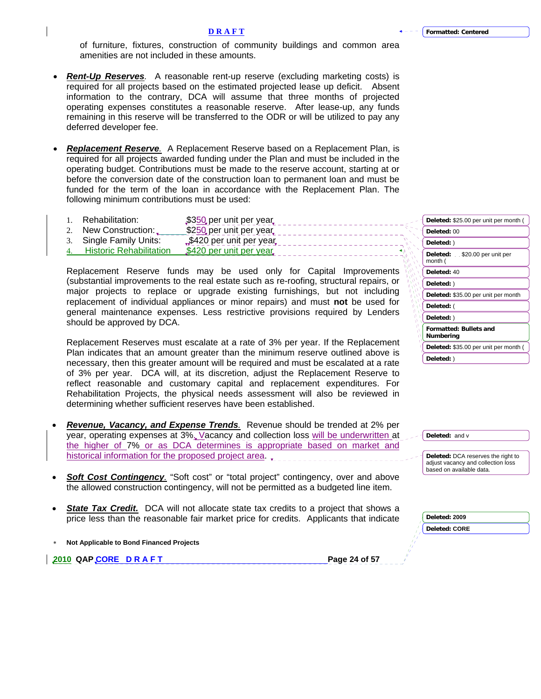of furniture, fixtures, construction of community buildings and common area amenities are not included in these amounts.

- *Rent-Up Reserves.* A reasonable rent-up reserve (excluding marketing costs) is required for all projects based on the estimated projected lease up deficit. Absent information to the contrary, DCA will assume that three months of projected operating expenses constitutes a reasonable reserve. After lease-up, any funds remaining in this reserve will be transferred to the ODR or will be utilized to pay any deferred developer fee.
- *Replacement Reserve.* A Replacement Reserve based on a Replacement Plan, is required for all projects awarded funding under the Plan and must be included in the operating budget. Contributions must be made to the reserve account, starting at or before the conversion date of the construction loan to permanent loan and must be funded for the term of the loan in accordance with the Replacement Plan. The following minimum contributions must be used:

| Rehabilitation:                | \$350 per unit per year   | Deleted: \$25.00 per unit per month ( |
|--------------------------------|---------------------------|---------------------------------------|
| New Construction:              | \$250 per unit per year   | Deleted: 00                           |
| Single Family Units:           | $$420$ per unit per year. | Deleted:                              |
| <b>Historic Rehabilitation</b> | \$420 per unit per year.  | Deleted:<br>\$20.00 per unit per      |

Replacement Reserve funds may be used only for Capital Improvements (substantial improvements to the real estate such as re-roofing, structural repairs, or major projects to replace or upgrade existing furnishings, but not including replacement of individual appliances or minor repairs) and must **not** be used for general maintenance expenses. Less restrictive provisions required by Lenders should be approved by DCA.

Replacement Reserves must escalate at a rate of 3% per year. If the Replacement Plan indicates that an amount greater than the minimum reserve outlined above is necessary, then this greater amount will be required and must be escalated at a rate of 3% per year. DCA will, at its discretion, adjust the Replacement Reserve to reflect reasonable and customary capital and replacement expenditures. For Rehabilitation Projects, the physical needs assessment will also be reviewed in determining whether sufficient reserves have been established.

- *Revenue, Vacancy, and Expense Trends.* Revenue should be trended at 2% per year, operating expenses at 3%. Vacancy and collection loss will be underwritten at the higher of 7% or as DCA determines is appropriate based on market and historical information for the proposed project area.
- *Soft Cost Contingency.* "Soft cost" or "total project" contingency, over and above the allowed construction contingency, will not be permitted as a budgeted line item.
- **State Tax Credit.** DCA will not allocate state tax credits to a project that shows a price less than the reasonable fair market price for credits. Applicants that indicate
- ∗ **Not Applicable to Bond Financed Projects**

**2010 QAP CORE D R A F T A PAGE 24 of 57 Page 24 of 57** 

| Deleted: \$25.00 per unit per month (           |  |  |
|-------------------------------------------------|--|--|
| Deleted: 00                                     |  |  |
| Deleted: )                                      |  |  |
| <b>Deleted:</b> \$20.00 per unit per<br>month ( |  |  |
| Deleted: 40                                     |  |  |
| Deleted: )                                      |  |  |
| Deleted: \$35.00 per unit per month             |  |  |
| Deleted: (                                      |  |  |
| Deleted:)                                       |  |  |
| <b>Formatted: Bullets and</b><br>Numberina      |  |  |
| Deleted: \$35.00 per unit per month (           |  |  |
| Deleted: )                                      |  |  |

| المستورين | Deleted: and v                                                                                       |
|-----------|------------------------------------------------------------------------------------------------------|
|           | Deleted: DCA reserves the right to<br>adjust vacancy and collection loss<br>based on available data. |

| Deleted: 2009        |
|----------------------|
| <b>Deleted: CORE</b> |
|                      |
|                      |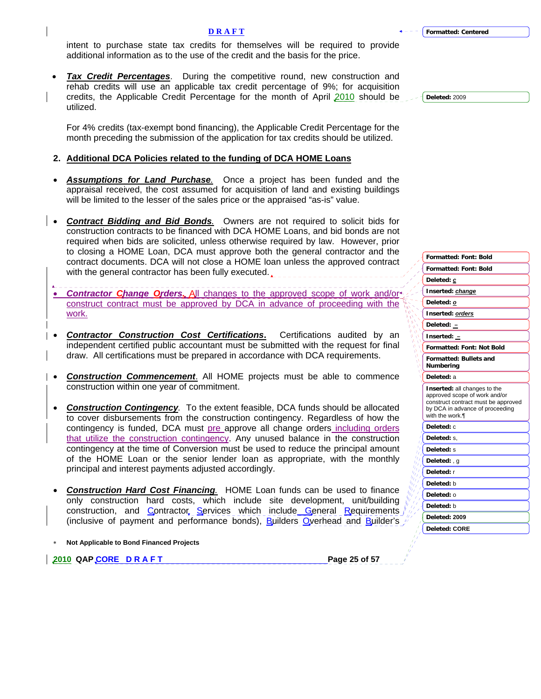**Deleted:** 2009

#### **D R A F T**

intent to purchase state tax credits for themselves will be required to provide additional information as to the use of the credit and the basis for the price.

• *Tax Credit Percentages*. During the competitive round, new construction and rehab credits will use an applicable tax credit percentage of 9%; for acquisition credits, the Applicable Credit Percentage for the month of April  $2010$  should be utilized.

For 4% credits (tax-exempt bond financing), the Applicable Credit Percentage for the month preceding the submission of the application for tax credits should be utilized.

# **2. Additional DCA Policies related to the funding of DCA HOME Loans**

- *Assumptions for Land Purchase.*Once a project has been funded and the appraisal received, the cost assumed for acquisition of land and existing buildings will be limited to the lesser of the sales price or the appraised "as-is" value.
- *Contract Bidding and Bid Bonds.* Owners are not required to solicit bids for construction contracts to be financed with DCA HOME Loans, and bid bonds are not required when bids are solicited, unless otherwise required by law. However, prior to closing a HOME Loan, DCA must approve both the general contractor and the contract documents. DCA will not close a HOME loan unless the approved contract with the general contractor has been fully executed.
- *Contractor Change Orders.* All changes to the approved scope of work and/or construct contract must be approved by DCA in advance of proceeding with the work.
- *Contractor Construction Cost Certifications***.** Certifications audited by an independent certified public accountant must be submitted with the request for final draw. All certifications must be prepared in accordance with DCA requirements.
- *Construction Commencement*. All HOME projects must be able to commence construction within one year of commitment.
- *Construction Contingency.* To the extent feasible, DCA funds should be allocated to cover disbursements from the construction contingency. Regardless of how the contingency is funded, DCA must pre approve all change orders including orders that utilize the construction contingency. Any unused balance in the construction contingency at the time of Conversion must be used to reduce the principal amount of the HOME Loan or the senior lender loan as appropriate, with the monthly principal and interest payments adjusted accordingly.
- *Construction Hard Cost Financing.* HOME Loan funds can be used to finance only construction hard costs, which include site development, unit/building construction, and Contractor Services which include General Requirements (inclusive of payment and performance bonds), Builders Overhead and Builder's
- ∗ **Not Applicable to Bond Financed Projects**

**2010 QAP CORE D R A F T Page 25 of 57 Page 25 of 57** 

| <b>Formatted: Font: Bold</b>                                                                                                                               |
|------------------------------------------------------------------------------------------------------------------------------------------------------------|
| Deleted: c                                                                                                                                                 |
| Inserted: change                                                                                                                                           |
| Deleted: o                                                                                                                                                 |
| Inserted: orders                                                                                                                                           |
| Deleted: $-$                                                                                                                                               |
| Inserted: -                                                                                                                                                |
| <b>Formatted: Font: Not Bold</b>                                                                                                                           |
| <b>Formatted: Bullets and</b><br>Numbering                                                                                                                 |
| Deleted: a                                                                                                                                                 |
| Inserted: all changes to the<br>approved scope of work and/or<br>construct contract must be approved<br>by DCA in advance of proceeding<br>with the work.¶ |
| Deleted: c                                                                                                                                                 |
| Deleted: s.                                                                                                                                                |
| Deleted: s                                                                                                                                                 |
| Deleted:, q                                                                                                                                                |
| Deleted: r                                                                                                                                                 |
| Deleted: b                                                                                                                                                 |

**Formatted: Font: Bold**

**Deleted: 2009 Deleted: CORE** 

**Deleted:** o **Deleted:** b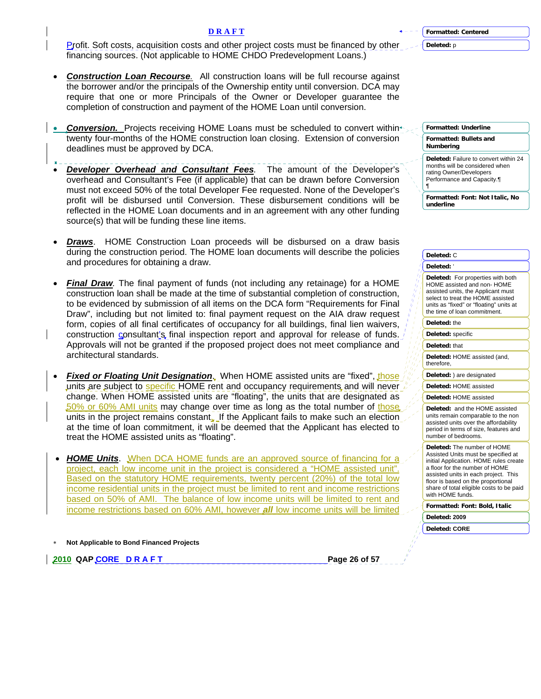**Deleted:** p

¶

Profit. Soft costs, acquisition costs and other project costs must be financed by other financing sources. (Not applicable to HOME CHDO Predevelopment Loans.)

- *Construction Loan Recourse.* All construction loans will be full recourse against the borrower and/or the principals of the Ownership entity until conversion. DCA may require that one or more Principals of the Owner or Developer guarantee the completion of construction and payment of the HOME Loan until conversion.
- **Conversion.** Projects receiving HOME Loans must be scheduled to convert within twenty four-months of the HOME construction loan closing. Extension of conversion deadlines must be approved by DCA.
- *Developer Overhead and Consultant Fees.*The amount of the Developer's overhead and Consultant's Fee (if applicable) that can be drawn before Conversion must not exceed 50% of the total Developer Fee requested. None of the Developer's profit will be disbursed until Conversion. These disbursement conditions will be reflected in the HOME Loan documents and in an agreement with any other funding source(s) that will be funding these line items.
- *Draws*. HOME Construction Loan proceeds will be disbursed on a draw basis during the construction period. The HOME loan documents will describe the policies and procedures for obtaining a draw.
- *Final Draw.* The final payment of funds (not including any retainage) for a HOME construction loan shall be made at the time of substantial completion of construction, to be evidenced by submission of all items on the DCA form "Requirements for Final Draw", including but not limited to: final payment request on the AIA draw request form, copies of all final certificates of occupancy for all buildings, final lien waivers, construction consultant's final inspection report and approval for release of funds. Approvals will not be granted if the proposed project does not meet compliance and architectural standards.
- **Fixed or Floating Unit Designation.** When HOME assisted units are "fixed", those units are subject to specific HOME rent and occupancy requirements and will never change. When HOME assisted units are "floating", the units that are designated as 50% or 60% AMI units may change over time as long as the total number of those units in the project remains constant. If the Applicant fails to make such an election at the time of loan commitment, it will be deemed that the Applicant has elected to treat the HOME assisted units as "floating".
- *HOME Units*. When DCA HOME funds are an approved source of financing for a project, each low income unit in the project is considered a "HOME assisted unit". Based on the statutory HOME requirements, twenty percent (20%) of the total low income residential units in the project must be limited to rent and income restrictions based on 50% of AMI. The balance of low income units will be limited to rent and income restrictions based on 60% AMI, however *all* low income units will be limited

## ∗ **Not Applicable to Bond Financed Projects**

**2010 QAP CORE D R A F T PAGE 26 of 57 Page 26 of 57** 

**Formatted: Bullets and Numbering Formatted: Underline**

**Deleted:** Failure to convert within 24 months will be considered when rating Owner/Developers Performance and Capacity.¶

**Formatted: Font: Not Italic, No underline**

**Formatted: Font: Bold, Italic Deleted:** C **Deleted:** ' **Deleted:** For properties with both HOME assisted and non- HOME assisted units, the Applicant must select to treat the HOME assisted units as "fixed" or "floating" units at the time of loan commitment. **Deleted:** the **Deleted:** specific **Deleted:** that **Deleted:** HOME assisted (and, therefore, **Deleted:** ) are designated **Deleted:** HOME assisted **Deleted:** HOME assisted **Deleted:** and the HOME assisted units remain comparable to the non assisted units over the affordability period in terms of size, features and number of bedrooms. **Deleted:** The number of HOME Assisted Units must be specified at initial Application. HOME rules create a floor for the number of HOME assisted units in each project. This floor is based on the proportional share of total eligible costs to be paid with HOME funds. **Deleted: 2009 Deleted: CORE** 

**D R A F T**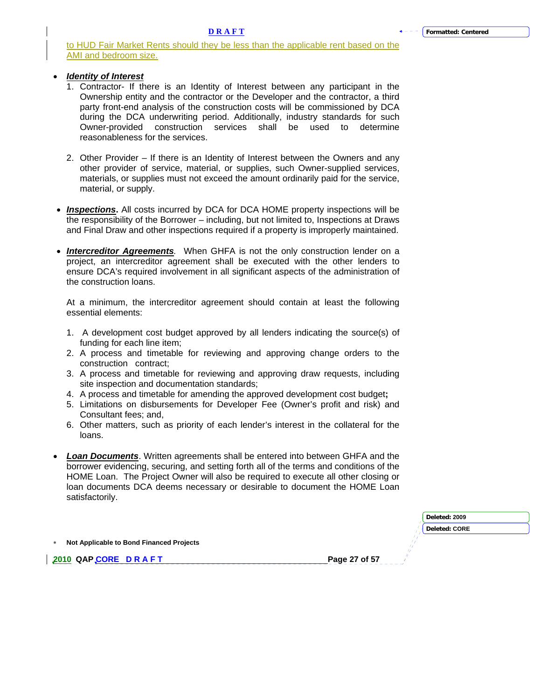to HUD Fair Market Rents should they be less than the applicable rent based on the AMI and bedroom size.

# • *Identity of Interest*

- 1. Contractor- If there is an Identity of Interest between any participant in the Ownership entity and the contractor or the Developer and the contractor, a third party front-end analysis of the construction costs will be commissioned by DCA during the DCA underwriting period. Additionally, industry standards for such Owner-provided construction services shall be used to determine reasonableness for the services.
- 2. Other Provider If there is an Identity of Interest between the Owners and any other provider of service, material, or supplies, such Owner-supplied services, materials, or supplies must not exceed the amount ordinarily paid for the service, material, or supply.
- **Inspections.** All costs incurred by DCA for DCA HOME property inspections will be the responsibility of the Borrower – including, but not limited to, Inspections at Draws and Final Draw and other inspections required if a property is improperly maintained.
- *Intercreditor Agreements.* When GHFA is not the only construction lender on a project, an intercreditor agreement shall be executed with the other lenders to ensure DCA's required involvement in all significant aspects of the administration of the construction loans.

At a minimum, the intercreditor agreement should contain at least the following essential elements:

- 1. A development cost budget approved by all lenders indicating the source(s) of funding for each line item;
- 2. A process and timetable for reviewing and approving change orders to the construction contract;
- 3. A process and timetable for reviewing and approving draw requests, including site inspection and documentation standards;
- 4. A process and timetable for amending the approved development cost budget**;**
- 5. Limitations on disbursements for Developer Fee (Owner's profit and risk) and Consultant fees; and,
- 6. Other matters, such as priority of each lender's interest in the collateral for the loans.
- *Loan Documents*. Written agreements shall be entered into between GHFA and the borrower evidencing, securing, and setting forth all of the terms and conditions of the HOME Loan. The Project Owner will also be required to execute all other closing or loan documents DCA deems necessary or desirable to document the HOME Loan satisfactorily.

|                                            | Deleted: 2009 |  |
|--------------------------------------------|---------------|--|
|                                            | Deleted: CORE |  |
| * Not Applicable to Bond Financed Projects |               |  |
| 2010 QAPCORE DRAFT                         | Page 27 of 57 |  |
|                                            |               |  |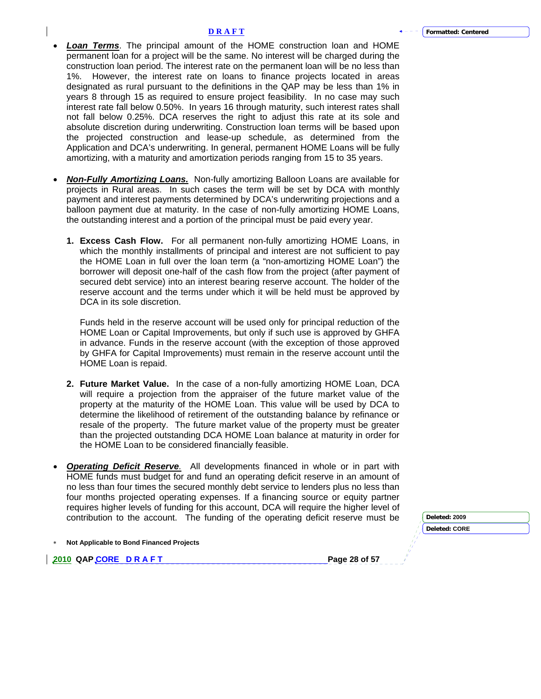- *Loan Terms*. The principal amount of the HOME construction loan and HOME permanent loan for a project will be the same. No interest will be charged during the construction loan period. The interest rate on the permanent loan will be no less than 1%. However, the interest rate on loans to finance projects located in areas designated as rural pursuant to the definitions in the QAP may be less than 1% in years 8 through 15 as required to ensure project feasibility. In no case may such interest rate fall below 0.50%. In years 16 through maturity, such interest rates shall not fall below 0.25%. DCA reserves the right to adjust this rate at its sole and absolute discretion during underwriting. Construction loan terms will be based upon the projected construction and lease-up schedule, as determined from the Application and DCA's underwriting. In general, permanent HOME Loans will be fully amortizing, with a maturity and amortization periods ranging from 15 to 35 years.
- *Non-Fully Amortizing Loans.* Non-fully amortizing Balloon Loans are available for projects in Rural areas. In such cases the term will be set by DCA with monthly payment and interest payments determined by DCA's underwriting projections and a balloon payment due at maturity. In the case of non-fully amortizing HOME Loans, the outstanding interest and a portion of the principal must be paid every year.
	- **1. Excess Cash Flow.** For all permanent non-fully amortizing HOME Loans, in which the monthly installments of principal and interest are not sufficient to pay the HOME Loan in full over the loan term (a "non-amortizing HOME Loan") the borrower will deposit one-half of the cash flow from the project (after payment of secured debt service) into an interest bearing reserve account. The holder of the reserve account and the terms under which it will be held must be approved by DCA in its sole discretion.

Funds held in the reserve account will be used only for principal reduction of the HOME Loan or Capital Improvements, but only if such use is approved by GHFA in advance. Funds in the reserve account (with the exception of those approved by GHFA for Capital Improvements) must remain in the reserve account until the HOME Loan is repaid.

- **2. Future Market Value.** In the case of a non-fully amortizing HOME Loan, DCA will require a projection from the appraiser of the future market value of the property at the maturity of the HOME Loan. This value will be used by DCA to determine the likelihood of retirement of the outstanding balance by refinance or resale of the property. The future market value of the property must be greater than the projected outstanding DCA HOME Loan balance at maturity in order for the HOME Loan to be considered financially feasible.
- *Operating Deficit Reserve.* All developments financed in whole or in part with HOME funds must budget for and fund an operating deficit reserve in an amount of no less than four times the secured monthly debt service to lenders plus no less than four months projected operating expenses. If a financing source or equity partner requires higher levels of funding for this account, DCA will require the higher level of contribution to the account. The funding of the operating deficit reserve must be

| nt. The funding of the operating deficit reserve must be | Deleted: 2009        |  |  |
|----------------------------------------------------------|----------------------|--|--|
|                                                          | <b>Deleted: CORE</b> |  |  |
| d Projects                                               |                      |  |  |
| Page 28 of 57                                            |                      |  |  |
|                                                          |                      |  |  |

**Not Applicable to Bond Finance** 

**2010 QAP CORE D R A F T**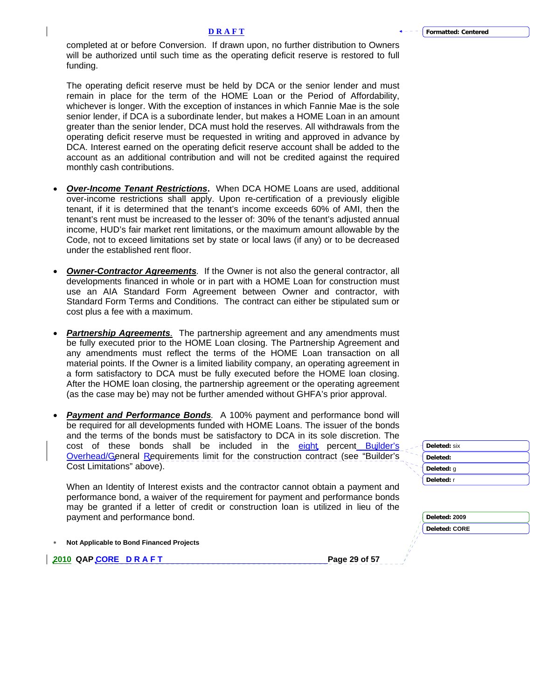completed at or before Conversion. If drawn upon, no further distribution to Owners will be authorized until such time as the operating deficit reserve is restored to full funding.

The operating deficit reserve must be held by DCA or the senior lender and must remain in place for the term of the HOME Loan or the Period of Affordability, whichever is longer. With the exception of instances in which Fannie Mae is the sole senior lender, if DCA is a subordinate lender, but makes a HOME Loan in an amount greater than the senior lender, DCA must hold the reserves. All withdrawals from the operating deficit reserve must be requested in writing and approved in advance by DCA. Interest earned on the operating deficit reserve account shall be added to the account as an additional contribution and will not be credited against the required monthly cash contributions.

- *Over-Income Tenant Restrictions***.** When DCA HOME Loans are used, additional over-income restrictions shall apply. Upon re-certification of a previously eligible tenant, if it is determined that the tenant's income exceeds 60% of AMI, then the tenant's rent must be increased to the lesser of: 30% of the tenant's adjusted annual income, HUD's fair market rent limitations, or the maximum amount allowable by the Code, not to exceed limitations set by state or local laws (if any) or to be decreased under the established rent floor.
- **Owner-Contractor Agreements**. If the Owner is not also the general contractor, all developments financed in whole or in part with a HOME Loan for construction must use an AIA Standard Form Agreement between Owner and contractor, with Standard Form Terms and Conditions. The contract can either be stipulated sum or cost plus a fee with a maximum.
- *Partnership Agreements.* The partnership agreement and any amendments must be fully executed prior to the HOME Loan closing. The Partnership Agreement and any amendments must reflect the terms of the HOME Loan transaction on all material points. If the Owner is a limited liability company, an operating agreement in a form satisfactory to DCA must be fully executed before the HOME loan closing. After the HOME loan closing, the partnership agreement or the operating agreement (as the case may be) may not be further amended without GHFA's prior approval.
- *Payment and Performance Bonds.*A 100% payment and performance bond will be required for all developments funded with HOME Loans. The issuer of the bonds and the terms of the bonds must be satisfactory to DCA in its sole discretion. The cost of these bonds shall be included in the eight percent Builder's Overhead/General Requirements limit for the construction contract (see "Builder's Cost Limitations" above).

When an Identity of Interest exists and the contractor cannot obtain a payment and performance bond, a waiver of the requirement for payment and performance bonds may be granted if a letter of credit or construction loan is utilized in lieu of the payment and performance bond.

∗ **Not Applicable to Bond Financed Projects** 

**2010 QAP CORE D R A F T Page 29 of 57 Page 29 of 57** 

**Deleted:** six **Deleted: Deleted:** g **Deleted:** r

| Deleted: 2009 |
|---------------|
| Deleted: CORE |
|               |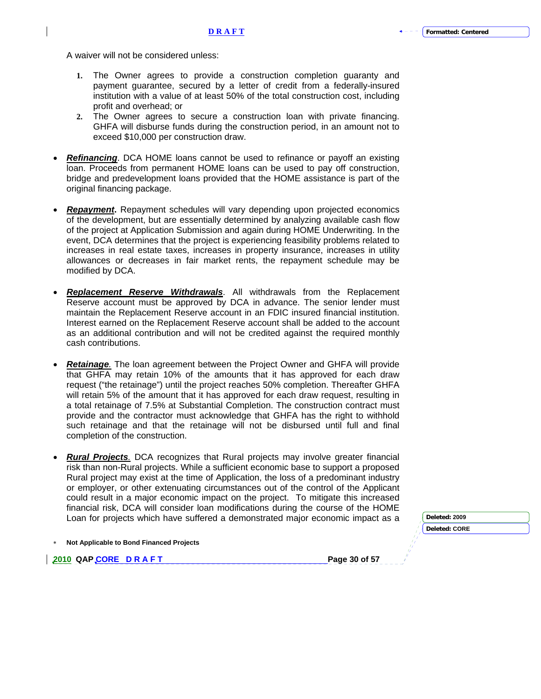A waiver will not be considered unless:

- **1.** The Owner agrees to provide a construction completion guaranty and payment guarantee, secured by a letter of credit from a federally-insured institution with a value of at least 50% of the total construction cost, including profit and overhead; or
- **2.** The Owner agrees to secure a construction loan with private financing. GHFA will disburse funds during the construction period, in an amount not to exceed \$10,000 per construction draw.
- *Refinancing*. DCA HOME loans cannot be used to refinance or payoff an existing loan. Proceeds from permanent HOME loans can be used to pay off construction, bridge and predevelopment loans provided that the HOME assistance is part of the original financing package.
- *Repayment***.** Repayment schedules will vary depending upon projected economics of the development, but are essentially determined by analyzing available cash flow of the project at Application Submission and again during HOME Underwriting. In the event, DCA determines that the project is experiencing feasibility problems related to increases in real estate taxes, increases in property insurance, increases in utility allowances or decreases in fair market rents, the repayment schedule may be modified by DCA.
- *Replacement Reserve Withdrawals*. All withdrawals from the Replacement Reserve account must be approved by DCA in advance. The senior lender must maintain the Replacement Reserve account in an FDIC insured financial institution. Interest earned on the Replacement Reserve account shall be added to the account as an additional contribution and will not be credited against the required monthly cash contributions.
- *Retainage.* The loan agreement between the Project Owner and GHFA will provide that GHFA may retain 10% of the amounts that it has approved for each draw request ("the retainage") until the project reaches 50% completion. Thereafter GHFA will retain 5% of the amount that it has approved for each draw request, resulting in a total retainage of 7.5% at Substantial Completion. The construction contract must provide and the contractor must acknowledge that GHFA has the right to withhold such retainage and that the retainage will not be disbursed until full and final completion of the construction.
- *Rural Projects.* DCA recognizes that Rural projects may involve greater financial risk than non-Rural projects. While a sufficient economic base to support a proposed Rural project may exist at the time of Application, the loss of a predominant industry or employer, or other extenuating circumstances out of the control of the Applicant could result in a major economic impact on the project. To mitigate this increased financial risk, DCA will consider loan modifications during the course of the HOME Loan for projects which have suffered a demonstrated major economic impact as a **Deleted:** 2009

|  | Not Applicable to Bond Financed Projects |  |
|--|------------------------------------------|--|
|--|------------------------------------------|--|

**2010 QAP CORE D R A F T Page 30 of 57 Page 30 of 57** 

**Deleted: CORE**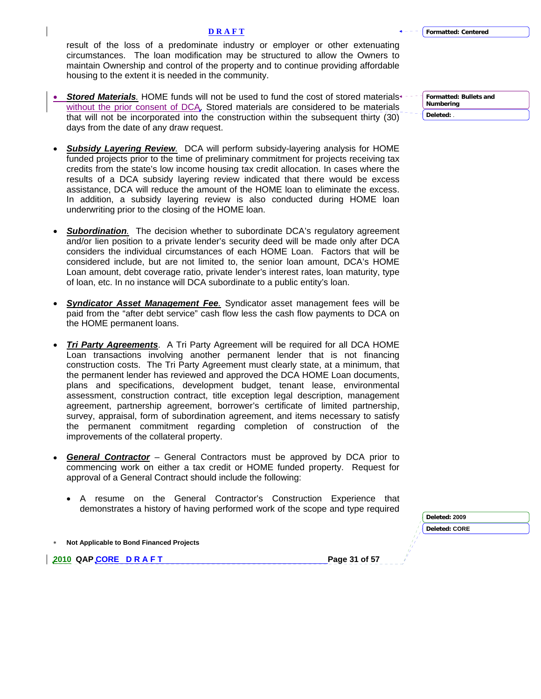**Deleted: 2009**

## **D R A F T**

result of the loss of a predominate industry or employer or other extenuating circumstances. The loan modification may be structured to allow the Owners to maintain Ownership and control of the property and to continue providing affordable housing to the extent it is needed in the community.

- *Stored Materials.* HOME funds will not be used to fund the cost of stored materials without the prior consent of DCA. Stored materials are considered to be materials that will not be incorporated into the construction within the subsequent thirty (30) days from the date of any draw request.
- *Subsidy Layering Review.* DCA will perform subsidy-layering analysis for HOME funded projects prior to the time of preliminary commitment for projects receiving tax credits from the state's low income housing tax credit allocation. In cases where the results of a DCA subsidy layering review indicated that there would be excess assistance, DCA will reduce the amount of the HOME loan to eliminate the excess. In addition, a subsidy layering review is also conducted during HOME loan underwriting prior to the closing of the HOME loan.
- **Subordination**. The decision whether to subordinate DCA's regulatory agreement and/or lien position to a private lender's security deed will be made only after DCA considers the individual circumstances of each HOME Loan. Factors that will be considered include, but are not limited to, the senior loan amount, DCA's HOME Loan amount, debt coverage ratio, private lender's interest rates, loan maturity, type of loan, etc. In no instance will DCA subordinate to a public entity's loan.
- *Syndicator Asset Management Fee.* Syndicator asset management fees will be paid from the "after debt service" cash flow less the cash flow payments to DCA on the HOME permanent loans.
- *Tri Party Agreements*. A Tri Party Agreement will be required for all DCA HOME Loan transactions involving another permanent lender that is not financing construction costs. The Tri Party Agreement must clearly state, at a minimum, that the permanent lender has reviewed and approved the DCA HOME Loan documents, plans and specifications, development budget, tenant lease, environmental assessment, construction contract, title exception legal description, management agreement, partnership agreement, borrower's certificate of limited partnership, survey, appraisal, form of subordination agreement, and items necessary to satisfy the permanent commitment regarding completion of construction of the improvements of the collateral property.
- *General Contractor* General Contractors must be approved by DCA prior to commencing work on either a tax credit or HOME funded property. Request for approval of a General Contract should include the following:
	- A resume on the General Contractor's Construction Experience that demonstrates a history of having performed work of the scope and type required

|                                          | <b>DEIEIEU. ZUUJ</b> |
|------------------------------------------|----------------------|
|                                          | <b>Deleted: CORE</b> |
| Not Applicable to Bond Financed Projects |                      |
| 2010 QAP CORE DRAFT                      | Page 31 of 57        |
|                                          |                      |

**Formatted: Bullets and Numbering Deleted:** .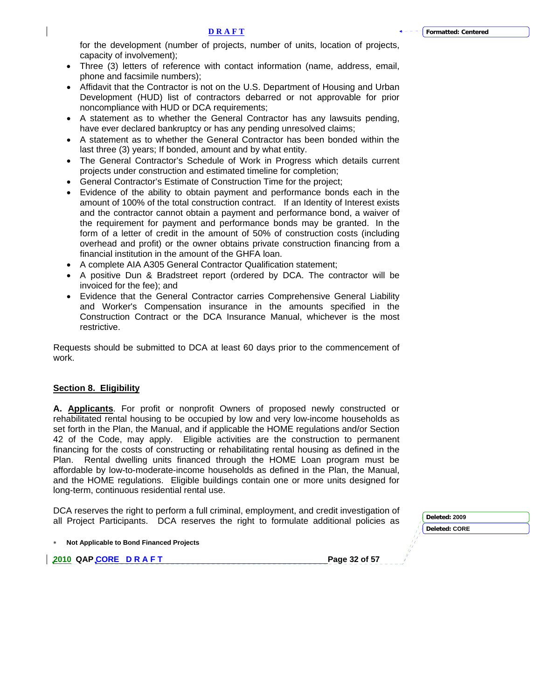<span id="page-31-0"></span>for the development (number of projects, number of units, location of projects, capacity of involvement);

- Three (3) letters of reference with contact information (name, address, email, phone and facsimile numbers);
- Affidavit that the Contractor is not on the U.S. Department of Housing and Urban Development (HUD) list of contractors debarred or not approvable for prior noncompliance with HUD or DCA requirements;
- A statement as to whether the General Contractor has any lawsuits pending, have ever declared bankruptcy or has any pending unresolved claims;
- A statement as to whether the General Contractor has been bonded within the last three (3) years; If bonded, amount and by what entity.
- The General Contractor's Schedule of Work in Progress which details current projects under construction and estimated timeline for completion;
- General Contractor's Estimate of Construction Time for the project;
- Evidence of the ability to obtain payment and performance bonds each in the amount of 100% of the total construction contract. If an Identity of Interest exists and the contractor cannot obtain a payment and performance bond, a waiver of the requirement for payment and performance bonds may be granted. In the form of a letter of credit in the amount of 50% of construction costs (including overhead and profit) or the owner obtains private construction financing from a financial institution in the amount of the GHFA loan.
- A complete AIA A305 General Contractor Qualification statement;
- A positive Dun & Bradstreet report (ordered by DCA. The contractor will be invoiced for the fee); and
- Evidence that the General Contractor carries Comprehensive General Liability and Worker's Compensation insurance in the amounts specified in the Construction Contract or the DCA Insurance Manual, whichever is the most restrictive.

Requests should be submitted to DCA at least 60 days prior to the commencement of work.

# **Section 8. Eligibility**

**A. Applicants**. For profit or nonprofit Owners of proposed newly constructed or rehabilitated rental housing to be occupied by low and very low-income households as set forth in the Plan, the Manual, and if applicable the HOME regulations and/or Section 42 of the Code, may apply. Eligible activities are the construction to permanent financing for the costs of constructing or rehabilitating rental housing as defined in the Plan. Rental dwelling units financed through the HOME Loan program must be affordable by low-to-moderate-income households as defined in the Plan, the Manual, and the HOME regulations. Eligible buildings contain one or more units designed for long-term, continuous residential rental use.

DCA reserves the right to perform a full criminal, employment, and credit investigation of all Project Participants. DCA reserves the right to formulate additional policies as **Deleted: <sup>2009</sup>**

| $\ast$ | Not Applicable to Bond Financed Projects |  |
|--------|------------------------------------------|--|
|        |                                          |  |

**2010 QAP CORE D R A F T Page 32 of 57 Page 32 of 57** 

**Deleted: CORE**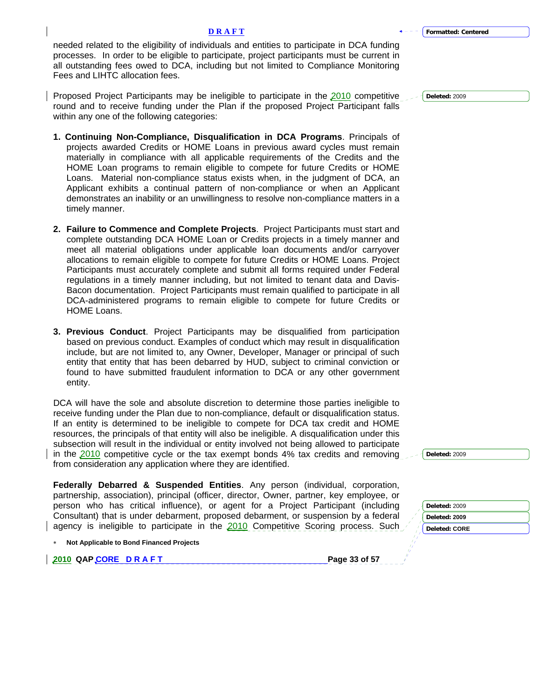needed related to the eligibility of individuals and entities to participate in DCA funding processes. In order to be eligible to participate, project participants must be current in all outstanding fees owed to DCA, including but not limited to Compliance Monitoring Fees and LIHTC allocation fees.

Proposed Project Participants may be ineligible to participate in the 2010 competitive round and to receive funding under the Plan if the proposed Project Participant falls within any one of the following categories:

- **1. Continuing Non-Compliance, Disqualification in DCA Programs**. Principals of projects awarded Credits or HOME Loans in previous award cycles must remain materially in compliance with all applicable requirements of the Credits and the HOME Loan programs to remain eligible to compete for future Credits or HOME Loans. Material non-compliance status exists when, in the judgment of DCA, an Applicant exhibits a continual pattern of non-compliance or when an Applicant demonstrates an inability or an unwillingness to resolve non-compliance matters in a timely manner.
- **2. Failure to Commence and Complete Projects**.Project Participants must start and complete outstanding DCA HOME Loan or Credits projects in a timely manner and meet all material obligations under applicable loan documents and/or carryover allocations to remain eligible to compete for future Credits or HOME Loans. Project Participants must accurately complete and submit all forms required under Federal regulations in a timely manner including, but not limited to tenant data and Davis-Bacon documentation. Project Participants must remain qualified to participate in all DCA-administered programs to remain eligible to compete for future Credits or HOME Loans.
- **3. Previous Conduct**. Project Participants may be disqualified from participation based on previous conduct. Examples of conduct which may result in disqualification include, but are not limited to, any Owner, Developer, Manager or principal of such entity that entity that has been debarred by HUD, subject to criminal conviction or found to have submitted fraudulent information to DCA or any other government entity.

DCA will have the sole and absolute discretion to determine those parties ineligible to receive funding under the Plan due to non-compliance, default or disqualification status. If an entity is determined to be ineligible to compete for DCA tax credit and HOME resources, the principals of that entity will also be ineligible. A disqualification under this subsection will result in the individual or entity involved not being allowed to participate in the 2010 competitive cycle or the tax exempt bonds 4% tax credits and removing from consideration any application where they are identified.

**Federally Debarred & Suspended Entities**. Any person (individual, corporation, partnership, association), principal (officer, director, Owner, partner, key employee, or person who has critical influence), or agent for a Project Participant (including Consultant) that is under debarment, proposed debarment, or suspension by a federal agency is ineligible to participate in the  $2010$  Competitive Scoring process. Such

| Deleted: 2009 |
|---------------|
| Deleted: CORE |
|               |

**Deleted:** 2009

**Deleted:** 2009

∗ **Not Applicable to Bond Financed Projects** 

**2010 QAP CORE D R A F T Page 33 of 57 Page 33 of 57** 

**Deleted:** 2009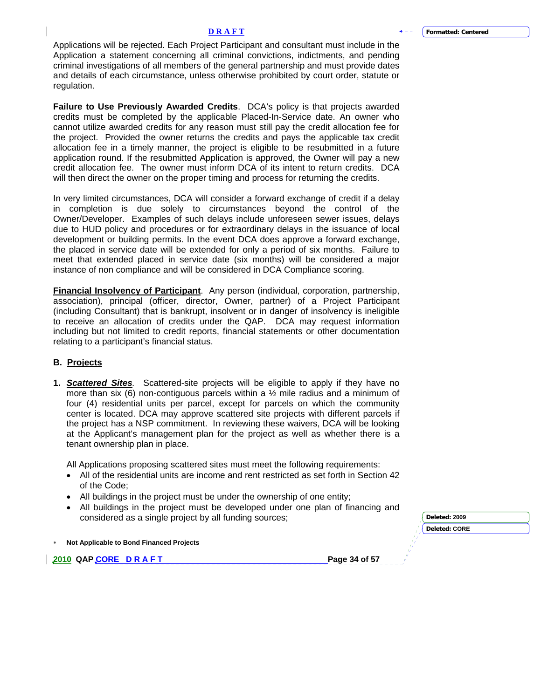Applications will be rejected. Each Project Participant and consultant must include in the Application a statement concerning all criminal convictions, indictments, and pending criminal investigations of all members of the general partnership and must provide dates and details of each circumstance, unless otherwise prohibited by court order, statute or regulation.

**Failure to Use Previously Awarded Credits**.DCA's policy is that projects awarded credits must be completed by the applicable Placed-In-Service date. An owner who cannot utilize awarded credits for any reason must still pay the credit allocation fee for the project. Provided the owner returns the credits and pays the applicable tax credit allocation fee in a timely manner, the project is eligible to be resubmitted in a future application round. If the resubmitted Application is approved, the Owner will pay a new credit allocation fee. The owner must inform DCA of its intent to return credits. DCA will then direct the owner on the proper timing and process for returning the credits.

In very limited circumstances, DCA will consider a forward exchange of credit if a delay in completion is due solely to circumstances beyond the control of the Owner/Developer. Examples of such delays include unforeseen sewer issues, delays due to HUD policy and procedures or for extraordinary delays in the issuance of local development or building permits. In the event DCA does approve a forward exchange, the placed in service date will be extended for only a period of six months. Failure to meet that extended placed in service date (six months) will be considered a major instance of non compliance and will be considered in DCA Compliance scoring.

**Financial Insolvency of Participant**. Any person (individual, corporation, partnership, association), principal (officer, director, Owner, partner) of a Project Participant (including Consultant) that is bankrupt, insolvent or in danger of insolvency is ineligible to receive an allocation of credits under the QAP. DCA may request information including but not limited to credit reports, financial statements or other documentation relating to a participant's financial status.

# **B. Projects**

**1.** *Scattered Sites.* Scattered-site projects will be eligible to apply if they have no more than six  $(6)$  non-contiguous parcels within a  $\frac{1}{2}$  mile radius and a minimum of four (4) residential units per parcel, except for parcels on which the community center is located. DCA may approve scattered site projects with different parcels if the project has a NSP commitment. In reviewing these waivers, DCA will be looking at the Applicant's management plan for the project as well as whether there is a tenant ownership plan in place.

All Applications proposing scattered sites must meet the following requirements:

- All of the residential units are income and rent restricted as set forth in Section 42 of the Code;
- All buildings in the project must be under the ownership of one entity;
- All buildings in the project must be developed under one plan of financing and

| considered as a single project by all funding sources; |               | Deleted: 2009 |
|--------------------------------------------------------|---------------|---------------|
|                                                        |               | Deleted: CORE |
| <b>Not Applicable to Bond Financed Projects</b>        |               |               |
| 2010 QAP_CORE DRAFT                                    | Page 34 of 57 |               |
|                                                        |               |               |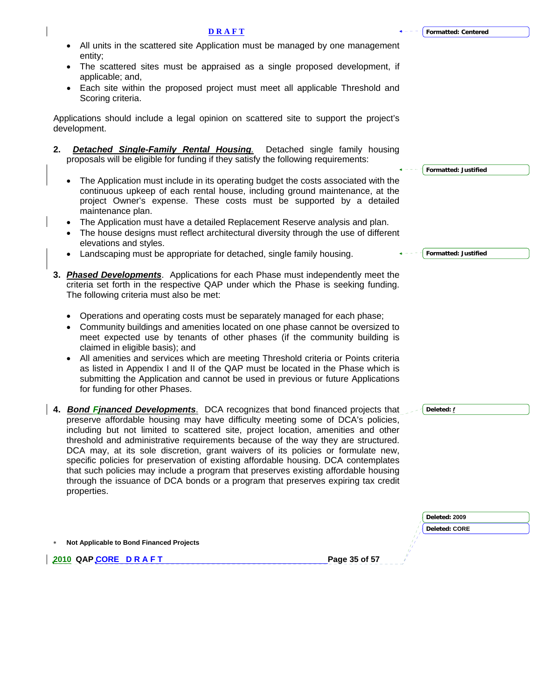## **D R A F T**

- All units in the scattered site Application must be managed by one management entity;
- The scattered sites must be appraised as a single proposed development, if applicable; and,
- Each site within the proposed project must meet all applicable Threshold and Scoring criteria.

Applications should include a legal opinion on scattered site to support the project's development.

- **2.** *Detached Single-Family Rental Housing.* Detached single family housing proposals will be eligible for funding if they satisfy the following requirements:
	- The Application must include in its operating budget the costs associated with the continuous upkeep of each rental house, including ground maintenance, at the project Owner's expense. These costs must be supported by a detailed maintenance plan.
	- The Application must have a detailed Replacement Reserve analysis and plan.
	- The house designs must reflect architectural diversity through the use of different elevations and styles.
	- Landscaping must be appropriate for detached, single family housing.
- **3.** *Phased Developments*. Applications for each Phase must independently meet the criteria set forth in the respective QAP under which the Phase is seeking funding. The following criteria must also be met:
	- Operations and operating costs must be separately managed for each phase;
	- Community buildings and amenities located on one phase cannot be oversized to meet expected use by tenants of other phases (if the community building is claimed in eligible basis); and
	- All amenities and services which are meeting Threshold criteria or Points criteria as listed in Appendix I and II of the QAP must be located in the Phase which is submitting the Application and cannot be used in previous or future Applications for funding for other Phases.
- **4.** *Bond Financed Developments*. DCA recognizes that bond financed projects that preserve affordable housing may have difficulty meeting some of DCA's policies, including but not limited to scattered site, project location, amenities and other threshold and administrative requirements because of the way they are structured. DCA may, at its sole discretion, grant waivers of its policies or formulate new, specific policies for preservation of existing affordable housing. DCA contemplates that such policies may include a program that preserves existing affordable housing through the issuance of DCA bonds or a program that preserves expiring tax credit properties.

|                                          | Deleted: 2009        |
|------------------------------------------|----------------------|
|                                          | <b>Deleted: CORE</b> |
| Not Applicable to Bond Financed Projects |                      |
| 2010 QAPCORE DRAFT                       | Page 35 of 57        |
|                                          |                      |

**Formatted: Justified**

**Formatted: Justified**

**Deleted:** *f*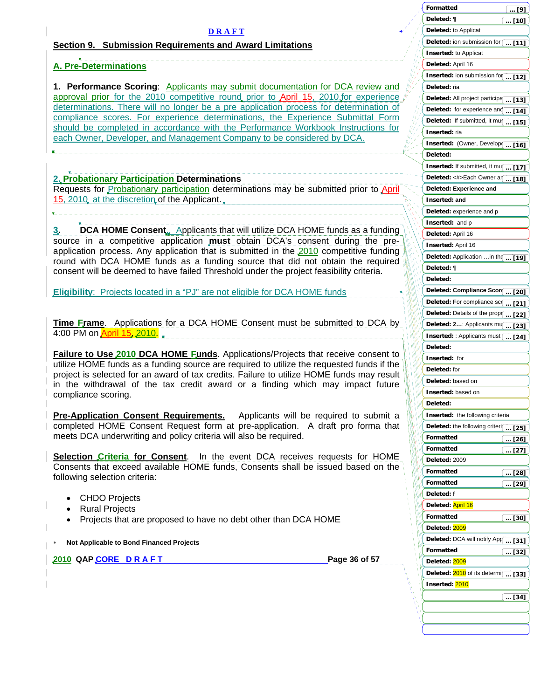<span id="page-35-0"></span>

|                                                                                                                                                                                   | Formatted<br>$\ldots$ [9]                            |
|-----------------------------------------------------------------------------------------------------------------------------------------------------------------------------------|------------------------------------------------------|
|                                                                                                                                                                                   | Deleted: ¶<br>$$ [10]                                |
| <b>DRAFT</b>                                                                                                                                                                      | Deleted: to Applicat                                 |
|                                                                                                                                                                                   | Deleted: ion submission for<br>$$ [11]               |
| <b>Section 9. Submission Requirements and Award Limitations</b>                                                                                                                   | <b>Inserted: to Applicat</b>                         |
|                                                                                                                                                                                   | Deleted: April 16                                    |
| <b>A. Pre-Determinations</b>                                                                                                                                                      | <b>Inserted:</b> ion submission for $\boxed{ [12]}$  |
|                                                                                                                                                                                   |                                                      |
| 1. Performance Scoring: Applicants may submit documentation for DCA review and<br>approval prior for the 2010 competitive round prior to April 15, 2010 for experience $\sqrt{ }$ | Deleted: ria                                         |
| determinations. There will no longer be a pre application process for determination of                                                                                            | Deleted: All project participa  [13]                 |
| compliance scores. For experience determinations, the Experience Submittal Form                                                                                                   | Deleted: for experience and $\overline{1,14]}$       |
| should be completed in accordance with the Performance Workbook Instructions for                                                                                                  | Deleted: If submitted, it mu{ [15]                   |
| each Owner, Developer, and Management Company to be considered by DCA.                                                                                                            | Inserted: ria                                        |
|                                                                                                                                                                                   | Inserted: (Owner, Develop [ [16]                     |
|                                                                                                                                                                                   | Deleted:                                             |
|                                                                                                                                                                                   | Inserted: If submitted, it mu[ [17]                  |
| 2. Probationary Participation Determinations                                                                                                                                      | Deleted: <#>Each Owner an  [18]                      |
| Requests for Probationary participation determinations may be submitted prior to April                                                                                            | Deleted: Experience and                              |
| 15, 2010, at the discretion of the Applicant.                                                                                                                                     | Inserted: and                                        |
|                                                                                                                                                                                   |                                                      |
|                                                                                                                                                                                   | Deleted: experience and p                            |
| <b>DCA HOME Consent.</b> Applicants that will utilize DCA HOME funds as a funding<br>З,                                                                                           | Inserted: and p                                      |
| source in a competitive application must obtain DCA's consent during the pre-                                                                                                     | Deleted: April 16                                    |
| application process. Any application that is submitted in the 2010 competitive funding                                                                                            | Inserted: April 16                                   |
| round with DCA HOME funds as a funding source that did not obtain the required                                                                                                    | Deleted: Application  in the  [19]                   |
| consent will be deemed to have failed Threshold under the project feasibility criteria.                                                                                           | Deleted: ¶                                           |
|                                                                                                                                                                                   | Deleted:                                             |
| <b>Eligibility:</b> Projects located in a "PJ" are not eligible for DCA HOME funds                                                                                                | Deleted: Compliance Scor<br>$\ldots$ [20] $\ldots$   |
|                                                                                                                                                                                   | Deleted: For compliance sco [21]                     |
|                                                                                                                                                                                   | Deleted: Details of the prop( [22]                   |
| <b>Time Frame.</b> Applications for a DCA HOME Consent must be submitted to DCA by                                                                                                | Deleted: 2: Applicants mu(  [23]                     |
| 4:00 PM on April 15, 2010.                                                                                                                                                        | Inserted: : Applicants must [ [24]                   |
|                                                                                                                                                                                   | Deleted:                                             |
| <b>Failure to Use 2010 DCA HOME Funds.</b> Applications/Projects that receive consent to                                                                                          | Inserted: for                                        |
| utilize HOME funds as a funding source are required to utilize the requested funds if the                                                                                         | Deleted: for                                         |
| project is selected for an award of tax credits. Failure to utilize HOME funds may result                                                                                         | Deleted: based on                                    |
| in the withdrawal of the tax credit award or a finding which may impact future                                                                                                    |                                                      |
| compliance scoring.                                                                                                                                                               | Inserted: based on                                   |
|                                                                                                                                                                                   | Deleted:                                             |
| <b>Pre-Application Consent Requirements.</b><br>Applicants will be required to submit a                                                                                           | Inserted: the following criteria                     |
| completed HOME Consent Request form at pre-application. A draft pro forma that                                                                                                    | Deleted: the following criteri[ [25]                 |
| meets DCA underwriting and policy criteria will also be required.                                                                                                                 | Formatted<br>$$ [26]                                 |
|                                                                                                                                                                                   | Formatted<br>$\left[ \ \ldots \ \relax [27] \right]$ |
| <b>Selection Criteria for Consent</b> . In the event DCA receives requests for HOME                                                                                               | Deleted: 2009                                        |
| Consents that exceed available HOME funds, Consents shall be issued based on the                                                                                                  | Formatted<br>$\ldots$ [28]                           |
| following selection criteria:                                                                                                                                                     | Formatted<br>$\ldots$ [29]                           |
|                                                                                                                                                                                   | Deleted: f                                           |
| <b>CHDO Projects</b>                                                                                                                                                              | Deleted: April 16                                    |
| <b>Rural Projects</b>                                                                                                                                                             | Formatted<br>$\left[\dots [30]\right]$               |
| Projects that are proposed to have no debt other than DCA HOME                                                                                                                    | Deleted: 2009                                        |
|                                                                                                                                                                                   | Deleted: DCA will notify Apr[  [31]                  |
| Not Applicable to Bond Financed Projects                                                                                                                                          | Formatted                                            |
| Page 36 of 57<br><u>2010</u> QAP <u>CORE DRAFT</u>                                                                                                                                | $$ [32]<br>Deleted: 2009                             |
|                                                                                                                                                                                   |                                                      |
|                                                                                                                                                                                   | Deleted: 2010 of its determi<br>[33]                 |
|                                                                                                                                                                                   | Inserted: 2010                                       |
|                                                                                                                                                                                   | $\left( \text{  } \left[ 34\right] \right)$          |
|                                                                                                                                                                                   |                                                      |
|                                                                                                                                                                                   |                                                      |
|                                                                                                                                                                                   |                                                      |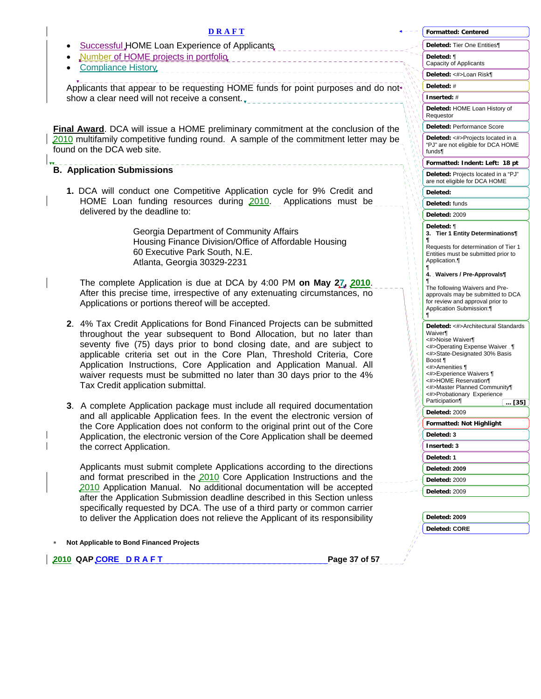| <b>DRAFT</b>                                                                                                                                                                                                                                                                                                                                                                                                                                                                                   | <b>Formatted: Centered</b>                                                                                                                                                                                                                                                          |
|------------------------------------------------------------------------------------------------------------------------------------------------------------------------------------------------------------------------------------------------------------------------------------------------------------------------------------------------------------------------------------------------------------------------------------------------------------------------------------------------|-------------------------------------------------------------------------------------------------------------------------------------------------------------------------------------------------------------------------------------------------------------------------------------|
| Successful HOME Loan Experience of Applicants                                                                                                                                                                                                                                                                                                                                                                                                                                                  | Deleted: Tier One Entities¶                                                                                                                                                                                                                                                         |
| Number of HOME projects in portfolio<br><b>Compliance History</b>                                                                                                                                                                                                                                                                                                                                                                                                                              | Deleted: ¶<br>Capacity of Applicants                                                                                                                                                                                                                                                |
|                                                                                                                                                                                                                                                                                                                                                                                                                                                                                                | Deleted: <#>Loan Risk¶                                                                                                                                                                                                                                                              |
| Applicants that appear to be requesting HOME funds for point purposes and do not                                                                                                                                                                                                                                                                                                                                                                                                               | Deleted: #                                                                                                                                                                                                                                                                          |
| show a clear need will not receive a consent.                                                                                                                                                                                                                                                                                                                                                                                                                                                  | Inserted: #                                                                                                                                                                                                                                                                         |
|                                                                                                                                                                                                                                                                                                                                                                                                                                                                                                | Deleted: HOME Loan History of<br>Requestor                                                                                                                                                                                                                                          |
| Final Award. DCA will issue a HOME preliminary commitment at the conclusion of the                                                                                                                                                                                                                                                                                                                                                                                                             | Deleted: Performance Score                                                                                                                                                                                                                                                          |
| 2010 multifamily competitive funding round. A sample of the commitment letter may be<br>found on the DCA web site.                                                                                                                                                                                                                                                                                                                                                                             | Deleted: <#>Projects located in a<br>"PJ" are not eligible for DCA HOME<br>funds¶                                                                                                                                                                                                   |
|                                                                                                                                                                                                                                                                                                                                                                                                                                                                                                | Formatted: Indent: Left: 18 pt                                                                                                                                                                                                                                                      |
| <b>B. Application Submissions</b>                                                                                                                                                                                                                                                                                                                                                                                                                                                              | Deleted: Projects located in a "PJ"<br>are not eligible for DCA HOME                                                                                                                                                                                                                |
| 1. DCA will conduct one Competitive Application cycle for 9% Credit and                                                                                                                                                                                                                                                                                                                                                                                                                        | Deleted:                                                                                                                                                                                                                                                                            |
| HOME Loan funding resources during 2010. Applications must be                                                                                                                                                                                                                                                                                                                                                                                                                                  | Deleted: funds                                                                                                                                                                                                                                                                      |
| delivered by the deadline to:                                                                                                                                                                                                                                                                                                                                                                                                                                                                  | Deleted: 2009                                                                                                                                                                                                                                                                       |
| Georgia Department of Community Affairs<br>Housing Finance Division/Office of Affordable Housing<br>60 Executive Park South, N.E.<br>Atlanta, Georgia 30329-2231                                                                                                                                                                                                                                                                                                                               | Deleted: ¶<br>3. Tier 1 Entity Determinations¶<br>Requests for determination of Tier 1<br>Entities must be submitted prior to<br>Application.                                                                                                                                       |
| The complete Application is due at DCA by 4:00 PM on May 27, 2010.<br>After this precise time, irrespective of any extenuating circumstances, no<br>Applications or portions thereof will be accepted.                                                                                                                                                                                                                                                                                         | 4. Waivers / Pre-Approvals¶<br>The following Waivers and Pre-<br>approvals may be submitted to DCA<br>for review and approval prior to<br>Application Submission:                                                                                                                   |
| 2. 4% Tax Credit Applications for Bond Financed Projects can be submitted<br>throughout the year subsequent to Bond Allocation, but no later than<br>seventy five (75) days prior to bond closing date, and are subject to<br>applicable criteria set out in the Core Plan, Threshold Criteria, Core<br>Application Instructions, Core Application and Application Manual. All<br>waiver requests must be submitted no later than 30 days prior to the 4%<br>Tax Credit application submittal. | Deleted: <#>Architectural Standards<br>Waiver<br><#>Noise Waiver¶<br><#>Operating Expense Waiver . ¶<br><#>State-Designated 30% Basis<br>Boost ¶<br><#>Amenities ¶<br><#>Experience Waivers ¶<br><#>HOME Reservation¶<br><#>Master Planned Community¶<br><#>Probationary Experience |
|                                                                                                                                                                                                                                                                                                                                                                                                                                                                                                | Participation<br>[35]                                                                                                                                                                                                                                                               |
| 3. A complete Application package must include all required documentation<br>and all applicable Application fees. In the event the electronic version of                                                                                                                                                                                                                                                                                                                                       | Deleted: 2009                                                                                                                                                                                                                                                                       |
| the Core Application does not conform to the original print out of the Core                                                                                                                                                                                                                                                                                                                                                                                                                    | Formatted: Not Highlight                                                                                                                                                                                                                                                            |
| Application, the electronic version of the Core Application shall be deemed                                                                                                                                                                                                                                                                                                                                                                                                                    | Deleted: 3                                                                                                                                                                                                                                                                          |
| the correct Application.                                                                                                                                                                                                                                                                                                                                                                                                                                                                       | Inserted: 3                                                                                                                                                                                                                                                                         |
|                                                                                                                                                                                                                                                                                                                                                                                                                                                                                                | Deleted: 1                                                                                                                                                                                                                                                                          |
| Applicants must submit complete Applications according to the directions                                                                                                                                                                                                                                                                                                                                                                                                                       | Deleted: 2009                                                                                                                                                                                                                                                                       |
| and format prescribed in the 2010 Core Application Instructions and the                                                                                                                                                                                                                                                                                                                                                                                                                        | Deleted: 2009                                                                                                                                                                                                                                                                       |
| 2010 Application Manual. No additional documentation will be accepted                                                                                                                                                                                                                                                                                                                                                                                                                          | Deleted: 2009                                                                                                                                                                                                                                                                       |
| after the Application Submission deadline described in this Section unless                                                                                                                                                                                                                                                                                                                                                                                                                     |                                                                                                                                                                                                                                                                                     |
| specifically requested by DCA. The use of a third party or common carrier<br>to deliver the Application does not relieve the Applicant of its responsibility                                                                                                                                                                                                                                                                                                                                   | Deleted: 2009                                                                                                                                                                                                                                                                       |
|                                                                                                                                                                                                                                                                                                                                                                                                                                                                                                | Deleted: CORE                                                                                                                                                                                                                                                                       |
|                                                                                                                                                                                                                                                                                                                                                                                                                                                                                                |                                                                                                                                                                                                                                                                                     |
| Not Applicable to Bond Financed Projects<br>2010 QAPCORE DRAFT<br>Page 37 of 57                                                                                                                                                                                                                                                                                                                                                                                                                |                                                                                                                                                                                                                                                                                     |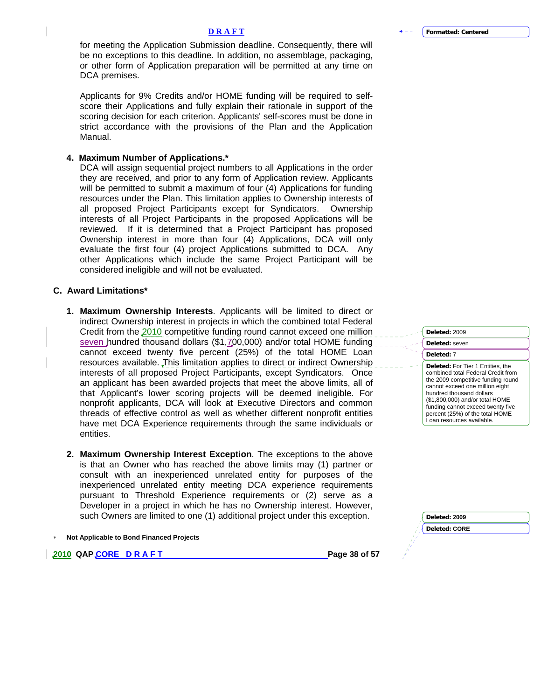for meeting the Application Submission deadline. Consequently, there will be no exceptions to this deadline. In addition, no assemblage, packaging, or other form of Application preparation will be permitted at any time on DCA premises.

Applicants for 9% Credits and/or HOME funding will be required to selfscore their Applications and fully explain their rationale in support of the scoring decision for each criterion. Applicants' self-scores must be done in strict accordance with the provisions of the Plan and the Application Manual.

### **4. Maximum Number of Applications.\***

DCA will assign sequential project numbers to all Applications in the order they are received, and prior to any form of Application review. Applicants will be permitted to submit a maximum of four (4) Applications for funding resources under the Plan. This limitation applies to Ownership interests of all proposed Project Participants except for Syndicators. Ownership interests of all Project Participants in the proposed Applications will be reviewed. If it is determined that a Project Participant has proposed Ownership interest in more than four (4) Applications, DCA will only evaluate the first four (4) project Applications submitted to DCA. Any other Applications which include the same Project Participant will be considered ineligible and will not be evaluated.

### **C. Award Limitations\***

- **1. Maximum Ownership Interests**. Applicants will be limited to direct or indirect Ownership interest in projects in which the combined total Federal Credit from the 2010 competitive funding round cannot exceed one million seven hundred thousand dollars (\$1,700,000) and/or total HOME funding cannot exceed twenty five percent (25%) of the total HOME Loan resources available. This limitation applies to direct or indirect Ownership interests of all proposed Project Participants, except Syndicators. Once an applicant has been awarded projects that meet the above limits, all of that Applicant's lower scoring projects will be deemed ineligible. For nonprofit applicants, DCA will look at Executive Directors and common threads of effective control as well as whether different nonprofit entities have met DCA Experience requirements through the same individuals or entities.
- **2. Maximum Ownership Interest Exception**. The exceptions to the above is that an Owner who has reached the above limits may (1) partner or consult with an inexperienced unrelated entity for purposes of the inexperienced unrelated entity meeting DCA experience requirements pursuant to Threshold Experience requirements or (2) serve as a Developer in a project in which he has no Ownership interest. However, such Owners are limited to one (1) additional project under this exception.
- ∗ **Not Applicable to Bond Financed Projects**

**2010 QAP CORE D R A F T Page 38 of 57 Page 38 of 57** 

| Deleted: seven                                                                                                                                                                                                                                                                                                       |
|----------------------------------------------------------------------------------------------------------------------------------------------------------------------------------------------------------------------------------------------------------------------------------------------------------------------|
| Deleted: 7                                                                                                                                                                                                                                                                                                           |
| Deleted: For Tier 1 Entities, the<br>combined total Federal Credit from<br>the 2009 competitive funding round<br>cannot exceed one million eight<br>hundred thousand dollars<br>(\$1,800,000) and/or total HOME<br>funding cannot exceed twenty five<br>percent (25%) of the total HOME<br>Loan resources available. |

**Deleted:** 2009

| Deleted: 2009 |  |
|---------------|--|
| Deleted: CORE |  |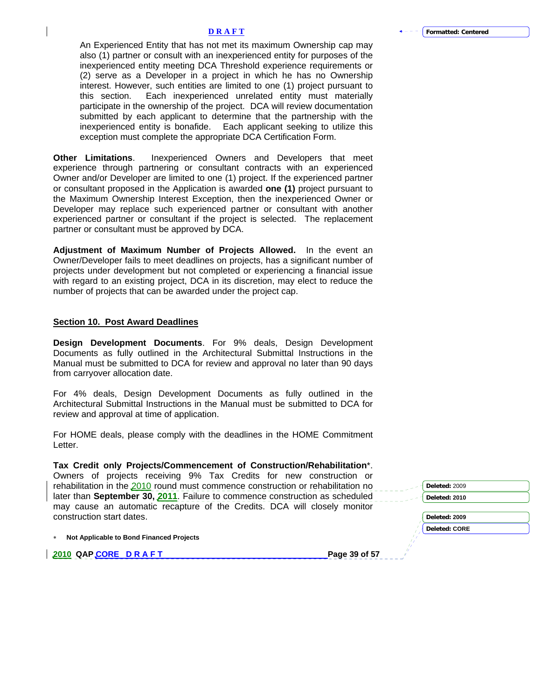An Experienced Entity that has not met its maximum Ownership cap may also (1) partner or consult with an inexperienced entity for purposes of the inexperienced entity meeting DCA Threshold experience requirements or (2) serve as a Developer in a project in which he has no Ownership interest. However, such entities are limited to one (1) project pursuant to this section. Each inexperienced unrelated entity must materially participate in the ownership of the project. DCA will review documentation submitted by each applicant to determine that the partnership with the inexperienced entity is bonafide. Each applicant seeking to utilize this exception must complete the appropriate DCA Certification Form.

**Other Limitations**. Inexperienced Owners and Developers that meet experience through partnering or consultant contracts with an experienced Owner and/or Developer are limited to one (1) project. If the experienced partner or consultant proposed in the Application is awarded **one (1)** project pursuant to the Maximum Ownership Interest Exception, then the inexperienced Owner or Developer may replace such experienced partner or consultant with another experienced partner or consultant if the project is selected. The replacement partner or consultant must be approved by DCA.

**Adjustment of Maximum Number of Projects Allowed.** In the event an Owner/Developer fails to meet deadlines on projects, has a significant number of projects under development but not completed or experiencing a financial issue with regard to an existing project, DCA in its discretion, may elect to reduce the number of projects that can be awarded under the project cap.

#### **Section 10. Post Award Deadlines**

**Design Development Documents**. For 9% deals, Design Development Documents as fully outlined in the Architectural Submittal Instructions in the Manual must be submitted to DCA for review and approval no later than 90 days from carryover allocation date.

For 4% deals, Design Development Documents as fully outlined in the Architectural Submittal Instructions in the Manual must be submitted to DCA for review and approval at time of application.

For HOME deals, please comply with the deadlines in the HOME Commitment Letter.

**Tax Credit only Projects/Commencement of Construction/Rehabilitation**\*. Owners of projects receiving 9% Tax Credits for new construction or rehabilitation in the 2010 round must commence construction or rehabilitation no later than **September 30, 2011**. Failure to commence construction as scheduled may cause an automatic recapture of the Credits. DCA will closely monitor construction start dates.

∗ **Not Applicable to Bond Financed Projects** 

**2010 QAP CORE D R A F T Page 39 of 57 Page 39 of 57** 

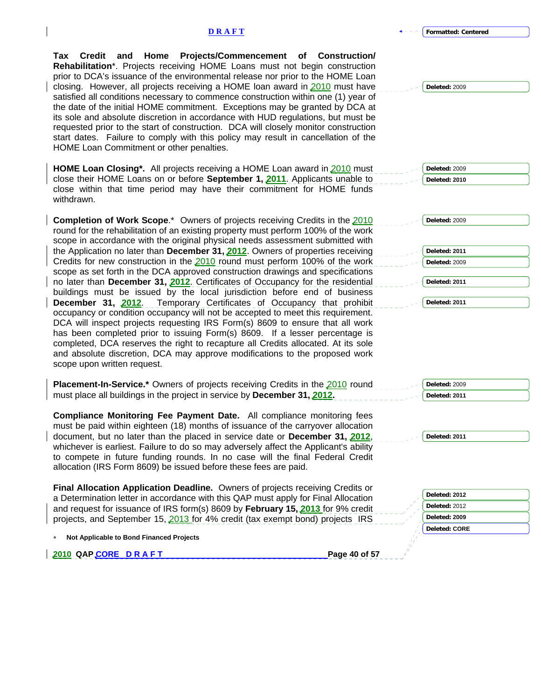**Formatted: Centered**

**Tax Credit and Home Projects/Commencement of Construction/ Rehabilitation**\*. Projects receiving HOME Loans must not begin construction prior to DCA's issuance of the environmental release nor prior to the HOME Loan closing. However, all projects receiving a HOME loan award in 2010 must have satisfied all conditions necessary to commence construction within one (1) year of the date of the initial HOME commitment. Exceptions may be granted by DCA at its sole and absolute discretion in accordance with HUD regulations, but must be requested prior to the start of construction. DCA will closely monitor construction start dates. Failure to comply with this policy may result in cancellation of the HOME Loan Commitment or other penalties.

**HOME Loan Closing\*.** All projects receiving a HOME Loan award in 2010 must close their HOME Loans on or before **September 1, 2011**. Applicants unable to close within that time period may have their commitment for HOME funds withdrawn.

**Completion of Work Scope**.\* Owners of projects receiving Credits in the 2010 round for the rehabilitation of an existing property must perform 100% of the work scope in accordance with the original physical needs assessment submitted with the Application no later than **December 31, 2012**. Owners of properties receiving Credits for new construction in the 2010 round must perform 100% of the work scope as set forth in the DCA approved construction drawings and specifications no later than **December 31, 2012**. Certificates of Occupancy for the residential buildings must be issued by the local jurisdiction before end of business **December 31, 2012**. Temporary Certificates of Occupancy that prohibit occupancy or condition occupancy will not be accepted to meet this requirement. DCA will inspect projects requesting IRS Form(s) 8609 to ensure that all work has been completed prior to issuing Form(s) 8609. If a lesser percentage is completed, DCA reserves the right to recapture all Credits allocated. At its sole and absolute discretion, DCA may approve modifications to the proposed work scope upon written request.

| <b>Placement-In-Service.*</b> Owners of projects receiving Credits in the 2010 round | Deleted: 2009 |
|--------------------------------------------------------------------------------------|---------------|
| must place all buildings in the project in service by December 31, 2012.             | Deleted: 2011 |

**Compliance Monitoring Fee Payment Date.** All compliance monitoring fees must be paid within eighteen (18) months of issuance of the carryover allocation document, but no later than the placed in service date or **December 31, 2012**, whichever is earliest. Failure to do so may adversely affect the Applicant's ability to compete in future funding rounds. In no case will the final Federal Credit allocation (IRS Form 8609) be issued before these fees are paid.

**Final Allocation Application Deadline.** Owners of projects receiving Credits or a Determination letter in accordance with this QAP must apply for Final Allocation and request for issuance of IRS form(s) 8609 by **February 15, 2013** for 9% credit projects, and September 15, 2013 for 4% credit (tax exempt bond) projects IRS

∗ **Not Applicable to Bond Financed Projects** 

**2010 QAP CORE D R A F T Page 40 of 57 Page 40 of 57** 

**Deleted:** 2009

**Deleted:** 2009 **Deleted: 2010**

**Deleted:** 2009 **Deleted: 2011 Deleted:** 2009 **Deleted: 2011 Deleted: 2011**

**Deleted: 2011**

**Deleted: 2012 Deleted:** 2012 **Deleted: 2009 Deleted: CORE**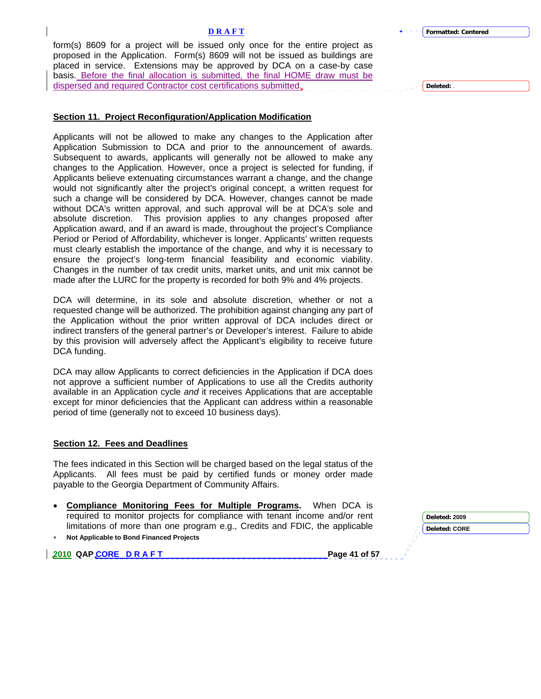**Formatted: Centered**

**Deleted:** .

form(s) 8609 for a project will be issued only once for the entire project as proposed in the Application. Form(s) 8609 will not be issued as buildings are placed in service. Extensions may be approved by DCA on a case-by case basis. Before the final allocation is submitted, the final HOME draw must be dispersed and required Contractor cost certifications submitted.

### **Section 11. Project Reconfiguration/Application Modification**

Applicants will not be allowed to make any changes to the Application after Application Submission to DCA and prior to the announcement of awards. Subsequent to awards, applicants will generally not be allowed to make any changes to the Application. However, once a project is selected for funding, if Applicants believe extenuating circumstances warrant a change, and the change would not significantly alter the project's original concept, a written request for such a change will be considered by DCA. However, changes cannot be made without DCA's written approval, and such approval will be at DCA's sole and absolute discretion. This provision applies to any changes proposed after Application award, and if an award is made, throughout the project's Compliance Period or Period of Affordability, whichever is longer. Applicants' written requests must clearly establish the importance of the change, and why it is necessary to ensure the project's long-term financial feasibility and economic viability. Changes in the number of tax credit units, market units, and unit mix cannot be made after the LURC for the property is recorded for both 9% and 4% projects.

DCA will determine, in its sole and absolute discretion, whether or not a requested change will be authorized. The prohibition against changing any part of the Application without the prior written approval of DCA includes direct or indirect transfers of the general partner's or Developer's interest. Failure to abide by this provision will adversely affect the Applicant's eligibility to receive future DCA funding.

DCA may allow Applicants to correct deficiencies in the Application if DCA does not approve a sufficient number of Applications to use all the Credits authority available in an Application cycle *and* it receives Applications that are acceptable except for minor deficiencies that the Applicant can address within a reasonable period of time (generally not to exceed 10 business days).

### **Section 12. Fees and Deadlines**

The fees indicated in this Section will be charged based on the legal status of the Applicants. All fees must be paid by certified funds or money order made payable to the Georgia Department of Community Affairs.

- **Compliance Monitoring Fees for Multiple Programs.** When DCA is required to monitor projects for compliance with tenant income and/or ren limitations of more than one program e.g., Credits and FDIC, the applicable
- ∗ **Not Applicable to Bond Financed Projects**

**2010 QAP CORE D R A F T Page 41 of 57** 

| ent   | Deleted: 2009 |  |
|-------|---------------|--|
| blе   | Deleted: CORE |  |
|       |               |  |
| .f E7 |               |  |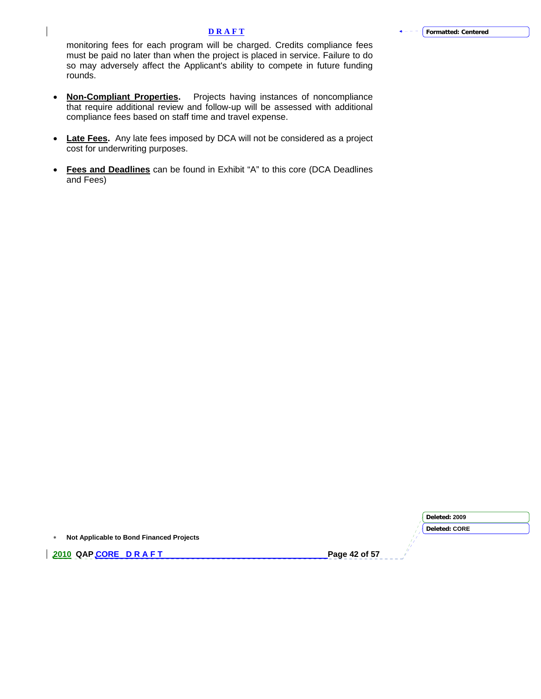monitoring fees for each program will be charged. Credits compliance fees must be paid no later than when the project is placed in service. Failure to do so may adversely affect the Applicant's ability to compete in future funding rounds.

 $\overline{\phantom{a}}$ 

- **Non-Compliant Properties.** Projects having instances of noncompliance that require additional review and follow-up will be assessed with additional compliance fees based on staff time and travel expense.
- **Late Fees.** Any late fees imposed by DCA will not be considered as a project cost for underwriting purposes.
- **Fees and Deadlines** can be found in Exhibit "A" to this core (DCA Deadlines and Fees)

|                                          | Deleted: 2009 |
|------------------------------------------|---------------|
|                                          | Deleted: CORE |
| Not Applicable to Bond Financed Projects |               |
| 2010 QAPCORE DRAFT                       | Page 42 of 57 |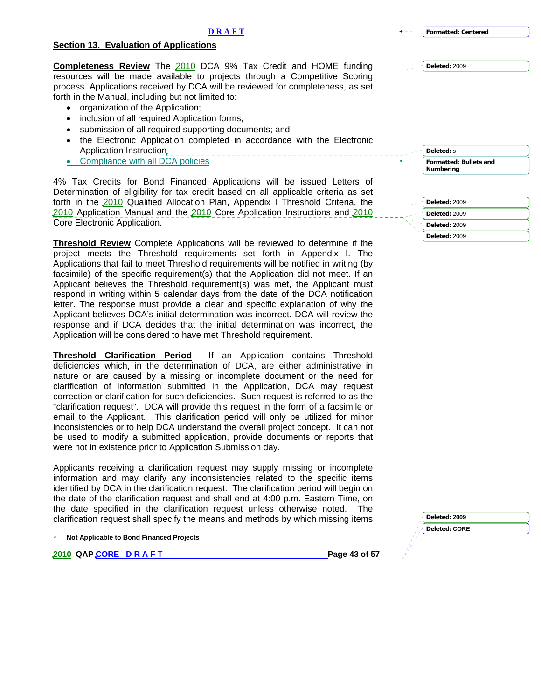### **Section 13. Evaluation of Applications**

**Completeness Review** The 2010 DCA 9% Tax Credit and HOME funding resources will be made available to projects through a Competitive Scoring process. Applications received by DCA will be reviewed for completeness, as set forth in the Manual, including but not limited to:

- organization of the Application;
- inclusion of all required Application forms;
- submission of all required supporting documents; and
- the Electronic Application completed in accordance with the Electronic Application Instruction
- Compliance with all DCA policies

4% Tax Credits for Bond Financed Applications will be issued Letters of Determination of eligibility for tax credit based on all applicable criteria as set forth in the 2010 Qualified Allocation Plan, Appendix I Threshold Criteria, the 2010 Application Manual and the 2010 Core Application Instructions and 2010 Core Electronic Application.

**Threshold Review** Complete Applications will be reviewed to determine if the project meets the Threshold requirements set forth in Appendix I. The Applications that fail to meet Threshold requirements will be notified in writing (by facsimile) of the specific requirement(s) that the Application did not meet. If an Applicant believes the Threshold requirement(s) was met, the Applicant must respond in writing within 5 calendar days from the date of the DCA notification letter. The response must provide a clear and specific explanation of why the Applicant believes DCA's initial determination was incorrect. DCA will review the response and if DCA decides that the initial determination was incorrect, the Application will be considered to have met Threshold requirement.

**Threshold Clarification Period** If an Application contains Threshold deficiencies which, in the determination of DCA, are either administrative in nature or are caused by a missing or incomplete document or the need for clarification of information submitted in the Application, DCA may request correction or clarification for such deficiencies. Such request is referred to as the "clarification request". DCA will provide this request in the form of a facsimile or email to the Applicant. This clarification period will only be utilized for minor inconsistencies or to help DCA understand the overall project concept. It can not be used to modify a submitted application, provide documents or reports that were not in existence prior to Application Submission day.

Applicants receiving a clarification request may supply missing or incomplete information and may clarify any inconsistencies related to the specific items identified by DCA in the clarification request. The clarification period will begin on the date of the clarification request and shall end at 4:00 p.m. Eastern Time, on the date specified in the clarification request unless otherwise noted. The clarification request shall specify the means and methods by which missing items

**2010 QAP CORE D R A F T Page 43 of 57** 

| Deleted: s                                 |
|--------------------------------------------|
| <b>Formatted: Bullets and</b><br>Numbering |
|                                            |
| Deleted: 2009                              |
| Deleted: 2009                              |
| Deleted: 2009                              |



| Deleted: 20' |  |
|--------------|--|

**Deleted: CORE** 

**Formatted: Centered**

**Deleted:** 2009

<sup>∗</sup> **Not Applicable to Bond Financed Projects**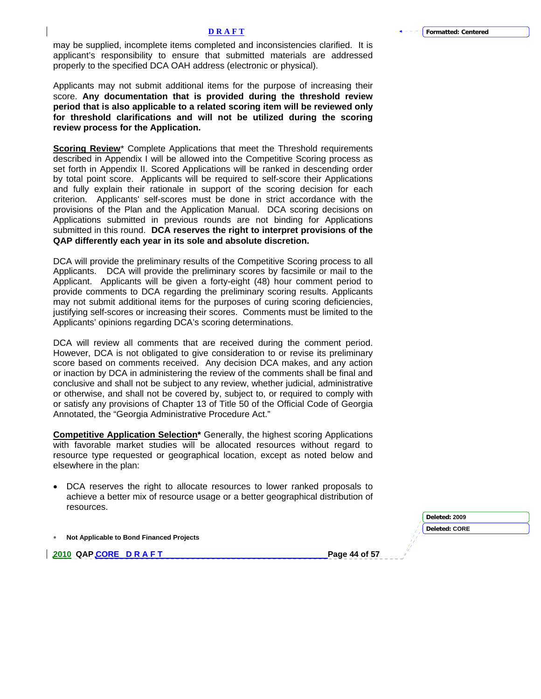may be supplied, incomplete items completed and inconsistencies clarified. It is applicant's responsibility to ensure that submitted materials are addressed properly to the specified DCA OAH address (electronic or physical).

Applicants may not submit additional items for the purpose of increasing their score. **Any documentation that is provided during the threshold review period that is also applicable to a related scoring item will be reviewed only for threshold clarifications and will not be utilized during the scoring review process for the Application.** 

**Scoring Review**\* Complete Applications that meet the Threshold requirements described in Appendix I will be allowed into the Competitive Scoring process as set forth in Appendix II. Scored Applications will be ranked in descending order by total point score. Applicants will be required to self-score their Applications and fully explain their rationale in support of the scoring decision for each criterion. Applicants' self-scores must be done in strict accordance with the provisions of the Plan and the Application Manual. DCA scoring decisions on Applications submitted in previous rounds are not binding for Applications submitted in this round. **DCA reserves the right to interpret provisions of the QAP differently each year in its sole and absolute discretion.**

DCA will provide the preliminary results of the Competitive Scoring process to all Applicants. DCA will provide the preliminary scores by facsimile or mail to the Applicant. Applicants will be given a forty-eight (48) hour comment period to provide comments to DCA regarding the preliminary scoring results. Applicants may not submit additional items for the purposes of curing scoring deficiencies, justifying self-scores or increasing their scores. Comments must be limited to the Applicants' opinions regarding DCA's scoring determinations.

DCA will review all comments that are received during the comment period. However, DCA is not obligated to give consideration to or revise its preliminary score based on comments received. Any decision DCA makes, and any action or inaction by DCA in administering the review of the comments shall be final and conclusive and shall not be subject to any review, whether judicial, administrative or otherwise, and shall not be covered by, subject to, or required to comply with or satisfy any provisions of Chapter 13 of Title 50 of the Official Code of Georgia Annotated, the "Georgia Administrative Procedure Act."

**Competitive Application Selection**\* Generally, the highest scoring Applications with favorable market studies will be allocated resources without regard to resource type requested or geographical location, except as noted below and elsewhere in the plan:

• DCA reserves the right to allocate resources to lower ranked proposals to achieve a better mix of resource usage or a better geographical distribution of resources.

|  |  | Not Applicable to Bond Financed Projects |  |  |  |  |
|--|--|------------------------------------------|--|--|--|--|
|--|--|------------------------------------------|--|--|--|--|

**2010 QAP CORE D R A F T Page 44 of 57 Page 44 of 57** 

**Deleted: 2009 Deleted: CORE**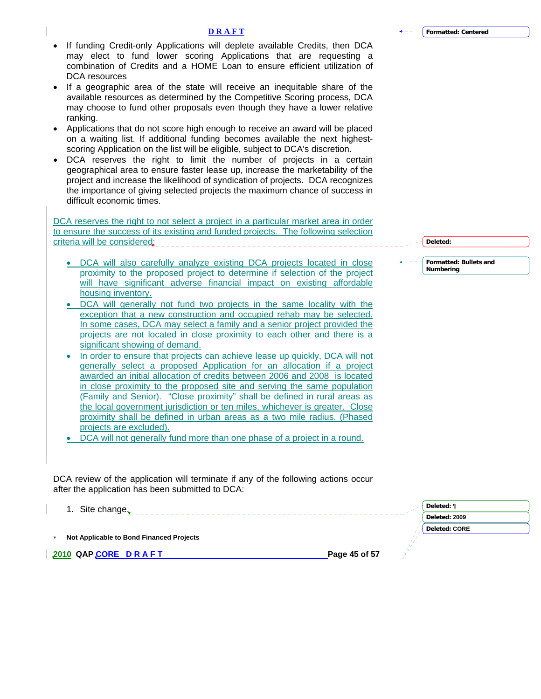- If funding Credit-only Applications will deplete available Credits, then DCA may elect to fund lower scoring Applications that are requesting a combination of Credits and a HOME Loan to ensure efficient utilization of DCA resources
- If a geographic area of the state will receive an inequitable share of the available resources as determined by the Competitive Scoring process, DCA may choose to fund other proposals even though they have a lower relative ranking.
- Applications that do not score high enough to receive an award will be placed on a waiting list. If additional funding becomes available the next highestscoring Application on the list will be eligible, subject to DCA's discretion.
- DCA reserves the right to limit the number of projects in a certain geographical area to ensure faster lease up, increase the marketability of the project and increase the likelihood of syndication of projects. DCA recognizes the importance of giving selected projects the maximum chance of success in difficult economic times.

DCA reserves the right to not select a project in a particular market area in order to ensure the success of its existing and funded projects. The following selection criteria will be considered;

- DCA will also carefully analyze existing DCA projects located in close proximity to the proposed project to determine if selection of the project will have significant adverse financial impact on existing affordable housing inventory.
- DCA will generally not fund two projects in the same locality with the exception that a new construction and occupied rehab may be selected. In some cases, DCA may select a family and a senior project provided the projects are not located in close proximity to each other and there is a significant showing of demand.
- In order to ensure that projects can achieve lease up quickly, DCA will not generally select a proposed Application for an allocation if a project awarded an initial allocation of credits between 2006 and 2008 is located in close proximity to the proposed site and serving the same population (Family and Senior). "Close proximity" shall be defined in rural areas as the local government jurisdiction or ten miles, whichever is greater. Close proximity shall be defined in urban areas as a two mile radius. (Phased projects are excluded).

• DCA will not generally fund more than one phase of a project in a round.

DCA review of the application will terminate if any of the following actions occur after the application has been submitted to DCA:

**Deleted:** ¶ 1. Site change. <u> 1980 - Andrea Andrew Maria (h. 1980).</u> **Deleted: 2009 Deleted: CORE** ∗ **Not Applicable to Bond Financed Projects 2010 QAP CORE D R A F T PAGE 2010 PAGE 45 of 57** 

**Formatted: Bullets and Deleted:** 

**Numbering**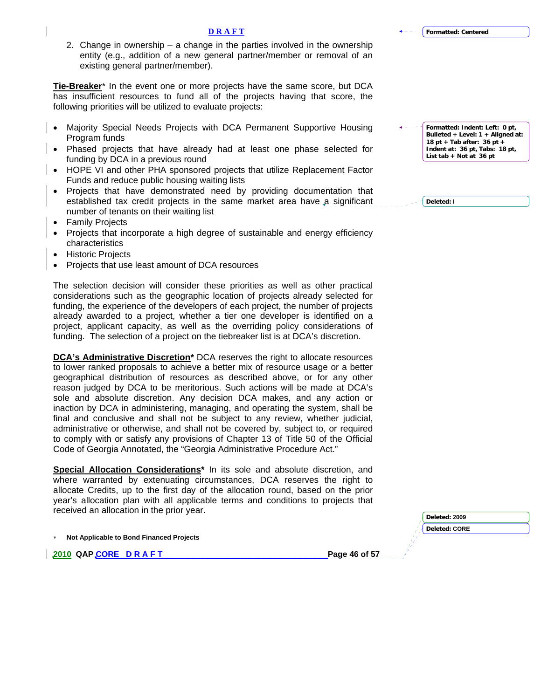2. Change in ownership – a change in the parties involved in the ownership entity (e.g., addition of a new general partner/member or removal of an existing general partner/member).

**Tie-Breaker**\* In the event one or more projects have the same score, but DCA has insufficient resources to fund all of the projects having that score, the following priorities will be utilized to evaluate projects:

- Majority Special Needs Projects with DCA Permanent Supportive Housing Program funds
- Phased projects that have already had at least one phase selected for funding by DCA in a previous round
- HOPE VI and other PHA sponsored projects that utilize Replacement Factor Funds and reduce public housing waiting lists
- Projects that have demonstrated need by providing documentation that established tax credit projects in the same market area have a significant number of tenants on their waiting list
- Family Projects
- Projects that incorporate a high degree of sustainable and energy efficiency characteristics
- Historic Projects
- Projects that use least amount of DCA resources

The selection decision will consider these priorities as well as other practical considerations such as the geographic location of projects already selected for funding, the experience of the developers of each project, the number of projects already awarded to a project, whether a tier one developer is identified on a project, applicant capacity, as well as the overriding policy considerations of funding. The selection of a project on the tiebreaker list is at DCA's discretion.

**DCA's Administrative Discretion\*** DCA reserves the right to allocate resources to lower ranked proposals to achieve a better mix of resource usage or a better geographical distribution of resources as described above, or for any other reason judged by DCA to be meritorious. Such actions will be made at DCA's sole and absolute discretion. Any decision DCA makes, and any action or inaction by DCA in administering, managing, and operating the system, shall be final and conclusive and shall not be subject to any review, whether judicial, administrative or otherwise, and shall not be covered by, subject to, or required to comply with or satisfy any provisions of Chapter 13 of Title 50 of the Official Code of Georgia Annotated, the "Georgia Administrative Procedure Act."

**Special Allocation Considerations\*** In its sole and absolute discretion, and where warranted by extenuating circumstances, DCA reserves the right to allocate Credits, up to the first day of the allocation round, based on the prior year's allocation plan with all applicable terms and conditions to projects that received an allocation in the prior year.

∗ **Not Applicable to Bond Financed Projects** 

**2010 QAP CORE D R A F T Page 46 of 57 Page 46 of 57** 

**Formatted: Indent: Left: 0 pt, Bulleted + Level: 1 + Aligned at: 18 pt + Tab after: 36 pt + Indent at: 36 pt, Tabs: 18 pt, List tab + Not at 36 pt**

**Deleted:** l

| Deleted: 2009        |  |
|----------------------|--|
| <b>Deleted: CORE</b> |  |
|                      |  |
|                      |  |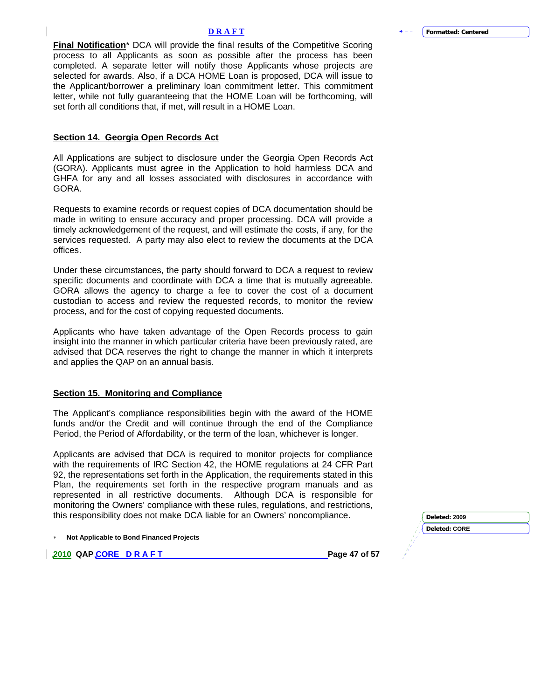**Final Notification**\* DCA will provide the final results of the Competitive Scoring process to all Applicants as soon as possible after the process has been completed. A separate letter will notify those Applicants whose projects are selected for awards. Also, if a DCA HOME Loan is proposed, DCA will issue to the Applicant/borrower a preliminary loan commitment letter. This commitment letter, while not fully guaranteeing that the HOME Loan will be forthcoming, will set forth all conditions that, if met, will result in a HOME Loan.

### **Section 14. Georgia Open Records Act**

All Applications are subject to disclosure under the Georgia Open Records Act (GORA). Applicants must agree in the Application to hold harmless DCA and GHFA for any and all losses associated with disclosures in accordance with GORA.

Requests to examine records or request copies of DCA documentation should be made in writing to ensure accuracy and proper processing. DCA will provide a timely acknowledgement of the request, and will estimate the costs, if any, for the services requested. A party may also elect to review the documents at the DCA offices.

Under these circumstances, the party should forward to DCA a request to review specific documents and coordinate with DCA a time that is mutually agreeable. GORA allows the agency to charge a fee to cover the cost of a document custodian to access and review the requested records, to monitor the review process, and for the cost of copying requested documents.

Applicants who have taken advantage of the Open Records process to gain insight into the manner in which particular criteria have been previously rated, are advised that DCA reserves the right to change the manner in which it interprets and applies the QAP on an annual basis.

### **Section 15. Monitoring and Compliance**

The Applicant's compliance responsibilities begin with the award of the HOME funds and/or the Credit and will continue through the end of the Compliance Period, the Period of Affordability, or the term of the loan, whichever is longer.

Applicants are advised that DCA is required to monitor projects for compliance with the requirements of IRC Section 42, the HOME regulations at 24 CFR Part 92, the representations set forth in the Application, the requirements stated in this Plan, the requirements set forth in the respective program manuals and as represented in all restrictive documents. Although DCA is responsible for monitoring the Owners' compliance with these rules, regulations, and restrictions, this responsibility does not make DCA liable for an Owners' noncompliance.

∗ **Not Applicable to Bond Financed Projects** 

**2010 QAP CORE D R A F T Page 47 of 57 Page 47 of 57** 

**Deleted: CORE**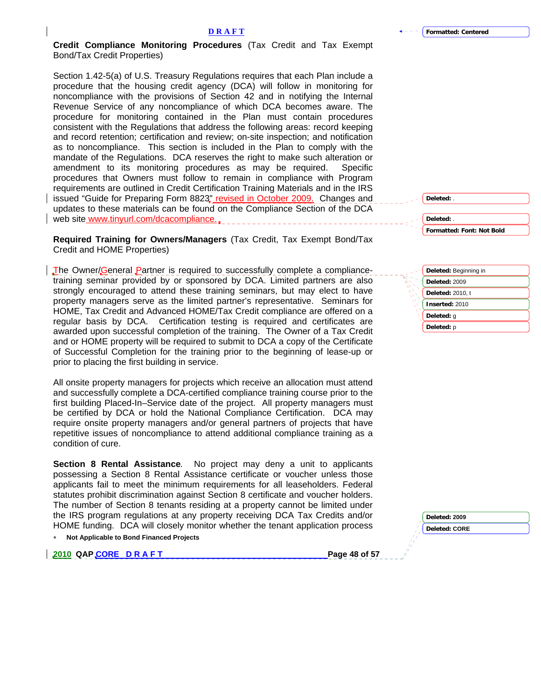**Credit Compliance Monitoring Procedures** (Tax Credit and Tax Exempt Bond/Tax Credit Properties)

Section 1.42-5(a) of U.S. Treasury Regulations requires that each Plan include a procedure that the housing credit agency (DCA) will follow in monitoring for noncompliance with the provisions of Section 42 and in notifying the Internal Revenue Service of any noncompliance of which DCA becomes aware. The procedure for monitoring contained in the Plan must contain procedures consistent with the Regulations that address the following areas: record keeping and record retention; certification and review; on-site inspection; and notification as to noncompliance. This section is included in the Plan to comply with the mandate of the Regulations. DCA reserves the right to make such alteration or amendment to its monitoring procedures as may be required. Specific procedures that Owners must follow to remain in compliance with Program requirements are outlined in Credit Certification Training Materials and in the IRS issued "Guide for Preparing Form 8823" revised in October 2009. Changes and updates to these materials can be found on the Compliance Section of the DCA web site [www.tinyurl.com/dcacompliance.](http://www.tinyurlcom/dcacompliance) 

**Required Training for Owners/Managers** (Tax Credit, Tax Exempt Bond/Tax Credit and HOME Properties)

The Owner/General Partner is required to successfully complete a compliancetraining seminar provided by or sponsored by DCA. Limited partners are also strongly encouraged to attend these training seminars, but may elect to have property managers serve as the limited partner's representative. Seminars for HOME, Tax Credit and Advanced HOME/Tax Credit compliance are offered on a regular basis by DCA. Certification testing is required and certificates are awarded upon successful completion of the training. The Owner of a Tax Credit and or HOME property will be required to submit to DCA a copy of the Certificate of Successful Completion for the training prior to the beginning of lease-up or prior to placing the first building in service.

All onsite property managers for projects which receive an allocation must attend and successfully complete a DCA-certified compliance training course prior to the first building Placed-In–Service date of the project. All property managers must be certified by DCA or hold the National Compliance Certification. DCA may require onsite property managers and/or general partners of projects that have repetitive issues of noncompliance to attend additional compliance training as a condition of cure.

**Section 8 Rental Assistance***.* No project may deny a unit to applicants possessing a Section 8 Rental Assistance certificate or voucher unless those applicants fail to meet the minimum requirements for all leaseholders. Federal statutes prohibit discrimination against Section 8 certificate and voucher holders. The number of Section 8 tenants residing at a property cannot be limited under the IRS program regulations at any property receiving DCA Tax Credits and/or HOME funding. DCA will closely monitor whether the tenant application process

∗ **Not Applicable to Bond Financed Projects** 

**2010 QAP CORE D R A F T PAGE 10 A F T PAGE 48 of 57** 

| Deleted: .                |
|---------------------------|
| Formatted: Font: Not Bold |

**Deleted:** .



| Deleted: 2009        |  |
|----------------------|--|
| <b>Deleted: CORE</b> |  |
|                      |  |
|                      |  |
|                      |  |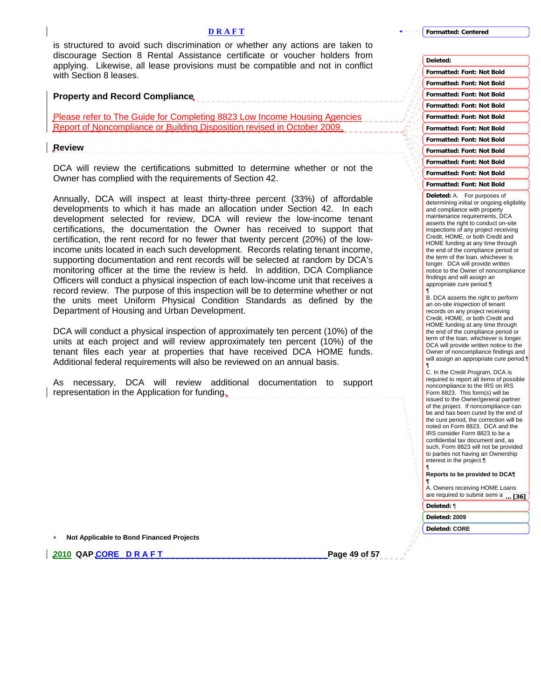is structured to avoid such discrimination or whether any actions are taken to discourage Section 8 Rental Assistance certificate or voucher holders from applying. Likewise, all lease provisions must be compatible and not in conflict with Section 8 leases.

**Property and Record Compliance**

Please refer to The Guide for Completing 8823 Low Income Housing Agencies Report of Noncompliance or Building Disposition revised in October 2009.

**Review** 

DCA will review the certifications submitted to determine whether or not the Owner has complied with the requirements of Section 42.

----------------------------------

Annually, DCA will inspect at least thirty-three percent (33%) of affordable developments to which it has made an allocation under Section 42. In each development selected for review, DCA will review the low-income tenant certifications, the documentation the Owner has received to support that certification, the rent record for no fewer that twenty percent (20%) of the lowincome units located in each such development. Records relating tenant income, supporting documentation and rent records will be selected at random by DCA's monitoring officer at the time the review is held. In addition, DCA Compliance Officers will conduct a physical inspection of each low-income unit that receives a record review. The purpose of this inspection will be to determine whether or not the units meet Uniform Physical Condition Standards as defined by the Department of Housing and Urban Development.

DCA will conduct a physical inspection of approximately ten percent (10%) of the units at each project and will review approximately ten percent (10%) of the tenant files each year at properties that have received DCA HOME funds. Additional federal requirements will also be reviewed on an annual basis.

As necessary, DCA will review additional documentation to support representation in the Application for funding.

∗ **Not Applicable to Bond Financed Projects** 

**2010 QAP CORE D R A F T PAGE 2010 PAGE 49 of 57** 

**Formatted: Centered**

| Deleted:                         |  |
|----------------------------------|--|
| <b>Formatted: Font: Not Bold</b> |  |
| <b>Formatted: Font: Not Bold</b> |  |
| <b>Formatted: Font: Not Bold</b> |  |
| <b>Formatted: Font: Not Bold</b> |  |
| <b>Formatted: Font: Not Bold</b> |  |
| Formatted: Font: Not Bold        |  |
| <b>Formatted: Font: Not Bold</b> |  |
| <b>Formatted: Font: Not Bold</b> |  |
| <b>Formatted: Font: Not Bold</b> |  |
| <b>Formatted: Font: Not Bold</b> |  |
| Formatted: Font: Not Bold        |  |

**Deleted:** A. For purposes of determining initial or ongoing eligibility and compliance with property maintenance requirements, DCA asserts the right to conduct on-site inspections of any project receiving Credit, HOME, or both Credit and HOME funding at any time through the end of the compliance period or the term of the loan, whichever is longer. DCA will provide written notice to the Owner of noncompliance findings and will assign an appropriate cure period.¶ ¶

B. DCA asserts the right to perform an on-site inspection of tenant records on any project receiving Credit, HOME, or both Credit and HOME funding at any time through the end of the compliance period or term of the loan, whichever is longer. DCA will provide written notice to the Owner of noncompliance findings and will assign an appropriate cure period.¶

¶ C. In the Credit Program, DCA is required to report all items of possible noncompliance to the IRS on IRS Form 8823. This form(s) will be issued to the Owner/general partner of the project. If noncompliance can be and has been cured by the end of the cure period, the correction will be noted on Form 8823. DCA and the IRS consider Form 8823 to be a confidential tax document and, as such, Form 8823 will not be provided to parties not having an Ownership interest in the project.¶ ¶

#### **Reports to be provided to DCA¶**

**¶** A. Owners receiving HOME Loans are required to submit semi a<sub>nn</sub>[36]

**Deleted:** ¶

**Deleted: 2009**

**Deleted: CORE**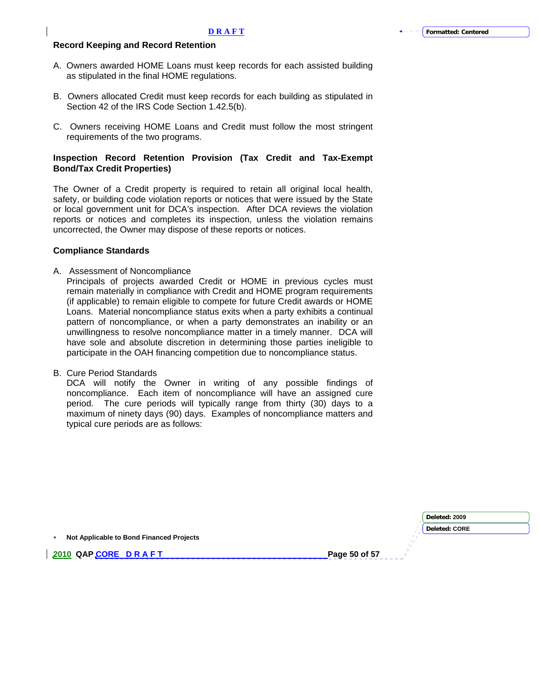#### **Record Keeping and Record Retention**

- A. Owners awarded HOME Loans must keep records for each assisted building as stipulated in the final HOME regulations.
- B. Owners allocated Credit must keep records for each building as stipulated in Section 42 of the IRS Code Section 1.42.5(b).
- C. Owners receiving HOME Loans and Credit must follow the most stringent requirements of the two programs.

### **Inspection Record Retention Provision (Tax Credit and Tax-Exempt Bond/Tax Credit Properties)**

The Owner of a Credit property is required to retain all original local health, safety, or building code violation reports or notices that were issued by the State or local government unit for DCA's inspection. After DCA reviews the violation reports or notices and completes its inspection, unless the violation remains uncorrected, the Owner may dispose of these reports or notices.

#### **Compliance Standards**

A. Assessment of Noncompliance

Principals of projects awarded Credit or HOME in previous cycles must remain materially in compliance with Credit and HOME program requirements (if applicable) to remain eligible to compete for future Credit awards or HOME Loans. Material noncompliance status exits when a party exhibits a continual pattern of noncompliance, or when a party demonstrates an inability or an unwillingness to resolve noncompliance matter in a timely manner. DCA will have sole and absolute discretion in determining those parties ineligible to participate in the OAH financing competition due to noncompliance status.

B. Cure Period Standards

DCA will notify the Owner in writing of any possible findings of noncompliance. Each item of noncompliance will have an assigned cure period. The cure periods will typically range from thirty (30) days to a maximum of ninety days (90) days. Examples of noncompliance matters and typical cure periods are as follows:

|                                          | Deleted: 2009 |
|------------------------------------------|---------------|
|                                          | Deleted: CORE |
| Not Applicable to Bond Financed Projects |               |
| 2010 QAP CORE DRAFT<br>Page 50 of 57     |               |
|                                          |               |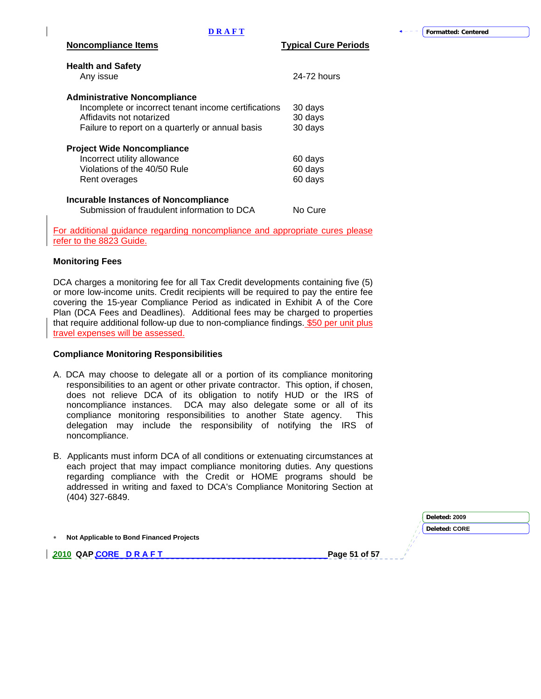| <b>Health and Safety</b><br>Any issue                                | 24-72 hours |
|----------------------------------------------------------------------|-------------|
|                                                                      |             |
| <b>Administrative Noncompliance</b>                                  |             |
| Incomplete or incorrect tenant income certifications                 | 30 days     |
| Affidavits not notarized                                             | 30 days     |
| Failure to report on a quarterly or annual basis                     | 30 days     |
| <b>Project Wide Noncompliance</b>                                    |             |
| Incorrect utility allowance                                          | 60 days     |
| Violations of the 40/50 Rule                                         | 60 days     |
| Rent overages                                                        | 60 days     |
| Incurable Instances of Noncompliance                                 |             |
| Submission of fraudulent information to DCA                          | No Cure     |
| ar additional quidance regarding noncempliance and appropriate qureo |             |

regarding noncompliance and appropriate cures please refer to the 8823 Guide.

### **Monitoring Fees**

DCA charges a monitoring fee for all Tax Credit developments containing five (5) or more low-income units. Credit recipients will be required to pay the entire fee covering the 15-year Compliance Period as indicated in Exhibit A of the Core Plan (DCA Fees and Deadlines). Additional fees may be charged to properties that require additional follow-up due to non-compliance findings. \$50 per unit plus travel expenses will be assessed.

#### **Compliance Monitoring Responsibilities**

- A. DCA may choose to delegate all or a portion of its compliance monitoring responsibilities to an agent or other private contractor. This option, if chosen, does not relieve DCA of its obligation to notify HUD or the IRS of noncompliance instances. DCA may also delegate some or all of its compliance monitoring responsibilities to another State agency. This delegation may include the responsibility of notifying the IRS of noncompliance.
- B. Applicants must inform DCA of all conditions or extenuating circumstances at each project that may impact compliance monitoring duties. Any questions regarding compliance with the Credit or HOME programs should be addressed in writing and faxed to DCA's Compliance Monitoring Section at (404) 327-6849.

∗ **Not Applicable to Bond Financed Projects** 

**2010 QAP CORE D R A F T Page 51 of 57 Page 51 of 57** 

**Deleted: CORE** 

**Deleted: 2009**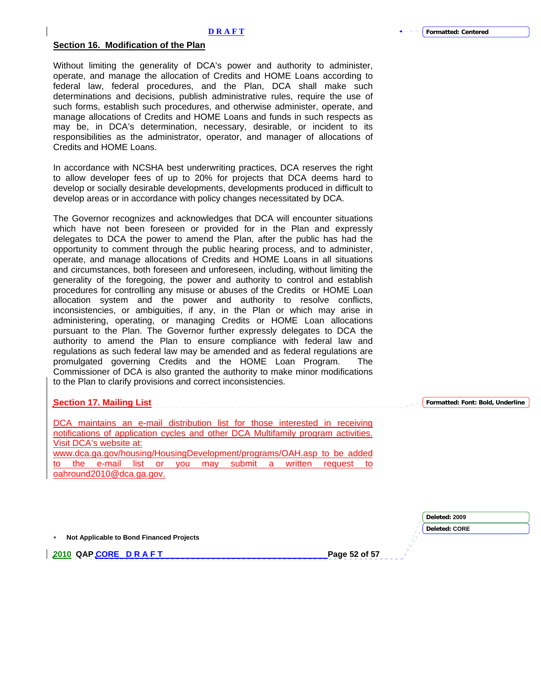#### **Section 16. Modification of the Plan**

Without limiting the generality of DCA's power and authority to administer, operate, and manage the allocation of Credits and HOME Loans according to federal law, federal procedures, and the Plan, DCA shall make such determinations and decisions, publish administrative rules, require the use of such forms, establish such procedures, and otherwise administer, operate, and manage allocations of Credits and HOME Loans and funds in such respects as may be, in DCA's determination, necessary, desirable, or incident to its responsibilities as the administrator, operator, and manager of allocations of Credits and HOME Loans.

In accordance with NCSHA best underwriting practices, DCA reserves the right to allow developer fees of up to 20% for projects that DCA deems hard to develop or socially desirable developments, developments produced in difficult to develop areas or in accordance with policy changes necessitated by DCA.

The Governor recognizes and acknowledges that DCA will encounter situations which have not been foreseen or provided for in the Plan and expressly delegates to DCA the power to amend the Plan, after the public has had the opportunity to comment through the public hearing process, and to administer, operate, and manage allocations of Credits and HOME Loans in all situations and circumstances, both foreseen and unforeseen, including, without limiting the generality of the foregoing, the power and authority to control and establish procedures for controlling any misuse or abuses of the Credits or HOME Loan allocation system and the power and authority to resolve conflicts, inconsistencies, or ambiguities, if any, in the Plan or which may arise in administering, operating, or managing Credits or HOME Loan allocations pursuant to the Plan. The Governor further expressly delegates to DCA the authority to amend the Plan to ensure compliance with federal law and regulations as such federal law may be amended and as federal regulations are promulgated governing Credits and the HOME Loan Program. The Commissioner of DCA is also granted the authority to make minor modifications to the Plan to clarify provisions and correct inconsistencies.

#### **Section 17. Mailing List**

DCA maintains an e-mail distribution list for those interested in receiving notifications of application cycles and other DCA Multifamily program activities. Visit DCA's website at: [www.dca.ga.gov/housing/HousingDevelopment/programs/OAH.asp](http://www.dca.ga.gov/housing/HousingDevelopment/programs/OAH.asp) to be added to the e-mail list or you may submit a written request [oahround2010@dca.ga.gov](mailto:oahround2010@dca.ga.gov).

∗ **Not Applicable to Bond Financed Projects** 

**2010 QAP CORE D R A F T Page 52 of 57 Page 52 of 57 Page 52 of 57 Page 52 of 57 Page 52 of 57 Page 52 of 57 Page 52 of 57 Page 52 of 57 Page 52 of 57 Page 52 of 57 Page 52 of 57 Page 52 of 57 Page 52 of 57 Page 52 of 57 P** 

**Formatted: Font: Bold, Underline**

**Deleted: 2009 Deleted: CORE**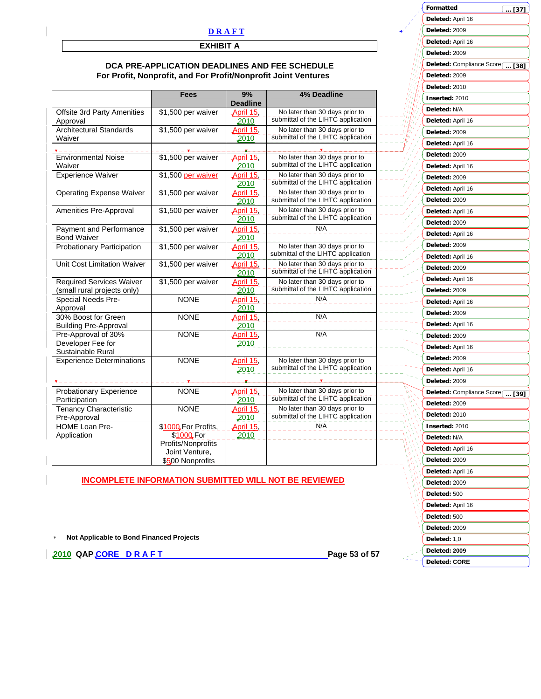### **EXHIBIT A**

### **DCA PRE-APPLICATION DEADLINES AND FEE SCHEDULE For Profit, Nonprofit, and For Profit/Nonprofit Joint Ventures**

|                                                                | <b>Fees</b>                                                                                   | 9%                       | <b>4% Deadline</b>                                                   |
|----------------------------------------------------------------|-----------------------------------------------------------------------------------------------|--------------------------|----------------------------------------------------------------------|
|                                                                |                                                                                               | <b>Deadline</b>          |                                                                      |
| Offsite 3rd Party Amenities<br>Approval                        | \$1,500 per waiver                                                                            | April 15,<br>2010        | No later than 30 days prior to<br>submittal of the LIHTC application |
| <b>Architectural Standards</b><br>Waiver                       | \$1,500 per waiver                                                                            | April 15,<br>2010        | No later than 30 days prior to<br>submittal of the LIHTC application |
|                                                                |                                                                                               |                          |                                                                      |
| <b>Environmental Noise</b><br>Waiver                           | \$1,500 per waiver                                                                            | <b>April 15,</b><br>2010 | No later than 30 days prior to<br>submittal of the LIHTC application |
| <b>Experience Waiver</b>                                       | \$1,500 per waiver                                                                            | <u>April 15</u><br>2010  | No later than 30 days prior to<br>submittal of the LIHTC application |
| <b>Operating Expense Waiver</b>                                | \$1,500 per waiver                                                                            | April 15,<br>2010        | No later than 30 days prior to<br>submittal of the LIHTC application |
| Amenities Pre-Approval                                         | \$1,500 per waiver                                                                            | April 15<br>2010         | No later than 30 days prior to<br>submittal of the LIHTC application |
| Payment and Performance<br><b>Bond Waiver</b>                  | \$1,500 per waiver                                                                            | April 15<br>2010         | N/A                                                                  |
| <b>Probationary Participation</b>                              | \$1,500 per waiver                                                                            | April 15,<br>2010        | No later than 30 days prior to<br>submittal of the LIHTC application |
| Unit Cost Limitation Waiver                                    | \$1,500 per waiver                                                                            | April 15,<br>2010        | No later than 30 days prior to<br>submittal of the LIHTC application |
| <b>Required Services Waiver</b><br>(small rural projects only) | \$1,500 per waiver                                                                            | April 15<br>2010         | No later than 30 days prior to<br>submittal of the LIHTC application |
| Special Needs Pre-<br>Approval                                 | <b>NONE</b>                                                                                   | April 15,<br>2010        | N/A                                                                  |
| 30% Boost for Green<br><b>Building Pre-Approval</b>            | <b>NONE</b>                                                                                   | April 15<br>2010         | N/A                                                                  |
| Pre-Approval of 30%<br>Developer Fee for<br>Sustainable Rural  | <b>NONE</b>                                                                                   | April 15,<br>2010        | N/A                                                                  |
| <b>Experience Determinations</b>                               | <b>NONE</b>                                                                                   | April 15<br>2010         | No later than 30 days prior to<br>submittal of the LIHTC application |
|                                                                |                                                                                               |                          |                                                                      |
| <b>Probationary Experience</b><br>Participation                | <b>NONE</b>                                                                                   | April 15,<br>2010        | No later than 30 days prior to<br>submittal of the LIHTC application |
| Tenancy Characteristic<br>Pre-Approval                         | <b>NONE</b>                                                                                   | April 15,<br>2010        | No later than 30 days prior to<br>submittal of the LIHTC application |
| <b>HOME Loan Pre-</b><br>Application                           | \$1000 For Profits,<br>\$1000 For<br>Profits/Nonprofits<br>Joint Venture,<br>\$500 Nonprofits | April 15,<br>2010        | N/A                                                                  |

### **INCOMPLETE INFORMATION SUBMITTED WILL NOT BE REVIEWED**

| Deleted: 2009                   |
|---------------------------------|
| Deleted: April 16               |
| Deleted: 2009                   |
| Deleted: April 16               |
| Deleted: 2009                   |
| Deleted: April 16               |
| Deleted: 2009                   |
| Deleted: Compliance Score  [39] |
| Deleted: 2009                   |
| Deleted: 2010                   |
| Inserted: 2010                  |
| Deleted: N/A                    |
| Deleted: April 16               |
| Deleted: 2009                   |
| Deleted: April 16               |
| Deleted: 2009                   |
| Deleted: 500                    |
| Deleted: April 16               |
| Deleted: 500                    |
| Deleted: 2009                   |
| Deleted: 1,0                    |
| Deleted: 2009                   |
| Deleted: CORE                   |

**Formatted**

**Deleted:** April 16 **Deleted:** 2009 **Deleted:** April 16 **Deleted:** 2009

**Deleted:** 2009 **Deleted:** 2010 **Inserted:** 2010 **Deleted:** N/A **Deleted:** April 16 **Deleted:** 2009 **Deleted:** April 16 **Deleted:** 2009 **Deleted:** April 16 **Deleted:** 2009 **Deleted:** April 16 **Deleted:** 2009 **Deleted:** April 16 **Deleted:** 2009 **Deleted:** April 16 **Deleted:** 2009 **Deleted:** April 16 **Deleted:** 2009 **Deleted:** April 16 **Deleted:** 2009 **Deleted:** April 16

**Deleted:** Compliance Score [... [38]

**... [37]**

∗ **Not Applicable to Bond Financed Projects** 

| 2010 QAP CORE D R A F T | Research 2010 | Page 53 of 57 **Page 53 of 57**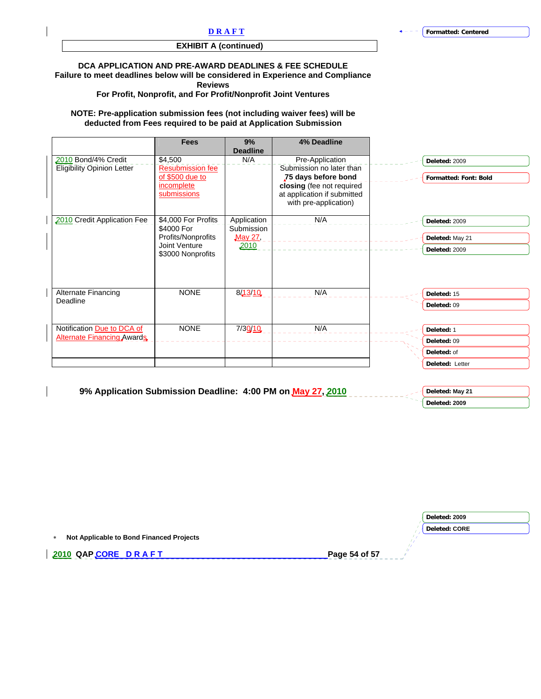## **EXHIBIT A (continued)**

### **DCA APPLICATION AND PRE-AWARD DEADLINES & FEE SCHEDULE**

**Failure to meet deadlines below will be considered in Experience and Compliance** 

**Reviews** 

**For Profit, Nonprofit, and For Profit/Nonprofit Joint Ventures** 

#### **NOTE: Pre-application submission fees (not including waiver fees) will be deducted from Fees required to be paid at Application Submission**

|                                                          | <b>Fees</b>                                                                                   | 9%<br><b>Deadline</b>                        | 4% Deadline                                                                                                                                             |                                                             |
|----------------------------------------------------------|-----------------------------------------------------------------------------------------------|----------------------------------------------|---------------------------------------------------------------------------------------------------------------------------------------------------------|-------------------------------------------------------------|
| 2010 Bond/4% Credit<br><b>Eligibility Opinion Letter</b> | \$4,500<br><b>Resubmission fee</b><br>of \$500 due to<br>incomplete<br>submissions            | N/A                                          | Pre-Application<br>Submission no later than<br>75 days before bond<br>closing (fee not required<br>at application if submitted<br>with pre-application) | Deleted: 2009<br><b>Formatted: Font: Bold</b>               |
| 2010 Credit Application Fee                              | \$4,000 For Profits<br>\$4000 For<br>Profits/Nonprofits<br>Joint Venture<br>\$3000 Nonprofits | Application<br>Submission<br>May 27,<br>2010 | N/A                                                                                                                                                     | Deleted: 2009<br>Deleted: May 21<br>Deleted: 2009           |
| Alternate Financing<br>Deadline                          | <b>NONE</b>                                                                                   | 8/13/10                                      | N/A                                                                                                                                                     | Deleted: 15<br>Deleted: 09                                  |
| Notification Due to DCA of<br>Alternate Financing Awards | <b>NONE</b>                                                                                   | 7/30/10                                      | N/A                                                                                                                                                     | Deleted: 1<br>Deleted: 09<br>Deleted: of<br>Deleted: Letter |

| 9% Application Submission Deadline: 4:00 PM on May 27, 2010 | Deleted: May 21 |
|-------------------------------------------------------------|-----------------|
|                                                             | Deleted: 2009   |

|                                          | Deleted: 2009        |
|------------------------------------------|----------------------|
|                                          | <b>Deleted: CORE</b> |
| Not Applicable to Bond Financed Projects |                      |
| 2010 QAPCORE DRAFT                       | Page 54 of 57        |
|                                          |                      |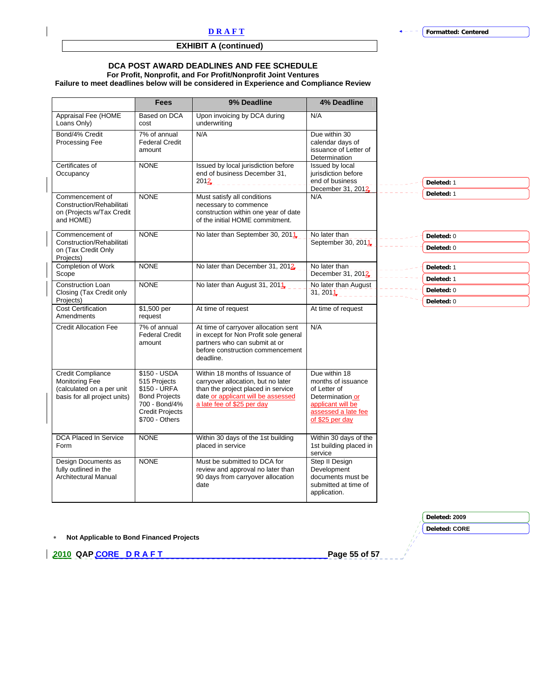## **EXHIBIT A (continued)**

### **DCA POST AWARD DEADLINES AND FEE SCHEDULE**

## **For Profit, Nonprofit, and For Profit/Nonprofit Joint Ventures**

**Failure to meet deadlines below will be considered in Experience and Compliance Review** 

|                                                                                                         | <b>Fees</b>                                                                                                                       | 9% Deadline                                                                                                                                                                     | <b>4% Deadline</b>                                                                                                                     |
|---------------------------------------------------------------------------------------------------------|-----------------------------------------------------------------------------------------------------------------------------------|---------------------------------------------------------------------------------------------------------------------------------------------------------------------------------|----------------------------------------------------------------------------------------------------------------------------------------|
| Appraisal Fee (HOME<br>Loans Only)                                                                      | Based on DCA<br>cost                                                                                                              | Upon invoicing by DCA during<br>underwriting                                                                                                                                    | N/A                                                                                                                                    |
| Bond/4% Credit<br><b>Processing Fee</b>                                                                 | 7% of annual<br><b>Federal Credit</b><br>amount                                                                                   | N/A                                                                                                                                                                             | Due within 30<br>calendar days of<br>issuance of Letter of<br>Determination                                                            |
| Certificates of<br>Occupancy                                                                            | <b>NONE</b>                                                                                                                       | Issued by local jurisdiction before<br>end of business December 31,<br>2012                                                                                                     | Issued by local<br>jurisdiction before<br>end of business<br>December 31, 2012                                                         |
| Commencement of<br>Construction/Rehabilitati<br>on (Projects w/Tax Credit<br>and HOME)                  | <b>NONE</b>                                                                                                                       | Must satisfy all conditions<br>necessary to commence<br>construction within one year of date<br>of the initial HOME commitment.                                                 | N/A                                                                                                                                    |
| Commencement of<br>Construction/Rehabilitati<br>on (Tax Credit Only<br>Projects)                        | <b>NONE</b>                                                                                                                       | No later than September 30, 2011.                                                                                                                                               | No later than<br>September 30, 2011                                                                                                    |
| Completion of Work<br>Scope                                                                             | <b>NONE</b>                                                                                                                       | No later than December 31, 2012                                                                                                                                                 | No later than<br>December 31, 2012                                                                                                     |
| Construction Loan<br>Closing (Tax Credit only<br>Projects)                                              | <b>NONE</b>                                                                                                                       | No later than August 31, 2011                                                                                                                                                   | No later than August<br>31,201                                                                                                         |
| <b>Cost Certification</b><br>Amendments                                                                 | \$1,500 per<br>request                                                                                                            | At time of request                                                                                                                                                              | At time of request                                                                                                                     |
| <b>Credit Allocation Fee</b>                                                                            | 7% of annual<br><b>Federal Credit</b><br>amount                                                                                   | At time of carryover allocation sent<br>in except for Non Profit sole general<br>partners who can submit at or<br>before construction commencement<br>deadline.                 | N/A                                                                                                                                    |
| Credit Compliance<br><b>Monitoring Fee</b><br>(calculated on a per unit<br>basis for all project units) | \$150 - USDA<br>515 Projects<br>\$150 - URFA<br><b>Bond Projects</b><br>700 - Bond/4%<br><b>Credit Projects</b><br>\$700 - Others | Within 18 months of Issuance of<br>carryover allocation, but no later<br>than the project placed in service<br>date or applicant will be assessed<br>a late fee of \$25 per day | Due within 18<br>months of issuance<br>of Letter of<br>Determination or<br>applicant will be<br>assessed a late fee<br>of \$25 per day |
| DCA Placed In Service<br>Form                                                                           | <b>NONE</b>                                                                                                                       | Within 30 days of the 1st building<br>placed in service                                                                                                                         | Within 30 days of the<br>1st building placed in<br>service                                                                             |
| Design Documents as<br>fully outlined in the<br><b>Architectural Manual</b>                             | <b>NONE</b>                                                                                                                       | Must be submitted to DCA for<br>review and approval no later than<br>90 days from carryover allocation<br>date                                                                  | Step II Design<br>Development<br>documents must be<br>submitted at time of<br>application.                                             |

∗ **Not Applicable to Bond Financed Projects** 

**2010 QAP CORE D R A F T Page 55 of 57** 

**Deleted: 2009**

**Deleted: CORE**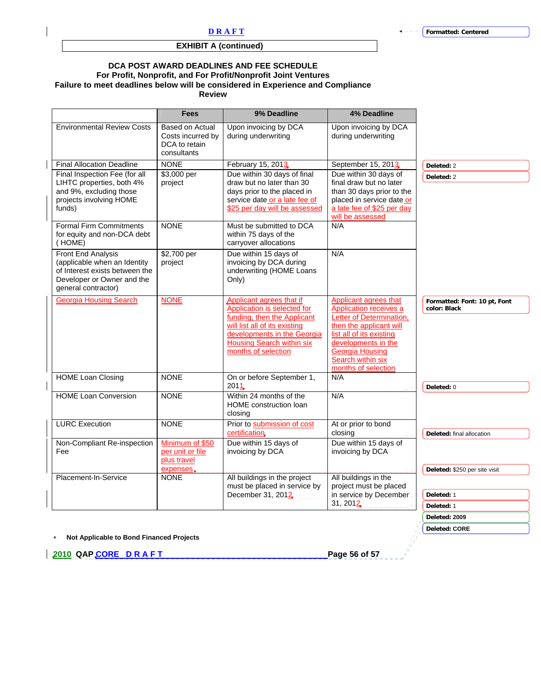## **EXHIBIT A (continued)**

#### **DCA POST AWARD DEADLINES AND FEE SCHEDULE For Profit, Nonprofit, and For Profit/Nonprofit Joint Ventures Failure to meet deadlines below will be considered in Experience and Compliance Review**

| <b>Environmental Review Costs</b><br><b>Final Allocation Deadline</b><br>Final Inspection Fee (for all<br>LIHTC properties, both 4%<br>and 9%, excluding those<br>projects involving HOME | Based on Actual<br>Costs incurred by<br>DCA to retain<br>consultants<br><b>NONE</b><br>\$3,000 per<br>project | Upon invoicing by DCA<br>during underwriting<br>February 15, 2013<br>Due within 30 days of final                                                                                                                         | Upon invoicing by DCA<br>during underwriting<br>September 15, 2013                                                                                                                                                              |                                              |
|-------------------------------------------------------------------------------------------------------------------------------------------------------------------------------------------|---------------------------------------------------------------------------------------------------------------|--------------------------------------------------------------------------------------------------------------------------------------------------------------------------------------------------------------------------|---------------------------------------------------------------------------------------------------------------------------------------------------------------------------------------------------------------------------------|----------------------------------------------|
|                                                                                                                                                                                           |                                                                                                               |                                                                                                                                                                                                                          |                                                                                                                                                                                                                                 |                                              |
| funds)                                                                                                                                                                                    |                                                                                                               | draw but no later than 30<br>days prior to the placed in<br>service date or a late fee of<br>\$25 per day will be assessed                                                                                               | Due within 30 days of<br>final draw but no later<br>than 30 days prior to the<br>placed in service date or<br>a late fee of \$25 per day                                                                                        | Deleted: 2<br>Deleted: 2                     |
| <b>Formal Firm Commitments</b><br>for equity and non-DCA debt<br>(HOME)                                                                                                                   | <b>NONE</b>                                                                                                   | Must be submitted to DCA<br>within 75 days of the<br>carryover allocations                                                                                                                                               | will be assessed<br>N/A                                                                                                                                                                                                         |                                              |
| Front End Analysis<br>(applicable when an Identity<br>of Interest exists between the<br>Developer or Owner and the<br>general contractor)                                                 | \$2,700 per<br>project                                                                                        | Due within 15 days of<br>invoicing by DCA during<br>underwriting (HOME Loans<br>Only)                                                                                                                                    | N/A                                                                                                                                                                                                                             |                                              |
| <b>Georgia Housing Search</b>                                                                                                                                                             | <b>NONE</b>                                                                                                   | <b>Applicant agrees that if</b><br>Application is selected for<br>funding, then the Applicant<br>will list all of its existing<br>developments in the Georgia<br><b>Housing Search within six</b><br>months of selection | Applicant agrees that<br>Application receives a<br>Letter of Determination,<br>then the applicant will<br>list all of its existing<br>developments in the<br><b>Georgia Housing</b><br>Search within six<br>months of selection | Formatted: Font: 10 pt, Font<br>color: Black |
| <b>HOME Loan Closing</b>                                                                                                                                                                  | <b>NONE</b>                                                                                                   | On or before September 1,<br>2011 <sub>-</sub>                                                                                                                                                                           | N/A                                                                                                                                                                                                                             | Deleted: 0                                   |
| <b>HOME Loan Conversion</b>                                                                                                                                                               | <b>NONE</b>                                                                                                   | Within 24 months of the<br><b>HOME</b> construction loan<br>closing                                                                                                                                                      | N/A                                                                                                                                                                                                                             |                                              |
| <b>LURC Execution</b>                                                                                                                                                                     | <b>NONE</b>                                                                                                   | Prior to submission of cost<br>certification                                                                                                                                                                             | At or prior to bond<br>closing                                                                                                                                                                                                  | Deleted: final allocation                    |
| Non-Compliant Re-inspection<br>Fee                                                                                                                                                        | Minimum of \$50<br>per unit or file<br>plus travel<br>expenses.                                               | Due within 15 days of<br>invoicing by DCA                                                                                                                                                                                | Due within 15 days of<br>invoicing by DCA                                                                                                                                                                                       | Deleted: \$250 per site visit                |
| Placement-In-Service                                                                                                                                                                      | <b>NONE</b>                                                                                                   | All buildings in the project<br>must be placed in service by<br>December 31, 2012                                                                                                                                        | All buildings in the<br>project must be placed<br>in service by December<br>31, 2012                                                                                                                                            | Deleted: 1<br>Deleted: 1                     |
|                                                                                                                                                                                           |                                                                                                               |                                                                                                                                                                                                                          |                                                                                                                                                                                                                                 | Deleted: 2009<br><b>Deleted: CORE</b>        |

∗ **Not Applicable to Bond Financed Projects** 

**2010 QAP CORE D R A F T Page 56 of 57**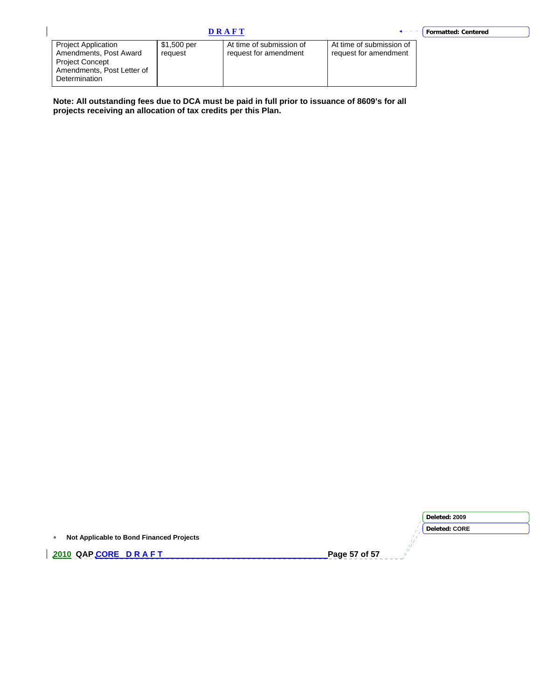$\overline{\phantom{a}}$ 

| <b>Project Application</b><br>Amendments, Post Award<br><b>Project Concept</b><br>Amendments, Post Letter of<br>Determination | \$1,500 per<br>reauest | At time of submission of<br>request for amendment | At time of submission of<br>request for amendment |
|-------------------------------------------------------------------------------------------------------------------------------|------------------------|---------------------------------------------------|---------------------------------------------------|

**Note: All outstanding fees due to DCA must be paid in full prior to issuance of 8609's for all projects receiving an allocation of tax credits per this Plan.** 

|                                          | Deleted: 2009        |
|------------------------------------------|----------------------|
|                                          | <b>Deleted: CORE</b> |
| Not Applicable to Bond Financed Projects |                      |
| 2010 QAPCORE DRAFT                       | Page 57 of 57        |
|                                          |                      |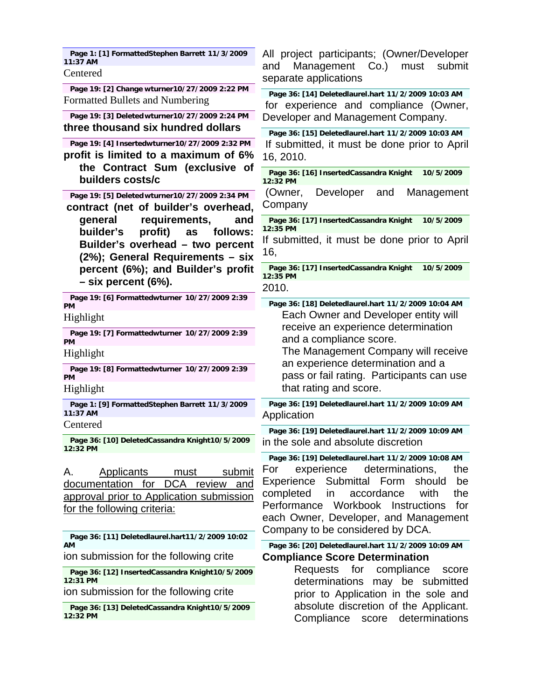| Page 1: [1] FormattedStephen Barrett 11/3/2009<br>11:37 AM                                                                                                                                                            | All project participants; (Owner/Developer<br>Management<br>Co.<br>must<br>submit<br>and                                                                                                                                                                                                                                       |
|-----------------------------------------------------------------------------------------------------------------------------------------------------------------------------------------------------------------------|--------------------------------------------------------------------------------------------------------------------------------------------------------------------------------------------------------------------------------------------------------------------------------------------------------------------------------|
| Centered                                                                                                                                                                                                              | separate applications                                                                                                                                                                                                                                                                                                          |
| Page 19: [2] Change wturner10/27/2009 2:22 PM<br>Formatted Bullets and Numbering                                                                                                                                      | Page 36: [14] Deletedlaurel.hart 11/2/2009 10:03 AM<br>for experience and compliance (Owner,                                                                                                                                                                                                                                   |
| Page 19: [3] Deleted wturner10/27/2009 2:24 PM<br>three thousand six hundred dollars                                                                                                                                  | Developer and Management Company.                                                                                                                                                                                                                                                                                              |
| Page 19: [4] Insertedwturner10/27/2009 2:32 PM<br>profit is limited to a maximum of 6%<br>the Contract Sum (exclusive of                                                                                              | Page 36: [15] Deletedlaurel.hart 11/2/2009 10:03 AM<br>If submitted, it must be done prior to April<br>16, 2010.<br>Page 36: [16] InsertedCassandra Knight<br>10/5/2009                                                                                                                                                        |
| builders costs/c                                                                                                                                                                                                      | 12:32 PM                                                                                                                                                                                                                                                                                                                       |
| Page 19: [5] Deleted wturner10/27/2009 2:34 PM<br>contract (net of builder's overhead,                                                                                                                                | Developer<br>(Owner,<br>Management<br>and<br>Company                                                                                                                                                                                                                                                                           |
| general<br>requirements,<br>and<br>builder's<br>profit)<br>follows:<br>as                                                                                                                                             | Page 36: [17] InsertedCassandra Knight<br>10/5/2009<br>12:35 PM                                                                                                                                                                                                                                                                |
| Builder's overhead - two percent<br>(2%); General Requirements - six                                                                                                                                                  | If submitted, it must be done prior to April<br>16,                                                                                                                                                                                                                                                                            |
| percent (6%); and Builder's profit<br>$-$ six percent (6%).                                                                                                                                                           | Page 36: [17] InsertedCassandra Knight<br>10/5/2009<br>12:35 PM                                                                                                                                                                                                                                                                |
| Page 19: [6] Formattedwturner 10/27/2009 2:39                                                                                                                                                                         | 2010.                                                                                                                                                                                                                                                                                                                          |
| <b>PM</b>                                                                                                                                                                                                             | Page 36: [18] Deletedlaurel.hart 11/2/2009 10:04 AM<br>Each Owner and Developer entity will                                                                                                                                                                                                                                    |
| Highlight                                                                                                                                                                                                             | receive an experience determination                                                                                                                                                                                                                                                                                            |
| Page 19: [7] Formattedwturner 10/27/2009 2:39<br>PM                                                                                                                                                                   | and a compliance score.                                                                                                                                                                                                                                                                                                        |
| Highlight                                                                                                                                                                                                             | The Management Company will receive<br>an experience determination and a                                                                                                                                                                                                                                                       |
| Page 19: [8] Formattedwturner 10/27/2009 2:39<br>PМ                                                                                                                                                                   | pass or fail rating. Participants can use                                                                                                                                                                                                                                                                                      |
| Highlight                                                                                                                                                                                                             | that rating and score.                                                                                                                                                                                                                                                                                                         |
| Page 1: [9] FormattedStephen Barrett 11/3/2009<br>11:37 AM                                                                                                                                                            | Page 36: [19] Deletedlaurel.hart 11/2/2009 10:09 AM<br>Application                                                                                                                                                                                                                                                             |
| Centered                                                                                                                                                                                                              | Page 36: [19] Deletedlaurel.hart 11/2/2009 10:09 AM                                                                                                                                                                                                                                                                            |
| Page 36: [10] DeletedCassandra Knight10/5/2009<br>12:32 PM                                                                                                                                                            | in the sole and absolute discretion                                                                                                                                                                                                                                                                                            |
| Α.<br><b>Applicants</b><br><u>submit</u><br>must<br>DCA review and<br>documentation for<br>approval prior to Application submission<br>for the following criteria:<br>Page 36: [11] Deletedlaurel.hart11/2/2009 10:02 | Page 36: [19] Deletedlaurel.hart 11/2/2009 10:08 AM<br>experience<br>determinations,<br>For<br>the<br>Submittal Form<br>Experience<br>should<br>be<br>completed<br>accordance<br>with<br>the<br>in<br>Workbook Instructions<br>Performance<br>for<br>each Owner, Developer, and Management<br>Company to be considered by DCA. |
| AМ                                                                                                                                                                                                                    | Page 36: [20] Deletedlaurel.hart 11/2/2009 10:09 AM                                                                                                                                                                                                                                                                            |
| ion submission for the following crite                                                                                                                                                                                | <b>Compliance Score Determination</b>                                                                                                                                                                                                                                                                                          |
| Page 36: [12] InsertedCassandra Knight10/5/2009<br>12:31 PM                                                                                                                                                           | Requests for<br>compliance<br>score<br>determinations<br>may be submitted                                                                                                                                                                                                                                                      |
| ion submission for the following crite                                                                                                                                                                                | prior to Application in the sole and                                                                                                                                                                                                                                                                                           |
| Page 36: [13] DeletedCassandra Knight10/5/2009<br>12:32 PM                                                                                                                                                            | absolute discretion of the Applicant.<br>Compliance<br>determinations<br>score                                                                                                                                                                                                                                                 |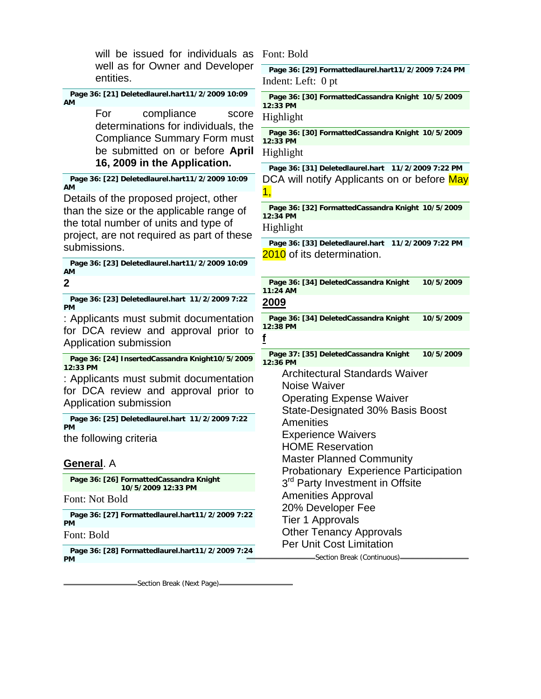| will be issued for individuals as<br>well as for Owner and Developer               | Font: Bold<br>Page 36: [29] Formattedlaurel.hart11/2/2009 7:24 PM |
|------------------------------------------------------------------------------------|-------------------------------------------------------------------|
| entities.                                                                          | Indent: Left: 0 pt                                                |
| Page 36: [21] Deletedlaurel.hart11/2/2009 10:09<br>АM                              | Page 36: [30] FormattedCassandra Knight 10/5/2009<br>12:33 PM     |
| compliance<br>For<br>score                                                         | Highlight                                                         |
| determinations for individuals, the<br><b>Compliance Summary Form must</b>         | Page 36: [30] FormattedCassandra Knight 10/5/2009<br>12:33 PM     |
| be submitted on or before April                                                    | Highlight                                                         |
| 16, 2009 in the Application.                                                       | Page 36: [31] Deletedlaurel.hart 11/2/2009 7:22 PM                |
| Page 36: [22] Deletedlaurel.hart11/2/2009 10:09<br>AМ                              | DCA will notify Applicants on or before May<br>1,                 |
| Details of the proposed project, other<br>than the size or the applicable range of | Page 36: [32] FormattedCassandra Knight 10/5/2009<br>12:34 PM     |
| the total number of units and type of                                              | Highlight                                                         |
| project, are not required as part of these<br>submissions.                         | Page 36: [33] Deletedlaurel.hart 11/2/2009 7:22 PM                |
| Page 36: [23] Deletedlaurel.hart11/2/2009 10:09                                    | 2010 of its determination.                                        |
| AМ                                                                                 |                                                                   |
| $\overline{2}$                                                                     | Page 36: [34] DeletedCassandra Knight<br>10/5/2009<br>11:24 AM    |
| Page 36: [23] Deletedlaurel.hart 11/2/2009 7:22<br><b>PM</b>                       | <u> 2009</u>                                                      |
| : Applicants must submit documentation                                             | Page 36: [34] DeletedCassandra Knight<br>10/5/2009<br>12:38 PM    |
| for DCA review and approval prior to<br>Application submission                     |                                                                   |
| Page 36: [24] InsertedCassandra Knight10/5/2009<br>12:33 PM                        | Page 37: [35] DeletedCassandra Knight<br>10/5/2009<br>12:36 PM    |
| : Applicants must submit documentation                                             | <b>Architectural Standards Waiver</b>                             |
| for DCA review and approval prior to                                               | Noise Waiver<br><b>Operating Expense Waiver</b>                   |
| Application submission                                                             | State-Designated 30% Basis Boost                                  |
| Page 36: [25] Deletedlaurel.hart 11/2/2009 7:22<br><b>PM</b>                       | Amenities                                                         |
| the following criteria                                                             | <b>Experience Waivers</b><br><b>HOME Reservation</b>              |
| General. A                                                                         | <b>Master Planned Community</b>                                   |
|                                                                                    | Probationary Experience Participation                             |
| Page 36: [26] FormattedCassandra Knight<br>10/5/2009 12:33 PM                      | 3 <sup>rd</sup> Party Investment in Offsite                       |
| Font: Not Bold                                                                     | <b>Amenities Approval</b><br>20% Developer Fee                    |
| Page 36: [27] Formattedlaurel.hart11/2/2009 7:22<br><b>PM</b>                      | Tier 1 Approvals                                                  |
| Font: Bold                                                                         | <b>Other Tenancy Approvals</b><br><b>Per Unit Cost Limitation</b> |
| Page 36: [28] Formattedlaurel.hart11/2/2009 7:24<br><b>PM</b>                      | Section Break (Continuous)=                                       |

Section Break (Next Page)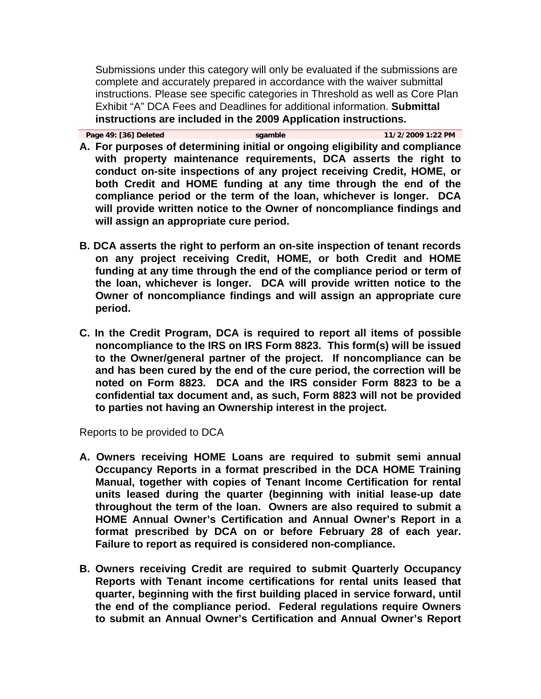Submissions under this category will only be evaluated if the submissions are complete and accurately prepared in accordance with the waiver submittal instructions. Please see specific categories in Threshold as well as Core Plan Exhibit "A" DCA Fees and Deadlines for additional information. **Submittal instructions are included in the 2009 Application instructions.** 

| 11/2/2009 1:22 PM<br>Page 49: [36] Deleted<br>sgamble |  |
|-------------------------------------------------------|--|
|-------------------------------------------------------|--|

- **A. For purposes of determining initial or ongoing eligibility and compliance with property maintenance requirements, DCA asserts the right to conduct on-site inspections of any project receiving Credit, HOME, or both Credit and HOME funding at any time through the end of the compliance period or the term of the loan, whichever is longer. DCA will provide written notice to the Owner of noncompliance findings and will assign an appropriate cure period.**
- **B. DCA asserts the right to perform an on-site inspection of tenant records on any project receiving Credit, HOME, or both Credit and HOME funding at any time through the end of the compliance period or term of the loan, whichever is longer. DCA will provide written notice to the Owner of noncompliance findings and will assign an appropriate cure period.**
- **C. In the Credit Program, DCA is required to report all items of possible noncompliance to the IRS on IRS Form 8823. This form(s) will be issued to the Owner/general partner of the project. If noncompliance can be and has been cured by the end of the cure period, the correction will be noted on Form 8823. DCA and the IRS consider Form 8823 to be a confidential tax document and, as such, Form 8823 will not be provided to parties not having an Ownership interest in the project.**

Reports to be provided to DCA

- **A. Owners receiving HOME Loans are required to submit semi annual Occupancy Reports in a format prescribed in the DCA HOME Training Manual, together with copies of Tenant Income Certification for rental units leased during the quarter (beginning with initial lease-up date throughout the term of the loan. Owners are also required to submit a HOME Annual Owner's Certification and Annual Owner's Report in a format prescribed by DCA on or before February 28 of each year. Failure to report as required is considered non-compliance.**
- **B. Owners receiving Credit are required to submit Quarterly Occupancy Reports with Tenant income certifications for rental units leased that quarter, beginning with the first building placed in service forward, until the end of the compliance period. Federal regulations require Owners to submit an Annual Owner's Certification and Annual Owner's Report**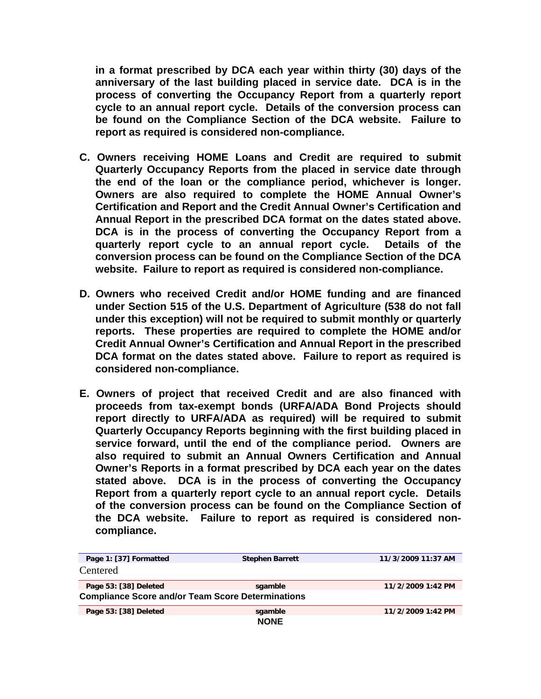**in a format prescribed by DCA each year within thirty (30) days of the anniversary of the last building placed in service date. DCA is in the process of converting the Occupancy Report from a quarterly report cycle to an annual report cycle. Details of the conversion process can be found on the Compliance Section of the DCA website. Failure to report as required is considered non-compliance.** 

- **C. Owners receiving HOME Loans and Credit are required to submit Quarterly Occupancy Reports from the placed in service date through the end of the loan or the compliance period, whichever is longer. Owners are also required to complete the HOME Annual Owner's Certification and Report and the Credit Annual Owner's Certification and Annual Report in the prescribed DCA format on the dates stated above. DCA is in the process of converting the Occupancy Report from a quarterly report cycle to an annual report cycle. Details of the conversion process can be found on the Compliance Section of the DCA website. Failure to report as required is considered non-compliance.**
- **D. Owners who received Credit and/or HOME funding and are financed under Section 515 of the U.S. Department of Agriculture (538 do not fall under this exception) will not be required to submit monthly or quarterly reports. These properties are required to complete the HOME and/or Credit Annual Owner's Certification and Annual Report in the prescribed DCA format on the dates stated above. Failure to report as required is considered non-compliance.**
- **E. Owners of project that received Credit and are also financed with proceeds from tax-exempt bonds (URFA/ADA Bond Projects should report directly to URFA/ADA as required) will be required to submit Quarterly Occupancy Reports beginning with the first building placed in service forward, until the end of the compliance period. Owners are also required to submit an Annual Owners Certification and Annual Owner's Reports in a format prescribed by DCA each year on the dates stated above. DCA is in the process of converting the Occupancy Report from a quarterly report cycle to an annual report cycle. Details of the conversion process can be found on the Compliance Section of the DCA website. Failure to report as required is considered noncompliance.**

| Page 1: [37] Formatted                                   | <b>Stephen Barrett</b> | 11/3/2009 11:37 AM |
|----------------------------------------------------------|------------------------|--------------------|
| Centered                                                 |                        |                    |
| Page 53: [38] Deleted                                    | sgamble                | 11/2/2009 1:42 PM  |
| <b>Compliance Score and/or Team Score Determinations</b> |                        |                    |
| Page 53: [38] Deleted                                    | sgamble                | 11/2/2009 1:42 PM  |
|                                                          | <b>NONE</b>            |                    |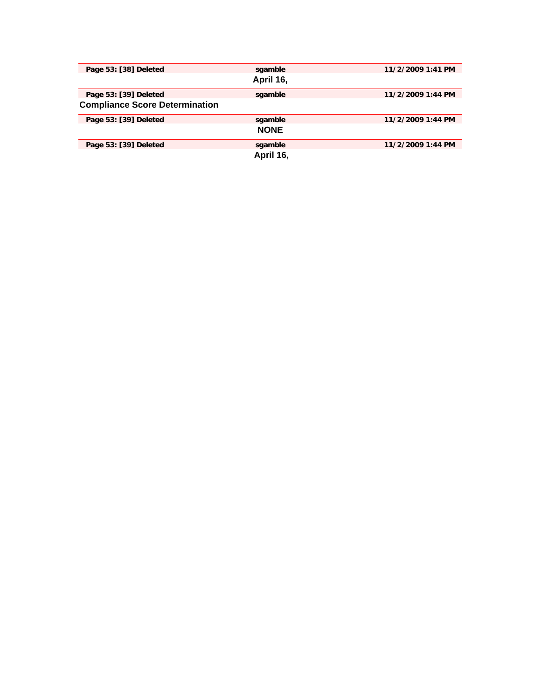| Page 53: [38] Deleted                 | sgamble     | 11/2/2009 1:41 PM |
|---------------------------------------|-------------|-------------------|
|                                       | April 16,   |                   |
| Page 53: [39] Deleted                 | sgamble     | 11/2/2009 1:44 PM |
| <b>Compliance Score Determination</b> |             |                   |
| Page 53: [39] Deleted                 | sgamble     | 11/2/2009 1:44 PM |
|                                       | <b>NONE</b> |                   |
| Page 53: [39] Deleted                 | sgamble     | 11/2/2009 1:44 PM |
|                                       | April 16,   |                   |
|                                       |             |                   |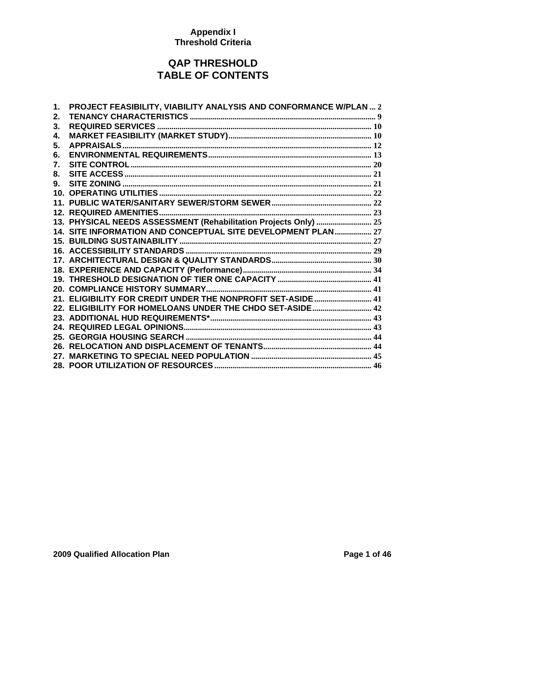### **Appendix I Threshold Criteria**

## **QAP THRESHOLD TABLE OF CONTENTS**

| 1. | PROJECT FEASIBILITY, VIABILITY ANALYSIS AND CONFORMANCE W/PLAN  2 |
|----|-------------------------------------------------------------------|
| 2. |                                                                   |
| 3. |                                                                   |
| 4. |                                                                   |
| 5. |                                                                   |
| 6. |                                                                   |
| 7. |                                                                   |
| 8. |                                                                   |
| 9. |                                                                   |
|    |                                                                   |
|    |                                                                   |
|    |                                                                   |
|    | 13. PHYSICAL NEEDS ASSESSMENT (Rehabilitation Projects Only)  25  |
|    | 14. SITE INFORMATION AND CONCEPTUAL SITE DEVELOPMENT PLAN 27      |
|    |                                                                   |
|    |                                                                   |
|    |                                                                   |
|    |                                                                   |
|    |                                                                   |
|    |                                                                   |
|    | 21. ELIGIBILITY FOR CREDIT UNDER THE NONPROFIT SET-ASIDE 41       |
|    |                                                                   |
|    |                                                                   |
|    |                                                                   |
|    |                                                                   |
|    |                                                                   |
| 27 |                                                                   |
|    |                                                                   |

## **2009 Qualified Allocation Plan Page 1 of 46 Page 1 of 46**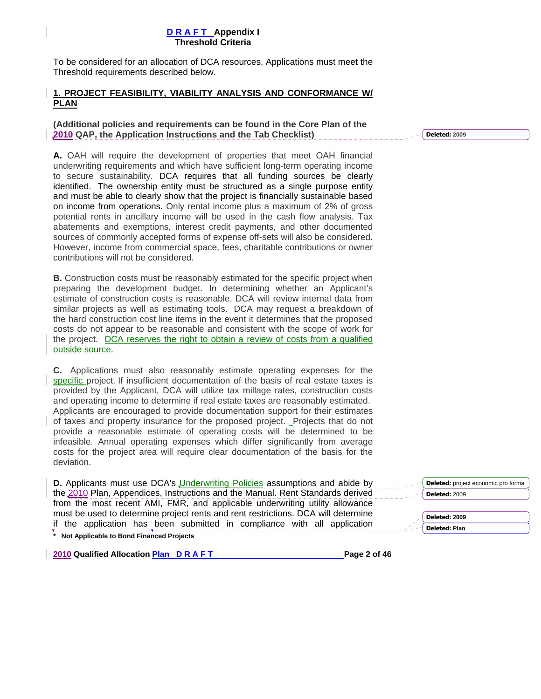<span id="page-63-0"></span>To be considered for an allocation of DCA resources, Applications must meet the Threshold requirements described below.

### **1. PROJECT FEASIBILITY, VIABILITY ANALYSIS AND CONFORMANCE W/ PLAN**

**(Additional policies and requirements can be found in the Core Plan of the 2010 QAP, the Application Instructions and the Tab Checklist)** 

**A.** OAH will require the development of properties that meet OAH financial underwriting requirements and which have sufficient long-term operating income to secure sustainability. DCA requires that all funding sources be clearly identified. The ownership entity must be structured as a single purpose entity and must be able to clearly show that the project is financially sustainable based on income from operations. Only rental income plus a maximum of 2% of gross potential rents in ancillary income will be used in the cash flow analysis. Tax abatements and exemptions, interest credit payments, and other documented sources of commonly accepted forms of expense off-sets will also be considered. However, income from commercial space, fees, charitable contributions or owner contributions will not be considered.

**B.** Construction costs must be reasonably estimated for the specific project when preparing the development budget. In determining whether an Applicant's estimate of construction costs is reasonable, DCA will review internal data from similar projects as well as estimating tools. DCA may request a breakdown of the hard construction cost line items in the event it determines that the proposed costs do not appear to be reasonable and consistent with the scope of work for the project. DCA reserves the right to obtain a review of costs from a qualified outside source.

**C.** Applications must also reasonably estimate operating expenses for the specific project. If insufficient documentation of the basis of real estate taxes is provided by the Applicant, DCA will utilize tax millage rates, construction costs and operating income to determine if real estate taxes are reasonably estimated. Applicants are encouraged to provide documentation support for their estimates of taxes and property insurance for the proposed project. Projects that do not provide a reasonable estimate of operating costs will be determined to be infeasible. Annual operating expenses which differ significantly from average costs for the project area will require clear documentation of the basis for the deviation.

**\* Not Applicable to Bond Financed Projects D.** Applicants must use DCA's **Underwriting Policies** assumptions and abide by the 2010 Plan, Appendices, Instructions and the Manual. Rent Standards derived from the most recent AMI, FMR, and applicable underwriting utility allowance must be used to determine project rents and rent restrictions. DCA will determine if the application has been submitted in compliance with all application

**2010 Qualified Allocation Plan D R A F T Page 2 of 46** 

| Deleted: 2009        |
|----------------------|
|                      |
| Deleted: 2009        |
| <b>Deleted: Plan</b> |
|                      |

**Deleted:** project economic pro forma

**Deleted: 2009**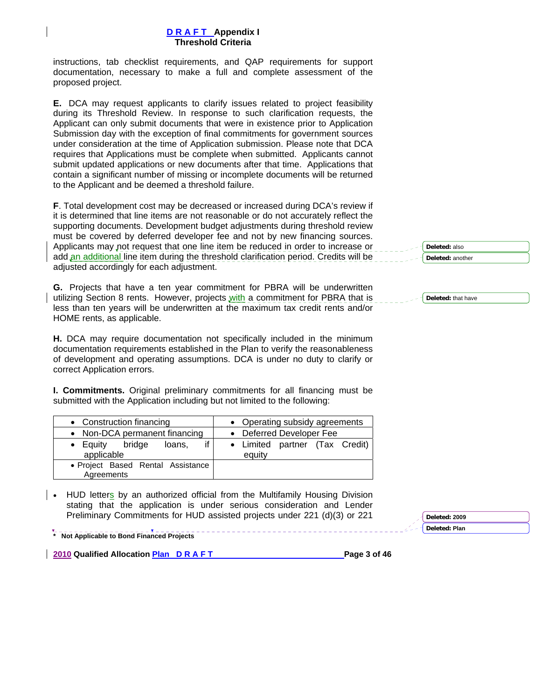instructions, tab checklist requirements, and QAP requirements for support documentation, necessary to make a full and complete assessment of the proposed project.

**E.** DCA may request applicants to clarify issues related to project feasibility during its Threshold Review. In response to such clarification requests, the Applicant can only submit documents that were in existence prior to Application Submission day with the exception of final commitments for government sources under consideration at the time of Application submission. Please note that DCA requires that Applications must be complete when submitted. Applicants cannot submit updated applications or new documents after that time. Applications that contain a significant number of missing or incomplete documents will be returned to the Applicant and be deemed a threshold failure.

**F**. Total development cost may be decreased or increased during DCA's review if it is determined that line items are not reasonable or do not accurately reflect the supporting documents. Development budget adjustments during threshold review must be covered by deferred developer fee and not by new financing sources. Applicants may not request that one line item be reduced in order to increase or add an additional line item during the threshold clarification period. Credits will be adjusted accordingly for each adjustment.

**G.** Projects that have a ten year commitment for PBRA will be underwritten utilizing Section 8 rents. However, projects with a commitment for PBRA that is less than ten years will be underwritten at the maximum tax credit rents and/or HOME rents, as applicable.

**H.** DCA may require documentation not specifically included in the minimum documentation requirements established in the Plan to verify the reasonableness of development and operating assumptions. DCA is under no duty to clarify or correct Application errors.

**I. Commitments.** Original preliminary commitments for all financing must be submitted with the Application including but not limited to the following:

| • Construction financing                        | • Operating subsidy agreements           |
|-------------------------------------------------|------------------------------------------|
| • Non-DCA permanent financing                   | • Deferred Developer Fee                 |
| if<br>• Equity bridge<br>loans,<br>applicable   | • Limited partner (Tax Credit)<br>equity |
| • Project Based Rental Assistance<br>Agreements |                                          |

• HUD letters by an authorized official from the Multifamily Housing Division stating that the application is under serious consideration and Lender Preliminary Commitments for HUD assisted projects under 221 (d)(3) or 221

**\* Not Applicable to Bond Financed Projects** 

**2010 Qualified Allocation Plan D R A F T Page 3 of 46** 

|     | Deleted: also    |  |
|-----|------------------|--|
| - - | Deleted: another |  |

**Deleted:** that have

**Deleted: 2009 Deleted: Plan**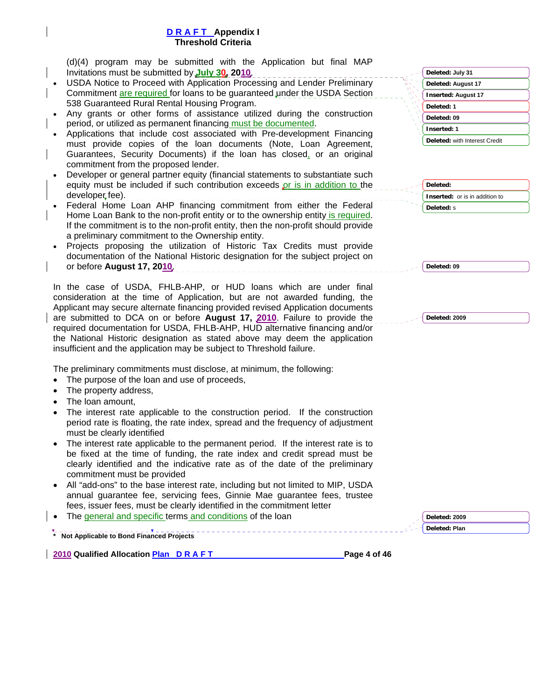(d)(4) program may be submitted with the Application but final MAP Invitations must be submitted by **July 30, 2010**.

- USDA Notice to Proceed with Application Processing and Lender Preliminary Commitment are required for loans to be guaranteed under the USDA Section 538 Guaranteed Rural Rental Housing Program.
- Any grants or other forms of assistance utilized during the construction period, or utilized as permanent financing must be documented.
- Applications that include cost associated with Pre-development Financing must provide copies of the loan documents (Note, Loan Agreement, Guarantees, Security Documents) if the loan has closed, or an original commitment from the proposed lender.
- Developer or general partner equity (financial statements to substantiate such equity must be included if such contribution exceeds or is in addition to the developer fee).
- Federal Home Loan AHP financing commitment from either the Federal Home Loan Bank to the non-profit entity or to the ownership entity is required. If the commitment is to the non-profit entity, then the non-profit should provide a preliminary commitment to the Ownership entity.
- Projects proposing the utilization of Historic Tax Credits must provide documentation of the National Historic designation for the subject project on or before **August 17, 2010**.

In the case of USDA, FHLB-AHP, or HUD loans which are under final consideration at the time of Application, but are not awarded funding, the Applicant may secure alternate financing provided revised Application documents are submitted to DCA on or before **August 17, 2010**. Failure to provide the required documentation for USDA, FHLB-AHP, HUD alternative financing and/or the National Historic designation as stated above may deem the application insufficient and the application may be subject to Threshold failure.

The preliminary commitments must disclose, at minimum, the following:

- The purpose of the loan and use of proceeds,
- The property address,
- The loan amount,
- The interest rate applicable to the construction period. If the construction period rate is floating, the rate index, spread and the frequency of adjustment must be clearly identified
- The interest rate applicable to the permanent period. If the interest rate is to be fixed at the time of funding, the rate index and credit spread must be clearly identified and the indicative rate as of the date of the preliminary commitment must be provided
- All "add-ons" to the base interest rate, including but not limited to MIP, USDA annual guarantee fee, servicing fees, Ginnie Mae guarantee fees, trustee fees, issuer fees, must be clearly identified in the commitment letter
- The general and specific terms and conditions of the loan

**\* Not Applicable to Bond Financed Projects** 

**2010 Qualified Allocation Plan D R A F T Page 4 of 46** 

| Deleted: July 31              |  |
|-------------------------------|--|
| Deleted: August 17            |  |
| <b>Inserted: August 17</b>    |  |
| Deleted: 1                    |  |
| Deleted: 09                   |  |
| <b>Inserted: 1</b>            |  |
| Deleted: with Interest Credit |  |

| Deleted:                              |
|---------------------------------------|
| <b>Inserted:</b> or is in addition to |
| Deleted: s                            |

**Deleted: 09**

**Deleted: 2009**

**Deleted: 2009 Deleted: Plan**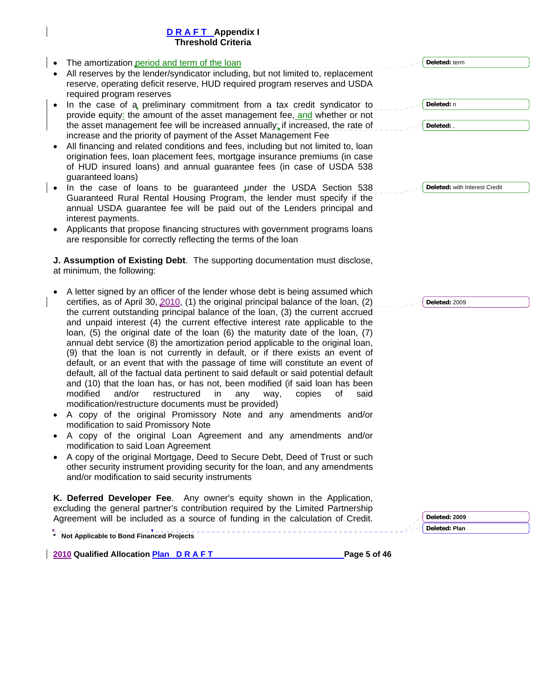| • The amortization period and term of the loan                                                          |
|---------------------------------------------------------------------------------------------------------|
| • All reserves by the lender/syndicator including, but not limited to, replacement                      |
| reserve, operating deficit reserve, HUD required program reserves and USDA<br>required program reserves |

- In the case of a preliminary commitment from a tax credit syndicator to provide equity: the amount of the asset management fee, and whether or not the asset management fee will be increased annually; if increased, the rate of increase and the priority of payment of the Asset Management Fee
- All financing and related conditions and fees, including but not limited to, loan origination fees, loan placement fees, mortgage insurance premiums (in case of HUD insured loans) and annual guarantee fees (in case of USDA 538 guaranteed loans)
- In the case of loans to be guaranteed under the USDA Section 538 Guaranteed Rural Rental Housing Program, the lender must specify if the annual USDA guarantee fee will be paid out of the Lenders principal and interest payments.
- Applicants that propose financing structures with government programs loans are responsible for correctly reflecting the terms of the loan

**J. Assumption of Existing Debt**. The supporting documentation must disclose, at minimum, the following:

- A letter signed by an officer of the lender whose debt is being assumed which certifies, as of April 30, 2010, (1) the original principal balance of the loan, (2) the current outstanding principal balance of the loan, (3) the current accrued and unpaid interest (4) the current effective interest rate applicable to the loan, (5) the original date of the loan (6) the maturity date of the loan, (7) annual debt service (8) the amortization period applicable to the original loan, (9) that the loan is not currently in default, or if there exists an event of default, or an event that with the passage of time will constitute an event of default, all of the factual data pertinent to said default or said potential default and (10) that the loan has, or has not, been modified (if said loan has been modified and/or restructured in any way, copies of said modification/restructure documents must be provided)
- A copy of the original Promissory Note and any amendments and/or modification to said Promissory Note
- A copy of the original Loan Agreement and any amendments and/or modification to said Loan Agreement
- A copy of the original Mortgage, Deed to Secure Debt, Deed of Trust or such other security instrument providing security for the loan, and any amendments and/or modification to said security instruments

**K. Deferred Developer Fee**. Any owner's equity shown in the Application, excluding the general partner's contribution required by the Limited Partnership Agreement will be included as a source of funding in the calculation of Credit.

**\* Not Applicable to Bond Financed Projects** 

**2010 Qualified Allocation Plan D R A F T Page 5 of 46** 

**Deleted:** term

**Deleted:** n **Deleted:** ,

**Deleted:** with Interest Credit

**Deleted:** 2009

**Deleted: 2009 Deleted: Plan**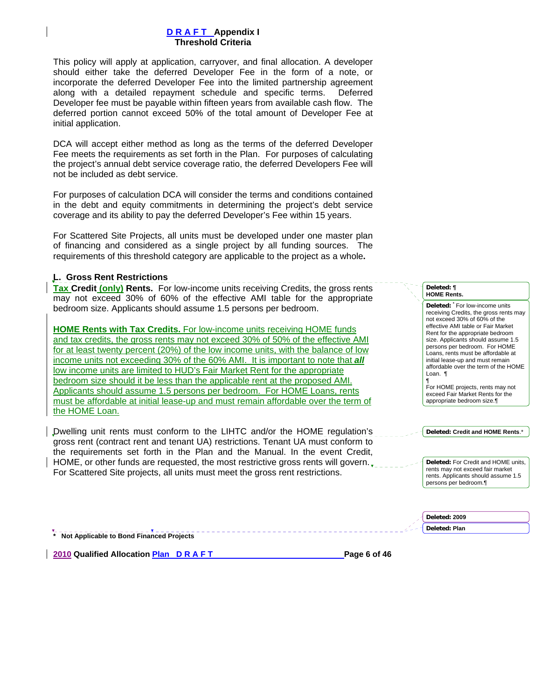This policy will apply at application, carryover, and final allocation. A developer should either take the deferred Developer Fee in the form of a note, or incorporate the deferred Developer Fee into the limited partnership agreement along with a detailed repayment schedule and specific terms. Deferred Developer fee must be payable within fifteen years from available cash flow. The deferred portion cannot exceed 50% of the total amount of Developer Fee at initial application.

DCA will accept either method as long as the terms of the deferred Developer Fee meets the requirements as set forth in the Plan. For purposes of calculating the project's annual debt service coverage ratio, the deferred Developers Fee will not be included as debt service.

For purposes of calculation DCA will consider the terms and conditions contained in the debt and equity commitments in determining the project's debt service coverage and its ability to pay the deferred Developer's Fee within 15 years.

For Scattered Site Projects, all units must be developed under one master plan of financing and considered as a single project by all funding sources. The requirements of this threshold category are applicable to the project as a whole**.** 

### **L. Gross Rent Restrictions**

**Tax Credit (only) Rents.** For low-income units receiving Credits, the gross rents may not exceed 30% of 60% of the effective AMI table for the appropriate bedroom size. Applicants should assume 1.5 persons per bedroom.

**HOME Rents with Tax Credits.** For low-income units receiving HOME funds and tax credits, the gross rents may not exceed 30% of 50% of the effective AMI for at least twenty percent (20%) of the low income units, with the balance of low income units not exceeding 30% of the 60% AMI. It is important to note that *all* low income units are limited to HUD's Fair Market Rent for the appropriate bedroom size should it be less than the applicable rent at the proposed AMI. Applicants should assume 1.5 persons per bedroom. For HOME Loans, rents must be affordable at initial lease-up and must remain affordable over the term of the HOME Loan.

Dwelling unit rents must conform to the LIHTC and/or the HOME regulation's gross rent (contract rent and tenant UA) restrictions. Tenant UA must conform to the requirements set forth in the Plan and the Manual. In the event Credit, HOME, or other funds are requested, the most restrictive gross rents will govern. For Scattered Site projects, all units must meet the gross rent restrictions.

#### **Deleted: ¶ HOME Rents.**

**Deleted: \*** For low-income units receiving Credits, the gross rents may not exceed 30% of 60% of the effective AMI table or Fair Market Rent for the appropriate bedroom size. Applicants should assume 1.5 persons per bedroom. For HOME Loans, rents must be affordable at initial lease-up and must remain affordable over the term of the HOME Loan. ¶

¶ For HOME projects, rents may not exceed Fair Market Rents for the appropriate bedroom size.¶

**Deleted: Credit and HOME Rents**.\*

**Deleted:** For Credit and HOME units, rents may not exceed fair market rents. Applicants should assume 1.5 persons per bedroom.¶

**Deleted: 2009 Deleted: Plan** 

**\* Not Applicable to Bond Financed Projects** 

**2010 Qualified Allocation Plan D R A F T Page 6 of 46**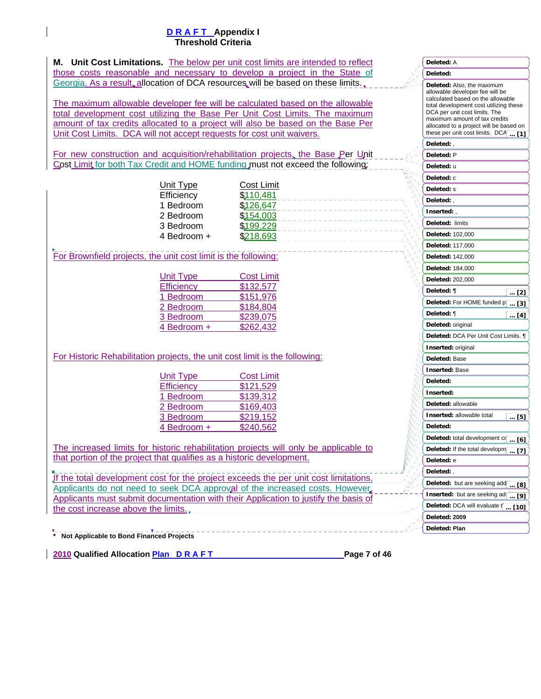**M. Unit Cost Limitations.** The below per unit cost limits are intended to reflect those costs reasonable and necessary to develop a project in the State of Georgia. As a result, allocation of DCA resources will be based on these limits.

The maximum allowable developer fee will be calculated based on the allowable total development cost utilizing the Base Per Unit Cost Limits. The maximum amount of tax credits allocated to a project will also be based on the Base Per Unit Cost Limits. DCA will not accept requests for cost unit waivers.

For new construction and acquisition/rehabilitation projects, the Base Per Unit Cost Limit for both Tax Credit and HOME funding must not exceed the following:

| Unit Type               | Cost Limit<br>\$110,481 |
|-------------------------|-------------------------|
| Efficiency<br>1 Bedroom | \$126,647               |
| 2 Bedroom               | \$154,003               |
| 3 Bedroom               | \$199,229               |
| 4 Bedroom +             | \$218,693               |
|                         |                         |

For Brownfield projects, the unit cost limit is the following:

| <b>Unit Type</b>  | <b>Cost Limit</b> |
|-------------------|-------------------|
| <b>Efficiency</b> | \$132,577         |
| 1 Bedroom         | \$151,976         |
| 2 Bedroom         | \$184,804         |
| 3 Bedroom         | \$239,075         |
| 4 Bedroom +       | \$262,432         |
|                   |                   |

For Historic Rehabilitation projects, the unit cost limit is the following:

| <b>Unit Type</b>  | <b>Cost Limit</b> |
|-------------------|-------------------|
| <b>Efficiency</b> | \$121,529         |
| 1 Bedroom         | \$139,312         |
| 2 Bedroom         | \$169,403         |
| 3 Bedroom         | \$219,152         |
| 4 Bedroom +       | \$240,562         |
|                   |                   |

The increased limits for historic rehabilitation projects will only be applicable to that portion of the project that qualifies as a historic development.

If the total development cost for the project exceeds the per unit cost limitations, Applicants do not need to seek DCA approval of the increased costs. However, Applicants must submit documentation with their Application to justify the basis of the cost increase above the limits.

**\* Not Applicable to Bond Financed Projects** 

2010 Qualified Allocation Plan D R A F T Page 7 of 46

\_\_\_\_\_\_\_\_\_\_\_\_\_\_\_\_\_\_\_\_\_\_\_\_\_\_

|                                                | <b>Deleted:</b> A                                                    |
|------------------------------------------------|----------------------------------------------------------------------|
|                                                | Deleted:                                                             |
|                                                | Deleted: Also, the maximum                                           |
|                                                | allowable developer fee will be<br>calculated based on the allowable |
|                                                | total development cost utilizing these                               |
|                                                | DCA per unit cost limits. The<br>maximum amount of tax credits       |
|                                                | allocated to a project will be based on                              |
|                                                | these per unit cost limits. DCA  [1]                                 |
|                                                | Deleted:,                                                            |
|                                                | Deleted: P                                                           |
|                                                | Deleted: u                                                           |
|                                                | Deleted: c                                                           |
|                                                | Deleted: s<br>Deleted:,                                              |
|                                                | Inserted:,                                                           |
|                                                | Deleted: limits                                                      |
|                                                | Deleted: 102,000                                                     |
|                                                | <b>Deleted: 117,000</b>                                              |
|                                                | Deleted: 142,000                                                     |
|                                                | Deleted: 184,000                                                     |
|                                                | Deleted: 202,000                                                     |
|                                                | Deleted: ¶                                                           |
|                                                | $\lfloor  [2] \rfloor$<br>Deleted: For HOME funded p                 |
|                                                | [3]<br>$\ddots$<br>Deleted: ¶                                        |
|                                                | [4]<br><br>Deleted: original                                         |
| 4                                              | Deleted: DCA Per Unit Cost Limits. ¶                                 |
| 4<br>$\eta_I^+$                                | <b>Inserted:</b> original                                            |
| $\eta_{ij}$<br>$\eta_{\ell}$<br>$\mathbf{q}_j$ | Deleted: Base                                                        |
| $\eta_j$<br>ч,                                 | <b>Inserted: Base</b>                                                |
| $\eta$<br>ч,                                   | Deleted:                                                             |
| 4<br>т,                                        | Inserted:                                                            |
| г,                                             | Deleted: allowable                                                   |
|                                                | <b>Inserted:</b> allowable total<br>[5]                              |
|                                                | Deleted:                                                             |
|                                                | Deleted: total development cq  [6]                                   |
|                                                | Deleted: If the total developm<br>$\overline{[7]}$<br>               |
|                                                | Deleted: e                                                           |
|                                                | Deleted: ,                                                           |
|                                                | Deleted: but are seeking add  [8]                                    |
|                                                | Inserted: but are seeking ad<br><u>[9]</u>                           |
|                                                | Deleted: DCA will evaluate [ [10]                                    |
|                                                | Deleted: 2009                                                        |
|                                                | Deleted: Plan                                                        |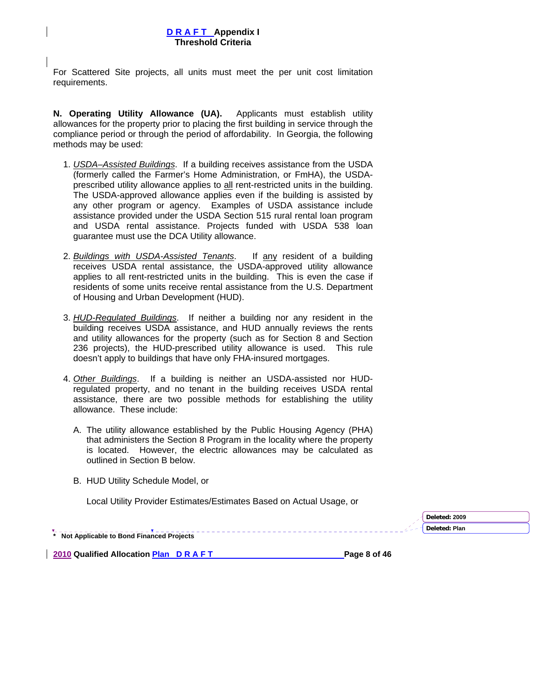For Scattered Site projects, all units must meet the per unit cost limitation requirements.

**N. Operating Utility Allowance (UA).** Applicants must establish utility allowances for the property prior to placing the first building in service through the compliance period or through the period of affordability. In Georgia, the following methods may be used:

- 1. *USDA–Assisted Buildings*. If a building receives assistance from the USDA (formerly called the Farmer's Home Administration, or FmHA), the USDAprescribed utility allowance applies to all rent-restricted units in the building. The USDA-approved allowance applies even if the building is assisted by any other program or agency. Examples of USDA assistance include assistance provided under the USDA Section 515 rural rental loan program and USDA rental assistance. Projects funded with USDA 538 loan guarantee must use the DCA Utility allowance.
- 2. *Buildings with USDA-Assisted Tenants*. If any resident of a building receives USDA rental assistance, the USDA-approved utility allowance applies to all rent-restricted units in the building. This is even the case if residents of some units receive rental assistance from the U.S. Department of Housing and Urban Development (HUD).
- 3. *HUD-Regulated Buildings*. If neither a building nor any resident in the building receives USDA assistance, and HUD annually reviews the rents and utility allowances for the property (such as for Section 8 and Section 236 projects), the HUD-prescribed utility allowance is used. This rule doesn't apply to buildings that have only FHA-insured mortgages.
- 4. *Other Buildings*. If a building is neither an USDA-assisted nor HUDregulated property, and no tenant in the building receives USDA rental assistance, there are two possible methods for establishing the utility allowance. These include:
	- A. The utility allowance established by the Public Housing Agency (PHA) that administers the Section 8 Program in the locality where the property is located. However, the electric allowances may be calculated as outlined in Section B below.
	- B. HUD Utility Schedule Model, or

Local Utility Provider Estimates/Estimates Based on Actual Usage, or

**\* Not Applicable to Bond Financed Projects Deleted: Plan** 

**2010 Qualified Allocation Plan D R A F T Page 8 of 46 Page 8 of 46** 

**Deleted: 2009**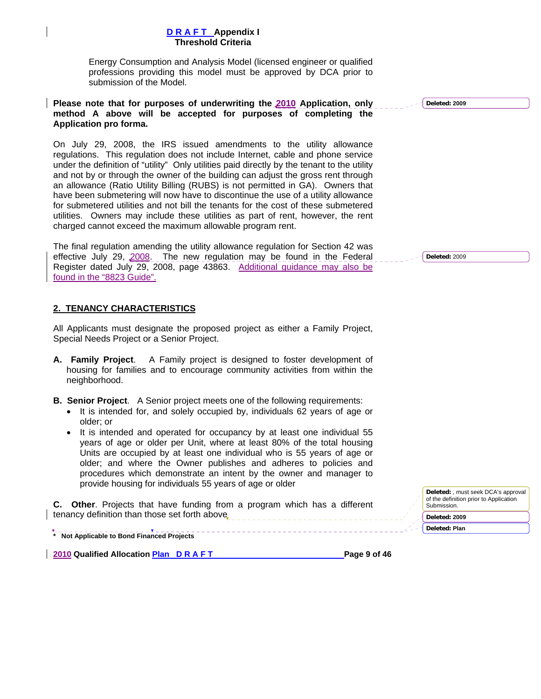<span id="page-70-0"></span> Energy Consumption and Analysis Model (licensed engineer or qualified professions providing this model must be approved by DCA prior to submission of the Model.

### **Please note that for purposes of underwriting the 2010 Application, only method A above will be accepted for purposes of completing the Application pro forma.**

On July 29, 2008, the IRS issued amendments to the utility allowance regulations. This regulation does not include Internet, cable and phone service under the definition of "utility" Only utilities paid directly by the tenant to the utility and not by or through the owner of the building can adjust the gross rent through an allowance (Ratio Utility Billing (RUBS) is not permitted in GA). Owners that have been submetering will now have to discontinue the use of a utility allowance for submetered utilities and not bill the tenants for the cost of these submetered utilities. Owners may include these utilities as part of rent, however, the rent charged cannot exceed the maximum allowable program rent.

The final regulation amending the utility allowance regulation for Section 42 was effective July 29, 2008. The new regulation may be found in the Federal Register dated July 29, 2008, page 43863. Additional guidance may also be found in the "8823 Guide".

### **2. TENANCY CHARACTERISTICS**

All Applicants must designate the proposed project as either a Family Project, Special Needs Project or a Senior Project.

- **A. Family Project**. A Family project is designed to foster development of housing for families and to encourage community activities from within the neighborhood.
- **B. Senior Project**. A Senior project meets one of the following requirements:
	- It is intended for, and solely occupied by, individuals 62 years of age or older; or
	- It is intended and operated for occupancy by at least one individual 55 years of age or older per Unit, where at least 80% of the total housing Units are occupied by at least one individual who is 55 years of age or older; and where the Owner publishes and adheres to policies and procedures which demonstrate an intent by the owner and manager to provide housing for individuals 55 years of age or older

**C. Other**. Projects that have funding from a program which has a different tenancy definition than those set forth above

**\* Not Applicable to Bond Financed Projects** 

**2010 Qualified Allocation Plan D R A F T Page 9 of 46** 

**Deleted: 2009**

**Deleted:** 2009

**Deleted:** , must seek DCA's approval of the definition prior to Application Submission.

**Deleted: 2009**

**Deleted: Plan**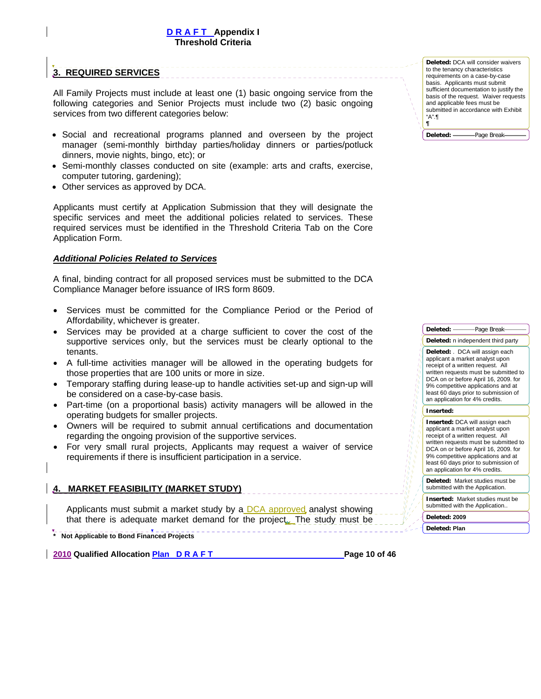# <span id="page-71-0"></span>**3. REQUIRED SERVICES**

All Family Projects must include at least one (1) basic ongoing service from the following categories and Senior Projects must include two (2) basic ongoing services from two different categories below:

- Social and recreational programs planned and overseen by the project manager (semi-monthly birthday parties/holiday dinners or parties/potluck dinners, movie nights, bingo, etc); or
- Semi-monthly classes conducted on site (example: arts and crafts, exercise, computer tutoring, gardening);
- Other services as approved by DCA.

Applicants must certify at Application Submission that they will designate the specific services and meet the additional policies related to services. These required services must be identified in the Threshold Criteria Tab on the Core Application Form.

### *Additional Policies Related to Services*

A final, binding contract for all proposed services must be submitted to the DCA Compliance Manager before issuance of IRS form 8609.

- Services must be committed for the Compliance Period or the Period of Affordability, whichever is greater.
- Services may be provided at a charge sufficient to cover the cost of the supportive services only, but the services must be clearly optional to the tenants.
- A full-time activities manager will be allowed in the operating budgets for those properties that are 100 units or more in size.
- Temporary staffing during lease-up to handle activities set-up and sign-up will be considered on a case-by-case basis.
- Part-time (on a proportional basis) activity managers will be allowed in the operating budgets for smaller projects.
- Owners will be required to submit annual certifications and documentation regarding the ongoing provision of the supportive services.
- For very small rural projects, Applicants may request a waiver of service requirements if there is insufficient participation in a service.

### **4. MARKET FEASIBILITY (MARKET STUDY)**

Applicants must submit a market study by a DCA approved analyst showing that there is adequate market demand for the project.. The study must be

**\* Not Applicable to Bond Financed Projects** 

**2010 Qualified Allocation Plan D R A F T Page 10 of 46 Page 10 of 46** 

**Deleted:** DCA will consider waivers to the tenancy characteristics requirements on a case-by-case basis. Applicants must submit sufficient documentation to justify the basis of the request. Waiver requests and applicable fees must be submitted in accordance with Exhibit "A".¶ **¶**

**Deleted:** Page Break



Deleted: -------------Page Break

an application for 4% credits. **Deleted:** Market studies must be

submitted with the Application. **Inserted:** Market studies must be

submitted with the Application..

**Deleted: 2009**

**Deleted: Plan**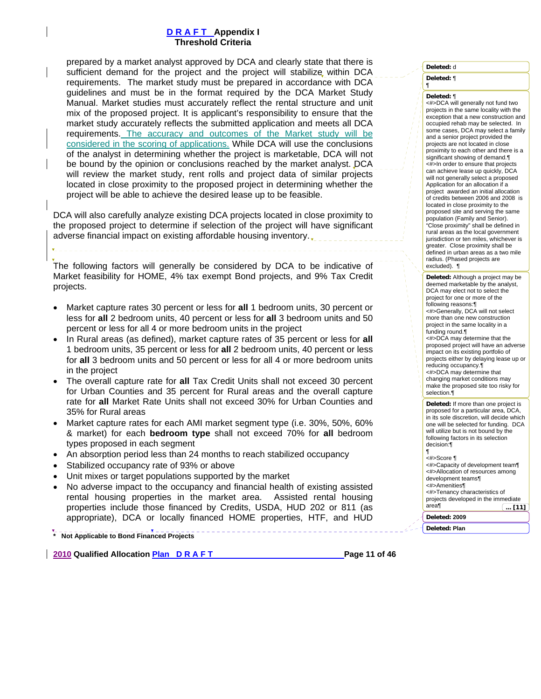prepared by a market analyst approved by DCA and clearly state that there is sufficient demand for the project and the project will stabilize within DCA requirements. The market study must be prepared in accordance with DCA guidelines and must be in the format required by the DCA Market Study Manual. Market studies must accurately reflect the rental structure and unit mix of the proposed project. It is applicant's responsibility to ensure that the market study accurately reflects the submitted application and meets all DCA requirements. The accuracy and outcomes of the Market study will be considered in the scoring of applications. While DCA will use the conclusions of the analyst in determining whether the project is marketable, DCA will not be bound by the opinion or conclusions reached by the market analyst. DCA will review the market study, rent rolls and project data of similar projects located in close proximity to the proposed project in determining whether the project will be able to achieve the desired lease up to be feasible.

DCA will also carefully analyze existing DCA projects located in close proximity to the proposed project to determine if selection of the project will have significant adverse financial impact on existing affordable housing inventory.

The following factors will generally be considered by DCA to be indicative of Market feasibility for HOME, 4% tax exempt Bond projects, and 9% Tax Credit projects.

- Market capture rates 30 percent or less for **all** 1 bedroom units, 30 percent or less for **all** 2 bedroom units, 40 percent or less for **all** 3 bedroom units and 50 percent or less for all 4 or more bedroom units in the project
- In Rural areas (as defined), market capture rates of 35 percent or less for **all** 1 bedroom units, 35 percent or less for **all** 2 bedroom units, 40 percent or less for **all** 3 bedroom units and 50 percent or less for all 4 or more bedroom units in the project
- The overall capture rate for **all** Tax Credit Units shall not exceed 30 percent for Urban Counties and 35 percent for Rural areas and the overall capture rate for **all** Market Rate Units shall not exceed 30% for Urban Counties and 35% for Rural areas
- Market capture rates for each AMI market segment type (i.e. 30%, 50%, 60% & market) for each **bedroom type** shall not exceed 70% for **all** bedroom types proposed in each segment
- An absorption period less than 24 months to reach stabilized occupancy
- Stabilized occupancy rate of 93% or above
- Unit mixes or target populations supported by the market
- No adverse impact to the occupancy and financial health of existing assisted rental housing properties in the market area. Assisted rental housing properties include those financed by Credits, USDA, HUD 202 or 811 (as appropriate), DCA or locally financed HOME properties, HTF, and HUD

**\* Not Applicable to Bond Financed Projects** 

**2010 Qualified Allocation Plan D R A F T Page 11 of 46 Page 11 of 46** 

**Deleted:** d

**Deleted:** ¶

¶

#### **Deleted:** ¶

<#>DCA will generally not fund two projects in the same locality with the exception that a new construction and occupied rehab may be selected. In some cases, DCA may select a family and a senior project provided the projects are not located in close proximity to each other and there is a significant showing of demand.¶ <#>In order to ensure that projects can achieve lease up quickly, DCA will not generally select a proposed Application for an allocation if a project awarded an initial allocation of credits between 2006 and 2008 is located in close proximity to the proposed site and serving the same population (Family and Senior). "Close proximity" shall be defined in rural areas as the local government jurisdiction or ten miles, whichever is greater. Close proximity shall be defined in urban areas as a two mile radius. (Phased projects are excluded). ¶

**Deleted:** Although a project may be deemed marketable by the analyst, DCA may elect not to select the project for one or more of the following reasons:¶ <#>Generally, DCA will not select more than one new construction project in the same locality in a funding round.¶ <#>DCA may determine that the proposed project will have an adverse impact on its existing portfolio of projects either by delaying lease up or reducing occupancy.¶ <#>DCA may determine that changing market conditions may make the proposed site too risky for selection.¶ **Deleted:** If more than one project is proposed for a particular area, DCA, in its sole discretion, will decide which one will be selected for funding. DCA

will utilize but is not bound by the following factors in its selection decision:¶ ¶<br><#>Score ¶

<#>Capacity of development team¶ <#>Allocation of resources among development teams¶ <#>Amenities¶ <#>Tenancy characteristics of projects developed in the immediate area¶ **... [11]**

**Deleted: 2009**

**Deleted: Plan**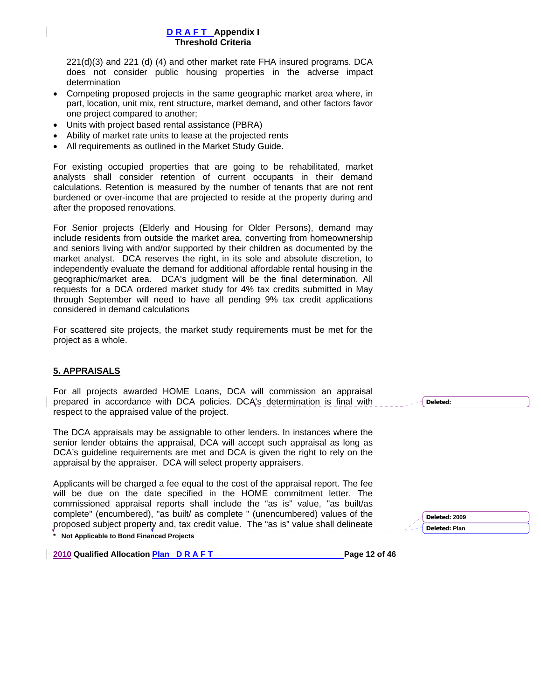221(d)(3) and 221 (d) (4) and other market rate FHA insured programs. DCA does not consider public housing properties in the adverse impact determination

- Competing proposed projects in the same geographic market area where, in part, location, unit mix, rent structure, market demand, and other factors favor one project compared to another;
- Units with project based rental assistance (PBRA)
- Ability of market rate units to lease at the projected rents
- All requirements as outlined in the Market Study Guide.

For existing occupied properties that are going to be rehabilitated, market analysts shall consider retention of current occupants in their demand calculations. Retention is measured by the number of tenants that are not rent burdened or over-income that are projected to reside at the property during and after the proposed renovations.

For Senior projects (Elderly and Housing for Older Persons), demand may include residents from outside the market area, converting from homeownership and seniors living with and/or supported by their children as documented by the market analyst. DCA reserves the right, in its sole and absolute discretion, to independently evaluate the demand for additional affordable rental housing in the geographic/market area. DCA's judgment will be the final determination. All requests for a DCA ordered market study for 4% tax credits submitted in May through September will need to have all pending 9% tax credit applications considered in demand calculations

For scattered site projects, the market study requirements must be met for the project as a whole.

## **5. APPRAISALS**

For all projects awarded HOME Loans, DCA will commission an appraisal prepared in accordance with DCA policies. DCA's determination is final with respect to the appraised value of the project.

The DCA appraisals may be assignable to other lenders. In instances where the senior lender obtains the appraisal, DCA will accept such appraisal as long as DCA's guideline requirements are met and DCA is given the right to rely on the appraisal by the appraiser. DCA will select property appraisers.

**\* Not Applicable to Bond Financed Projects**  Applicants will be charged a fee equal to the cost of the appraisal report. The fee will be due on the date specified in the HOME commitment letter. The commissioned appraisal reports shall include the "as is" value, "as built/as complete" (encumbered), "as built/ as complete " (unencumbered) values of the proposed subject property and, tax credit value. The "as is" value shall delineate

**2010 Qualified Allocation Plan D R A F T Page 12 of 46 Page 12 of 46** 

**Deleted:** 

**Deleted: Plan**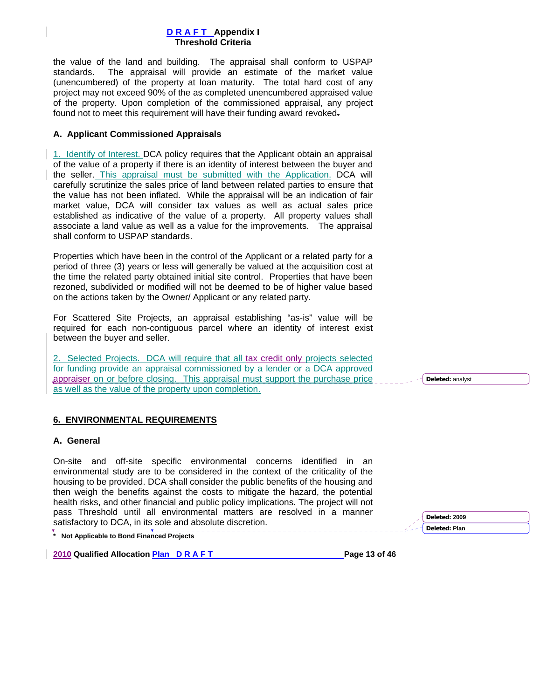the value of the land and building. The appraisal shall conform to USPAP standards. The appraisal will provide an estimate of the market value (unencumbered) of the property at loan maturity. The total hard cost of any project may not exceed 90% of the as completed unencumbered appraised value of the property. Upon completion of the commissioned appraisal, any project found not to meet this requirement will have their funding award revoked.

### **A. Applicant Commissioned Appraisals**

1. Identify of Interest. DCA policy requires that the Applicant obtain an appraisal of the value of a property if there is an identity of interest between the buyer and the seller. This appraisal must be submitted with the Application. DCA will carefully scrutinize the sales price of land between related parties to ensure that the value has not been inflated. While the appraisal will be an indication of fair market value, DCA will consider tax values as well as actual sales price established as indicative of the value of a property. All property values shall associate a land value as well as a value for the improvements. The appraisal shall conform to USPAP standards.

Properties which have been in the control of the Applicant or a related party for a period of three (3) years or less will generally be valued at the acquisition cost at the time the related party obtained initial site control. Properties that have been rezoned, subdivided or modified will not be deemed to be of higher value based on the actions taken by the Owner/ Applicant or any related party.

For Scattered Site Projects, an appraisal establishing "as-is" value will be required for each non-contiguous parcel where an identity of interest exist between the buyer and seller.

2. Selected Projects. DCA will require that all tax credit only projects selected for funding provide an appraisal commissioned by a lender or a DCA approved appraiser on or before closing. This appraisal must support the purchase price as well as the value of the property upon completion.

## **6. ENVIRONMENTAL REQUIREMENTS**

#### **A. General**

On-site and off-site specific environmental concerns identified in an environmental study are to be considered in the context of the criticality of the housing to be provided. DCA shall consider the public benefits of the housing and then weigh the benefits against the costs to mitigate the hazard, the potential health risks, and other financial and public policy implications. The project will not pass Threshold until all environmental matters are resolved in a manner satisfactory to DCA, in its sole and absolute discretion.

**\* Not Applicable to Bond Financed Projects** 

**2010 Qualified Allocation Plan D R A F T Page 13 of 46 Page 13 of 46** 

# **Deleted: 2009 Deleted: Plan**

**Deleted:** analyst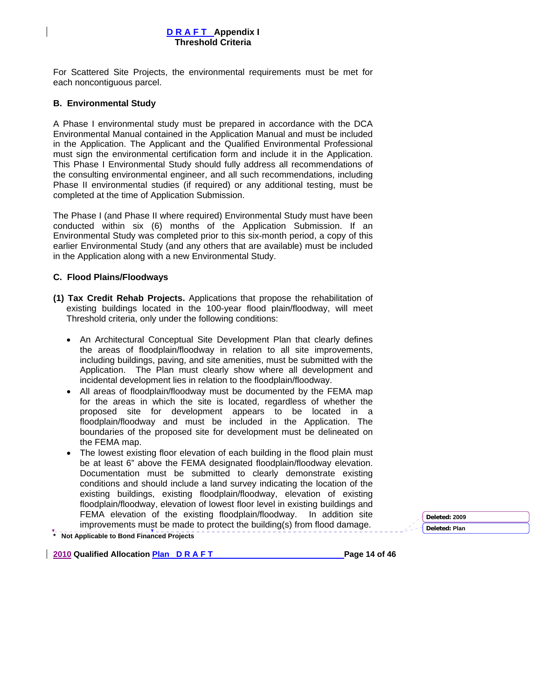For Scattered Site Projects, the environmental requirements must be met for each noncontiguous parcel.

### **B. Environmental Study**

A Phase I environmental study must be prepared in accordance with the DCA Environmental Manual contained in the Application Manual and must be included in the Application. The Applicant and the Qualified Environmental Professional must sign the environmental certification form and include it in the Application. This Phase I Environmental Study should fully address all recommendations of the consulting environmental engineer, and all such recommendations, including Phase II environmental studies (if required) or any additional testing, must be completed at the time of Application Submission.

The Phase I (and Phase II where required) Environmental Study must have been conducted within six (6) months of the Application Submission. If an Environmental Study was completed prior to this six-month period, a copy of this earlier Environmental Study (and any others that are available) must be included in the Application along with a new Environmental Study.

### **C. Flood Plains/Floodways**

- **(1) Tax Credit Rehab Projects.** Applications that propose the rehabilitation of existing buildings located in the 100-year flood plain/floodway, will meet Threshold criteria, only under the following conditions:
	- An Architectural Conceptual Site Development Plan that clearly defines the areas of floodplain/floodway in relation to all site improvements, including buildings, paving, and site amenities, must be submitted with the Application. The Plan must clearly show where all development and incidental development lies in relation to the floodplain/floodway.
	- All areas of floodplain/floodway must be documented by the FEMA map for the areas in which the site is located, regardless of whether the proposed site for development appears to be located in a floodplain/floodway and must be included in the Application. The boundaries of the proposed site for development must be delineated on the FEMA map.
	- The lowest existing floor elevation of each building in the flood plain must be at least 6" above the FEMA designated floodplain/floodway elevation. Documentation must be submitted to clearly demonstrate existing conditions and should include a land survey indicating the location of the existing buildings, existing floodplain/floodway, elevation of existing floodplain/floodway, elevation of lowest floor level in existing buildings and FEMA elevation of the existing floodplain/floodway. In addition site improvements must be made to protect the building(s) from flood damage.

**\* Not Applicable to Bond Financed Projects** 

**2010 Qualified Allocation Plan D R A F T Page 14 of 46 Page 14 of 46**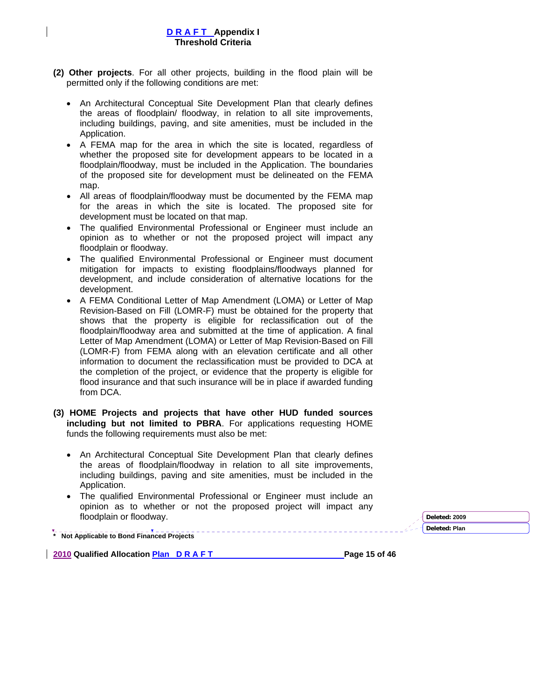- **(2) Other projects**. For all other projects, building in the flood plain will be permitted only if the following conditions are met:
	- An Architectural Conceptual Site Development Plan that clearly defines the areas of floodplain/ floodway, in relation to all site improvements, including buildings, paving, and site amenities, must be included in the Application.
	- A FEMA map for the area in which the site is located, regardless of whether the proposed site for development appears to be located in a floodplain/floodway, must be included in the Application. The boundaries of the proposed site for development must be delineated on the FEMA map.
	- All areas of floodplain/floodway must be documented by the FEMA map for the areas in which the site is located. The proposed site for development must be located on that map.
	- The qualified Environmental Professional or Engineer must include an opinion as to whether or not the proposed project will impact any floodplain or floodway.
	- The qualified Environmental Professional or Engineer must document mitigation for impacts to existing floodplains/floodways planned for development, and include consideration of alternative locations for the development.
	- A FEMA Conditional Letter of Map Amendment (LOMA) or Letter of Map Revision-Based on Fill (LOMR-F) must be obtained for the property that shows that the property is eligible for reclassification out of the floodplain/floodway area and submitted at the time of application. A final Letter of Map Amendment (LOMA) or Letter of Map Revision-Based on Fill (LOMR-F) from FEMA along with an elevation certificate and all other information to document the reclassification must be provided to DCA at the completion of the project, or evidence that the property is eligible for flood insurance and that such insurance will be in place if awarded funding from DCA.
- **(3) HOME Projects and projects that have other HUD funded sources including but not limited to PBRA**. For applications requesting HOME funds the following requirements must also be met:
	- An Architectural Conceptual Site Development Plan that clearly defines the areas of floodplain/floodway in relation to all site improvements, including buildings, paving and site amenities, must be included in the Application.
	- The qualified Environmental Professional or Engineer must include an opinion as to whether or not the proposed project will impact any floodplain or floodway. **Deleted: <sup>2009</sup>**

**Deleted: Plan** 

**\* Not Applicable to Bond Financed Projects** 

2010 Qualified Allocation **Plan D R A F T Page 15 of 46 Page 15 of 46** 

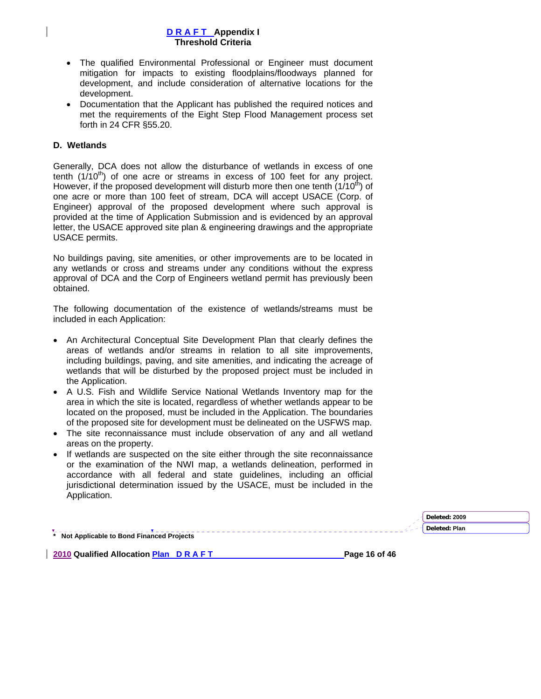- The qualified Environmental Professional or Engineer must document mitigation for impacts to existing floodplains/floodways planned for development, and include consideration of alternative locations for the development.
- Documentation that the Applicant has published the required notices and met the requirements of the Eight Step Flood Management process set forth in 24 CFR §55.20.

### **D. Wetlands**

Generally, DCA does not allow the disturbance of wetlands in excess of one tenth  $(1/10^{th})$  of one acre or streams in excess of 100 feet for any project. However, if the proposed development will disturb more then one tenth  $(1/10<sup>th</sup>)$  of one acre or more than 100 feet of stream, DCA will accept USACE (Corp. of Engineer) approval of the proposed development where such approval is provided at the time of Application Submission and is evidenced by an approval letter, the USACE approved site plan & engineering drawings and the appropriate USACE permits.

No buildings paving, site amenities, or other improvements are to be located in any wetlands or cross and streams under any conditions without the express approval of DCA and the Corp of Engineers wetland permit has previously been obtained.

The following documentation of the existence of wetlands/streams must be included in each Application:

- An Architectural Conceptual Site Development Plan that clearly defines the areas of wetlands and/or streams in relation to all site improvements, including buildings, paving, and site amenities, and indicating the acreage of wetlands that will be disturbed by the proposed project must be included in the Application.
- A U.S. Fish and Wildlife Service National Wetlands Inventory map for the area in which the site is located, regardless of whether wetlands appear to be located on the proposed, must be included in the Application. The boundaries of the proposed site for development must be delineated on the USFWS map.
- The site reconnaissance must include observation of any and all wetland areas on the property.
- If wetlands are suspected on the site either through the site reconnaissance or the examination of the NWI map, a wetlands delineation, performed in accordance with all federal and state guidelines, including an official jurisdictional determination issued by the USACE, must be included in the Application.

|                                          | Deleted: 2009 |
|------------------------------------------|---------------|
|                                          | Deleted: Plan |
| Not Applicable to Bond Financed Projects |               |

**2010 Qualified Allocation Plan D R A F T Page 16 of 46 Page 16 of 46**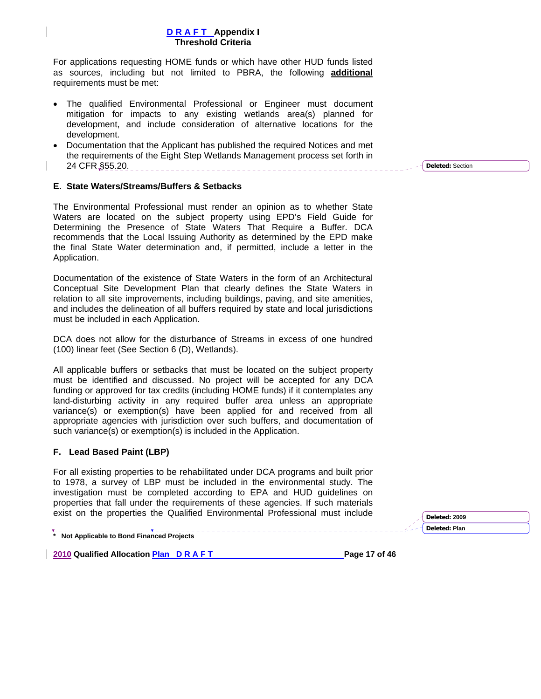For applications requesting HOME funds or which have other HUD funds listed as sources, including but not limited to PBRA, the following **additional** requirements must be met:

- The qualified Environmental Professional or Engineer must document mitigation for impacts to any existing wetlands area(s) planned for development, and include consideration of alternative locations for the development.
- Documentation that the Applicant has published the required Notices and met the requirements of the Eight Step Wetlands Management process set forth in 24 CFR §55.20.

### **E. State Waters/Streams/Buffers & Setbacks**

The Environmental Professional must render an opinion as to whether State Waters are located on the subject property using EPD's Field Guide for Determining the Presence of State Waters That Require a Buffer. DCA recommends that the Local Issuing Authority as determined by the EPD make the final State Water determination and, if permitted, include a letter in the Application.

Documentation of the existence of State Waters in the form of an Architectural Conceptual Site Development Plan that clearly defines the State Waters in relation to all site improvements, including buildings, paving, and site amenities, and includes the delineation of all buffers required by state and local jurisdictions must be included in each Application.

DCA does not allow for the disturbance of Streams in excess of one hundred (100) linear feet (See Section 6 (D), Wetlands).

All applicable buffers or setbacks that must be located on the subject property must be identified and discussed. No project will be accepted for any DCA funding or approved for tax credits (including HOME funds) if it contemplates any land-disturbing activity in any required buffer area unless an appropriate variance(s) or exemption(s) have been applied for and received from all appropriate agencies with jurisdiction over such buffers, and documentation of such variance(s) or exemption(s) is included in the Application.

## **F. Lead Based Paint (LBP)**

For all existing properties to be rehabilitated under DCA programs and built prior to 1978, a survey of LBP must be included in the environmental study. The investigation must be completed according to EPA and HUD guidelines on properties that fall under the requirements of these agencies. If such materials exist on the properties the Qualified Environmental Professional must include

**\* Not Applicable to Bond Financed Projects** 

2010 Qualified Allocation **Plan D R A F T** Page 17 of 46

**Deleted:** Section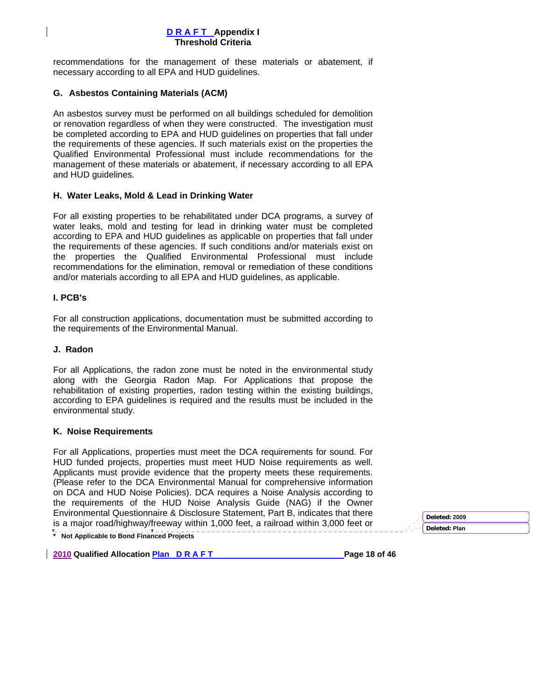recommendations for the management of these materials or abatement, if necessary according to all EPA and HUD guidelines.

### **G. Asbestos Containing Materials (ACM)**

An asbestos survey must be performed on all buildings scheduled for demolition or renovation regardless of when they were constructed. The investigation must be completed according to EPA and HUD guidelines on properties that fall under the requirements of these agencies. If such materials exist on the properties the Qualified Environmental Professional must include recommendations for the management of these materials or abatement, if necessary according to all EPA and HUD guidelines.

### **H. Water Leaks, Mold & Lead in Drinking Water**

For all existing properties to be rehabilitated under DCA programs, a survey of water leaks, mold and testing for lead in drinking water must be completed according to EPA and HUD guidelines as applicable on properties that fall under the requirements of these agencies. If such conditions and/or materials exist on the properties the Qualified Environmental Professional must include recommendations for the elimination, removal or remediation of these conditions and/or materials according to all EPA and HUD guidelines, as applicable.

### **I. PCB's**

For all construction applications, documentation must be submitted according to the requirements of the Environmental Manual.

### **J. Radon**

For all Applications, the radon zone must be noted in the environmental study along with the Georgia Radon Map. For Applications that propose the rehabilitation of existing properties, radon testing within the existing buildings, according to EPA guidelines is required and the results must be included in the environmental study.

#### **K. Noise Requirements**

**\* Not Applicable to Bond Financed Projects**  For all Applications, properties must meet the DCA requirements for sound. For HUD funded projects, properties must meet HUD Noise requirements as well. Applicants must provide evidence that the property meets these requirements. (Please refer to the DCA Environmental Manual for comprehensive information on DCA and HUD Noise Policies). DCA requires a Noise Analysis according to the requirements of the HUD Noise Analysis Guide (NAG) if the Owner Environmental Questionnaire & Disclosure Statement, Part B, indicates that there is a major road/highway/freeway within 1,000 feet, a railroad within 3,000 feet or

**2010 Qualified Allocation Plan D R A F T Page 18 of 46 Page 18 of 46** 

| Deleted: 2009 |  |
|---------------|--|
| Deleted: Plan |  |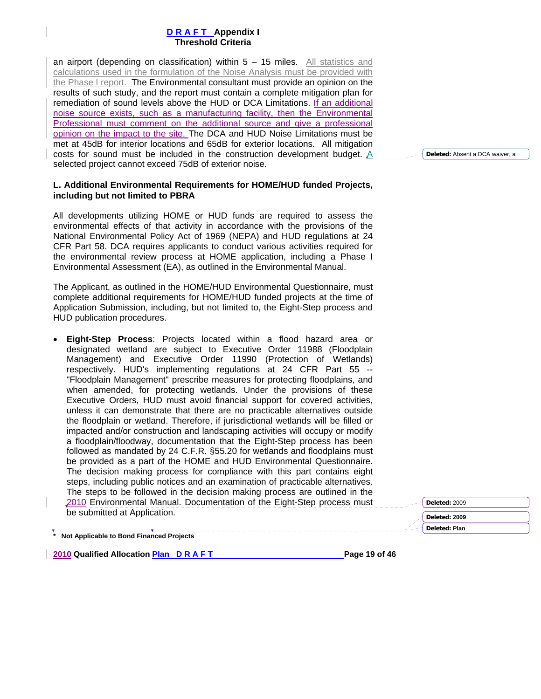an airport (depending on classification) within  $5 - 15$  miles. All statistics and calculations used in the formulation of the Noise Analysis must be provided with the Phase I report. The Environmental consultant must provide an opinion on the results of such study, and the report must contain a complete mitigation plan for remediation of sound levels above the HUD or DCA Limitations. If an additional noise source exists, such as a manufacturing facility, then the Environmental Professional must comment on the additional source and give a professional opinion on the impact to the site. The DCA and HUD Noise Limitations must be met at 45dB for interior locations and 65dB for exterior locations. All mitigation costs for sound must be included in the construction development budget. A selected project cannot exceed 75dB of exterior noise.

### **L. Additional Environmental Requirements for HOME/HUD funded Projects, including but not limited to PBRA**

All developments utilizing HOME or HUD funds are required to assess the environmental effects of that activity in accordance with the provisions of the National Environmental Policy Act of 1969 (NEPA) and HUD regulations at 24 CFR Part 58. DCA requires applicants to conduct various activities required for the environmental review process at HOME application, including a Phase I Environmental Assessment (EA), as outlined in the Environmental Manual.

The Applicant, as outlined in the HOME/HUD Environmental Questionnaire, must complete additional requirements for HOME/HUD funded projects at the time of Application Submission, including, but not limited to, the Eight-Step process and HUD publication procedures.

• **Eight-Step Process**: Projects located within a flood hazard area or designated wetland are subject to Executive Order 11988 (Floodplain Management) and Executive Order 11990 (Protection of Wetlands) respectively. HUD's implementing regulations at 24 CFR Part 55 -- "Floodplain Management" prescribe measures for protecting floodplains, and when amended, for protecting wetlands. Under the provisions of these Executive Orders, HUD must avoid financial support for covered activities, unless it can demonstrate that there are no practicable alternatives outside the floodplain or wetland. Therefore, if jurisdictional wetlands will be filled or impacted and/or construction and landscaping activities will occupy or modify a floodplain/floodway, documentation that the Eight-Step process has been followed as mandated by 24 C.F.R. §55.20 for wetlands and floodplains must be provided as a part of the HOME and HUD Environmental Questionnaire. The decision making process for compliance with this part contains eight steps, including public notices and an examination of practicable alternatives. The steps to be followed in the decision making process are outlined in the 2010 Environmental Manual. Documentation of the Eight-Step process must be submitted at Application.

**\* Not Applicable to Bond Financed Projects** 

**2010 Qualified Allocation Plan D R A F T Page 19 of 46 Page 19 of 46** 

**Deleted:** Absent a DCA waiver, a

**Deleted:** 2009 **Deleted: 2009 Deleted: Plan**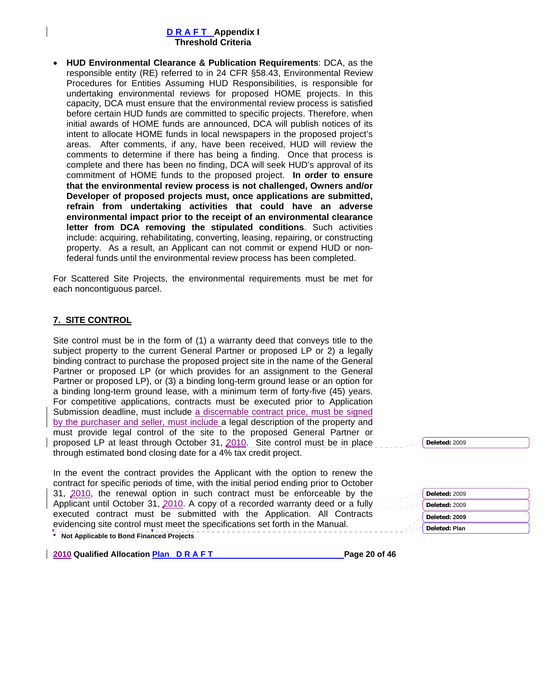• **HUD Environmental Clearance & Publication Requirements**: DCA, as the responsible entity (RE) referred to in 24 CFR §58.43, Environmental Review Procedures for Entities Assuming HUD Responsibilities, is responsible for undertaking environmental reviews for proposed HOME projects. In this capacity, DCA must ensure that the environmental review process is satisfied before certain HUD funds are committed to specific projects. Therefore, when initial awards of HOME funds are announced, DCA will publish notices of its intent to allocate HOME funds in local newspapers in the proposed project's areas. After comments, if any, have been received, HUD will review the comments to determine if there has being a finding. Once that process is complete and there has been no finding, DCA will seek HUD's approval of its commitment of HOME funds to the proposed project. **In order to ensure that the environmental review process is not challenged, Owners and/or Developer of proposed projects must, once applications are submitted, refrain from undertaking activities that could have an adverse environmental impact prior to the receipt of an environmental clearance letter from DCA removing the stipulated conditions**. Such activities include: acquiring, rehabilitating, converting, leasing, repairing, or constructing property. As a result, an Applicant can not commit or expend HUD or nonfederal funds until the environmental review process has been completed.

For Scattered Site Projects, the environmental requirements must be met for each noncontiguous parcel.

## **7. SITE CONTROL**

Site control must be in the form of (1) a warranty deed that conveys title to the subject property to the current General Partner or proposed LP or 2) a legally binding contract to purchase the proposed project site in the name of the General Partner or proposed LP (or which provides for an assignment to the General Partner or proposed LP), or (3) a binding long-term ground lease or an option for a binding long-term ground lease, with a minimum term of forty-five (45) years. For competitive applications, contracts must be executed prior to Application Submission deadline, must include a discernable contract price, must be signed by the purchaser and seller, must include a legal description of the property and must provide legal control of the site to the proposed General Partner or proposed LP at least through October 31, 2010. Site control must be in place through estimated bond closing date for a 4% tax credit project.

**\* Not Applicable to Bond Financed Projects**  In the event the contract provides the Applicant with the option to renew the contract for specific periods of time, with the initial period ending prior to October 31, 2010, the renewal option in such contract must be enforceable by the Applicant until October 31, 2010. A copy of a recorded warranty deed or a fully executed contract must be submitted with the Application. All Contracts evidencing site control must meet the specifications set forth in the Manual.

**2010 Qualified Allocation Plan D R A F T Page 20 of 46 Page 20 of 46** 

**Deleted:** 2009

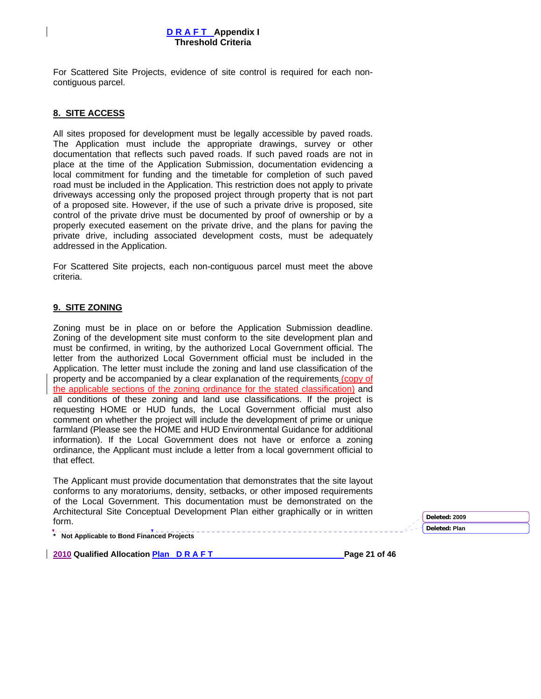For Scattered Site Projects, evidence of site control is required for each noncontiguous parcel.

### **8. SITE ACCESS**

All sites proposed for development must be legally accessible by paved roads. The Application must include the appropriate drawings, survey or other documentation that reflects such paved roads. If such paved roads are not in place at the time of the Application Submission, documentation evidencing a local commitment for funding and the timetable for completion of such paved road must be included in the Application. This restriction does not apply to private driveways accessing only the proposed project through property that is not part of a proposed site. However, if the use of such a private drive is proposed, site control of the private drive must be documented by proof of ownership or by a properly executed easement on the private drive, and the plans for paving the private drive, including associated development costs, must be adequately addressed in the Application.

For Scattered Site projects, each non-contiguous parcel must meet the above criteria.

### **9. SITE ZONING**

Zoning must be in place on or before the Application Submission deadline. Zoning of the development site must conform to the site development plan and must be confirmed, in writing, by the authorized Local Government official. The letter from the authorized Local Government official must be included in the Application. The letter must include the zoning and land use classification of the property and be accompanied by a clear explanation of the requirements (copy of the applicable sections of the zoning ordinance for the stated classification) and all conditions of these zoning and land use classifications. If the project is requesting HOME or HUD funds, the Local Government official must also comment on whether the project will include the development of prime or unique farmland (Please see the HOME and HUD Environmental Guidance for additional information). If the Local Government does not have or enforce a zoning ordinance, the Applicant must include a letter from a local government official to that effect.

The Applicant must provide documentation that demonstrates that the site layout conforms to any moratoriums, density, setbacks, or other imposed requirements of the Local Government. This documentation must be demonstrated on the Architectural Site Conceptual Development Plan either graphically or in written form. **Deleted: <sup>2009</sup>**

**Deleted: Plan** 

**\* Not Applicable to Bond Financed Projects** 

**2010 Qualified Allocation Plan D R A F T Page 21 of 46 Page 21 of 46**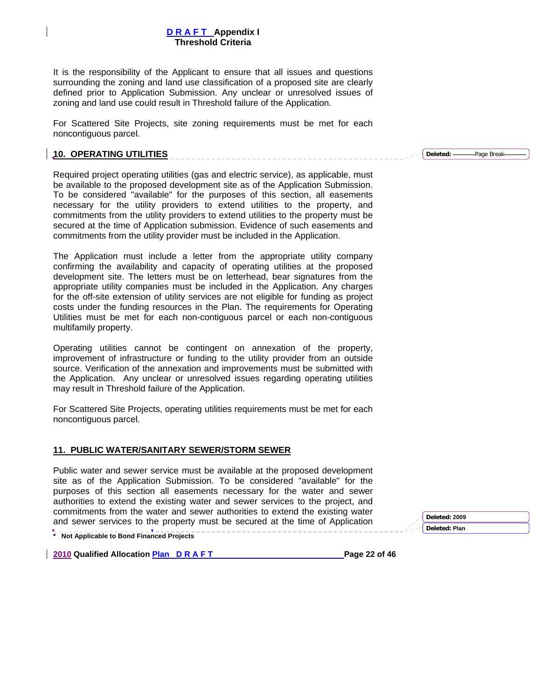It is the responsibility of the Applicant to ensure that all issues and questions surrounding the zoning and land use classification of a proposed site are clearly defined prior to Application Submission. Any unclear or unresolved issues of zoning and land use could result in Threshold failure of the Application.

For Scattered Site Projects, site zoning requirements must be met for each noncontiguous parcel.

#### **10. OPERATING UTILITIES**

Required project operating utilities (gas and electric service), as applicable, must be available to the proposed development site as of the Application Submission. To be considered "available" for the purposes of this section, all easements necessary for the utility providers to extend utilities to the property, and commitments from the utility providers to extend utilities to the property must be secured at the time of Application submission. Evidence of such easements and commitments from the utility provider must be included in the Application.

The Application must include a letter from the appropriate utility company confirming the availability and capacity of operating utilities at the proposed development site. The letters must be on letterhead, bear signatures from the appropriate utility companies must be included in the Application. Any charges for the off-site extension of utility services are not eligible for funding as project costs under the funding resources in the Plan. The requirements for Operating Utilities must be met for each non-contiguous parcel or each non-contiguous multifamily property.

Operating utilities cannot be contingent on annexation of the property, improvement of infrastructure or funding to the utility provider from an outside source. Verification of the annexation and improvements must be submitted with the Application. Any unclear or unresolved issues regarding operating utilities may result in Threshold failure of the Application.

For Scattered Site Projects, operating utilities requirements must be met for each noncontiguous parcel.

#### **11. PUBLIC WATER/SANITARY SEWER/STORM SEWER**

Public water and sewer service must be available at the proposed development site as of the Application Submission. To be considered "available" for the purposes of this section all easements necessary for the water and sewer authorities to extend the existing water and sewer services to the project, and commitments from the water and sewer authorities to extend the existing water and sewer services to the property must be secured at the time of Application

**\* Not Applicable to Bond Financed Projects** 

**2010 Qualified Allocation Plan D R A F T Page 22 of 46 Page 22 of 46** 

**Deleted: 2009 Deleted: Plan** 

**Deleted:** Page Break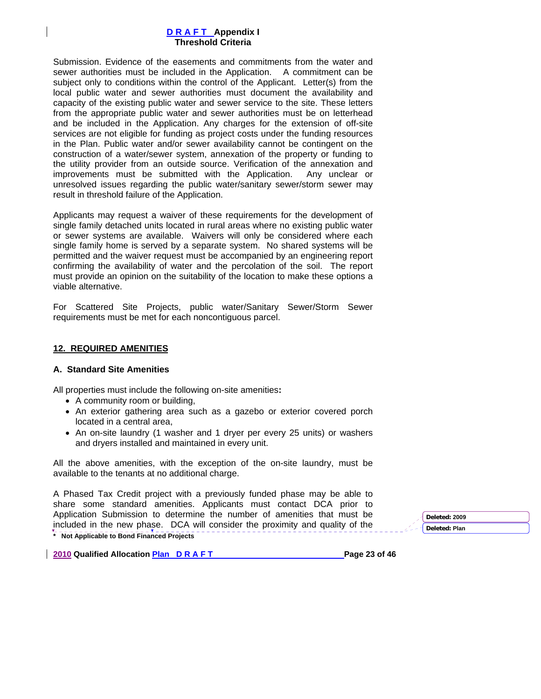Submission. Evidence of the easements and commitments from the water and sewer authorities must be included in the Application. A commitment can be subject only to conditions within the control of the Applicant. Letter(s) from the local public water and sewer authorities must document the availability and capacity of the existing public water and sewer service to the site. These letters from the appropriate public water and sewer authorities must be on letterhead and be included in the Application. Any charges for the extension of off-site services are not eligible for funding as project costs under the funding resources in the Plan. Public water and/or sewer availability cannot be contingent on the construction of a water/sewer system, annexation of the property or funding to the utility provider from an outside source. Verification of the annexation and improvements must be submitted with the Application.Any unclear or unresolved issues regarding the public water/sanitary sewer/storm sewer may result in threshold failure of the Application.

Applicants may request a waiver of these requirements for the development of single family detached units located in rural areas where no existing public water or sewer systems are available. Waivers will only be considered where each single family home is served by a separate system. No shared systems will be permitted and the waiver request must be accompanied by an engineering report confirming the availability of water and the percolation of the soil. The report must provide an opinion on the suitability of the location to make these options a viable alternative.

For Scattered Site Projects, public water/Sanitary Sewer/Storm Sewer requirements must be met for each noncontiguous parcel.

#### **12. REQUIRED AMENITIES**

#### **A. Standard Site Amenities**

All properties must include the following on-site amenities**:** 

- A community room or building,
- An exterior gathering area such as a gazebo or exterior covered porch located in a central area,
- An on-site laundry (1 washer and 1 dryer per every 25 units) or washers and dryers installed and maintained in every unit.

All the above amenities, with the exception of the on-site laundry, must be available to the tenants at no additional charge.

**\* Not Applicable to Bond Financed Projects**  A Phased Tax Credit project with a previously funded phase may be able to share some standard amenities. Applicants must contact DCA prior to Application Submission to determine the number of amenities that must be included in the new phase. DCA will consider the proximity and quality of the

**2010 Qualified Allocation Plan D R A F T Page 23 of 46 Page 23 of 46**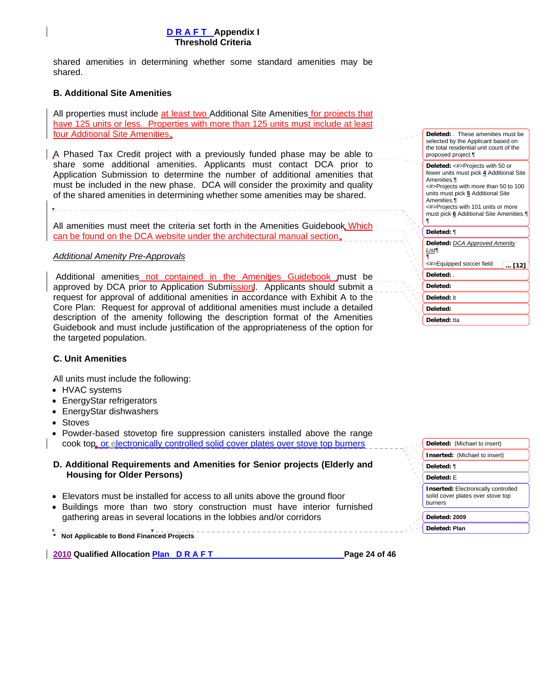shared amenities in determining whether some standard amenities may be shared.

### **B. Additional Site Amenities**

All properties must include at least two Additional Site Amenities for projects that have 125 units or less. Properties with more than 125 units must include at least four Additional Site Amenities.

A Phased Tax Credit project with a previously funded phase may be able to share some additional amenities. Applicants must contact DCA prior to Application Submission to determine the number of additional amenities that must be included in the new phase. DCA will consider the proximity and quality of the shared amenities in determining whether some amenities may be shared.

All amenities must meet the criteria set forth in the Amenities Guidebook Which can be found on the DCA website under the architectural manual section.

### *Additional Amenity Pre-Approvals*

 Additional amenities not contained in the Amenities Guidebook must be approved by DCA prior to Application Submission. Applicants should submit a request for approval of additional amenities in accordance with Exhibit A to the Core Plan: Request for approval of additional amenities must include a detailed description of the amenity following the description format of the Amenities Guidebook and must include justification of the appropriateness of the option for the targeted population.

| Deleted: These amenities must be<br>selected by the Applicant based on<br>the total residential unit count of the<br>proposed project.                                                                                                                                     |
|----------------------------------------------------------------------------------------------------------------------------------------------------------------------------------------------------------------------------------------------------------------------------|
| Deleted: <#>Projects with 50 or<br>fewer units must pick 4 Additional Site<br>Amenities.¶<br><#>Projects with more than 50 to 100<br>units must pick 5 Additional Site<br>Amenities.¶<br><#>Projects with 101 units or more<br>must pick 6 Additional Site Amenities.<br>¶ |
| Deleted: ¶                                                                                                                                                                                                                                                                 |
| <b>Deleted: DCA Approved Amenity</b><br>List¶<br>¶<br><#>Equipped soccer field<br>$$ [12]                                                                                                                                                                                  |
| Deleted:                                                                                                                                                                                                                                                                   |
| Deleted:                                                                                                                                                                                                                                                                   |
| Deleted: it                                                                                                                                                                                                                                                                |
| Deleted:                                                                                                                                                                                                                                                                   |
| Deleted: tta                                                                                                                                                                                                                                                               |

**Deleted:** (Michael to insert) **Inserted:** (Michael to insert)

**Inserted:** Electronically controlled solid cover plates over stove top

**Deleted:** ¶ **Deleted:** E

burners

**Deleted: 2009 Deleted: Plan** 

#### **C. Unit Amenities**

All units must include the following:

- HVAC systems
- EnergyStar refrigerators
- EnergyStar dishwashers
- Stoves
- Powder-based stovetop fire suppression canisters installed above the range cook top, or electronically controlled solid cover plates over stove top burners
- **D. Additional Requirements and Amenities for Senior projects (Elderly and Housing for Older Persons)**
- Elevators must be installed for access to all units above the ground floor
- Buildings more than two story construction must have interior furnished gathering areas in several locations in the lobbies and/or corridors
- 

**\* Not Applicable to Bond Financed Projects** 

**2010 Qualified Allocation Plan D R A F T Page 24 of 46 Page 24 of 46**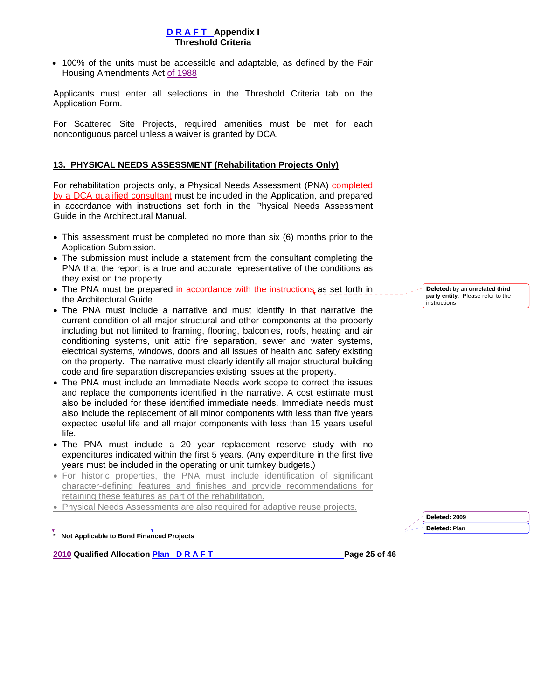• 100% of the units must be accessible and adaptable, as defined by the Fair Housing Amendments Act of 1988

Applicants must enter all selections in the Threshold Criteria tab on the Application Form.

For Scattered Site Projects, required amenities must be met for each noncontiguous parcel unless a waiver is granted by DCA.

## **13. PHYSICAL NEEDS ASSESSMENT (Rehabilitation Projects Only)**

For rehabilitation projects only, a Physical Needs Assessment (PNA) completed by a DCA qualified consultant must be included in the Application, and prepared in accordance with instructions set forth in the Physical Needs Assessment Guide in the Architectural Manual.

- This assessment must be completed no more than six (6) months prior to the Application Submission.
- The submission must include a statement from the consultant completing the PNA that the report is a true and accurate representative of the conditions as they exist on the property.
- The PNA must be prepared in accordance with the instructions as set forth in the Architectural Guide.
- The PNA must include a narrative and must identify in that narrative the current condition of all major structural and other components at the property including but not limited to framing, flooring, balconies, roofs, heating and air conditioning systems, unit attic fire separation, sewer and water systems, electrical systems, windows, doors and all issues of health and safety existing on the property. The narrative must clearly identify all major structural building code and fire separation discrepancies existing issues at the property.
- The PNA must include an Immediate Needs work scope to correct the issues and replace the components identified in the narrative. A cost estimate must also be included for these identified immediate needs. Immediate needs must also include the replacement of all minor components with less than five years expected useful life and all major components with less than 15 years useful life.
- The PNA must include a 20 year replacement reserve study with no expenditures indicated within the first 5 years. (Any expenditure in the first five years must be included in the operating or unit turnkey budgets.)
- For historic properties, the PNA must include identification of significant character-defining features and finishes and provide recommendations for retaining these features as part of the rehabilitation.
- Physical Needs Assessments are also required for adaptive reuse projects.

**\* Not Applicable to Bond Financed Projects** 

**2010 Qualified Allocation Plan D R A F T Page 25 of 46 Page 25 of 46** 

**Deleted:** by an **unrelated third party entity**. Please refer to the instructions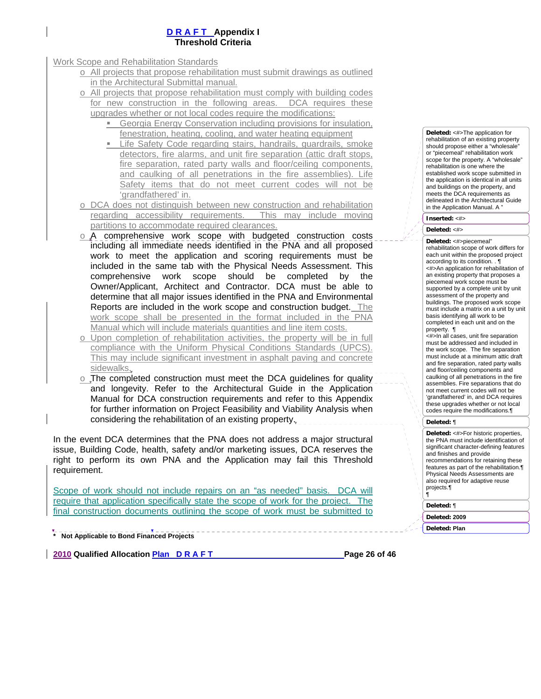Work Scope and Rehabilitation Standards

- o All projects that propose rehabilitation must submit drawings as outlined in the Architectural Submittal manual.
- All projects that propose rehabilitation must comply with building codes for new construction in the following areas. DCA requires these upgrades whether or not local codes require the modifications:
	- Georgia Energy Conservation including provisions for insulation, fenestration, heating, cooling, and water heating equipment
	- **EXEC** Life Safety Code regarding stairs, handrails, guardrails, smoke detectors, fire alarms, and unit fire separation (attic draft stops, fire separation, rated party walls and floor/ceiling components, and caulking of all penetrations in the fire assemblies). Life Safety items that do not meet current codes will not be 'grandfathered' in.
- o DCA does not distinguish between new construction and rehabilitation regarding accessibility requirements. This may include moving partitions to accommodate required clearances.
- o A comprehensive work scope with budgeted construction costs including all immediate needs identified in the PNA and all proposed work to meet the application and scoring requirements must be included in the same tab with the Physical Needs Assessment. This comprehensive work scope should be completed by the Owner/Applicant, Architect and Contractor. DCA must be able to determine that all major issues identified in the PNA and Environmental Reports are included in the work scope and construction budget. The work scope shall be presented in the format included in the PNA Manual which will include materials quantities and line item costs.
- o Upon completion of rehabilitation activities, the property will be in full compliance with the Uniform Physical Conditions Standards (UPCS). This may include significant investment in asphalt paving and concrete sidewalks.
- o The completed construction must meet the DCA guidelines for quality and longevity. Refer to the Architectural Guide in the Application Manual for DCA construction requirements and refer to this Appendix for further information on Project Feasibility and Viability Analysis when considering the rehabilitation of an existing property.

In the event DCA determines that the PNA does not address a major structural issue, Building Code, health, safety and/or marketing issues, DCA reserves the right to perform its own PNA and the Application may fail this Threshold requirement.

Scope of work should not include repairs on an "as needed" basis. DCA will require that application specifically state the scope of work for the project. final construction documents outlining the scope of work must be submitted to **Deleted:** <#>The application for rehabilitation of an existing property should propose either a "wholesale or "piecemeal" rehabilitation work scope for the property. A "wholesale" rehabilitation is one where the established work scope submitted in the application is identical in all units and buildings on the property, and meets the DCA requirements as delineated in the Architectural Guide in the Application Manual. A "

**Inserted:** <#>

**Deleted:** <#>

**Deleted:** <#>piecemeal"

rehabilitation scope of work differs for each unit within the proposed project according to its condition. . ¶ <#>An application for rehabilitation of an existing property that proposes a piecemeal work scope must be supported by a complete unit by unit assessment of the property and buildings. The proposed work scope must include a matrix on a unit by unit basis identifying all work to be completed in each unit and on the property. ¶

<#>In all cases, unit fire separation must be addressed and included in the work scope. The fire separation must include at a minimum attic draft and fire separation, rated party walls and floor/ceiling components and caulking of all penetrations in the fire assemblies. Fire separations that do not meet current codes will not be 'grandfathered' in, and DCA requires these upgrades whether or not local codes require the modifications.¶

#### **Deleted:** ¶

**Deleted:** <#>For historic properties, the PNA must include identification of significant character-defining features and finishes and provide recommendations for retaining these features as part of the rehabilitation.¶ Physical Needs Assessments are also required for adaptive reuse projects.¶ ¶

**Deleted:** ¶

**Deleted: 2009**

**Deleted: Plan** 

**\* Not Applicable to Bond Financed Projects** 

**2010 Qualified Allocation Plan D R A F T Page 26 of 46 Page 26 of 46**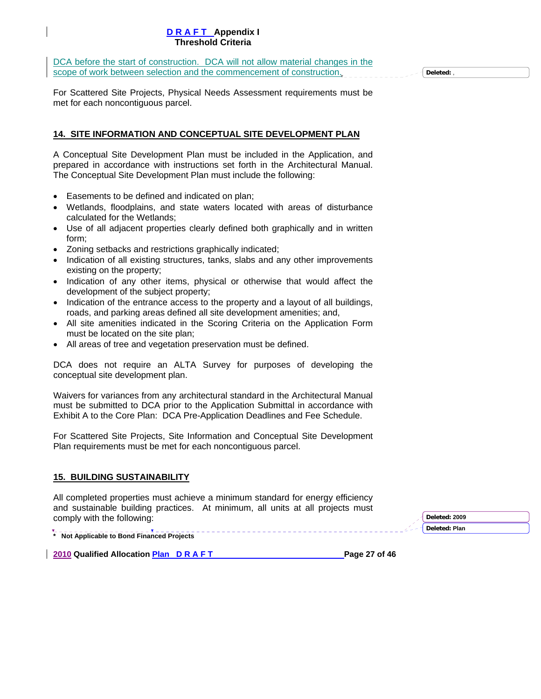DCA before the start of construction. DCA will not allow material changes in the scope of work between selection and the commencement of construction.

**Deleted:** ,

For Scattered Site Projects, Physical Needs Assessment requirements must be met for each noncontiguous parcel.

## **14. SITE INFORMATION AND CONCEPTUAL SITE DEVELOPMENT PLAN**

A Conceptual Site Development Plan must be included in the Application, and prepared in accordance with instructions set forth in the Architectural Manual. The Conceptual Site Development Plan must include the following:

- Easements to be defined and indicated on plan;
- Wetlands, floodplains, and state waters located with areas of disturbance calculated for the Wetlands;
- Use of all adjacent properties clearly defined both graphically and in written form;
- Zoning setbacks and restrictions graphically indicated;
- Indication of all existing structures, tanks, slabs and any other improvements existing on the property;
- Indication of any other items, physical or otherwise that would affect the development of the subject property;
- Indication of the entrance access to the property and a layout of all buildings, roads, and parking areas defined all site development amenities; and,
- All site amenities indicated in the Scoring Criteria on the Application Form must be located on the site plan;
- All areas of tree and vegetation preservation must be defined.

DCA does not require an ALTA Survey for purposes of developing the conceptual site development plan.

Waivers for variances from any architectural standard in the Architectural Manual must be submitted to DCA prior to the Application Submittal in accordance with Exhibit A to the Core Plan: DCA Pre-Application Deadlines and Fee Schedule.

For Scattered Site Projects, Site Information and Conceptual Site Development Plan requirements must be met for each noncontiguous parcel.

## **15. BUILDING SUSTAINABILITY**

All completed properties must achieve a minimum standard for energy efficiency and sustainable building practices. At minimum, all units at all projects must comply with the following:

**\* Not Applicable to Bond Financed Projects** 

**2010 Qualified Allocation Plan D R A F T Page 27 of 46 Page 27 of 46**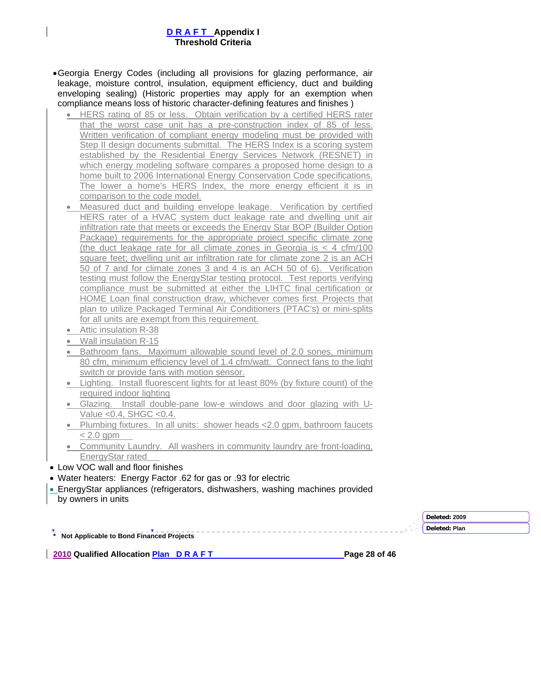- Georgia Energy Codes (including all provisions for glazing performance, air leakage, moisture control, insulation, equipment efficiency, duct and building enveloping sealing) (Historic properties may apply for an exemption when compliance means loss of historic character-defining features and finishes )
	- HERS rating of 85 or less. Obtain verification by a certified HERS rater that the worst case unit has a pre-construction index of 85 of less. Written verification of compliant energy modeling must be provided with Step II design documents submittal. The HERS Index is a scoring system established by the Residential Energy Services Network (RESNET) in which energy modeling software compares a proposed home design to a home built to 2006 International Energy Conservation Code specifications. The lower a home's HERS Index, the more energy efficient it is in comparison to the code model.
	- Measured duct and building envelope leakage. Verification by certified HERS rater of a HVAC system duct leakage rate and dwelling unit air infiltration rate that meets or exceeds the Energy Star BOP (Builder Option Package) requirements for the appropriate project specific climate zone (the duct leakage rate for all climate zones in Georgia is < 4 cfm/100 square feet; dwelling unit air infiltration rate for climate zone 2 is an ACH 50 of 7 and for climate zones 3 and 4 is an ACH 50 of 6). Verification testing must follow the EnergyStar testing protocol. Test reports verifying compliance must be submitted at either the LIHTC final certification or HOME Loan final construction draw, whichever comes first. Projects that plan to utilize Packaged Terminal Air Conditioners (PTAC's) or mini-splits for all units are exempt from this requirement.
	- Attic insulation R-38
	- Wall insulation R-15
	- Bathroom fans. Maximum allowable sound level of 2.0 sones, minimum 80 cfm, minimum efficiency level of 1.4 cfm/watt. Connect fans to the light switch or provide fans with motion sensor.
	- Lighting. Install fluorescent lights for at least 80% (by fixture count) of the required indoor lighting
	- Glazing. Install double-pane low-e windows and door glazing with U-Value <0.4, SHGC <0.4.
	- Plumbing fixtures. In all units: shower heads <2.0 gpm, bathroom faucets  $< 2.0$  gpm
	- Community Laundry. All washers in community laundry are front-loading, EnergyStar rated
- Low VOC wall and floor finishes
- Water heaters: Energy Factor .62 for gas or .93 for electric
- EnergyStar appliances (refrigerators, dishwashers, washing machines provided by owners in units

**\* Not Applicable to Bond Financed Projects** 

**Deleted: 2009 Deleted: Plan** 

**2010 Qualified Allocation Plan D R A F T Page 28 of 46 Page 28 of 46**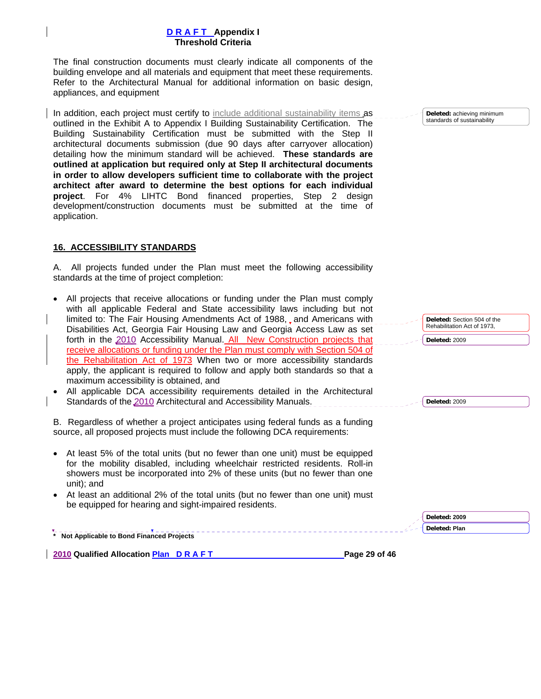The final construction documents must clearly indicate all components of the building envelope and all materials and equipment that meet these requirements. Refer to the Architectural Manual for additional information on basic design, appliances, and equipment

In addition, each project must certify to include additional sustainability items as outlined in the Exhibit A to Appendix I Building Sustainability Certification. The Building Sustainability Certification must be submitted with the Step II architectural documents submission (due 90 days after carryover allocation) detailing how the minimum standard will be achieved. **These standards are outlined at application but required only at Step II architectural documents in order to allow developers sufficient time to collaborate with the project architect after award to determine the best options for each individual project**. For 4% LIHTC Bond financed properties, Step 2 design development/construction documents must be submitted at the time of application.

## **16. ACCESSIBILITY STANDARDS**

A. All projects funded under the Plan must meet the following accessibility standards at the time of project completion:

- All projects that receive allocations or funding under the Plan must comply with all applicable Federal and State accessibility laws including but not limited to: The Fair Housing Amendments Act of 1988,, and Americans with Disabilities Act, Georgia Fair Housing Law and Georgia Access Law as set forth in the 2010 Accessibility Manual. All New Construction projects that receive allocations or funding under the Plan must comply with Section 504 of the Rehabilitation Act of 1973 When two or more accessibility standards apply, the applicant is required to follow and apply both standards so that a maximum accessibility is obtained, and
- All applicable DCA accessibility requirements detailed in the Architectural Standards of the 2010 Architectural and Accessibility Manuals.

B. Regardless of whether a project anticipates using federal funds as a funding source, all proposed projects must include the following DCA requirements:

- At least 5% of the total units (but no fewer than one unit) must be equipped for the mobility disabled, including wheelchair restricted residents. Roll-in showers must be incorporated into 2% of these units (but no fewer than one unit); and
- At least an additional 2% of the total units (but no fewer than one unit) must be equipped for hearing and sight-impaired residents.

**\* Not Applicable to Bond Financed Projects 2010 Qualified Allocation Plan D R A F T Page 29 of 46 Page 29 of 46 Deleted: 2009 Deleted: Plan** 

**Deleted:** achieving minimum standards of sustainability

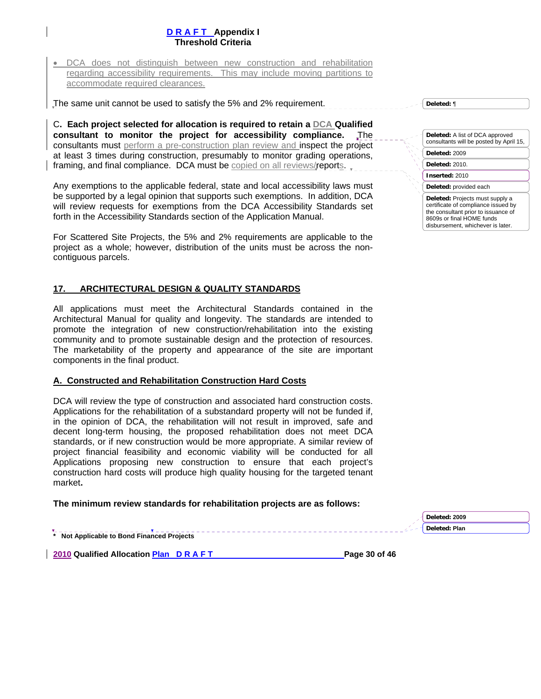• DCA does not distinguish between new construction and rehabilitation regarding accessibility requirements. This may include moving partitions to accommodate required clearances.

The same unit cannot be used to satisfy the 5% and 2% requirement.

C**. Each project selected for allocation is required to retain a DCA Qualified consultant to monitor the project for accessibility compliance.** The consultants must perform a pre-construction plan review and inspect the project at least 3 times during construction, presumably to monitor grading operations, framing, and final compliance. DCA must be copied on all reviews/reports.

Any exemptions to the applicable federal, state and local accessibility laws must be supported by a legal opinion that supports such exemptions. In addition, DCA will review requests for exemptions from the DCA Accessibility Standards set forth in the Accessibility Standards section of the Application Manual.

For Scattered Site Projects, the 5% and 2% requirements are applicable to the project as a whole; however, distribution of the units must be across the noncontiguous parcels.

#### **17. ARCHITECTURAL DESIGN & QUALITY STANDARDS**

All applications must meet the Architectural Standards contained in the Architectural Manual for quality and longevity. The standards are intended to promote the integration of new construction/rehabilitation into the existing community and to promote sustainable design and the protection of resources. The marketability of the property and appearance of the site are important components in the final product.

#### **A. Constructed and Rehabilitation Construction Hard Costs**

DCA will review the type of construction and associated hard construction costs. Applications for the rehabilitation of a substandard property will not be funded if, in the opinion of DCA, the rehabilitation will not result in improved, safe and decent long-term housing, the proposed rehabilitation does not meet DCA standards, or if new construction would be more appropriate. A similar review of project financial feasibility and economic viability will be conducted for all Applications proposing new construction to ensure that each project's construction hard costs will produce high quality housing for the targeted tenant market**.** 

#### **The minimum review standards for rehabilitation projects are as follows:**

**\* Not Applicable to Bond Financed Projects** 

**2010 Qualified Allocation Plan D R A F T Page 30 of 46 Page 30 of 46** 

| <b>Deleted:</b> A list of DCA approved<br>consultants will be posted by April 15,                                                                                               |
|---------------------------------------------------------------------------------------------------------------------------------------------------------------------------------|
| Deleted: 2009                                                                                                                                                                   |
| Deleted: 2010.                                                                                                                                                                  |
| Inserted: 2010                                                                                                                                                                  |
| Deleted: provided each                                                                                                                                                          |
| Deleted: Projects must supply a<br>certificate of compliance issued by<br>the consultant prior to issuance of<br>8609s or final HOME funds<br>disbursement, whichever is later. |

**Deleted:** ¶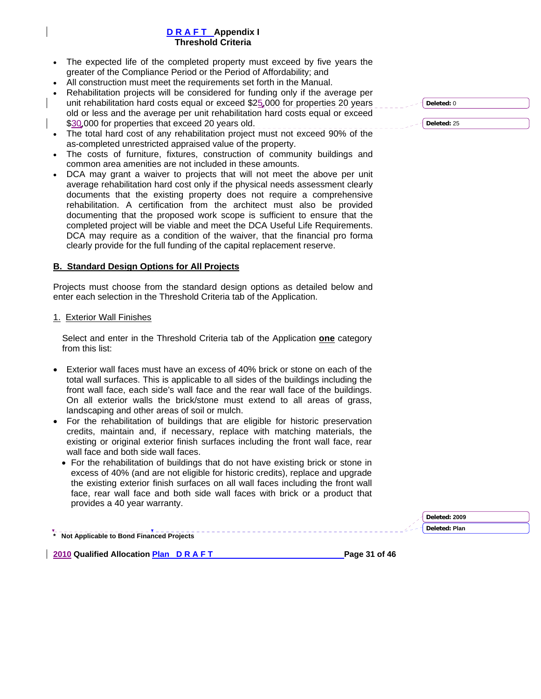- The expected life of the completed property must exceed by five years the greater of the Compliance Period or the Period of Affordability; and
- All construction must meet the requirements set forth in the Manual.
- Rehabilitation projects will be considered for funding only if the average per unit rehabilitation hard costs equal or exceed \$25,000 for properties 20 years old or less and the average per unit rehabilitation hard costs equal or exceed \$30,000 for properties that exceed 20 years old.
- The total hard cost of any rehabilitation project must not exceed 90% of the as-completed unrestricted appraised value of the property.
- The costs of furniture, fixtures, construction of community buildings and common area amenities are not included in these amounts.
- DCA may grant a waiver to projects that will not meet the above per unit average rehabilitation hard cost only if the physical needs assessment clearly documents that the existing property does not require a comprehensive rehabilitation. A certification from the architect must also be provided documenting that the proposed work scope is sufficient to ensure that the completed project will be viable and meet the DCA Useful Life Requirements. DCA may require as a condition of the waiver, that the financial pro forma clearly provide for the full funding of the capital replacement reserve.

### **B. Standard Design Options for All Projects**

Projects must choose from the standard design options as detailed below and enter each selection in the Threshold Criteria tab of the Application.

#### 1. Exterior Wall Finishes

Select and enter in the Threshold Criteria tab of the Application **one** category from this list:

- Exterior wall faces must have an excess of 40% brick or stone on each of the total wall surfaces. This is applicable to all sides of the buildings including the front wall face, each side's wall face and the rear wall face of the buildings. On all exterior walls the brick/stone must extend to all areas of grass, landscaping and other areas of soil or mulch.
- For the rehabilitation of buildings that are eligible for historic preservation credits, maintain and, if necessary, replace with matching materials, the existing or original exterior finish surfaces including the front wall face, rear wall face and both side wall faces.
	- For the rehabilitation of buildings that do not have existing brick or stone in excess of 40% (and are not eligible for historic credits), replace and upgrade the existing exterior finish surfaces on all wall faces including the front wall face, rear wall face and both side wall faces with brick or a product that provides a 40 year warranty.

**Deleted: Plan** 

**2010 Qualified Allocation Plan D R A F T Page 31 of 46 Page 31 of 46** 

**\* Not Applicable to Bond Financed Projects** 

| d Deleted: 0 |  |
|--------------|--|
|              |  |

**Deleted:** 25

**Deleted: 2009**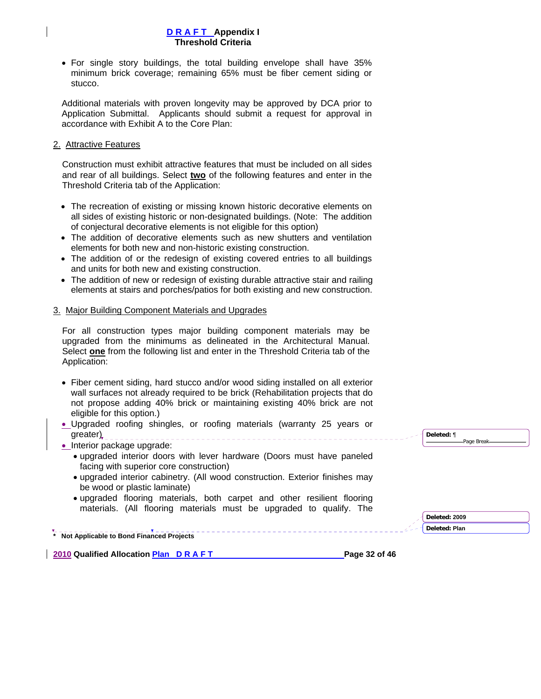• For single story buildings, the total building envelope shall have 35% minimum brick coverage; remaining 65% must be fiber cement siding or stucco.

Additional materials with proven longevity may be approved by DCA prior to Application Submittal. Applicants should submit a request for approval in accordance with Exhibit A to the Core Plan:

### 2. Attractive Features

Construction must exhibit attractive features that must be included on all sides and rear of all buildings. Select **two** of the following features and enter in the Threshold Criteria tab of the Application:

- The recreation of existing or missing known historic decorative elements on all sides of existing historic or non-designated buildings. (Note: The addition of conjectural decorative elements is not eligible for this option)
- The addition of decorative elements such as new shutters and ventilation elements for both new and non-historic existing construction.
- The addition of or the redesign of existing covered entries to all buildings and units for both new and existing construction.
- The addition of new or redesign of existing durable attractive stair and railing elements at stairs and porches/patios for both existing and new construction.

### 3. Major Building Component Materials and Upgrades

For all construction types major building component materials may be upgraded from the minimums as delineated in the Architectural Manual. Select **one** from the following list and enter in the Threshold Criteria tab of the Application:

- Fiber cement siding, hard stucco and/or wood siding installed on all exterior wall surfaces not already required to be brick (Rehabilitation projects that do not propose adding 40% brick or maintaining existing 40% brick are not eligible for this option.)
- Upgraded roofing shingles, or roofing materials (warranty 25 years or greater)

• Interior package upgrade:

- upgraded interior doors with lever hardware (Doors must have paneled facing with superior core construction)
- upgraded interior cabinetry. (All wood construction. Exterior finishes may be wood or plastic laminate)
- upgraded flooring materials, both carpet and other resilient flooring materials. (All flooring materials must be upgraded to qualify. The

**\* Not Applicable to Bond Financed Projects** 

**2010 Qualified Allocation Plan D R A F T Page 32 of 46 Page 32 of 46** 

**Deleted:** ¶ Page Break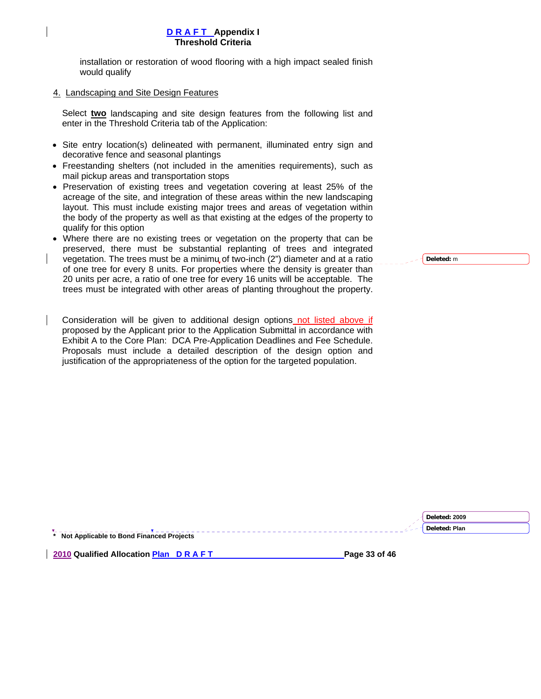installation or restoration of wood flooring with a high impact sealed finish would qualify

### 4. Landscaping and Site Design Features

Select **two** landscaping and site design features from the following list and enter in the Threshold Criteria tab of the Application:

- Site entry location(s) delineated with permanent, illuminated entry sign and decorative fence and seasonal plantings
- Freestanding shelters (not included in the amenities requirements), such as mail pickup areas and transportation stops
- Preservation of existing trees and vegetation covering at least 25% of the acreage of the site, and integration of these areas within the new landscaping layout. This must include existing major trees and areas of vegetation within the body of the property as well as that existing at the edges of the property to qualify for this option
- Where there are no existing trees or vegetation on the property that can be preserved, there must be substantial replanting of trees and integrated vegetation. The trees must be a minimu of two-inch (2") diameter and at a ratio of one tree for every 8 units. For properties where the density is greater than 20 units per acre, a ratio of one tree for every 16 units will be acceptable. The trees must be integrated with other areas of planting throughout the property.
- Consideration will be given to additional design options not listed above if proposed by the Applicant prior to the Application Submittal in accordance with Exhibit A to the Core Plan: DCA Pre-Application Deadlines and Fee Schedule. Proposals must include a detailed description of the design option and justification of the appropriateness of the option for the targeted population.

|                                            | Deleted: 2009 |  |
|--------------------------------------------|---------------|--|
|                                            | Deleted: Plan |  |
| * Not Applicable to Bond Financed Projects |               |  |

**2010 Qualified Allocation Plan D R A F T Page 33 of 46 Page 33 of 46** 



**Deleted:** m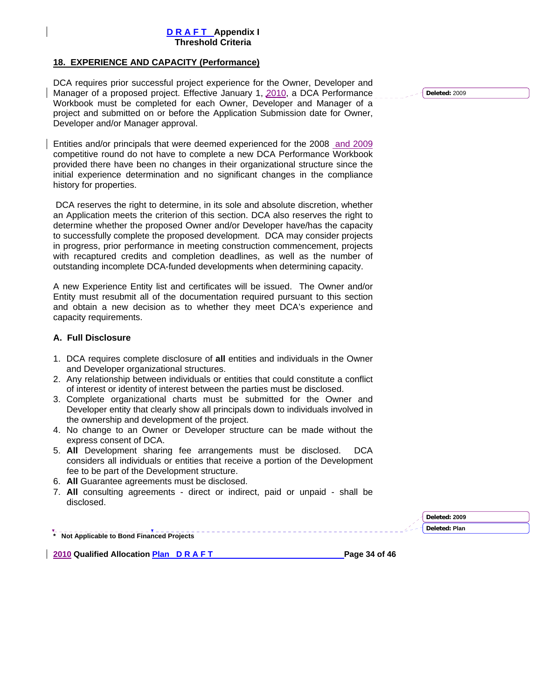## **18. EXPERIENCE AND CAPACITY (Performance)**

DCA requires prior successful project experience for the Owner, Developer and Manager of a proposed project. Effective January 1, 2010, a DCA Performance Workbook must be completed for each Owner, Developer and Manager of a project and submitted on or before the Application Submission date for Owner, Developer and/or Manager approval.

Entities and/or principals that were deemed experienced for the 2008 and 2009 competitive round do not have to complete a new DCA Performance Workbook provided there have been no changes in their organizational structure since the initial experience determination and no significant changes in the compliance history for properties.

 DCA reserves the right to determine, in its sole and absolute discretion, whether an Application meets the criterion of this section. DCA also reserves the right to determine whether the proposed Owner and/or Developer have/has the capacity to successfully complete the proposed development. DCA may consider projects in progress, prior performance in meeting construction commencement, projects with recaptured credits and completion deadlines, as well as the number of outstanding incomplete DCA-funded developments when determining capacity.

A new Experience Entity list and certificates will be issued. The Owner and/or Entity must resubmit all of the documentation required pursuant to this section and obtain a new decision as to whether they meet DCA's experience and capacity requirements.

#### **A. Full Disclosure**

- 1. DCA requires complete disclosure of **all** entities and individuals in the Owner and Developer organizational structures.
- 2. Any relationship between individuals or entities that could constitute a conflict of interest or identity of interest between the parties must be disclosed.
- 3. Complete organizational charts must be submitted for the Owner and Developer entity that clearly show all principals down to individuals involved in the ownership and development of the project.
- 4. No change to an Owner or Developer structure can be made without the express consent of DCA.
- 5. **All** Development sharing fee arrangements must be disclosed. DCA considers all individuals or entities that receive a portion of the Development fee to be part of the Development structure.
- 6. **All** Guarantee agreements must be disclosed.
- 7. **All** consulting agreements direct or indirect, paid or unpaid shall be disclosed.

**Deleted: 2009 Deleted: Plan** 

**\* Not Applicable to Bond Financed Projects** 

**2010 Qualified Allocation Plan D R A F T Page 34 of 46 Page 34 of 46** 

**Deleted:** 2009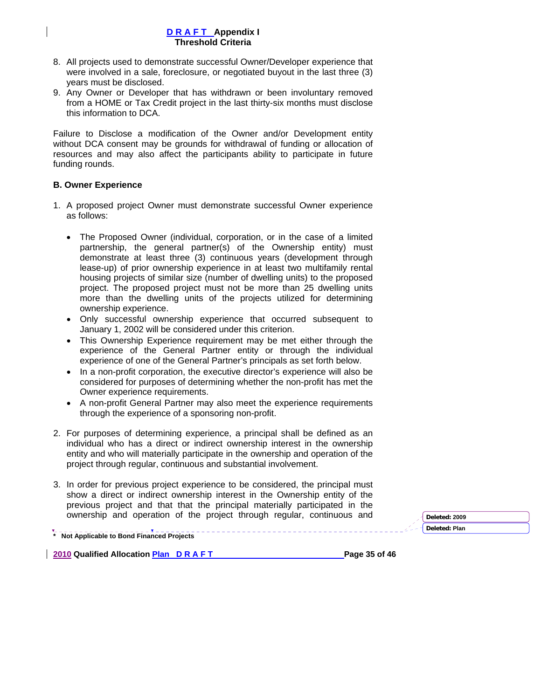- 8. All projects used to demonstrate successful Owner/Developer experience that were involved in a sale, foreclosure, or negotiated buyout in the last three (3) years must be disclosed.
- 9. Any Owner or Developer that has withdrawn or been involuntary removed from a HOME or Tax Credit project in the last thirty-six months must disclose this information to DCA.

Failure to Disclose a modification of the Owner and/or Development entity without DCA consent may be grounds for withdrawal of funding or allocation of resources and may also affect the participants ability to participate in future funding rounds.

# **B. Owner Experience**

- 1. A proposed project Owner must demonstrate successful Owner experience as follows:
	- The Proposed Owner (individual, corporation, or in the case of a limited partnership, the general partner(s) of the Ownership entity) must demonstrate at least three (3) continuous years (development through lease-up) of prior ownership experience in at least two multifamily rental housing projects of similar size (number of dwelling units) to the proposed project. The proposed project must not be more than 25 dwelling units more than the dwelling units of the projects utilized for determining ownership experience.
	- Only successful ownership experience that occurred subsequent to January 1, 2002 will be considered under this criterion.
	- This Ownership Experience requirement may be met either through the experience of the General Partner entity or through the individual experience of one of the General Partner's principals as set forth below.
	- In a non-profit corporation, the executive director's experience will also be considered for purposes of determining whether the non-profit has met the Owner experience requirements.
	- A non-profit General Partner may also meet the experience requirements through the experience of a sponsoring non-profit.
- 2. For purposes of determining experience, a principal shall be defined as an individual who has a direct or indirect ownership interest in the ownership entity and who will materially participate in the ownership and operation of the project through regular, continuous and substantial involvement.
- 3. In order for previous project experience to be considered, the principal must show a direct or indirect ownership interest in the Ownership entity of the previous project and that that the principal materially participated in the ownership and operation of the project through regular, continuous and **Deleted: <sup>2009</sup>**

**Deleted: Plan** 

**\* Not Applicable to Bond Financed Projects** 

**2010 Qualified Allocation Plan D R A F T Page 35 of 46 Page 35 of 46**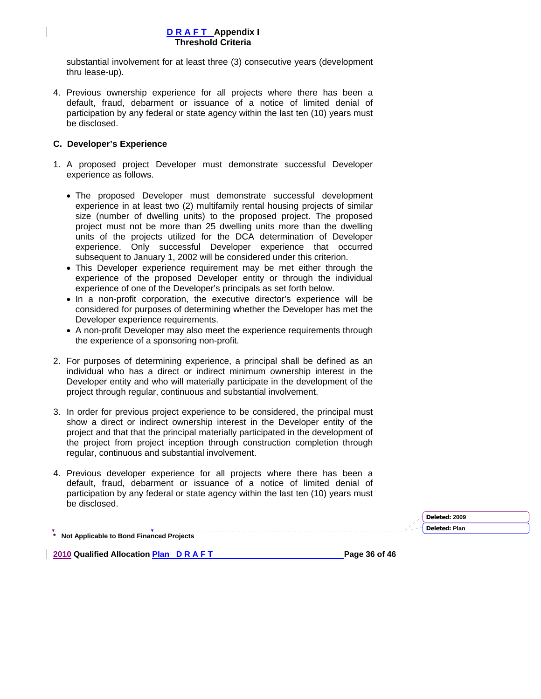substantial involvement for at least three (3) consecutive years (development thru lease-up).

4. Previous ownership experience for all projects where there has been a default, fraud, debarment or issuance of a notice of limited denial of participation by any federal or state agency within the last ten (10) years must be disclosed.

### **C. Developer's Experience**

- 1. A proposed project Developer must demonstrate successful Developer experience as follows.
	- The proposed Developer must demonstrate successful development experience in at least two (2) multifamily rental housing projects of similar size (number of dwelling units) to the proposed project. The proposed project must not be more than 25 dwelling units more than the dwelling units of the projects utilized for the DCA determination of Developer experience. Only successful Developer experience that occurred subsequent to January 1, 2002 will be considered under this criterion.
	- This Developer experience requirement may be met either through the experience of the proposed Developer entity or through the individual experience of one of the Developer's principals as set forth below.
	- In a non-profit corporation, the executive director's experience will be considered for purposes of determining whether the Developer has met the Developer experience requirements.
	- A non-profit Developer may also meet the experience requirements through the experience of a sponsoring non-profit.
- 2. For purposes of determining experience, a principal shall be defined as an individual who has a direct or indirect minimum ownership interest in the Developer entity and who will materially participate in the development of the project through regular, continuous and substantial involvement.
- 3. In order for previous project experience to be considered, the principal must show a direct or indirect ownership interest in the Developer entity of the project and that that the principal materially participated in the development of the project from project inception through construction completion through regular, continuous and substantial involvement.
- 4. Previous developer experience for all projects where there has been a default, fraud, debarment or issuance of a notice of limited denial of participation by any federal or state agency within the last ten (10) years must be disclosed.

**\* Not Applicable to Bond Financed Projects Deleted: 2009 Deleted: Plan** 

**2010 Qualified Allocation Plan D R A F T Page 36 of 46 Page 36 of 46**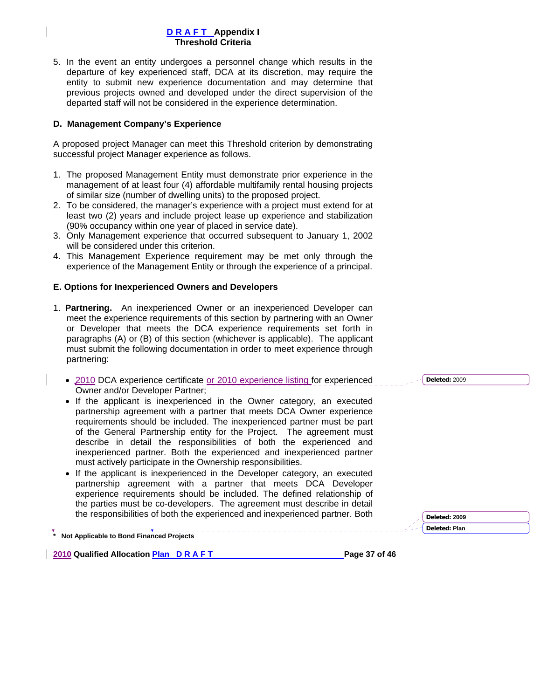5. In the event an entity undergoes a personnel change which results in the departure of key experienced staff, DCA at its discretion, may require the entity to submit new experience documentation and may determine that previous projects owned and developed under the direct supervision of the departed staff will not be considered in the experience determination.

### **D. Management Company's Experience**

A proposed project Manager can meet this Threshold criterion by demonstrating successful project Manager experience as follows.

- 1. The proposed Management Entity must demonstrate prior experience in the management of at least four (4) affordable multifamily rental housing projects of similar size (number of dwelling units) to the proposed project.
- 2. To be considered, the manager's experience with a project must extend for at least two (2) years and include project lease up experience and stabilization (90% occupancy within one year of placed in service date).
- 3. Only Management experience that occurred subsequent to January 1, 2002 will be considered under this criterion.
- 4. This Management Experience requirement may be met only through the experience of the Management Entity or through the experience of a principal.

#### **E. Options for Inexperienced Owners and Developers**

- 1. **Partnering.** An inexperienced Owner or an inexperienced Developer can meet the experience requirements of this section by partnering with an Owner or Developer that meets the DCA experience requirements set forth in paragraphs (A) or (B) of this section (whichever is applicable). The applicant must submit the following documentation in order to meet experience through partnering:
	- 2010 DCA experience certificate or 2010 experience listing for experienced Owner and/or Developer Partner;
	- If the applicant is inexperienced in the Owner category, an executed partnership agreement with a partner that meets DCA Owner experience requirements should be included. The inexperienced partner must be part of the General Partnership entity for the Project. The agreement must describe in detail the responsibilities of both the experienced and inexperienced partner. Both the experienced and inexperienced partner must actively participate in the Ownership responsibilities.
	- If the applicant is inexperienced in the Developer category, an executed partnership agreement with a partner that meets DCA Developer experience requirements should be included. The defined relationship of the parties must be co-developers. The agreement must describe in detail the responsibilities of both the experienced and inexperienced partner. Both

**\* Not Applicable to Bond Financed Projects** 

**2010 Qualified Allocation Plan D R A F T Page 37 of 46 Page 37 of 46** 

**Deleted:** 2009

**Deleted: 2009**

**Deleted: Plan**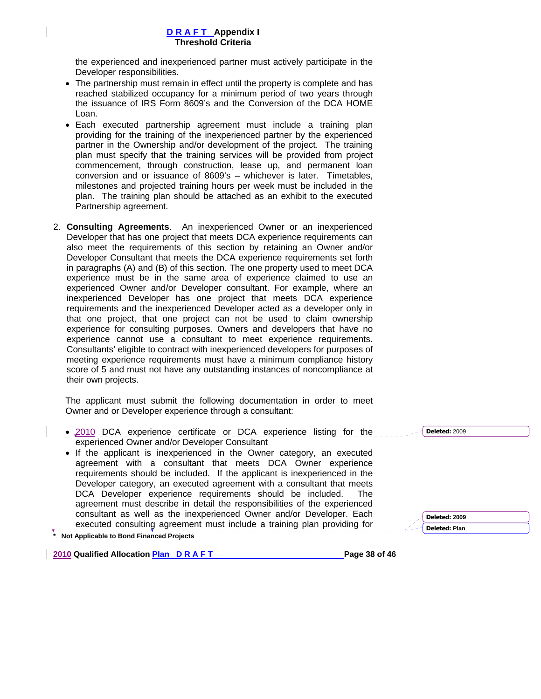the experienced and inexperienced partner must actively participate in the Developer responsibilities.

- The partnership must remain in effect until the property is complete and has reached stabilized occupancy for a minimum period of two years through the issuance of IRS Form 8609's and the Conversion of the DCA HOME Loan.
- Each executed partnership agreement must include a training plan providing for the training of the inexperienced partner by the experienced partner in the Ownership and/or development of the project. The training plan must specify that the training services will be provided from project commencement, through construction, lease up, and permanent loan conversion and or issuance of 8609's – whichever is later. Timetables, milestones and projected training hours per week must be included in the plan. The training plan should be attached as an exhibit to the executed Partnership agreement.
- 2. **Consulting Agreements**. An inexperienced Owner or an inexperienced Developer that has one project that meets DCA experience requirements can also meet the requirements of this section by retaining an Owner and/or Developer Consultant that meets the DCA experience requirements set forth in paragraphs (A) and (B) of this section. The one property used to meet DCA experience must be in the same area of experience claimed to use an experienced Owner and/or Developer consultant. For example, where an inexperienced Developer has one project that meets DCA experience requirements and the inexperienced Developer acted as a developer only in that one project, that one project can not be used to claim ownership experience for consulting purposes. Owners and developers that have no experience cannot use a consultant to meet experience requirements. Consultants' eligible to contract with inexperienced developers for purposes of meeting experience requirements must have a minimum compliance history score of 5 and must not have any outstanding instances of noncompliance at their own projects.

The applicant must submit the following documentation in order to meet Owner and or Developer experience through a consultant:

- 2010 DCA experience certificate or DCA experience listing for the experienced Owner and/or Developer Consultant
- If the applicant is inexperienced in the Owner category, an executed agreement with a consultant that meets DCA Owner experience requirements should be included. If the applicant is inexperienced in the Developer category, an executed agreement with a consultant that meets DCA Developer experience requirements should be included. The agreement must describe in detail the responsibilities of the experienced consultant as well as the inexperienced Owner and/or Developer. Each executed consulting agreement must include a training plan providing for

**\* Not Applicable to Bond Financed Projects** 

**2010 Qualified Allocation Plan D R A F T Page 38 of 46 Page 38 of 46** 

| Deleted: 2009 |
|---------------|
| Deleted: Plan |
|               |

**Deleted:** 2009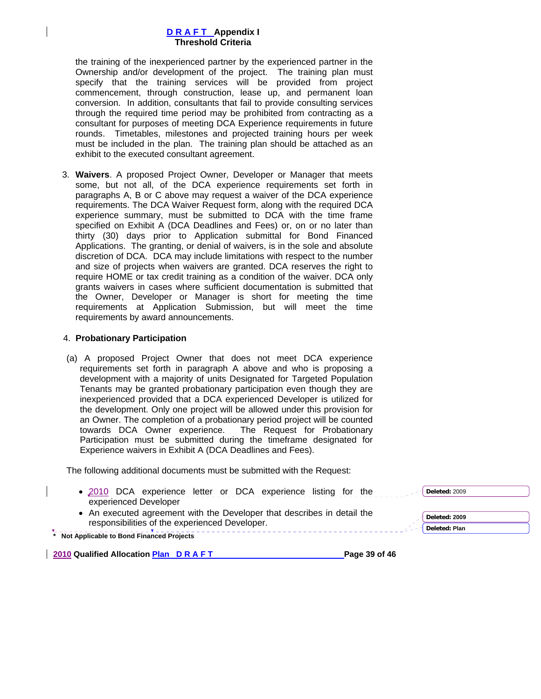the training of the inexperienced partner by the experienced partner in the Ownership and/or development of the project. The training plan must specify that the training services will be provided from project commencement, through construction, lease up, and permanent loan conversion. In addition, consultants that fail to provide consulting services through the required time period may be prohibited from contracting as a consultant for purposes of meeting DCA Experience requirements in future rounds. Timetables, milestones and projected training hours per week must be included in the plan. The training plan should be attached as an exhibit to the executed consultant agreement.

3. **Waivers**. A proposed Project Owner, Developer or Manager that meets some, but not all, of the DCA experience requirements set forth in paragraphs A, B or C above may request a waiver of the DCA experience requirements. The DCA Waiver Request form, along with the required DCA experience summary, must be submitted to DCA with the time frame specified on Exhibit A (DCA Deadlines and Fees) or, on or no later than thirty (30) days prior to Application submittal for Bond Financed Applications. The granting, or denial of waivers, is in the sole and absolute discretion of DCA. DCA may include limitations with respect to the number and size of projects when waivers are granted. DCA reserves the right to require HOME or tax credit training as a condition of the waiver. DCA only grants waivers in cases where sufficient documentation is submitted that the Owner, Developer or Manager is short for meeting the time requirements at Application Submission, but will meet the time requirements by award announcements.

#### 4. **Probationary Participation**

(a) A proposed Project Owner that does not meet DCA experience requirements set forth in paragraph A above and who is proposing a development with a majority of units Designated for Targeted Population Tenants may be granted probationary participation even though they are inexperienced provided that a DCA experienced Developer is utilized for the development. Only one project will be allowed under this provision for an Owner. The completion of a probationary period project will be counted towards DCA Owner experience. The Request for Probationary Participation must be submitted during the timeframe designated for Experience waivers in Exhibit A (DCA Deadlines and Fees).

The following additional documents must be submitted with the Request:

| • 2010 DCA experience letter or DCA experience listing for the<br>experienced Developer                                                                                 | Deleted: 2009                  |  |
|-------------------------------------------------------------------------------------------------------------------------------------------------------------------------|--------------------------------|--|
| • An executed agreement with the Developer that describes in detail the<br>responsibilities of the experienced Developer.<br>* Not Applicable to Bond Financed Projects | Deleted: 2009<br>Deleted: Plan |  |
| 2010 Qualified Allocation Plan DRAFT                                                                                                                                    | Page 39 of 46                  |  |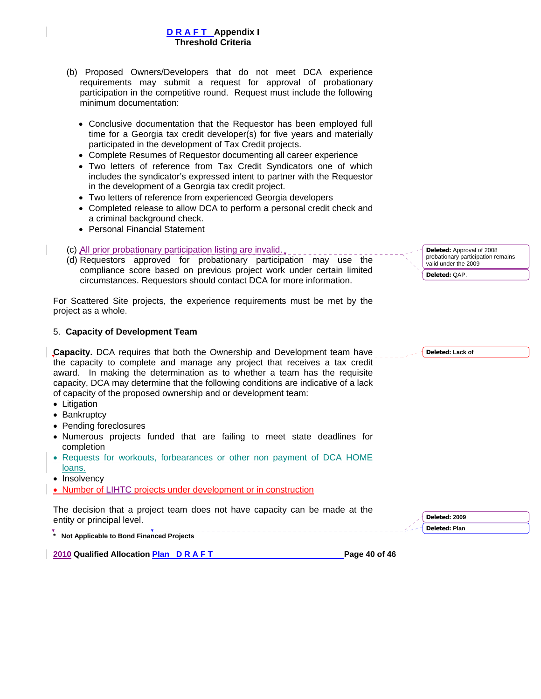- (b) Proposed Owners/Developers that do not meet DCA experience requirements may submit a request for approval of probationary participation in the competitive round. Request must include the following minimum documentation:
	- Conclusive documentation that the Requestor has been employed full time for a Georgia tax credit developer(s) for five years and materially participated in the development of Tax Credit projects.
	- Complete Resumes of Requestor documenting all career experience
	- Two letters of reference from Tax Credit Syndicators one of which includes the syndicator's expressed intent to partner with the Requestor in the development of a Georgia tax credit project.
	- Two letters of reference from experienced Georgia developers
	- Completed release to allow DCA to perform a personal credit check and a criminal background check.
	- Personal Financial Statement
- (c) All prior probationary participation listing are invalid.
- (d) Requestors approved for probationary participation may use the compliance score based on previous project work under certain limited circumstances. Requestors should contact DCA for more information.

For Scattered Site projects, the experience requirements must be met by the project as a whole.

## 5. **Capacity of Development Team**

**Capacity.** DCA requires that both the Ownership and Development team have the capacity to complete and manage any project that receives a tax credit award. In making the determination as to whether a team has the requisite capacity, DCA may determine that the following conditions are indicative of a lack of capacity of the proposed ownership and or development team:

- Litigation
- Bankruptcy
- Pending foreclosures
- Numerous projects funded that are failing to meet state deadlines for completion
- Requests for workouts, forbearances or other non payment of DCA HOME loans.
- Insolvency
- Number of LIHTC projects under development or in construction

The decision that a project team does not have capacity can be made at the entity or principal level.

**\* Not Applicable to Bond Financed Projects** 

**2010 Qualified Allocation Plan D R A F T Page 40 of 46 Page 40 of 46** 

**Deleted: 2009 Deleted: Plan** 

**Deleted:** Approval of 2008 probationary participation remains valid under the 2009 **Deleted:** QAP.

**Deleted: Lack of**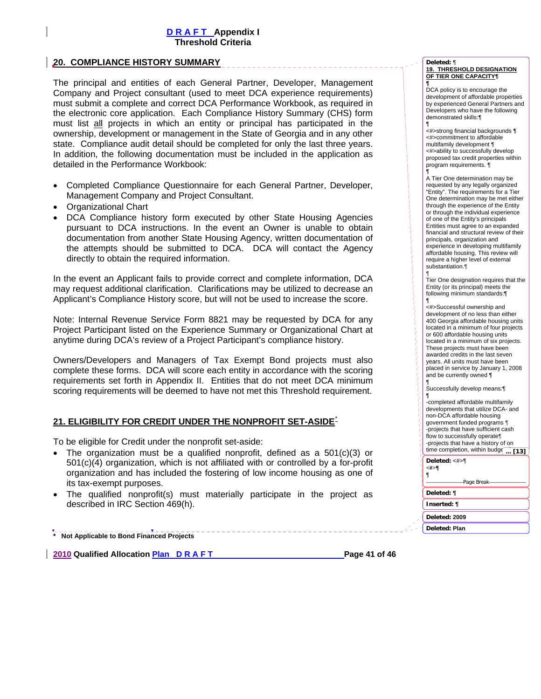### **20. COMPLIANCE HISTORY SUMMARY**

The principal and entities of each General Partner, Developer, Management Company and Project consultant (used to meet DCA experience requirements) must submit a complete and correct DCA Performance Workbook, as required in the electronic core application. Each Compliance History Summary (CHS) form must list all projects in which an entity or principal has participated in the ownership, development or management in the State of Georgia and in any other state. Compliance audit detail should be completed for only the last three years. In addition, the following documentation must be included in the application as detailed in the Performance Workbook:

- Completed Compliance Questionnaire for each General Partner, Developer, Management Company and Project Consultant.
- Organizational Chart
- DCA Compliance history form executed by other State Housing Agencies pursuant to DCA instructions. In the event an Owner is unable to obtain documentation from another State Housing Agency, written documentation of the attempts should be submitted to DCA. DCA will contact the Agency directly to obtain the required information.

In the event an Applicant fails to provide correct and complete information, DCA may request additional clarification. Clarifications may be utilized to decrease an Applicant's Compliance History score, but will not be used to increase the score.

Note: Internal Revenue Service Form 8821 may be requested by DCA for any Project Participant listed on the Experience Summary or Organizational Chart at anytime during DCA's review of a Project Participant's compliance history.

Owners/Developers and Managers of Tax Exempt Bond projects must also complete these forms. DCA will score each entity in accordance with the scoring requirements set forth in Appendix II. Entities that do not meet DCA minimum scoring requirements will be deemed to have not met this Threshold requirement.

#### **21. ELIGIBILITY FOR CREDIT UNDER THE NONPROFIT SET-ASIDE**\*

To be eligible for Credit under the nonprofit set-aside:

- The organization must be a qualified nonprofit, defined as a  $501(c)(3)$  or 501(c)(4) organization, which is not affiliated with or controlled by a for-profit organization and has included the fostering of low income housing as one of its tax-exempt purposes.
- The qualified nonprofit(s) must materially participate in the project as described in IRC Section 469(h).

**\* Not Applicable to Bond Financed Projects** 

**2010 Qualified Allocation Plan D R A F T Page 41 of 46 Page 41 of 46** 

#### **Deleted:** ¶

**19. THRESHOLD DESIGNATION OF TIER ONE CAPACITY¶**

**¶** DCA policy is to encourage the development of affordable properties by experienced General Partners and Developers who have the following demonstrated skills:¶

¶ <#>strong financial backgrounds ¶ <#>commitment to affordable multifamily development ¶ <#>ability to successfully develop proposed tax credit properties within program requirements. ¶ ¶

A Tier One determination may be requested by any legally organized "Entity". The requirements for a Tier One determination may be met either through the experience of the Entity or through the individual experience of one of the Entity's principals Entities must agree to an expanded financial and structural review of their principals, organization and experience in developing multifamily affordable housing. This review will require a higher level of external substantiation.¶ ¶

Tier One designation requires that the Entity (or its principal) meets the following minimum standards:¶

¶ <#>Successful ownership and development of no less than either 400 Georgia affordable housing units located in a minimum of four projects or 600 affordable housing units located in a minimum of six projects. These projects must have been awarded credits in the last seven years. All units must have been placed in service by January 1, 2008 and be currently owned ¶

¶ Successfully develop means:¶ ¶

-completed affordable multifamily developments that utilize DCA- and non-DCA affordable housing government funded programs ¶ -projects that have sufficient cash flow to successfully operate¶ -projects that have a history of on time completion, within budg(... [13]

#### **Deleted:** <#>¶

**<#>¶**

| - Page Break  |  |
|---------------|--|
| Deleted: ¶    |  |
| Inserted: ¶   |  |
| Deleted: 2009 |  |

**Deleted: Plan**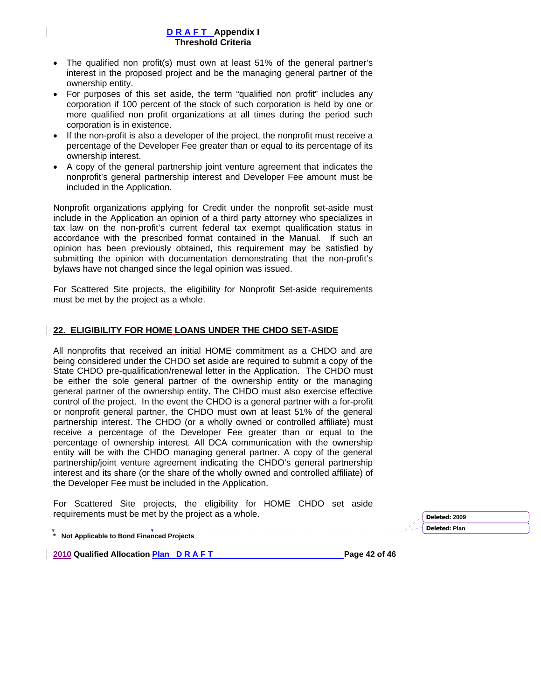- The qualified non profit(s) must own at least 51% of the general partner's interest in the proposed project and be the managing general partner of the ownership entity.
- For purposes of this set aside, the term "qualified non profit" includes any corporation if 100 percent of the stock of such corporation is held by one or more qualified non profit organizations at all times during the period such corporation is in existence.
- If the non-profit is also a developer of the project, the nonprofit must receive a percentage of the Developer Fee greater than or equal to its percentage of its ownership interest.
- A copy of the general partnership joint venture agreement that indicates the nonprofit's general partnership interest and Developer Fee amount must be included in the Application.

Nonprofit organizations applying for Credit under the nonprofit set-aside must include in the Application an opinion of a third party attorney who specializes in tax law on the non-profit's current federal tax exempt qualification status in accordance with the prescribed format contained in the Manual. If such an opinion has been previously obtained, this requirement may be satisfied by submitting the opinion with documentation demonstrating that the non-profit's bylaws have not changed since the legal opinion was issued.

For Scattered Site projects, the eligibility for Nonprofit Set-aside requirements must be met by the project as a whole.

## **22. ELIGIBILITY FOR HOME LOANS UNDER THE CHDO SET-ASIDE**

All nonprofits that received an initial HOME commitment as a CHDO and are being considered under the CHDO set aside are required to submit a copy of the State CHDO pre-qualification/renewal letter in the Application. The CHDO must be either the sole general partner of the ownership entity or the managing general partner of the ownership entity. The CHDO must also exercise effective control of the project. In the event the CHDO is a general partner with a for-profit or nonprofit general partner, the CHDO must own at least 51% of the general partnership interest. The CHDO (or a wholly owned or controlled affiliate) must receive a percentage of the Developer Fee greater than or equal to the percentage of ownership interest. All DCA communication with the ownership entity will be with the CHDO managing general partner. A copy of the general partnership/joint venture agreement indicating the CHDO's general partnership interest and its share (or the share of the wholly owned and controlled affiliate) of the Developer Fee must be included in the Application.

For Scattered Site projects, the eligibility for HOME CHDO set aside requirements must be met by the project as a whole. **Department of the project as a whole**  $\sqrt{\frac{Deleted: 2009}{2000}}$ 

**Deleted: Plan** 

**\* Not Applicable to Bond Financed Projects** 

**2010 Qualified Allocation Plan D R A F T Page 42 of 46 Page 42 of 46**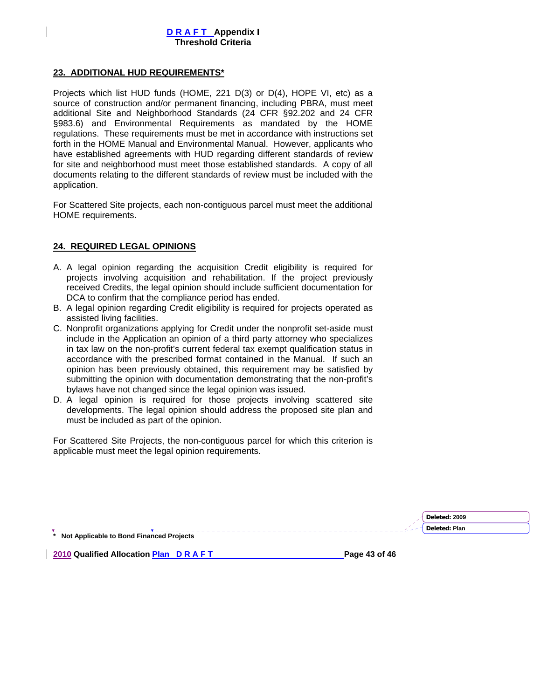## **23. ADDITIONAL HUD REQUIREMENTS\***

Projects which list HUD funds (HOME, 221 D(3) or D(4), HOPE VI, etc) as a source of construction and/or permanent financing, including PBRA, must meet additional Site and Neighborhood Standards (24 CFR §92.202 and 24 CFR §983.6) and Environmental Requirements as mandated by the HOME regulations. These requirements must be met in accordance with instructions set forth in the HOME Manual and Environmental Manual. However, applicants who have established agreements with HUD regarding different standards of review for site and neighborhood must meet those established standards. A copy of all documents relating to the different standards of review must be included with the application.

For Scattered Site projects, each non-contiguous parcel must meet the additional HOME requirements.

## **24. REQUIRED LEGAL OPINIONS**

- A. A legal opinion regarding the acquisition Credit eligibility is required for projects involving acquisition and rehabilitation. If the project previously received Credits, the legal opinion should include sufficient documentation for DCA to confirm that the compliance period has ended.
- B. A legal opinion regarding Credit eligibility is required for projects operated as assisted living facilities.
- C. Nonprofit organizations applying for Credit under the nonprofit set-aside must include in the Application an opinion of a third party attorney who specializes in tax law on the non-profit's current federal tax exempt qualification status in accordance with the prescribed format contained in the Manual. If such an opinion has been previously obtained, this requirement may be satisfied by submitting the opinion with documentation demonstrating that the non-profit's bylaws have not changed since the legal opinion was issued.
- D. A legal opinion is required for those projects involving scattered site developments. The legal opinion should address the proposed site plan and must be included as part of the opinion.

For Scattered Site Projects, the non-contiguous parcel for which this criterion is applicable must meet the legal opinion requirements.

|                                            | Deleted: 2009 |
|--------------------------------------------|---------------|
|                                            | Deleted: Plan |
| * Not Applicable to Bond Financed Projects |               |

**2010 Qualified Allocation Plan D R A F T Page 43 of 46 Page 43 of 46**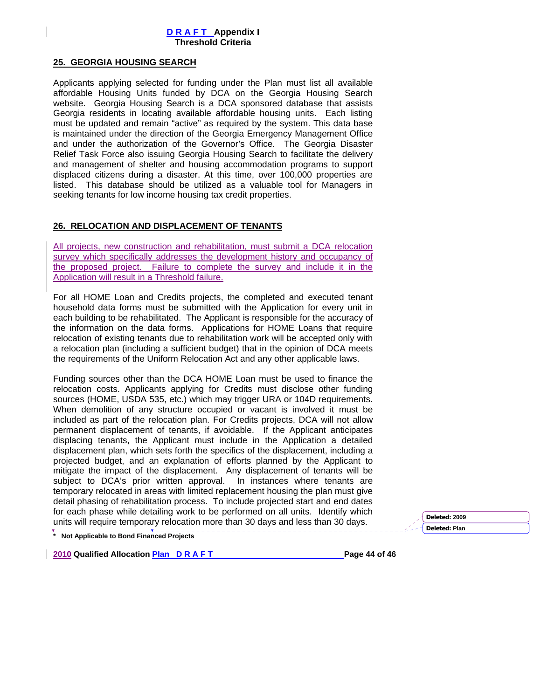## **25. GEORGIA HOUSING SEARCH**

Applicants applying selected for funding under the Plan must list all available affordable Housing Units funded by DCA on the Georgia Housing Search website. Georgia Housing Search is a DCA sponsored database that assists Georgia residents in locating available affordable housing units. Each listing must be updated and remain "active" as required by the system. This data base is maintained under the direction of the Georgia Emergency Management Office and under the authorization of the Governor's Office. The Georgia Disaster Relief Task Force also issuing Georgia Housing Search to facilitate the delivery and management of shelter and housing accommodation programs to support displaced citizens during a disaster. At this time, over 100,000 properties are listed. This database should be utilized as a valuable tool for Managers in seeking tenants for low income housing tax credit properties.

## **26. RELOCATION AND DISPLACEMENT OF TENANTS**

All projects, new construction and rehabilitation, must submit a DCA relocation survey which specifically addresses the development history and occupancy of the proposed project. Failure to complete the survey and include it in the Application will result in a Threshold failure.

For all HOME Loan and Credits projects, the completed and executed tenant household data forms must be submitted with the Application for every unit in each building to be rehabilitated. The Applicant is responsible for the accuracy of the information on the data forms. Applications for HOME Loans that require relocation of existing tenants due to rehabilitation work will be accepted only with a relocation plan (including a sufficient budget) that in the opinion of DCA meets the requirements of the Uniform Relocation Act and any other applicable laws.

Funding sources other than the DCA HOME Loan must be used to finance the relocation costs. Applicants applying for Credits must disclose other funding sources (HOME, USDA 535, etc.) which may trigger URA or 104D requirements. When demolition of any structure occupied or vacant is involved it must be included as part of the relocation plan. For Credits projects, DCA will not allow permanent displacement of tenants, if avoidable. If the Applicant anticipates displacing tenants, the Applicant must include in the Application a detailed displacement plan, which sets forth the specifics of the displacement, including a projected budget, and an explanation of efforts planned by the Applicant to mitigate the impact of the displacement. Any displacement of tenants will be subject to DCA's prior written approval. In instances where tenants are temporary relocated in areas with limited replacement housing the plan must give detail phasing of rehabilitation process. To include projected start and end dates for each phase while detailing work to be performed on all units. Identify which units will require temporary relocation more than 30 days and less than 30 days.

**Deleted: Plan** 

**\* Not Applicable to Bond Financed Projects** 

**2010 Qualified Allocation Plan D R A F T Page 44 of 46 Page 44 of 46**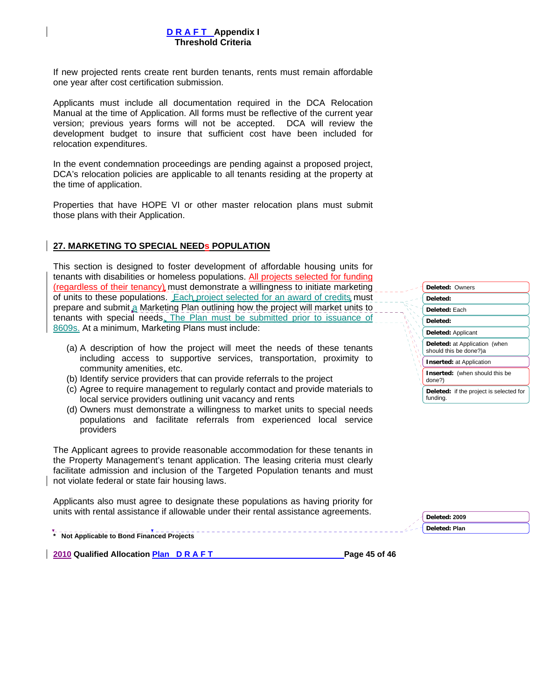If new projected rents create rent burden tenants, rents must remain affordable one year after cost certification submission.

Applicants must include all documentation required in the DCA Relocation Manual at the time of Application. All forms must be reflective of the current year version; previous years forms will not be accepted. DCA will review the development budget to insure that sufficient cost have been included for relocation expenditures.

In the event condemnation proceedings are pending against a proposed project, DCA's relocation policies are applicable to all tenants residing at the property at the time of application.

Properties that have HOPE VI or other master relocation plans must submit those plans with their Application.

### **27. MARKETING TO SPECIAL NEEDs POPULATION**

This section is designed to foster development of affordable housing units for tenants with disabilities or homeless populations. All projects selected for funding (regardless of their tenancy) must demonstrate a willingness to initiate marketing of units to these populations. Each project selected for an award of credits must prepare and submit a Marketing Plan outlining how the project will market units to tenants with special needs. The Plan must be submitted prior to issuance of 8609s. At a minimum, Marketing Plans must include:

- (a) A description of how the project will meet the needs of these tenants including access to supportive services, transportation, proximity to community amenities, etc.
- (b) Identify service providers that can provide referrals to the project
- (c) Agree to require management to regularly contact and provide materials to local service providers outlining unit vacancy and rents
- (d) Owners must demonstrate a willingness to market units to special needs populations and facilitate referrals from experienced local service providers

The Applicant agrees to provide reasonable accommodation for these tenants in the Property Management's tenant application. The leasing criteria must clearly facilitate admission and inclusion of the Targeted Population tenants and must not violate federal or state fair housing laws.

Applicants also must agree to designate these populations as having priority for units with rental assistance if allowable under their rental assistance agreements.

**\* Not Applicable to Bond Financed Projects** 

**2010 Qualified Allocation Plan D R A F T Page 45 of 46 Page 45 of 46** 

| Deleted: Owners                                            |
|------------------------------------------------------------|
| Deleted:                                                   |
| Deleted: Each                                              |
| Deleted:                                                   |
| Deleted: Applicant                                         |
| Deleted: at Application (when<br>should this be done?)a    |
| <b>Inserted: at Application</b>                            |
| <b>Inserted:</b> (when should this be<br>done?)            |
| <b>Deleted:</b> if the project is selected for<br>funding. |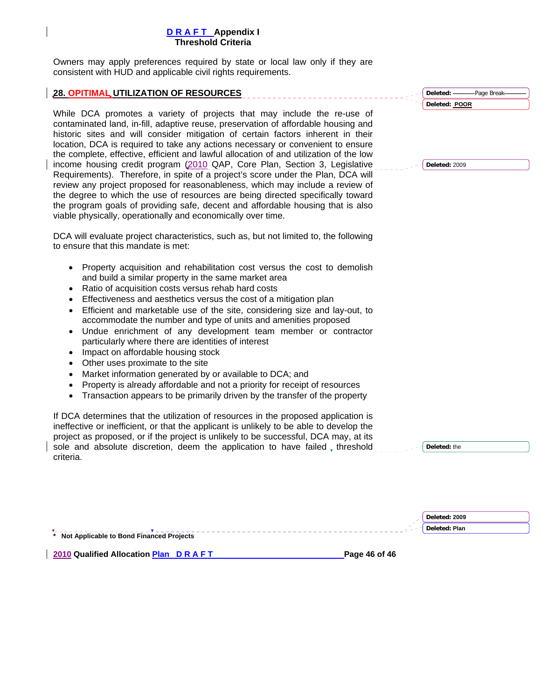Owners may apply preferences required by state or local law only if they are consistent with HUD and applicable civil rights requirements.

#### **28. OPITIMAL UTILIZATION OF RESOURCES**

While DCA promotes a variety of projects that may include the re-use of contaminated land, in-fill, adaptive reuse, preservation of affordable housing and historic sites and will consider mitigation of certain factors inherent in their location, DCA is required to take any actions necessary or convenient to ensure the complete, effective, efficient and lawful allocation of and utilization of the low income housing credit program (2010 QAP, Core Plan, Section 3, Legislative Requirements). Therefore, in spite of a project's score under the Plan, DCA will review any project proposed for reasonableness, which may include a review of the degree to which the use of resources are being directed specifically toward the program goals of providing safe, decent and affordable housing that is also viable physically, operationally and economically over time.

DCA will evaluate project characteristics, such as, but not limited to, the following to ensure that this mandate is met:

- Property acquisition and rehabilitation cost versus the cost to demolish and build a similar property in the same market area
- Ratio of acquisition costs versus rehab hard costs
- Effectiveness and aesthetics versus the cost of a mitigation plan
- Efficient and marketable use of the site, considering size and lay-out, to accommodate the number and type of units and amenities proposed
- Undue enrichment of any development team member or contractor particularly where there are identities of interest
- Impact on affordable housing stock
- Other uses proximate to the site
- Market information generated by or available to DCA; and
- Property is already affordable and not a priority for receipt of resources
- Transaction appears to be primarily driven by the transfer of the property

If DCA determines that the utilization of resources in the proposed application is ineffective or inefficient, or that the applicant is unlikely to be able to develop the project as proposed, or if the project is unlikely to be successful, DCA may, at its sole and absolute discretion, deem the application to have failed, threshold criteria.

**Deleted:** Page Break **Deleted: POOR** 

**Deleted:** 2009

**Deleted:** the

|                                            | Deleted: 2009 |  |
|--------------------------------------------|---------------|--|
|                                            | Deleted: Plan |  |
| * Not Applicable to Bond Financed Projects |               |  |

**2010 Qualified Allocation Plan D R A F T Page 46 of 46 Page 46 of 46**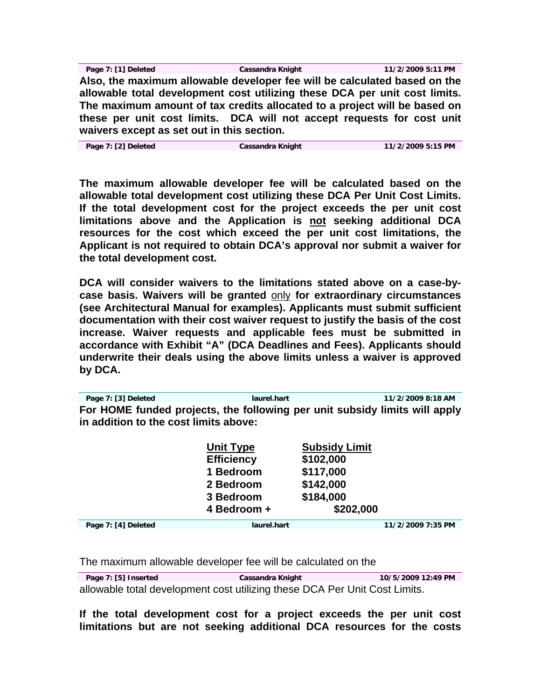**Page 7: [1] Deleted Cassandra Knight 11/2/2009 5:11 PM Also, the maximum allowable developer fee will be calculated based on the allowable total development cost utilizing these DCA per unit cost limits. The maximum amount of tax credits allocated to a project will be based on these per unit cost limits. DCA will not accept requests for cost unit waivers except as set out in this section.** 

**Page 7: [2] Deleted Cassandra Knight 11/2/2009 5:15 PM** 

**The maximum allowable developer fee will be calculated based on the allowable total development cost utilizing these DCA Per Unit Cost Limits. If the total development cost for the project exceeds the per unit cost limitations above and the Application is not seeking additional DCA resources for the cost which exceed the per unit cost limitations, the Applicant is not required to obtain DCA's approval nor submit a waiver for the total development cost.** 

**DCA will consider waivers to the limitations stated above on a case-bycase basis. Waivers will be granted** only **for extraordinary circumstances (see Architectural Manual for examples). Applicants must submit sufficient documentation with their cost waiver request to justify the basis of the cost increase. Waiver requests and applicable fees must be submitted in accordance with Exhibit "A" (DCA Deadlines and Fees). Applicants should underwrite their deals using the above limits unless a waiver is approved by DCA.** 

**Page 7: [3] Deleted laurel.hart 11/2/2009 8:18 AM For HOME funded projects, the following per unit subsidy limits will apply in addition to the cost limits above:** 

|                     | <b>Unit Type</b><br><b>Efficiency</b><br>1 Bedroom<br>2 Bedroom<br>3 Bedroom<br>4 Bedroom + | <b>Subsidy Limit</b><br>\$102,000<br>\$117,000<br>\$142,000<br>\$184,000<br>\$202,000 |                   |
|---------------------|---------------------------------------------------------------------------------------------|---------------------------------------------------------------------------------------|-------------------|
|                     |                                                                                             |                                                                                       |                   |
| Page 7: [4] Deleted | laurel.hart                                                                                 |                                                                                       | 11/2/2009 7:35 PM |

The maximum allowable developer fee will be calculated on the

**Page 7: [5] Inserted Cassandra Knight 10/5/2009 12:49 PM**  allowable total development cost utilizing these DCA Per Unit Cost Limits.

**If the total development cost for a project exceeds the per unit cost limitations but are not seeking additional DCA resources for the costs**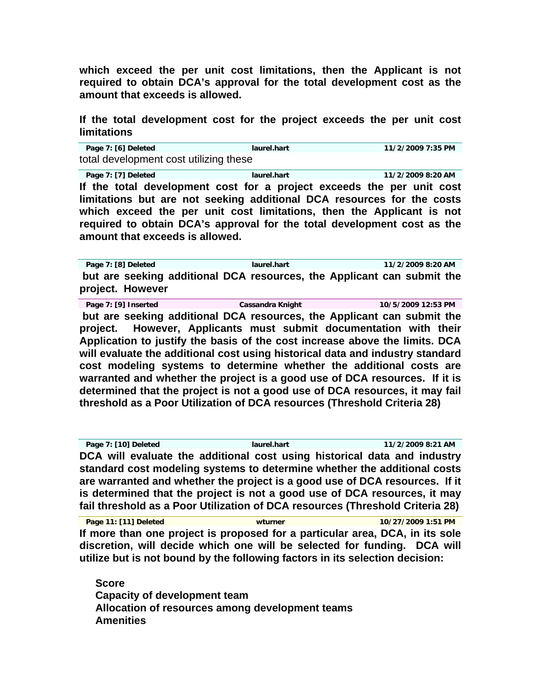**which exceed the per unit cost limitations, then the Applicant is not required to obtain DCA's approval for the total development cost as the amount that exceeds is allowed.** 

# **If the total development cost for the project exceeds the per unit cost limitations**

**Page 7: [6] Deleted laurel.hart 11/2/2009 7:35 PM**  total development cost utilizing these

**Page 7: [7] Deleted laurel.hart 11/2/2009 8:20 AM If the total development cost for a project exceeds the per unit cost limitations but are not seeking additional DCA resources for the costs which exceed the per unit cost limitations, then the Applicant is not required to obtain DCA's approval for the total development cost as the amount that exceeds is allowed.** 

**Page 7: [8] Deleted laurel.hart 11/2/2009 8:20 AM but are seeking additional DCA resources, the Applicant can submit the project. However**

**Page 7: [9] Inserted Cassandra Knight 10/5/2009 12:53 PM but are seeking additional DCA resources, the Applicant can submit the project. However, Applicants must submit documentation with their Application to justify the basis of the cost increase above the limits. DCA will evaluate the additional cost using historical data and industry standard cost modeling systems to determine whether the additional costs are warranted and whether the project is a good use of DCA resources. If it is determined that the project is not a good use of DCA resources, it may fail threshold as a Poor Utilization of DCA resources (Threshold Criteria 28)** 

**Page 7: [10] Deleted laurel.hart 11/2/2009 8:21 AM DCA will evaluate the additional cost using historical data and industry standard cost modeling systems to determine whether the additional costs are warranted and whether the project is a good use of DCA resources. If it is determined that the project is not a good use of DCA resources, it may fail threshold as a Poor Utilization of DCA resources (Threshold Criteria 28)** 

**Page 11: [11] Deleted wturner 10/27/2009 1:51 PM If more than one project is proposed for a particular area, DCA, in its sole discretion, will decide which one will be selected for funding. DCA will utilize but is not bound by the following factors in its selection decision:** 

**Score Capacity of development team Allocation of resources among development teams Amenities**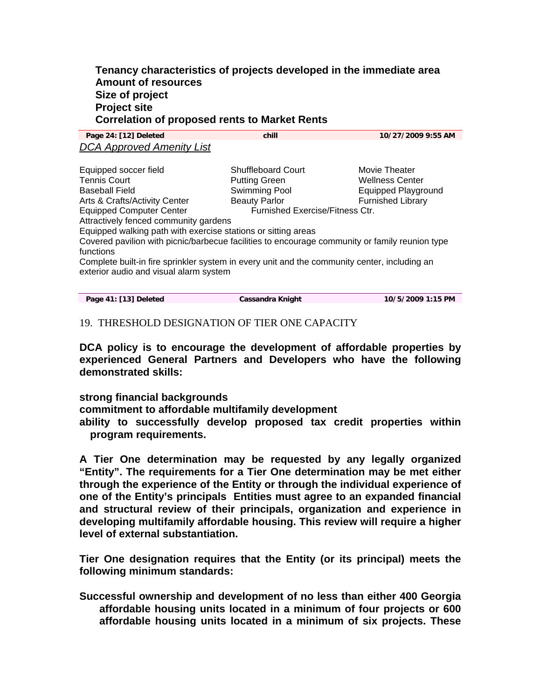# **Tenancy characteristics of projects developed in the immediate area Amount of resources Size of project Project site Correlation of proposed rents to Market Rents**

**Page 24: [12] Deleted chill 10/27/2009 9:55 AM**  *DCA Approved Amenity List*

Equipped soccer field Shuffleboard Court Movie Theater Tennis Court Putting Green Wellness Center Swimming Pool **Equipped Playground** Arts & Crafts/Activity Center **Beauty Parlor** Furnished Library Equipped Computer Center Furnished Exercise/Fitness Ctr. Attractively fenced community gardens Equipped walking path with exercise stations or sitting areas Covered pavilion with picnic/barbecue facilities to encourage community or family reunion type functions Complete built-in fire sprinkler system in every unit and the community center, including an exterior audio and visual alarm system

| Page 41: [13] Deleted | Cassandra Knight | 10/5/2009 1:15 PM |
|-----------------------|------------------|-------------------|
|                       |                  |                   |

# 19. THRESHOLD DESIGNATION OF TIER ONE CAPACITY

**DCA policy is to encourage the development of affordable properties by experienced General Partners and Developers who have the following demonstrated skills:** 

**strong financial backgrounds commitment to affordable multifamily development ability to successfully develop proposed tax credit properties within program requirements.** 

**A Tier One determination may be requested by any legally organized "Entity". The requirements for a Tier One determination may be met either through the experience of the Entity or through the individual experience of one of the Entity's principals Entities must agree to an expanded financial and structural review of their principals, organization and experience in developing multifamily affordable housing. This review will require a higher level of external substantiation.**

**Tier One designation requires that the Entity (or its principal) meets the following minimum standards:** 

**Successful ownership and development of no less than either 400 Georgia affordable housing units located in a minimum of four projects or 600 affordable housing units located in a minimum of six projects. These**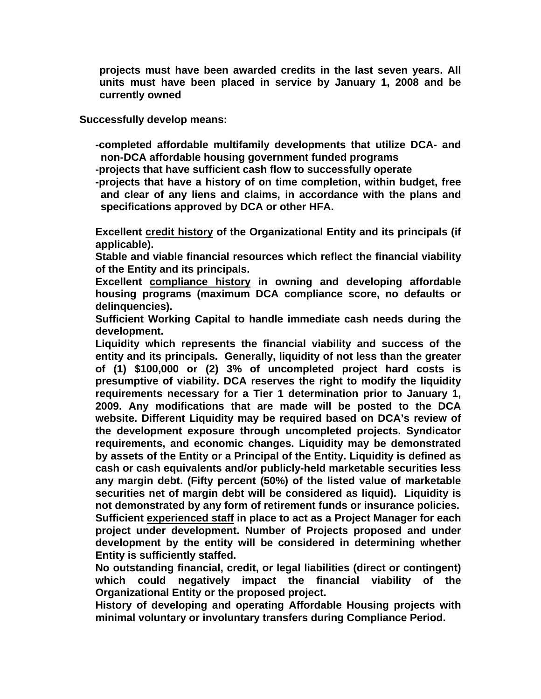**projects must have been awarded credits in the last seven years. All units must have been placed in service by January 1, 2008 and be currently owned** 

**Successfully develop means:** 

**-completed affordable multifamily developments that utilize DCA- and non-DCA affordable housing government funded programs** 

**-projects that have sufficient cash flow to successfully operate**

**-projects that have a history of on time completion, within budget, free and clear of any liens and claims, in accordance with the plans and specifications approved by DCA or other HFA.** 

**Excellent credit history of the Organizational Entity and its principals (if applicable).** 

**Stable and viable financial resources which reflect the financial viability of the Entity and its principals.** 

**Excellent compliance history in owning and developing affordable housing programs (maximum DCA compliance score, no defaults or delinquencies).** 

**Sufficient Working Capital to handle immediate cash needs during the development.** 

**Liquidity which represents the financial viability and success of the entity and its principals. Generally, liquidity of not less than the greater of (1) \$100,000 or (2) 3% of uncompleted project hard costs is presumptive of viability. DCA reserves the right to modify the liquidity requirements necessary for a Tier 1 determination prior to January 1, 2009. Any modifications that are made will be posted to the DCA website. Different Liquidity may be required based on DCA's review of the development exposure through uncompleted projects. Syndicator requirements, and economic changes. Liquidity may be demonstrated by assets of the Entity or a Principal of the Entity. Liquidity is defined as cash or cash equivalents and/or publicly-held marketable securities less any margin debt. (Fifty percent (50%) of the listed value of marketable securities net of margin debt will be considered as liquid). Liquidity is not demonstrated by any form of retirement funds or insurance policies. Sufficient experienced staff in place to act as a Project Manager for each project under development. Number of Projects proposed and under development by the entity will be considered in determining whether Entity is sufficiently staffed.** 

**No outstanding financial, credit, or legal liabilities (direct or contingent) which could negatively impact the financial viability of the Organizational Entity or the proposed project.** 

**History of developing and operating Affordable Housing projects with minimal voluntary or involuntary transfers during Compliance Period.**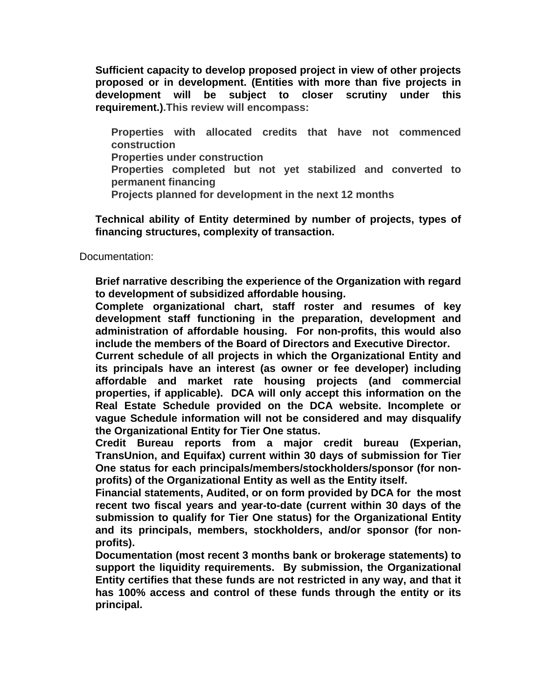**Sufficient capacity to develop proposed project in view of other projects proposed or in development. (Entities with more than five projects in development will be subject to closer scrutiny under this requirement.).This review will encompass:** 

**Properties with allocated credits that have not commenced construction Properties under construction Properties completed but not yet stabilized and converted to permanent financing Projects planned for development in the next 12 months** 

**Technical ability of Entity determined by number of projects, types of financing structures, complexity of transaction.** 

Documentation:

**Brief narrative describing the experience of the Organization with regard to development of subsidized affordable housing.** 

**Complete organizational chart, staff roster and resumes of key development staff functioning in the preparation, development and administration of affordable housing. For non-profits, this would also include the members of the Board of Directors and Executive Director.** 

**Current schedule of all projects in which the Organizational Entity and its principals have an interest (as owner or fee developer) including affordable and market rate housing projects (and commercial properties, if applicable). DCA will only accept this information on the Real Estate Schedule provided on the DCA website. Incomplete or vague Schedule information will not be considered and may disqualify the Organizational Entity for Tier One status.** 

**Credit Bureau reports from a major credit bureau (Experian, TransUnion, and Equifax) current within 30 days of submission for Tier One status for each principals/members/stockholders/sponsor (for nonprofits) of the Organizational Entity as well as the Entity itself.** 

**Financial statements, Audited, or on form provided by DCA for the most recent two fiscal years and year-to-date (current within 30 days of the submission to qualify for Tier One status) for the Organizational Entity and its principals, members, stockholders, and/or sponsor (for nonprofits).** 

**Documentation (most recent 3 months bank or brokerage statements) to support the liquidity requirements. By submission, the Organizational Entity certifies that these funds are not restricted in any way, and that it has 100% access and control of these funds through the entity or its principal.**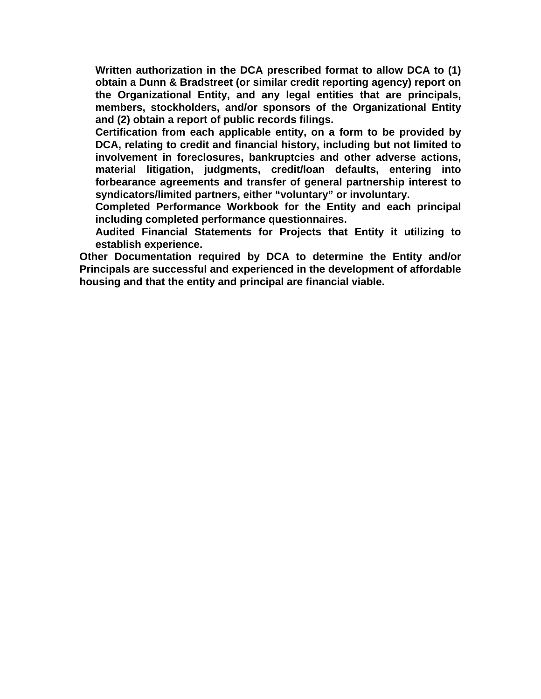**Written authorization in the DCA prescribed format to allow DCA to (1) obtain a Dunn & Bradstreet (or similar credit reporting agency) report on the Organizational Entity, and any legal entities that are principals, members, stockholders, and/or sponsors of the Organizational Entity and (2) obtain a report of public records filings.** 

**Certification from each applicable entity, on a form to be provided by DCA, relating to credit and financial history, including but not limited to involvement in foreclosures, bankruptcies and other adverse actions, material litigation, judgments, credit/loan defaults, entering into forbearance agreements and transfer of general partnership interest to syndicators/limited partners, either "voluntary" or involuntary.** 

**Completed Performance Workbook for the Entity and each principal including completed performance questionnaires.** 

**Audited Financial Statements for Projects that Entity it utilizing to establish experience.** 

**Other Documentation required by DCA to determine the Entity and/or Principals are successful and experienced in the development of affordable housing and that the entity and principal are financial viable.**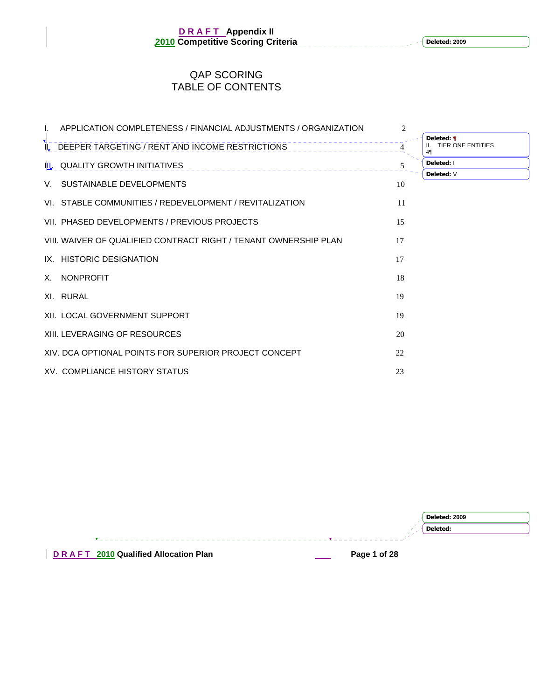**Deleted: 2009**

# QAP SCORING TABLE OF CONTENTS

| I.  | APPLICATION COMPLETENESS / FINANCIAL ADJUSTMENTS / ORGANIZATION  | $\overline{2}$ |                                              |
|-----|------------------------------------------------------------------|----------------|----------------------------------------------|
| IL. | DEEPER TARGETING / RENT AND INCOME RESTRICTIONS                  |                | Deleted: ¶<br><b>TIER ONE ENTITIES</b><br>41 |
|     | IL QUALITY GROWTH INITIATIVES                                    | 5              | Deleted: I                                   |
|     | V. SUSTAINABLE DEVELOPMENTS                                      | 10             | Deleted: V                                   |
|     | VI. STABLE COMMUNITIES / REDEVELOPMENT / REVITALIZATION          | 11             |                                              |
|     | VII. PHASED DEVELOPMENTS / PREVIOUS PROJECTS                     | 15             |                                              |
|     | VIII. WAIVER OF QUALIFIED CONTRACT RIGHT / TENANT OWNERSHIP PLAN | 17             |                                              |
|     | IX. HISTORIC DESIGNATION                                         | 17             |                                              |
|     | X. NONPROFIT                                                     | 18             |                                              |
|     | XI. RURAL                                                        | 19             |                                              |
|     | XII. LOCAL GOVERNMENT SUPPORT                                    | 19             |                                              |
|     | XIII. LEVERAGING OF RESOURCES                                    | 20             |                                              |
|     | XIV, DCA OPTIONAL POINTS FOR SUPERIOR PROJECT CONCEPT            | 22             |                                              |
|     | XV. COMPLIANCE HISTORY STATUS                                    | 23             |                                              |

|                                      | Deleted: 2009 |
|--------------------------------------|---------------|
|                                      | Deleted:      |
|                                      |               |
| DRAFT 2010 Qualified Allocation Plan | Page 1 of 28  |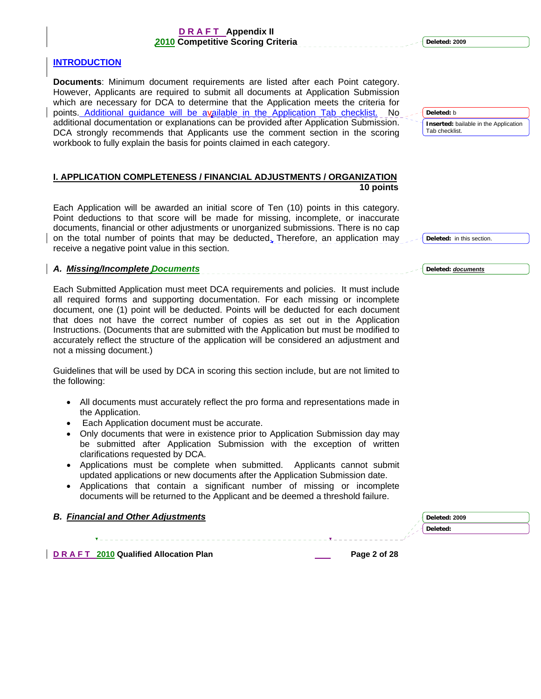#### **INTRODUCTION**

**Documents**: Minimum document requirements are listed after each Point category. However, Applicants are required to submit all documents at Application Submission which are necessary for DCA to determine that the Application meets the criteria for points. Additional guidance will be available in the Application Tab checklist. No additional documentation or explanations can be provided after Application Submission. DCA strongly recommends that Applicants use the comment section in the scoring workbook to fully explain the basis for points claimed in each category.

### **I. APPLICATION COMPLETENESS / FINANCIAL ADJUSTMENTS / ORGANIZATION 10 points**

Each Application will be awarded an initial score of Ten (10) points in this category. Point deductions to that score will be made for missing, incomplete, or inaccurate documents, financial or other adjustments or unorganized submissions. There is no cap on the total number of points that may be deducted. Therefore, an application may receive a negative point value in this section.

#### *A. Missing/Incomplete Documents*

Each Submitted Application must meet DCA requirements and policies. It must include all required forms and supporting documentation. For each missing or incomplete document, one (1) point will be deducted. Points will be deducted for each document that does not have the correct number of copies as set out in the Application Instructions. (Documents that are submitted with the Application but must be modified to accurately reflect the structure of the application will be considered an adjustment and not a missing document.)

Guidelines that will be used by DCA in scoring this section include, but are not limited to the following:

- All documents must accurately reflect the pro forma and representations made in the Application.
- Each Application document must be accurate.
- Only documents that were in existence prior to Application Submission day may be submitted after Application Submission with the exception of written clarifications requested by DCA.
- Applications must be complete when submitted. Applicants cannot submit updated applications or new documents after the Application Submission date.
- Applications that contain a significant number of missing or incomplete documents will be returned to the Applicant and be deemed a threshold failure.

#### *B. Financial and Other Adjustments*

**D R A F T 2010** Qualified Allocation Plan **Page 2** of 28 **Page 2 of 28** 

**Deleted: 2009**

**Deleted:** b **Inserted:** bailable in the Application Tab checklist.

**Deleted:** in this section.

**Deleted:** *documents*

**Deleted: 2009 Deleted:**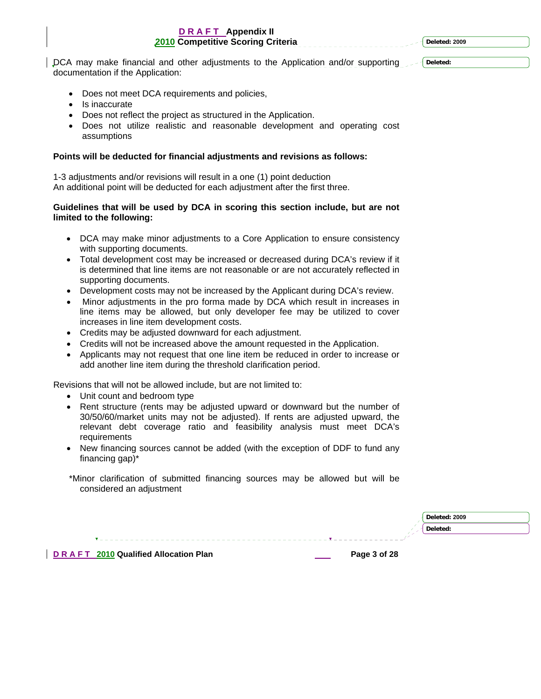**Deleted: 2009**

DCA may make financial and other adjustments to the Application and/or supporting documentation if the Application:

**Deleted:** 

- Does not meet DCA requirements and policies,
- Is inaccurate
- Does not reflect the project as structured in the Application.
- Does not utilize realistic and reasonable development and operating cost assumptions

#### **Points will be deducted for financial adjustments and revisions as follows:**

1-3 adjustments and/or revisions will result in a one (1) point deduction An additional point will be deducted for each adjustment after the first three.

#### **Guidelines that will be used by DCA in scoring this section include, but are not limited to the following:**

- DCA may make minor adjustments to a Core Application to ensure consistency with supporting documents.
- Total development cost may be increased or decreased during DCA's review if it is determined that line items are not reasonable or are not accurately reflected in supporting documents.
- Development costs may not be increased by the Applicant during DCA's review.
- Minor adjustments in the pro forma made by DCA which result in increases in line items may be allowed, but only developer fee may be utilized to cover increases in line item development costs.
- Credits may be adjusted downward for each adjustment.
- Credits will not be increased above the amount requested in the Application.
- Applicants may not request that one line item be reduced in order to increase or add another line item during the threshold clarification period.

Revisions that will not be allowed include, but are not limited to:

- Unit count and bedroom type
- Rent structure (rents may be adjusted upward or downward but the number of 30/50/60/market units may not be adjusted). If rents are adjusted upward, the relevant debt coverage ratio and feasibility analysis must meet DCA's requirements
- New financing sources cannot be added (with the exception of DDF to fund any financing gap)\*

|                                      |              | Deleted: 2009 |
|--------------------------------------|--------------|---------------|
|                                      |              | Deleted:      |
|                                      |              |               |
| DRAFT 2010 Qualified Allocation Plan | Page 3 of 28 |               |

 <sup>\*</sup>Minor clarification of submitted financing sources may be allowed but will be considered an adjustment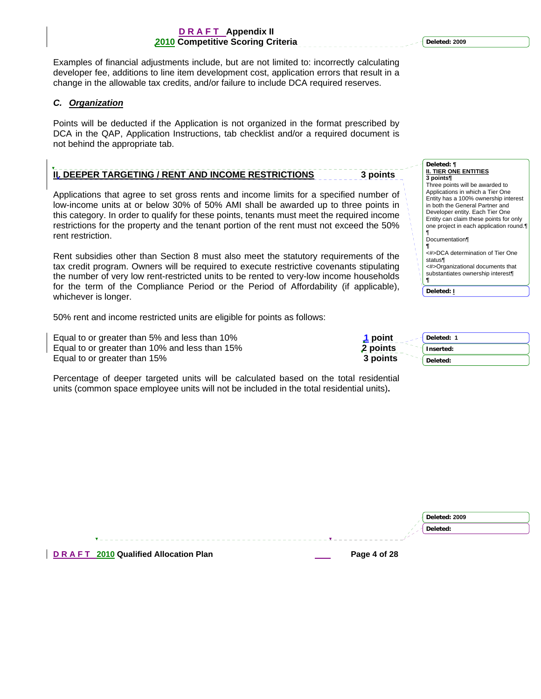<span id="page-117-0"></span>Examples of financial adjustments include, but are not limited to: incorrectly calculating developer fee, additions to line item development cost, application errors that result in a change in the allowable tax credits, and/or failure to include DCA required reserves.

#### *C. Organization*

Points will be deducted if the Application is not organized in the format prescribed by DCA in the QAP, Application Instructions, tab checklist and/or a required document is not behind the appropriate tab.

# **II. DEEPER TARGETING / RENT AND INCOME RESTRICTIONS** 3 points

Applications that agree to set gross rents and income limits for a specified number of low-income units at or below 30% of 50% AMI shall be awarded up to three points in this category. In order to qualify for these points, tenants must meet the required income restrictions for the property and the tenant portion of the rent must not exceed the 50% rent restriction.

Rent subsidies other than Section 8 must also meet the statutory requirements of the tax credit program. Owners will be required to execute restrictive covenants stipulating the number of very low rent-restricted units to be rented to very-low income households for the term of the Compliance Period or the Period of Affordability (if applicable), whichever is longer.

50% rent and income restricted units are eligible for points as follows:

Equal to or greater than 5% and less than 10% Equal to or greater than 10% and less than 15% Equal to or greater than 15%

| point    | Deleted: 1 |
|----------|------------|
| 2 points | Inserted:  |
| 3 points | Deleted:   |

**¶ Deleted: I**

Percentage of deeper targeted units will be calculated based on the total residential units (common space employee units will not be included in the total residential units)**.**

|                                      | Deleted: 2009 |
|--------------------------------------|---------------|
|                                      | Deleted:      |
|                                      |               |
| DRAFT 2010 Qualified Allocation Plan | Page 4 of 28  |

**Deleted: ¶ II. TIER ONE ENTITIES 3 points¶** Three points will be awarded to Applications in which a Tier One Entity has a 100% ownership interest in both the General Partner and Developer entity. Each Tier One Entity can claim these points for only one project in each application round.¶ ¶ Documentation¶ **¶** <#>DCA determination of Tier One status¶ <#>Organizational documents that substantiates ownership interest¶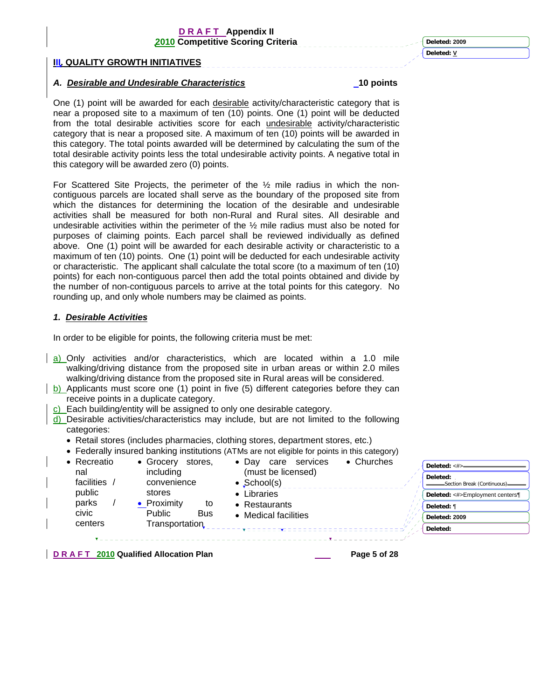**III. QUALITY GROWTH INITIATIVES**

### *A. Desirable and Undesirable Characteristics* **10 points**

One (1) point will be awarded for each desirable activity/characteristic category that is near a proposed site to a maximum of ten (10) points. One (1) point will be deducted from the total desirable activities score for each undesirable activity/characteristic category that is near a proposed site. A maximum of ten (10) points will be awarded in this category. The total points awarded will be determined by calculating the sum of the total desirable activity points less the total undesirable activity points. A negative total in this category will be awarded zero (0) points.

For Scattered Site Projects, the perimeter of the ½ mile radius in which the noncontiguous parcels are located shall serve as the boundary of the proposed site from which the distances for determining the location of the desirable and undesirable activities shall be measured for both non-Rural and Rural sites. All desirable and undesirable activities within the perimeter of the  $\frac{1}{2}$  mile radius must also be noted for purposes of claiming points. Each parcel shall be reviewed individually as defined above. One (1) point will be awarded for each desirable activity or characteristic to a maximum of ten (10) points. One (1) point will be deducted for each undesirable activity or characteristic. The applicant shall calculate the total score (to a maximum of ten (10) points) for each non-contiguous parcel then add the total points obtained and divide by the number of non-contiguous parcels to arrive at the total points for this category. No rounding up, and only whole numbers may be claimed as points.

#### *1. Desirable Activities*

In order to be eligible for points, the following criteria must be met:

- a) Only activities and/or characteristics, which are located within a 1.0 mile walking/driving distance from the proposed site in urban areas or within 2.0 miles walking/driving distance from the proposed site in Rural areas will be considered.
- b) Applicants must score one (1) point in five (5) different categories before they can receive points in a duplicate category.
- c) Each building/entity will be assigned to only one desirable category.
- d) Desirable activities/characteristics may include, but are not limited to the following categories:
	- Retail stores (includes pharmacies, clothing stores, department stores, etc.)
	- Federally insured banking institutions (ATMs are not eligible for points in this category)

| • Recreatio              | • Grocery<br>stores.        | services<br>$\bullet$ Dav<br>care         | $\bullet$ Churches | Deleted: $<\#>$                 |
|--------------------------|-----------------------------|-------------------------------------------|--------------------|---------------------------------|
| nal<br><b>facilities</b> | including<br>convenience    | (must be licensed)<br>$\bullet$ School(s) |                    | Deleted:                        |
| public                   | stores                      | • Libraries                               |                    | Deleted: <#>Employment centers¶ |
| parks                    | • Proximity<br>to           | • Restaurants                             |                    | Deleted: ¶                      |
| civic                    | <b>Public</b><br><b>Bus</b> | • Medical facilities                      |                    | Deleted: 2009                   |
| centers                  | Transportation              |                                           |                    | Deleted:                        |
|                          |                             |                                           |                    |                                 |

**D R A F T 2010 Qualified Allocation Plan Page 5 of 28** 

**Deleted: 2009 Deleted: V**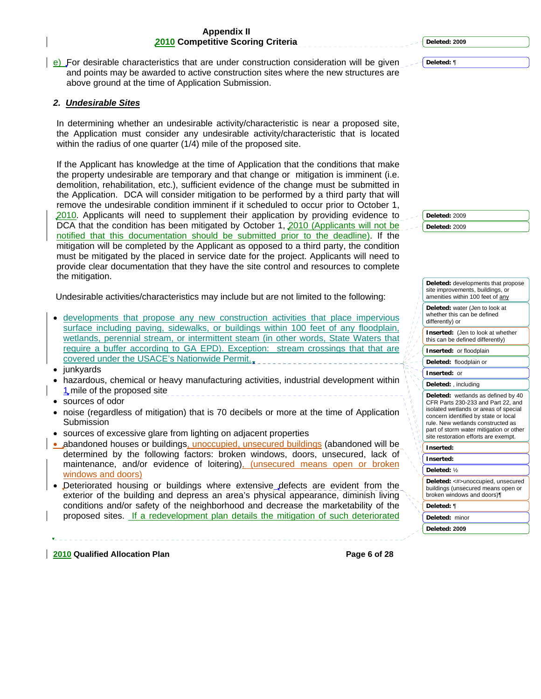e) For desirable characteristics that are under construction consideration will be given and points may be awarded to active construction sites where the new structures are above ground at the time of Application Submission.

#### *2. Undesirable Sites*

In determining whether an undesirable activity/characteristic is near a proposed site, the Application must consider any undesirable activity/characteristic that is located within the radius of one quarter (1/4) mile of the proposed site.

If the Applicant has knowledge at the time of Application that the conditions that make the property undesirable are temporary and that change or mitigation is imminent (i.e. demolition, rehabilitation, etc.), sufficient evidence of the change must be submitted in the Application. DCA will consider mitigation to be performed by a third party that will remove the undesirable condition imminent if it scheduled to occur prior to October 1, 2010. Applicants will need to supplement their application by providing evidence to DCA that the condition has been mitigated by October 1, 2010 (Applicants will not be notified that this documentation should be submitted prior to the deadline). If the mitigation will be completed by the Applicant as opposed to a third party, the condition must be mitigated by the placed in service date for the project. Applicants will need to provide clear documentation that they have the site control and resources to complete the mitigation.

Undesirable activities/characteristics may include but are not limited to the following:

- developments that propose any new construction activities that place impervious surface including paving, sidewalks, or buildings within 100 feet of any floodplain, wetlands, perennial stream, or intermittent steam (in other words, State Waters that require a buffer according to GA EPD). Exception: stream crossings that that are covered under the USACE's Nationwide Permit.
- junkyards
- hazardous, chemical or heavy manufacturing activities, industrial development within 1, mile of the proposed site
- sources of odor
- noise (regardless of mitigation) that is 70 decibels or more at the time of Application Submission
- sources of excessive glare from lighting on adjacent properties
- abandoned houses or buildings, unoccupied, unsecured buildings (abandoned will be determined by the following factors: broken windows, doors, unsecured, lack of maintenance, and/or evidence of loitering), (unsecured means open or broken windows and doors)
- Deteriorated housing or buildings where extensive defects are evident from the exterior of the building and depress an area's physical appearance, diminish living conditions and/or safety of the neighborhood and decrease the marketability of the proposed sites. If a redevelopment plan details the mitigation of such deteriorated

**Deleted:** 2009 **Deleted:** 2009

| site improvements, buildings, or<br>amenities within 100 feet of any                                                                                                                                                                                                              |
|-----------------------------------------------------------------------------------------------------------------------------------------------------------------------------------------------------------------------------------------------------------------------------------|
| Deleted: water (Jen to look at<br>whether this can be defined<br>differently) or                                                                                                                                                                                                  |
| <b>Inserted:</b> (Jen to look at whether<br>this can be defined differently)                                                                                                                                                                                                      |
| Inserted: or floodplain                                                                                                                                                                                                                                                           |
| Deleted: floodplain or                                                                                                                                                                                                                                                            |
| Inserted: or                                                                                                                                                                                                                                                                      |
| Deleted: , including                                                                                                                                                                                                                                                              |
| Deleted: wetlands as defined by 40<br>CFR Parts 230-233 and Part 22, and<br>isolated wetlands or areas of special<br>concern identified by state or local<br>rule. New wetlands constructed as<br>part of storm water mitigation or other<br>site restoration efforts are exempt. |
| Inserted:                                                                                                                                                                                                                                                                         |
| Inserted:                                                                                                                                                                                                                                                                         |
| Deleted: 1/                                                                                                                                                                                                                                                                       |
| Deleted: <#>unoccupied, unsecured<br>buildings (unsecured means open or<br>broken windows and doors)¶                                                                                                                                                                             |
| Deleted: ¶                                                                                                                                                                                                                                                                        |
| Deleted: minor                                                                                                                                                                                                                                                                    |
| Deleted: 2009                                                                                                                                                                                                                                                                     |

**2010 Qualified Allocation Plan Page 6 of 28** 

**Deleted: 2009**

**Deleted:** ¶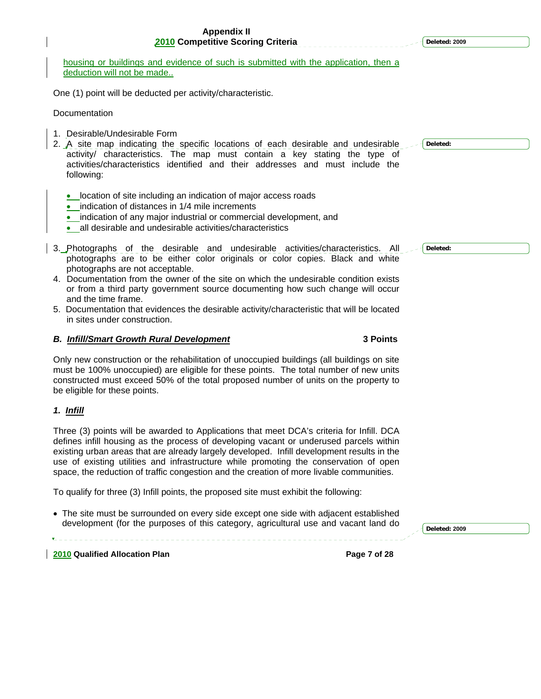| 2010 Competitive Scoring Criteria                                                                                                                                                                                                                                                                                                                                                                                                                                                                                                   | Deleted: 2009 |
|-------------------------------------------------------------------------------------------------------------------------------------------------------------------------------------------------------------------------------------------------------------------------------------------------------------------------------------------------------------------------------------------------------------------------------------------------------------------------------------------------------------------------------------|---------------|
| housing or buildings and evidence of such is submitted with the application, then a<br>deduction will not be made                                                                                                                                                                                                                                                                                                                                                                                                                   |               |
| One (1) point will be deducted per activity/characteristic.                                                                                                                                                                                                                                                                                                                                                                                                                                                                         |               |
| Documentation                                                                                                                                                                                                                                                                                                                                                                                                                                                                                                                       |               |
| 1. Desirable/Undesirable Form<br>2. A site map indicating the specific locations of each desirable and undesirable<br>activity/ characteristics. The map must contain a key stating the type of<br>activities/characteristics identified and their addresses and must include the<br>following:                                                                                                                                                                                                                                     | Deleted:      |
| • location of site including an indication of major access roads<br>indication of distances in 1/4 mile increments<br>indication of any major industrial or commercial development, and<br>all desirable and undesirable activities/characteristics                                                                                                                                                                                                                                                                                 |               |
| 3. Photographs of the desirable and undesirable activities/characteristics. All<br>photographs are to be either color originals or color copies. Black and white<br>photographs are not acceptable.<br>4. Documentation from the owner of the site on which the undesirable condition exists<br>or from a third party government source documenting how such change will occur<br>and the time frame.<br>5. Documentation that evidences the desirable activity/characteristic that will be located<br>in sites under construction. | Deleted:      |
| <b>B. Infill/Smart Growth Rural Development</b><br><b>3 Points</b>                                                                                                                                                                                                                                                                                                                                                                                                                                                                  |               |
| Only new construction or the rehabilitation of unoccupied buildings (all buildings on site<br>must be 100% unoccupied) are eligible for these points. The total number of new units<br>constructed must exceed 50% of the total proposed number of units on the property to<br>be eligible for these points.                                                                                                                                                                                                                        |               |
| 1. <u>Infill</u>                                                                                                                                                                                                                                                                                                                                                                                                                                                                                                                    |               |
| Three (3) points will be awarded to Applications that meet DCA's criteria for Infill. DCA<br>defines infill housing as the process of developing vacant or underused parcels within<br>existing urban areas that are already largely developed. Infill development results in the<br>use of existing utilities and infrastructure while promoting the conservation of open<br>space, the reduction of traffic congestion and the creation of more livable communities.                                                              |               |
| To qualify for three (3) Infill points, the proposed site must exhibit the following:                                                                                                                                                                                                                                                                                                                                                                                                                                               |               |
| • The site must be surrounded on every side except one side with adjacent established<br>development (for the purposes of this category, agricultural use and vacant land do                                                                                                                                                                                                                                                                                                                                                        | Deleted: 2009 |
| 2010 Qualified Allocation Plan<br>Page 7 of 28                                                                                                                                                                                                                                                                                                                                                                                                                                                                                      |               |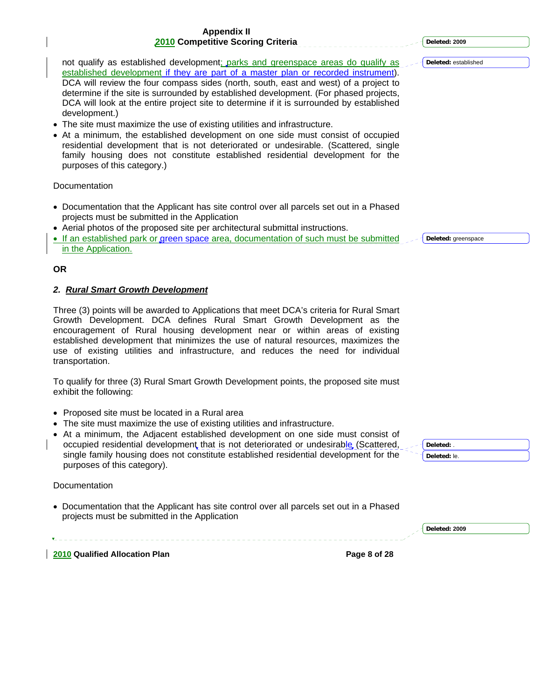not qualify as established development; parks and greenspace areas do qualify as established development if they are part of a master plan or recorded instrument). DCA will review the four compass sides (north, south, east and west) of a project to determine if the site is surrounded by established development. (For phased projects, DCA will look at the entire project site to determine if it is surrounded by established development.)

- The site must maximize the use of existing utilities and infrastructure.
- At a minimum, the established development on one side must consist of occupied residential development that is not deteriorated or undesirable. (Scattered, single family housing does not constitute established residential development for the purposes of this category.)

Documentation

- Documentation that the Applicant has site control over all parcels set out in a Phased projects must be submitted in the Application
- Aerial photos of the proposed site per architectural submittal instructions.
- If an established park or green space area, documentation of such must be submitted in the Application.

#### **OR**

#### *2. Rural Smart Growth Development*

Three (3) points will be awarded to Applications that meet DCA's criteria for Rural Smart Growth Development. DCA defines Rural Smart Growth Development as the encouragement of Rural housing development near or within areas of existing established development that minimizes the use of natural resources, maximizes the use of existing utilities and infrastructure, and reduces the need for individual transportation.

To qualify for three (3) Rural Smart Growth Development points, the proposed site must exhibit the following:

- Proposed site must be located in a Rural area
- The site must maximize the use of existing utilities and infrastructure.
- At a minimum, the Adjacent established development on one side must consist of occupied residential development that is not deteriorated or undesirable (Scattered, single family housing does not constitute established residential development for the purposes of this category).

**Documentation** 

• Documentation that the Applicant has site control over all parcels set out in a Phased projects must be submitted in the Application

| n۰<br>ω<br><b>STATE</b><br>.<br>$\sim$ |  |
|----------------------------------------|--|
|                                        |  |

**Deleted:** established

**Deleted:** greenspace

**Deleted:** . **Deleted:** le.

**Deleted: 2009**

**2010 Qualified Allocation Plan Page 8 of 28**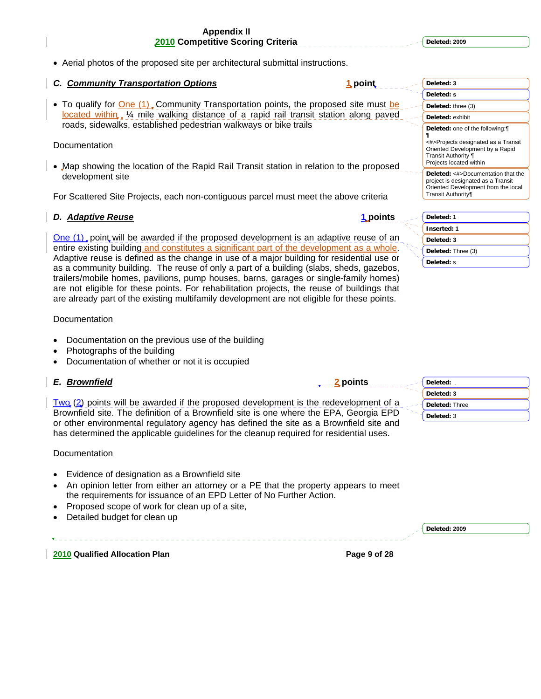**Deleted: 2009**

• Aerial photos of the proposed site per architectural submittal instructions.

### *C. Community Transportation Options* **1 point**

• To qualify for One (1). Community Transportation points, the proposed site must be located within, 1/4 mile walking distance of a rapid rail transit station along paved roads, sidewalks, established pedestrian walkways or bike trails

**Documentation** 

• Map showing the location of the Rapid Rail Transit station in relation to the proposed development site

For Scattered Site Projects, each non-contiguous parcel must meet the above criteria

### *D.* **Adaptive Reuse <b>1** *points* **1** *points*

One (1) point will be awarded if the proposed development is an adaptive reuse of an entire existing building and constitutes a significant part of the development as a whole. Adaptive reuse is defined as the change in use of a major building for residential use or as a community building. The reuse of only a part of a building (slabs, sheds, gazebos, trailers/mobile homes, pavilions, pump houses, barns, garages or single-family homes) are not eligible for these points. For rehabilitation projects, the reuse of buildings that are already part of the existing multifamily development are not eligible for these points.

Documentation

- Documentation on the previous use of the building
- Photographs of the building
- Documentation of whether or not it is occupied

### *E. Brownfield* **2 points**

 $T_{WQ}$  (2) points will be awarded if the proposed development is the redevelopment of Brownfield site. The definition of a Brownfield site is one where the EPA, Georgia EF or other environmental regulatory agency has defined the site as a Brownfield site and has determined the applicable guidelines for the cleanup required for residential uses.

#### Documentation

- Evidence of designation as a Brownfield site
- An opinion letter from either an attorney or a PE that the property appears to meet the requirements for issuance of an EPD Letter of No Further Action.
- Proposed scope of work for clean up of a site,
- Detailed budget for clean up

**2010 Qualified Allocation Plan Page 9 of 28** 

| Deleted: 3                                                                                                                                                     |
|----------------------------------------------------------------------------------------------------------------------------------------------------------------|
| Deleted: s                                                                                                                                                     |
| Deleted: three (3)                                                                                                                                             |
| Deleted: exhibit                                                                                                                                               |
| Deleted: one of the following: [1]<br><#>Projects designated as a Transit<br>Oriented Development by a Rapid<br>Transit Authority ¶<br>Projects located within |
| Deleted: <#>Documentation that the<br>project is designated as a Transit<br>Oriented Development from the local<br>Transit Authority¶                          |
| Deleted: 1                                                                                                                                                     |
| <b>Inserted: 1</b>                                                                                                                                             |
|                                                                                                                                                                |



|     | Deleted:       |
|-----|----------------|
|     | Deleted: 3     |
| f a | Deleted: Three |
|     | Deleted: 3     |
| nd  |                |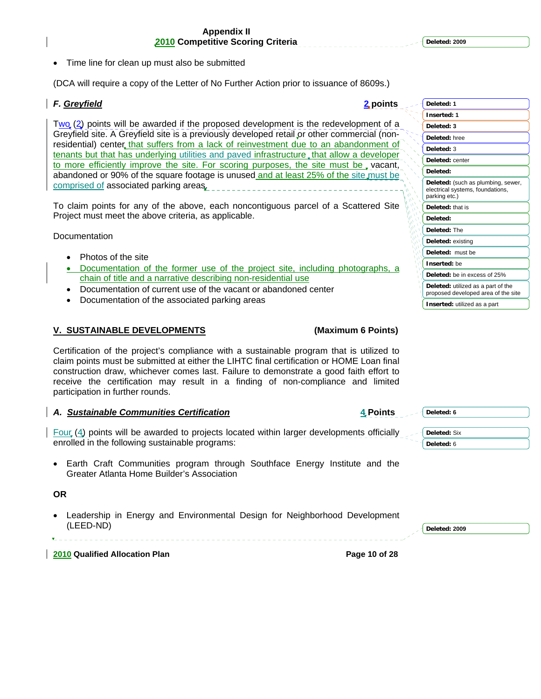• Time line for clean up must also be submitted

(DCA will require a copy of the Letter of No Further Action prior to issuance of 8609s.)

### *F. Greyfield* **2 points**

 $T_{WQ}$  (2) points will be awarded if the proposed development is the redevelopment of a Greyfield site. A Greyfield site is a previously developed retail or other commercial (nonresidential) center that suffers from a lack of reinvestment due to an abandonment of tenants but that has underlying utilities and paved infrastructure, that allow a developer to more efficiently improve the site. For scoring purposes, the site must be, vacant, abandoned or 90% of the square footage is unused and at least 25% of the site must be comprised of associated parking areas.

To claim points for any of the above, each noncontiguous parcel of a Scattered Site Project must meet the above criteria, as applicable.

**Documentation** 

- Photos of the site
- Documentation of the former use of the project site, including photographs, a chain of title and a narrative describing non-residential use
- Documentation of current use of the vacant or abandoned center
- Documentation of the associated parking areas

#### **V. SUSTAINABLE DEVELOPMENTS (Maximum 6 Points)**

Certification of the project's compliance with a sustainable program that is utilized to claim points must be submitted at either the LIHTC final certification or HOME Loan final construction draw, whichever comes last. Failure to demonstrate a good faith effort to receive the certification may result in a finding of non-compliance and limited participation in further rounds.

#### *A. Sustainable Communities Certification* **4 Points**

 $\mathsf{Four}(\mathcal{A})$  points will be awarded to projects located within larger developments officially enrolled in the following sustainable programs:

• Earth Craft Communities program through Southface Energy Institute and the Greater Atlanta Home Builder's Association

#### **OR**

• Leadership in Energy and Environmental Design for Neighborhood Development (LEED-ND)

**Deleted: 6**

**Deleted:** Six **Deleted:** 6

**Deleted: 2009**

**2010 Qualified Allocation Plan Page 10 of 28**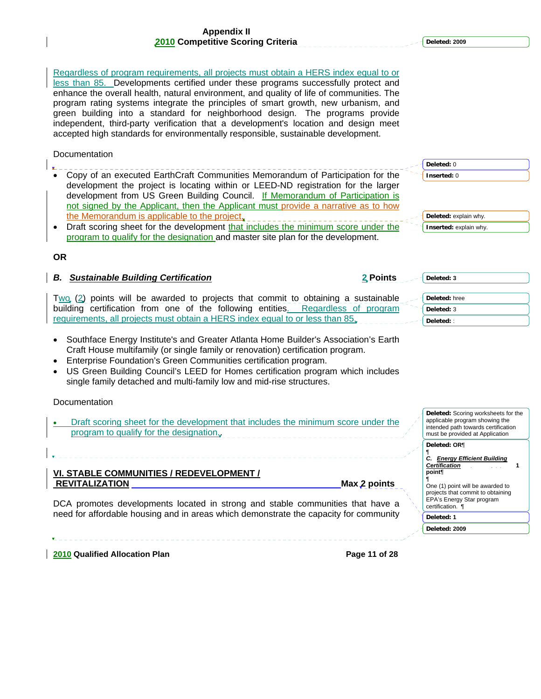**Deleted: 2009**

**Deleted:** 0 **Inserted:** 0

**Deleted: 3**

**Deleted:** hree **Deleted:** 3 **Deleted:** :

**Deleted:** explain why. **Inserted:** explain why.

Regardless of program requirements, all projects must obtain a HERS index equal to or less than 85. Developments certified under these programs successfully protect and enhance the overall health, natural environment, and quality of life of communities. The program rating systems integrate the principles of smart growth, new urbanism, and green building into a standard for neighborhood design. The programs provide independent, third-party verification that a development's location and design meet accepted high standards for environmentally responsible, sustainable development.

#### **Documentation**

- Copy of an executed EarthCraft Communities Memorandum of Participation for the development the project is locating within or LEED-ND registration for the larger development from US Green Building Council. If Memorandum of Participation is not signed by the Applicant, then the Applicant must provide a narrative as to how the Memorandum is applicable to the project.
- Draft scoring sheet for the development that includes the minimum score under the program to qualify for the designation and master site plan for the development.

#### **OR**

#### *B. Sustainable Building Certification* **2 Points**

- $T_{WQ}$  (2) points will be awarded to projects that commit to obtaining a sustainable building certification from one of the following entities. Regardless of program requirements, all projects must obtain a HERS index equal to or less than 85.
- Southface Energy Institute's and Greater Atlanta Home Builder's Association's Earth Craft House multifamily (or single family or renovation) certification program.
- Enterprise Foundation's Green Communities certification program.
- US Green Building Council's LEED for Homes certification program which includes single family detached and multi-family low and mid-rise structures.

#### **Documentation**

Draft scoring sheet for the development that includes the minimum score under the program to qualify for the designation.

DCA promotes developments located in strong and stable communities that have a need for affordable housing and in areas which demonstrate the capacity for community

#### **VI. STABLE COMMUNITIES / REDEVELOPMENT / REVITALIZATION** Max 2 points **Max 2 points**

*C. Energy Efficient Building Certification* **1 point**¶ ¶ One (1) point will be awarded to projects that commit to obtaining EPA's Energy Star program certification. ¶ **Deleted: 1**

**Deleted:** Scoring worksheets for the applicable program showing the intended path towards certification must be provided at Application

**Deleted: 2009**

**Deleted: OR**¶

¶

**2010 Qualified Allocation Plan Page 11 of 28**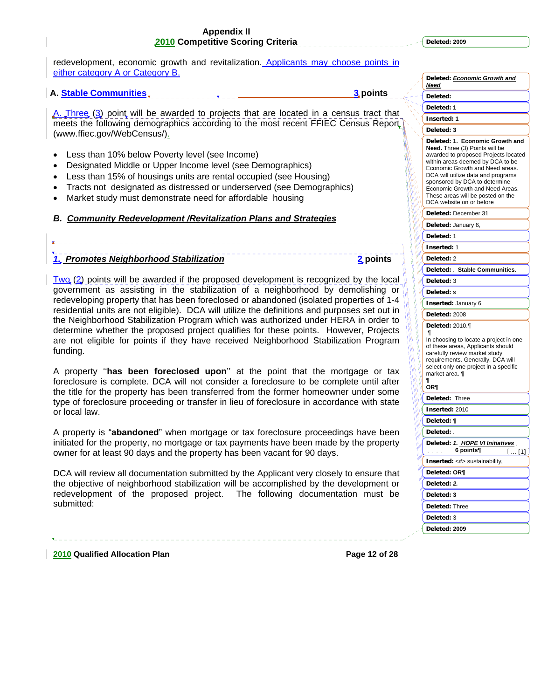**Deleted: 2009**

**Deleted:** *Economic Growth and* 

redevelopment, economic growth and revitalization. Applicants may choose points in either category A or Category B.

#### **A. Stable Communities 2 and 3 points 3 and 3 points 3 points**

A. Three (3) point will be awarded to projects that are located in a census tract that meets the following demographics according to the most recent FFIEC Census Report (www.ffiec.gov/WebCensus/).

- Less than 10% below Poverty level (see Income)
- Designated Middle or Upper Income level (see Demographics)
- Less than 15% of housings units are rental occupied (see Housing)
- Tracts not designated as distressed or underserved (see Demographics)
- Market study must demonstrate need for affordable housing

#### *B. Community Redevelopment /Revitalization Plans and Strategies*

# *1. Promotes Neighborhood Stabilization* **2 points**

Two (2) points will be awarded if the proposed development is recognized by the local government as assisting in the stabilization of a neighborhood by demolishing or redeveloping property that has been foreclosed or abandoned (isolated properties of 1-4 residential units are not eligible). DCA will utilize the definitions and purposes set out in the Neighborhood Stabilization Program which was authorized under HERA in order to determine whether the proposed project qualifies for these points. However, Projects are not eligible for points if they have received Neighborhood Stabilization Program funding.

A property ''**has been foreclosed upon**'' at the point that the mortgage or tax foreclosure is complete. DCA will not consider a foreclosure to be complete until after the title for the property has been transferred from the former homeowner under some type of foreclosure proceeding or transfer in lieu of foreclosure in accordance with state or local law.

A property is "**abandoned**" when mortgage or tax foreclosure proceedings have been initiated for the property, no mortgage or tax payments have been made by the property owner for at least 90 days and the property has been vacant for 90 days.

DCA will review all documentation submitted by the Applicant very closely to ensure that the objective of neighborhood stabilization will be accomplished by the development or redevelopment of the proposed project. The following documentation must be submitted:

|         | <u>Need</u>                                                                                                                                                                                                                                                                                                                                                           |
|---------|-----------------------------------------------------------------------------------------------------------------------------------------------------------------------------------------------------------------------------------------------------------------------------------------------------------------------------------------------------------------------|
|         | Deleted:                                                                                                                                                                                                                                                                                                                                                              |
|         | Deleted: 1                                                                                                                                                                                                                                                                                                                                                            |
|         | Inserted: 1                                                                                                                                                                                                                                                                                                                                                           |
|         | Deleted: 3                                                                                                                                                                                                                                                                                                                                                            |
| V<br>n. | Deleted: 1.<br><b>Economic Growth and</b><br>Need. Three (3) Points will be<br>awarded to proposed Projects located<br>within areas deemed by DCA to be<br>Economic Growth and Need areas.<br>DCA will utilize data and programs<br>sponsored by DCA to determine<br>Economic Growth and Need Areas.<br>These areas will be posted on the<br>DCA website on or before |
|         | Deleted: December 31                                                                                                                                                                                                                                                                                                                                                  |
|         | Deleted: January 6,                                                                                                                                                                                                                                                                                                                                                   |
|         | Deleted: 1                                                                                                                                                                                                                                                                                                                                                            |
|         | Inserted:<br>-1                                                                                                                                                                                                                                                                                                                                                       |
|         | Deleted: 2                                                                                                                                                                                                                                                                                                                                                            |
|         | Deleted: . Stable Communities.                                                                                                                                                                                                                                                                                                                                        |
|         | Deleted: 3                                                                                                                                                                                                                                                                                                                                                            |
|         | Deleted: s                                                                                                                                                                                                                                                                                                                                                            |
|         | Inserted: January 6                                                                                                                                                                                                                                                                                                                                                   |
|         | Deleted: 2008                                                                                                                                                                                                                                                                                                                                                         |
|         | Deleted: 2010.¶<br>¶<br>In choosing to locate a project in one<br>of these areas, Applicants should<br>carefully review market study<br>requirements. Generally, DCA will<br>select only one project in a specific<br>market area. ¶<br>ſ<br>OR¶                                                                                                                      |
|         | Deleted:<br><b>Three</b>                                                                                                                                                                                                                                                                                                                                              |
| I)      | Inserted: 2010                                                                                                                                                                                                                                                                                                                                                        |
|         | Deleted: ¶                                                                                                                                                                                                                                                                                                                                                            |
|         | Deleted: .                                                                                                                                                                                                                                                                                                                                                            |
|         | <b>HOPE VI Initiatives</b><br>Deleted:<br>1.                                                                                                                                                                                                                                                                                                                          |
|         | 6 points¶<br>[1]                                                                                                                                                                                                                                                                                                                                                      |
|         | Inserted: <#> sustainability,                                                                                                                                                                                                                                                                                                                                         |
|         | Deleted: OR¶                                                                                                                                                                                                                                                                                                                                                          |
|         | Deleted: 2.                                                                                                                                                                                                                                                                                                                                                           |
|         | Deleted: 3                                                                                                                                                                                                                                                                                                                                                            |
|         | Deleted: Three                                                                                                                                                                                                                                                                                                                                                        |
|         | Deleted:<br>3                                                                                                                                                                                                                                                                                                                                                         |
|         | Deleted: 2009                                                                                                                                                                                                                                                                                                                                                         |
|         |                                                                                                                                                                                                                                                                                                                                                                       |

**2010 Qualified Allocation Plan Page 12 of 28**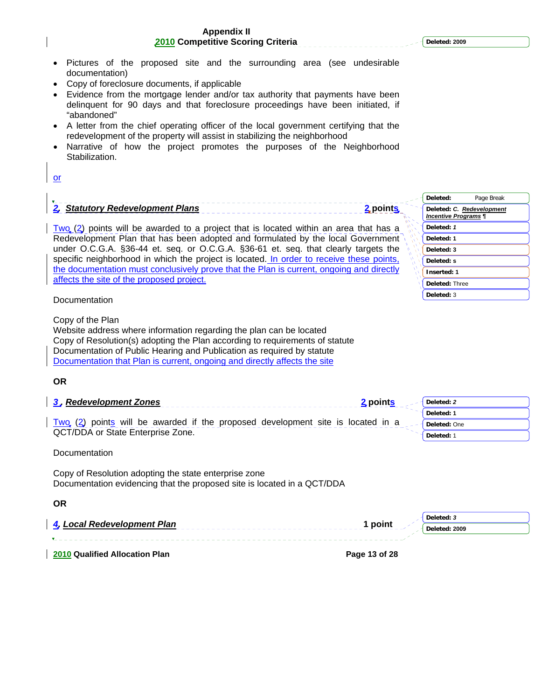**Deleted: 2009**

#### **Appendix II 2010 Competitive Scoring Criteria**

- Pictures of the proposed site and the surrounding area (see undesirable documentation)
- Copy of foreclosure documents, if applicable
- Evidence from the mortgage lender and/or tax authority that payments have been delinquent for 90 days and that foreclosure proceedings have been initiated, if "abandoned"
- A letter from the chief operating officer of the local government certifying that the redevelopment of the property will assist in stabilizing the neighborhood
- Narrative of how the project promotes the purposes of the Neighborhood Stabilization.

or

# *2. Statutory Redevelopment Plans* **2 points**

 $Tw_0$  (2) points will be awarded to a project that is located within an area that has a Redevelopment Plan that has been adopted and formulated by the local Government under O.C.G.A. §36-44 et. seq. or O.C.G.A. §36-61 et. seq. that clearly targets the specific neighborhood in which the project is located. In order to receive these points, the documentation must conclusively prove that the Plan is current, ongoing and directly affects the site of the proposed project.

Deleted: ------------ Page Break-**Deleted:** *C. Redevelopment Incentive Programs ¶* **Deleted:** *1* **Deleted: 1 Deleted: 3 Deleted: s Inserted: 1 Deleted:** Three **Deleted:** 3

#### **Documentation**

Copy of the Plan

Website address where information regarding the plan can be located Copy of Resolution(s) adopting the Plan according to requirements of statute Documentation of Public Hearing and Publication as required by statute Documentation that Plan is current, ongoing and directly affects the site

### **OR**

| 3. Redevelopment Zones                                                          | 2 points | Deleted: 2   |
|---------------------------------------------------------------------------------|----------|--------------|
|                                                                                 |          | Deleted: 1   |
| Two (2) points will be awarded if the proposed development site is located in a |          | Deleted: One |
| QCT/DDA or State Enterprise Zone.                                               |          | Deleted:     |

**Documentation** 

Copy of Resolution adopting the state enterprise zone Documentation evidencing that the proposed site is located in a QCT/DDA

**OR** 

|                                       | Deleted: 3               |
|---------------------------------------|--------------------------|
| 4. Local Redevelopment Plan           | l point<br>Deleted: 2009 |
|                                       |                          |
| <b>2010 Qualified Allocation Plan</b> | Page 13 of 28            |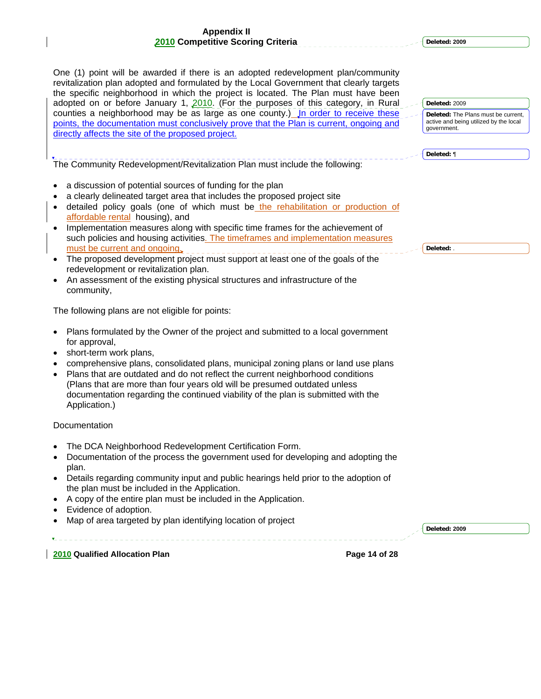**Deleted: 2009**

**Deleted:** 2009

government.

**Deleted:** ¶

**Deleted:** .

**Deleted:** The Plans must be current, active and being utilized by the local

One (1) point will be awarded if there is an adopted redevelopment plan/community revitalization plan adopted and formulated by the Local Government that clearly targets the specific neighborhood in which the project is located. The Plan must have been adopted on or before January 1, 2010. (For the purposes of this category, in Rural counties a neighborhood may be as large as one county.) Jn order to receive these points, the documentation must conclusively prove that the Plan is current, ongoing and directly affects the site of the proposed project.

The Community Redevelopment/Revitalization Plan must include the following:

- a discussion of potential sources of funding for the plan
- a clearly delineated target area that includes the proposed project site
- detailed policy goals (one of which must be the rehabilitation or production of affordable rental housing), and
- Implementation measures along with specific time frames for the achievement of such policies and housing activities. The timeframes and implementation measures must be current and ongoing.
- The proposed development project must support at least one of the goals of the redevelopment or revitalization plan.
- An assessment of the existing physical structures and infrastructure of the community,

The following plans are not eligible for points:

- Plans formulated by the Owner of the project and submitted to a local government for approval,
- short-term work plans,
- comprehensive plans, consolidated plans, municipal zoning plans or land use plans
- Plans that are outdated and do not reflect the current neighborhood conditions (Plans that are more than four years old will be presumed outdated unless documentation regarding the continued viability of the plan is submitted with the Application.)

### Documentation

- The DCA Neighborhood Redevelopment Certification Form.
- Documentation of the process the government used for developing and adopting the plan.
- Details regarding community input and public hearings held prior to the adoption of the plan must be included in the Application.
- A copy of the entire plan must be included in the Application.
- Evidence of adoption.
- Map of area targeted by plan identifying location of project

**Deleted: 2009**

**2010 Qualified Allocation Plan Page 14 of 28** 

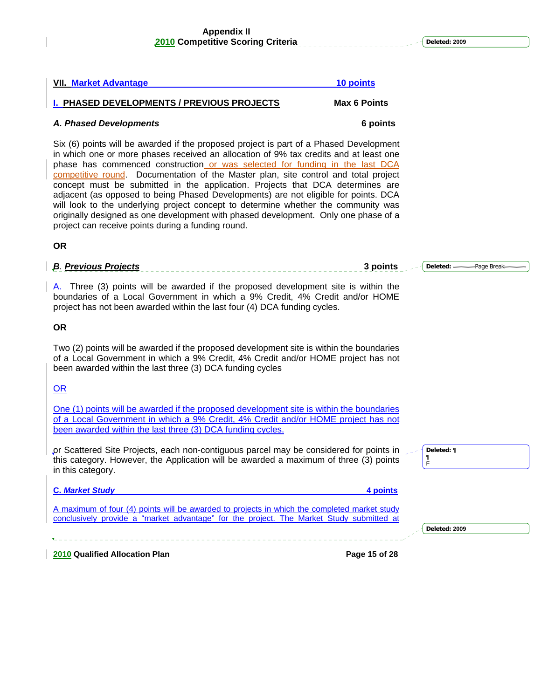**Deleted: 2009**

# **2010 Qualified Allocation Plan Page 15 of 28**  *A. Phased Developments* **6 points** Six (6) points will be awarded if the proposed project is part of a Phased Development in which one or more phases received an allocation of 9% tax credits and at least one phase has commenced construction or was selected for funding in the last DCA competitive round. Documentation of the Master plan, site control and total project concept must be submitted in the application. Projects that DCA determines are adjacent (as opposed to being Phased Developments) are not eligible for points. DCA will look to the underlying project concept to determine whether the community was originally designed as one development with phased development. Only one phase of a project can receive points during a funding round. **OR**  *B. Previous Projects* **3 points**  A. Three (3) points will be awarded if the proposed development site is within the boundaries of a Local Government in which a 9% Credit, 4% Credit and/or HOME project has not been awarded within the last four (4) DCA funding cycles. **OR**  Two (2) points will be awarded if the proposed development site is within the boundaries of a Local Government in which a 9% Credit, 4% Credit and/or HOME project has not been awarded within the last three (3) DCA funding cycles OR One (1) points will be awarded if the proposed development site is within the boundaries of a Local Government in which a 9% Credit, 4% Credit and/or HOME project has not been awarded within the last three (3) DCA funding cycles. or Scattered Site Projects, each non-contiguous parcel may be considered for points in this category. However, the Application will be awarded a maximum of three (3) points in this category. **C.** *Market Study* **4 points** A maximum of four (4) points will be awarded to projects in which the completed market study conclusively provide a "market advantage" for the project. The Market Study submitted at **Deleted:** Page Break **Deleted:** ¶ ¶ F **Deleted: 2009**

# **VII. Market Advantage 10 points**

**I. PHASED DEVELOPMENTS / PREVIOUS PROJECTS Max 6 Points**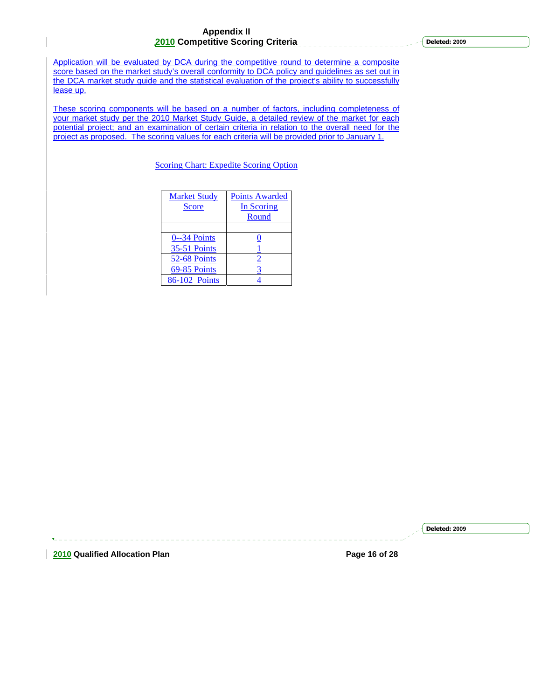**Deleted: 2009**

Application will be evaluated by DCA during the competitive round to determine a composite score based on the market study's overall conformity to DCA policy and guidelines as set out in the DCA market study guide and the statistical evaluation of the project's ability to successfully lease up.

These scoring components will be based on a number of factors, including completeness of your market study per the 2010 Market Study Guide, a detailed review of the market for each potential project; and an examination of certain criteria in relation to the overall need for the project as proposed. The scoring values for each criteria will be provided prior to January 1.

Scoring Chart: Expedite Scoring Option

| <b>Market Study</b><br><b>Score</b> | <b>Points Awarded</b><br>In Scoring<br>Round |
|-------------------------------------|----------------------------------------------|
|                                     |                                              |
| 0--34 Points                        |                                              |
| <b>35-51 Points</b>                 |                                              |
| 52-68 Points                        |                                              |
| 69-85 Points                        |                                              |
| 86-102 Points                       |                                              |

**2010 Qualified Allocation Plan Page 16 of 28**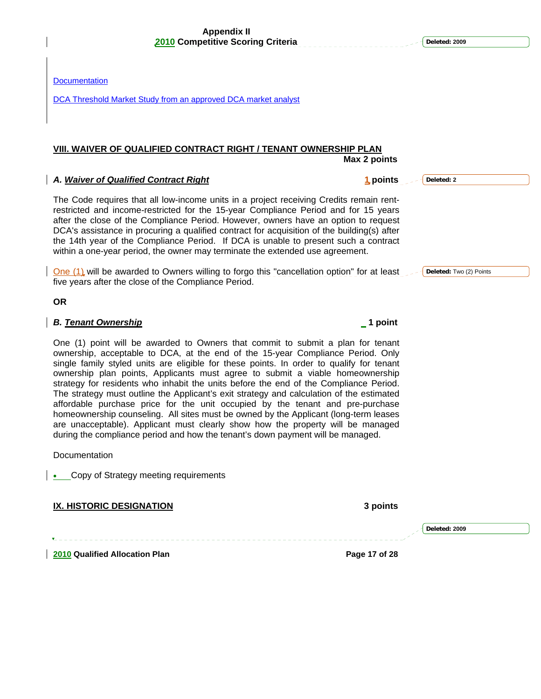| VIII. WAIVER OF QUALIFIED CONTRACT RIGHT / TENANT OWNERSHIP PLAN                                                                                                                                                                                                                                                                                                                                                                                                                                                                             | Max 2 points           |
|----------------------------------------------------------------------------------------------------------------------------------------------------------------------------------------------------------------------------------------------------------------------------------------------------------------------------------------------------------------------------------------------------------------------------------------------------------------------------------------------------------------------------------------------|------------------------|
| A. Waiver of Qualified Contract Right                                                                                                                                                                                                                                                                                                                                                                                                                                                                                                        | 1 points<br>Deleted: 2 |
| The Code requires that all low-income units in a project receiving Credits remain rent-<br>restricted and income-restricted for the 15-year Compliance Period and for 15 years<br>after the close of the Compliance Period. However, owners have an option to request<br>DCA's assistance in procuring a qualified contract for acquisition of the building(s) after<br>the 14th year of the Compliance Period. If DCA is unable to present such a contract<br>within a one-year period, the owner may terminate the extended use agreement. |                        |

One (1) will be awarded to Owners willing to forgo this "cancellation option" for at least **Deleted:** Two (2) Points five years after the close of the Compliance Period.

**OR** 

**Documentation** 

#### *B. <u>Tenant Ownership</u>* 1 **point 1 <b>***Particular 1 <b>Particular* 1 *Particular 1 <b>Particular* 1 *Particular 1 <b>Particular*

One (1) point will be awarded to Owners that commit to submit a plan for tenant ownership, acceptable to DCA, at the end of the 15-year Compliance Period. Only single family styled units are eligible for these points. In order to qualify for tenant ownership plan points, Applicants must agree to submit a viable homeownership strategy for residents who inhabit the units before the end of the Compliance Period. The strategy must outline the Applicant's exit strategy and calculation of the estimated affordable purchase price for the unit occupied by the tenant and pre-purchase homeownership counseling. All sites must be owned by the Applicant (long-term leases are unacceptable). Applicant must clearly show how the property will be managed during the compliance period and how the tenant's down payment will be managed.

**Documentation** 

• Copy of Strategy meeting requirements

**IX. HISTORIC DESIGNATION 3 points** 

**2010 Qualified Allocation Plan Page 17 of 28** 

DCA Threshold Market Study from an approved DCA market analyst

**Deleted: 2009**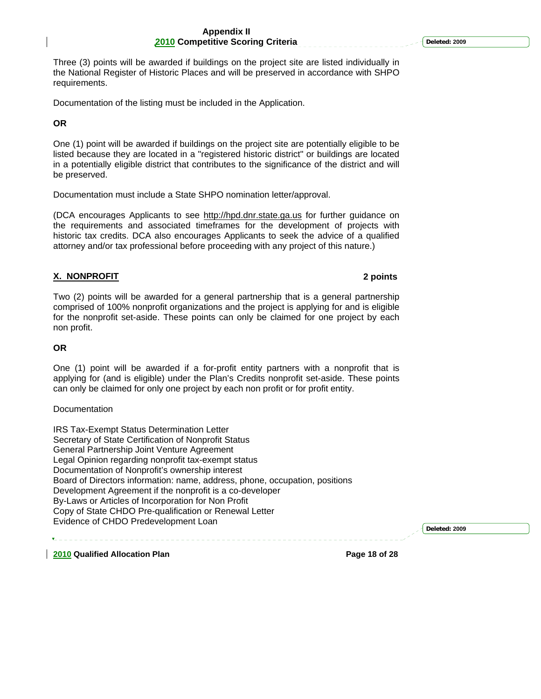Three (3) points will be awarded if buildings on the project site are listed individually in the National Register of Historic Places and will be preserved in accordance with SHPO requirements.

Documentation of the listing must be included in the Application.

#### **OR**

One (1) point will be awarded if buildings on the project site are potentially eligible to be listed because they are located in a "registered historic district" or buildings are located in a potentially eligible district that contributes to the significance of the district and will be preserved.

Documentation must include a State SHPO nomination letter/approval.

(DCA encourages Applicants to see http://hpd.dnr.state.ga.us for further guidance on the requirements and associated timeframes for the development of projects with historic tax credits. DCA also encourages Applicants to seek the advice of a qualified attorney and/or tax professional before proceeding with any project of this nature.)

#### **X. NONPROFIT 2 points**

Two (2) points will be awarded for a general partnership that is a general partnership comprised of 100% nonprofit organizations and the project is applying for and is eligible for the nonprofit set-aside. These points can only be claimed for one project by each non profit.

#### **OR**

One (1) point will be awarded if a for-profit entity partners with a nonprofit that is applying for (and is eligible) under the Plan's Credits nonprofit set-aside. These points can only be claimed for only one project by each non profit or for profit entity.

#### **Documentation**

IRS Tax-Exempt Status Determination Letter Secretary of State Certification of Nonprofit Status General Partnership Joint Venture Agreement Legal Opinion regarding nonprofit tax-exempt status Documentation of Nonprofit's ownership interest Board of Directors information: name, address, phone, occupation, positions Development Agreement if the nonprofit is a co-developer By-Laws or Articles of Incorporation for Non Profit Copy of State CHDO Pre-qualification or Renewal Letter Evidence of CHDO Predevelopment Loan

**Deleted: 2009**

**2010 Qualified Allocation Plan Page 18 of 28**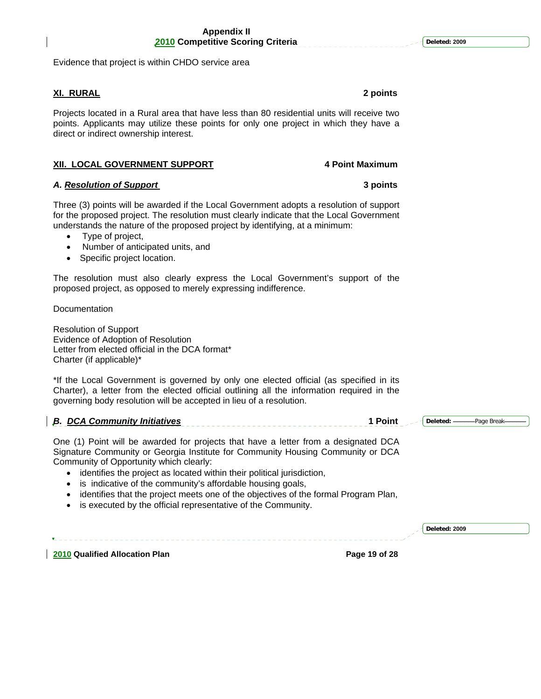Evidence that project is within CHDO service area

#### **XI. RURAL 2 points**

Projects located in a Rural area that have less than 80 residential units will receive two points. Applicants may utilize these points for only one project in which they have a direct or indirect ownership interest.

### **XII. LOCAL GOVERNMENT SUPPORT 4 Point Maximum**

#### *A. Resolution of Support* **3 points**

Three (3) points will be awarded if the Local Government adopts a resolution of support for the proposed project. The resolution must clearly indicate that the Local Government understands the nature of the proposed project by identifying, at a minimum:

- Type of project,
- Number of anticipated units, and
- Specific project location.

The resolution must also clearly express the Local Government's support of the proposed project, as opposed to merely expressing indifference.

**Documentation** 

Resolution of Support Evidence of Adoption of Resolution Letter from elected official in the DCA format\* Charter (if applicable)\*

\*If the Local Government is governed by only one elected official (as specified in its Charter), a letter from the elected official outlining all the information required in the governing body resolution will be accepted in lieu of a resolution.

#### *B. DCA Community Initiatives* 1 Point Deleted: -------------Page Break

One (1) Point will be awarded for projects that have a letter from a designated DCA Signature Community or Georgia Institute for Community Housing Community or DCA Community of Opportunity which clearly:

- identifies the project as located within their political jurisdiction,
- is indicative of the community's affordable housing goals,
- identifies that the project meets one of the objectives of the formal Program Plan,
- is executed by the official representative of the Community.

**2010 Qualified Allocation Plan Page 19 of 28**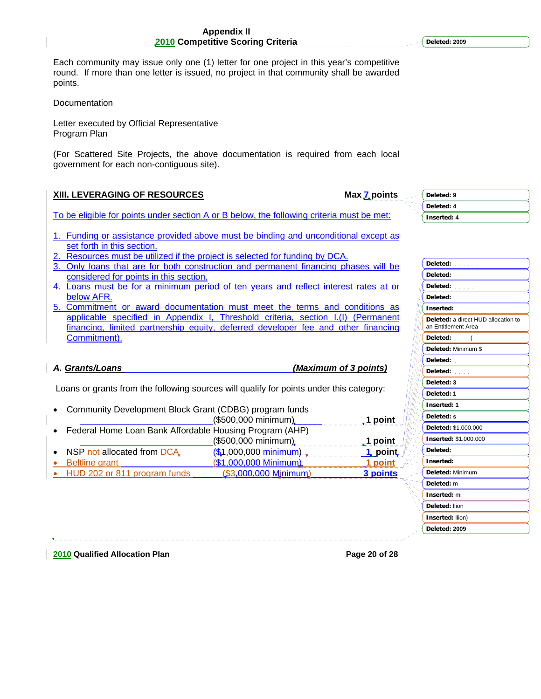Each community may issue only one (1) letter for one project in this year's competitive round. If more than one letter is issued, no project in that community shall be awarded points.

Documentation

Letter executed by Official Representative Program Plan

(For Scattered Site Projects, the above documentation is required from each local government for each non-contiguous site).

### **XIII. LEVERAGING OF RESOURCES** Max 7 points

To be eligible for points under section A or B below, the following criteria must be met:

- 1. Funding or assistance provided above must be binding and unconditional except as set forth in this section.
- Resources must be utilized if the project is selected for funding by DCA.
- 3. Only loans that are for both construction and permanent financing phases will be considered for points in this section.
- 4. Loans must be for a minimum period of ten years and reflect interest rates at or below AFR.
- 5. Commitment or award documentation must meet the terms and conditions as applicable specified in Appendix I, Threshold criteria, section I.(I) (Permanent financing, limited partnership equity, deferred developer fee and other financing Commitment).

# *A. Grants/Loans (Maximum of 3 points)*

Loans or grants from the following sources will qualify for points under this category:

| Community Development Block Grant (CDBG) program funds  |                        |                           |
|---------------------------------------------------------|------------------------|---------------------------|
|                                                         | (\$500,000 minimum)    | $\sqrt{ }$ 1 point        |
| Federal Home Loan Bank Affordable Housing Program (AHP) |                        |                           |
|                                                         | (\$500,000 minimum)    | <b>1</b> point $\sqrt{k}$ |
| • NSP not allocated from DCA                            | (\$1,000,000 minimum)  | 1 point $\int_{a}^{b}$    |
| <b>Beltline</b> grant                                   | (\$1,000,000 Minimum)  | 1 point $\mathbb{Z}^2$    |
| • HUD 202 or 811 program funds                          | $($3,000,000$ Mjnimum) | 3 points                  |
|                                                         |                        |                           |

# **Deleted: Deleted: Deleted: Deleted: Inserted: Deleted:** a direct HUD allocation to an Entitlement Area **Deleted:** ( **Deleted:** Minimum \$ **Deleted: Deleted: Deleted: 3 Deleted: 1 Inserted: 1 Deleted: s Deleted:** \$1.000.000 **Inserted:** \$1.000.000 **Deleted: Inserted: Deleted:** Minimum **Deleted:** m **Inserted:** mi **Deleted:** llion

**Inserted:** llion) **Deleted: 2009**

**2010 Qualified Allocation Plan Page 20 of 28** 

**Deleted: 2009**

**Deleted: 9 Deleted: 4 Inserted: 4**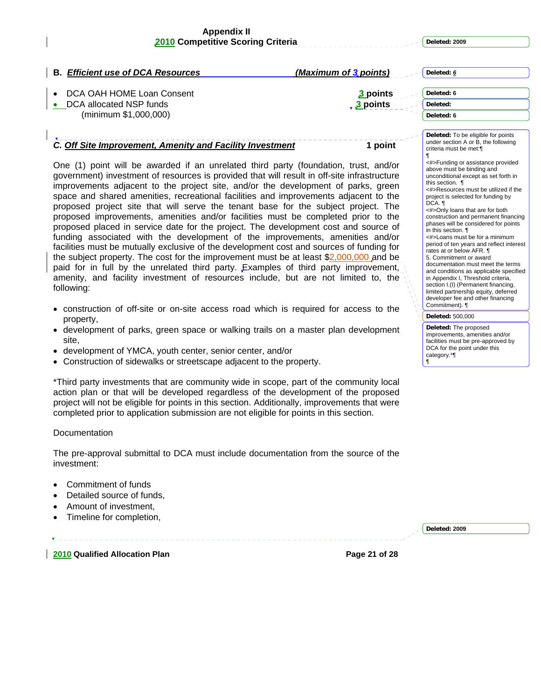| <b>B. Efficient use of DCA Resources</b>                                                                                                                                                                                                                                                                                                                                                                                                                                                                                                                                                                                                                                                                                                                                                                                                                                                                                                                                                                                                                                                                                                                          | (Maximum of 3 points) | Deleted: 6                                                                                                                                                                                                                                                                                                                                                                                                                                                                                                                                                                                                                                                                                                                                                                                                                                                         |
|-------------------------------------------------------------------------------------------------------------------------------------------------------------------------------------------------------------------------------------------------------------------------------------------------------------------------------------------------------------------------------------------------------------------------------------------------------------------------------------------------------------------------------------------------------------------------------------------------------------------------------------------------------------------------------------------------------------------------------------------------------------------------------------------------------------------------------------------------------------------------------------------------------------------------------------------------------------------------------------------------------------------------------------------------------------------------------------------------------------------------------------------------------------------|-----------------------|--------------------------------------------------------------------------------------------------------------------------------------------------------------------------------------------------------------------------------------------------------------------------------------------------------------------------------------------------------------------------------------------------------------------------------------------------------------------------------------------------------------------------------------------------------------------------------------------------------------------------------------------------------------------------------------------------------------------------------------------------------------------------------------------------------------------------------------------------------------------|
| DCA OAH HOME Loan Consent                                                                                                                                                                                                                                                                                                                                                                                                                                                                                                                                                                                                                                                                                                                                                                                                                                                                                                                                                                                                                                                                                                                                         | 3 points              | Deleted: 6                                                                                                                                                                                                                                                                                                                                                                                                                                                                                                                                                                                                                                                                                                                                                                                                                                                         |
| DCA allocated NSP funds                                                                                                                                                                                                                                                                                                                                                                                                                                                                                                                                                                                                                                                                                                                                                                                                                                                                                                                                                                                                                                                                                                                                           | $3$ points            | Deleted:                                                                                                                                                                                                                                                                                                                                                                                                                                                                                                                                                                                                                                                                                                                                                                                                                                                           |
| (minimum \$1,000,000)                                                                                                                                                                                                                                                                                                                                                                                                                                                                                                                                                                                                                                                                                                                                                                                                                                                                                                                                                                                                                                                                                                                                             |                       | Deleted: 6                                                                                                                                                                                                                                                                                                                                                                                                                                                                                                                                                                                                                                                                                                                                                                                                                                                         |
| C. Off Site Improvement, Amenity and Facility Investment<br>One (1) point will be awarded if an unrelated third party (foundation, trust, and/or<br>government) investment of resources is provided that will result in off-site infrastructure<br>improvements adjacent to the project site, and/or the development of parks, green<br>space and shared amenities, recreational facilities and improvements adjacent to the<br>proposed project site that will serve the tenant base for the subject project. The<br>proposed improvements, amenities and/or facilities must be completed prior to the<br>proposed placed in service date for the project. The development cost and source of<br>funding associated with the development of the improvements, amenities and/or<br>facilities must be mutually exclusive of the development cost and sources of funding for<br>the subject property. The cost for the improvement must be at least $$2,000,000$ and be<br>paid for in full by the unrelated third party. Examples of third party improvement,<br>amenity, and facility investment of resources include, but are not limited to, the<br>following: | 1 point               | Deleted: To be eligible for points<br>under section A or B, the following<br>criteria must be met:¶<br><#>Funding or assistance provided<br>above must be binding and<br>unconditional except as set forth in<br>this section. 1<br><#>Resources must be utilized if the<br>project is selected for funding by<br>$DCA.$ 1<br><#>Only loans that are for both<br>construction and permanent financing<br>phases will be considered for points<br>in this section. ¶<br><#>Loans must be for a minimum<br>period of ten years and reflect interest<br>rates at or below AFR. ¶<br>5. Commitment or award<br>documentation must meet the terms<br>and conditions as applicable specified<br>in Appendix I, Threshold criteria,<br>section I.(I) (Permanent financing,<br>limited partnership equity, deferred<br>developer fee and other financing<br>Commitment). ¶ |
| • construction of off-site or on-site access road which is required for access to the                                                                                                                                                                                                                                                                                                                                                                                                                                                                                                                                                                                                                                                                                                                                                                                                                                                                                                                                                                                                                                                                             |                       | Deleted: 500,000                                                                                                                                                                                                                                                                                                                                                                                                                                                                                                                                                                                                                                                                                                                                                                                                                                                   |
| property,<br>• development of parks, green space or walking trails on a master plan development<br>site.<br>• development of YMCA, youth center, senior center, and/or<br>• Construction of sidewalks or streetscape adjacent to the property.                                                                                                                                                                                                                                                                                                                                                                                                                                                                                                                                                                                                                                                                                                                                                                                                                                                                                                                    |                       | Deleted: The proposed<br>improvements, amenities and/or<br>facilities must be pre-approved by<br>DCA for the point under this<br>category.*<br>ſ                                                                                                                                                                                                                                                                                                                                                                                                                                                                                                                                                                                                                                                                                                                   |
| *Third party investments that are community wide in scope, part of the community local<br>action plan or that will be developed regardless of the development of the proposed<br>project will not be eligible for points in this section. Additionally, improvements that were<br>completed prior to application submission are not eligible for points in this section.                                                                                                                                                                                                                                                                                                                                                                                                                                                                                                                                                                                                                                                                                                                                                                                          |                       |                                                                                                                                                                                                                                                                                                                                                                                                                                                                                                                                                                                                                                                                                                                                                                                                                                                                    |
| Documentation                                                                                                                                                                                                                                                                                                                                                                                                                                                                                                                                                                                                                                                                                                                                                                                                                                                                                                                                                                                                                                                                                                                                                     |                       |                                                                                                                                                                                                                                                                                                                                                                                                                                                                                                                                                                                                                                                                                                                                                                                                                                                                    |
| The pre-approval submittal to DCA must include documentation from the source of the<br>investment:                                                                                                                                                                                                                                                                                                                                                                                                                                                                                                                                                                                                                                                                                                                                                                                                                                                                                                                                                                                                                                                                |                       |                                                                                                                                                                                                                                                                                                                                                                                                                                                                                                                                                                                                                                                                                                                                                                                                                                                                    |

- Commitment of funds
- Detailed source of funds,
- Amount of investment,
- Timeline for completion,

 $\overline{\mathbf{v}}$ 

**Deleted: 2009**

**2010** Qualified Allocation Plan **Page 21 of 28 Page 21 of 28**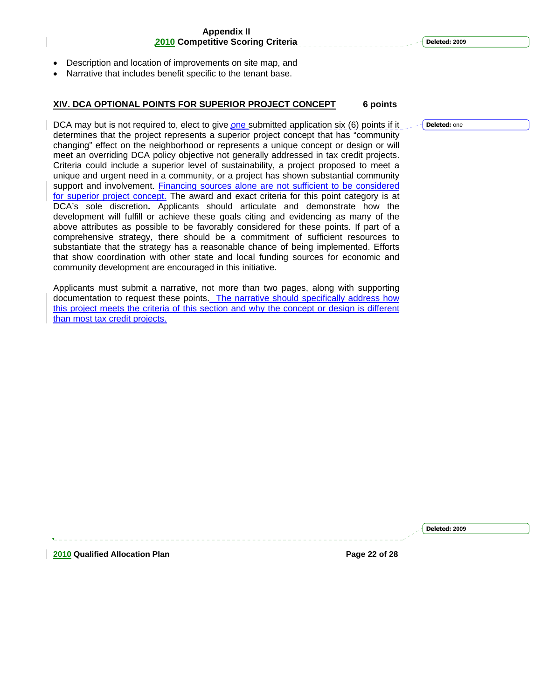- Description and location of improvements on site map, and
- Narrative that includes benefit specific to the tenant base.

#### **XIV. DCA OPTIONAL POINTS FOR SUPERIOR PROJECT CONCEPT 6 points**

DCA may but is not required to, elect to give one submitted application six (6) points if it determines that the project represents a superior project concept that has "community changing" effect on the neighborhood or represents a unique concept or design or will meet an overriding DCA policy objective not generally addressed in tax credit projects. Criteria could include a superior level of sustainability, a project proposed to meet a unique and urgent need in a community, or a project has shown substantial community support and involvement. Financing sources alone are not sufficient to be considered for superior project concept. The award and exact criteria for this point category is at DCA's sole discretion**.** Applicants should articulate and demonstrate how the development will fulfill or achieve these goals citing and evidencing as many of the above attributes as possible to be favorably considered for these points. If part of a comprehensive strategy, there should be a commitment of sufficient resources to substantiate that the strategy has a reasonable chance of being implemented. Efforts that show coordination with other state and local funding sources for economic and community development are encouraged in this initiative.

Applicants must submit a narrative, not more than two pages, along with supporting documentation to request these points. The narrative should specifically address how this project meets the criteria of this section and why the concept or design is different than most tax credit projects.

**Deleted:** one

**2010 Qualified Allocation Plan Page 22 of 28**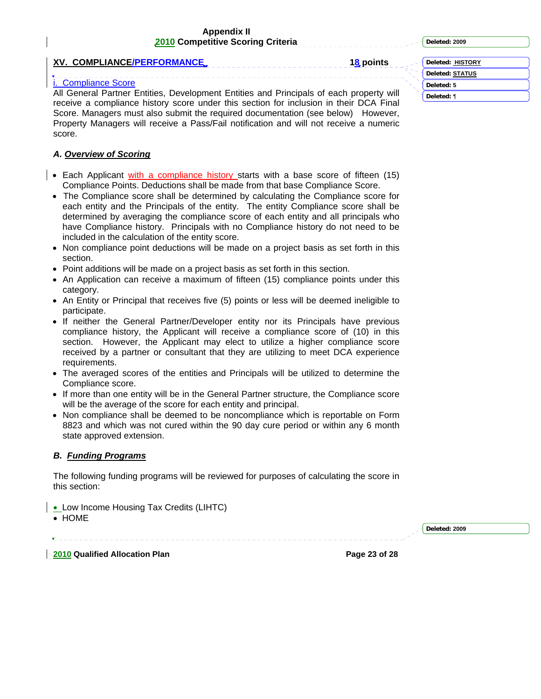**Deleted: 2009**

**XV. COMPLIANCE/PERFORMANCE. 18 points 18 points** 

# **Compliance Score**

All General Partner Entities, Development Entities and Principals of each property will receive a compliance history score under this section for inclusion in their DCA Final Score. Managers must also submit the required documentation (see below) However, Property Managers will receive a Pass/Fail notification and will not receive a numeric score.

# *A. Overview of Scoring*

- Each Applicant with a compliance history starts with a base score of fifteen (15) Compliance Points. Deductions shall be made from that base Compliance Score.
- The Compliance score shall be determined by calculating the Compliance score for each entity and the Principals of the entity. The entity Compliance score shall be determined by averaging the compliance score of each entity and all principals who have Compliance history. Principals with no Compliance history do not need to be included in the calculation of the entity score.
- Non compliance point deductions will be made on a project basis as set forth in this section.
- Point additions will be made on a project basis as set forth in this section.
- An Application can receive a maximum of fifteen (15) compliance points under this category.
- An Entity or Principal that receives five (5) points or less will be deemed ineligible to participate.
- If neither the General Partner/Developer entity nor its Principals have previous compliance history, the Applicant will receive a compliance score of (10) in this section. However, the Applicant may elect to utilize a higher compliance score received by a partner or consultant that they are utilizing to meet DCA experience requirements.
- The averaged scores of the entities and Principals will be utilized to determine the Compliance score.
- If more than one entity will be in the General Partner structure, the Compliance score will be the average of the score for each entity and principal.
- Non compliance shall be deemed to be noncompliance which is reportable on Form 8823 and which was not cured within the 90 day cure period or within any 6 month state approved extension.

# *B. Funding Programs*

The following funding programs will be reviewed for purposes of calculating the score in this section:

- Low Income Housing Tax Credits (LIHTC)
- HOME

**2010 Qualified Allocation Plan Page 23 of 28** 

**Deleted: 2009**

**Deleted: HISTORY Deleted: STATUS Deleted: 5 Deleted:** *¶*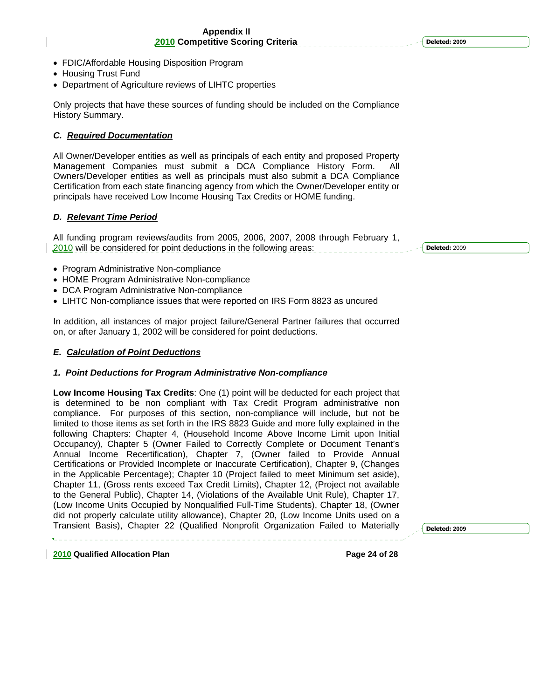- FDIC/Affordable Housing Disposition Program
- Housing Trust Fund
- Department of Agriculture reviews of LIHTC properties

Only projects that have these sources of funding should be included on the Compliance History Summary.

# *C. Required Documentation*

All Owner/Developer entities as well as principals of each entity and proposed Property Management Companies must submit a DCA Compliance History Form. All Owners/Developer entities as well as principals must also submit a DCA Compliance Certification from each state financing agency from which the Owner/Developer entity or principals have received Low Income Housing Tax Credits or HOME funding.

# *D. Relevant Time Period*

All funding program reviews/audits from 2005, 2006, 2007, 2008 through February 1, 2010 will be considered for point deductions in the following areas:

**Deleted:** 2009

- Program Administrative Non-compliance
- HOME Program Administrative Non-compliance
- DCA Program Administrative Non-compliance
- LIHTC Non-compliance issues that were reported on IRS Form 8823 as uncured

In addition, all instances of major project failure/General Partner failures that occurred on, or after January 1, 2002 will be considered for point deductions.

# *E. Calculation of Point Deductions*

# *1. Point Deductions for Program Administrative Non-compliance*

**Low Income Housing Tax Credits**: One (1) point will be deducted for each project that is determined to be non compliant with Tax Credit Program administrative non compliance. For purposes of this section, non-compliance will include, but not be limited to those items as set forth in the IRS 8823 Guide and more fully explained in the following Chapters: Chapter 4, (Household Income Above Income Limit upon Initial Occupancy), Chapter 5 (Owner Failed to Correctly Complete or Document Tenant's Annual Income Recertification), Chapter 7, (Owner failed to Provide Annual Certifications or Provided Incomplete or Inaccurate Certification), Chapter 9, (Changes in the Applicable Percentage); Chapter 10 (Project failed to meet Minimum set aside), Chapter 11, (Gross rents exceed Tax Credit Limits), Chapter 12, (Project not available to the General Public), Chapter 14, (Violations of the Available Unit Rule), Chapter 17, (Low Income Units Occupied by Nonqualified Full-Time Students), Chapter 18, (Owner did not properly calculate utility allowance), Chapter 20, (Low Income Units used on a Transient Basis), Chapter 22 (Qualified Nonprofit Organization Failed to Materially

**Deleted: 2009**

**2010 Qualified Allocation Plan Page 24 of 28**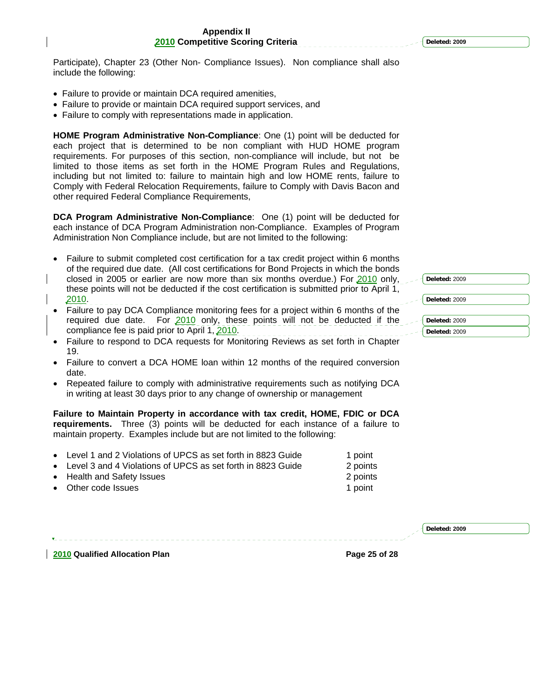Participate), Chapter 23 (Other Non- Compliance Issues). Non compliance shall also include the following:

- Failure to provide or maintain DCA required amenities,
- Failure to provide or maintain DCA required support services, and
- Failure to comply with representations made in application.

**HOME Program Administrative Non-Compliance**: One (1) point will be deducted for each project that is determined to be non compliant with HUD HOME program requirements. For purposes of this section, non-compliance will include, but not be limited to those items as set forth in the HOME Program Rules and Regulations, including but not limited to: failure to maintain high and low HOME rents, failure to Comply with Federal Relocation Requirements, failure to Comply with Davis Bacon and other required Federal Compliance Requirements,

**DCA Program Administrative Non-Compliance**: One (1) point will be deducted for each instance of DCA Program Administration non-Compliance. Examples of Program Administration Non Compliance include, but are not limited to the following:

- Failure to submit completed cost certification for a tax credit project within 6 months of the required due date. (All cost certifications for Bond Projects in which the bonds closed in 2005 or earlier are now more than six months overdue.) For 2010 only, these points will not be deducted if the cost certification is submitted prior to April 1, 2010.
- Failure to pay DCA Compliance monitoring fees for a project within 6 months of the required due date. For 2010 only, these points will not be deducted if the compliance fee is paid prior to April 1, 2010.
- Failure to respond to DCA requests for Monitoring Reviews as set forth in Chapter 19.
- Failure to convert a DCA HOME loan within 12 months of the required conversion date.
- Repeated failure to comply with administrative requirements such as notifying DCA in writing at least 30 days prior to any change of ownership or management

**Failure to Maintain Property in accordance with tax credit, HOME, FDIC or DCA requirements.** Three (3) points will be deducted for each instance of a failure to maintain property. Examples include but are not limited to the following:

- Level 1 and 2 Violations of UPCS as set forth in 8823 Guide 1 point
- Level 3 and 4 Violations of UPCS as set forth in 8823 Guide 2 points
- Health and Safety Issues 2 points
- **Other code Issues 1 point 1 point 1 point 1 point 1 point 1 point 1 point 1 point 1 point 1 point 1 point 1 point 1 point 1 point 1 point 1 point 1 point 1 point 1 point 1 point 1 point 1 point 1 point 1 point 1 point 1**

**Deleted: 2009**

**2010 Qualified Allocation Plan Page 25 of 28** 

**Deleted:** 2009 **Deleted:** 2009 **Deleted:** 2009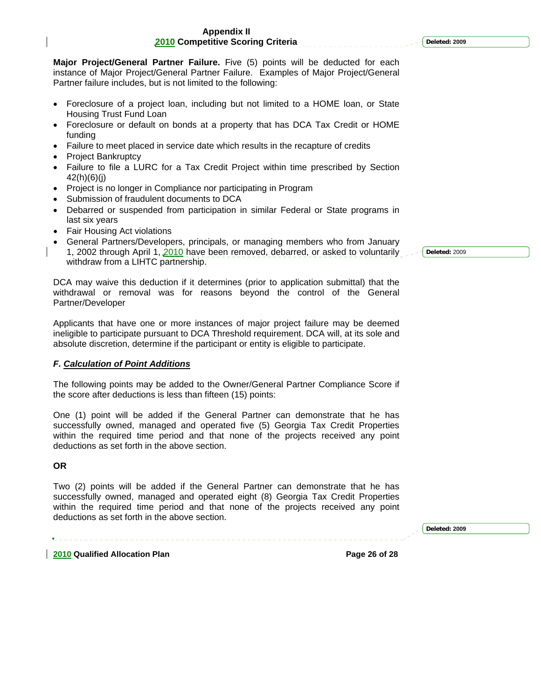**Major Project/General Partner Failure.** Five (5) points will be deducted for each instance of Major Project/General Partner Failure. Examples of Major Project/General Partner failure includes, but is not limited to the following:

- Foreclosure of a project loan, including but not limited to a HOME loan, or State Housing Trust Fund Loan
- Foreclosure or default on bonds at a property that has DCA Tax Credit or HOME funding
- Failure to meet placed in service date which results in the recapture of credits
- Project Bankruptcy
- Failure to file a LURC for a Tax Credit Project within time prescribed by Section 42(h)(6)(j)
- Project is no longer in Compliance nor participating in Program
- Submission of fraudulent documents to DCA
- Debarred or suspended from participation in similar Federal or State programs in last six years
- Fair Housing Act violations
- General Partners/Developers, principals, or managing members who from January 1, 2002 through April 1, 2010 have been removed, debarred, or asked to voluntarily withdraw from a LIHTC partnership.

DCA may waive this deduction if it determines (prior to application submittal) that the withdrawal or removal was for reasons beyond the control of the General Partner/Developer

Applicants that have one or more instances of major project failure may be deemed ineligible to participate pursuant to DCA Threshold requirement. DCA will, at its sole and absolute discretion, determine if the participant or entity is eligible to participate.

# *F. Calculation of Point Additions*

The following points may be added to the Owner/General Partner Compliance Score if the score after deductions is less than fifteen (15) points:

One (1) point will be added if the General Partner can demonstrate that he has successfully owned, managed and operated five (5) Georgia Tax Credit Properties within the required time period and that none of the projects received any point deductions as set forth in the above section.

### **OR**

Two (2) points will be added if the General Partner can demonstrate that he has successfully owned, managed and operated eight (8) Georgia Tax Credit Properties within the required time period and that none of the projects received any point deductions as set forth in the above section.

**2010 Qualified Allocation Plan Page 26 of 28** 

**Deleted:** 2009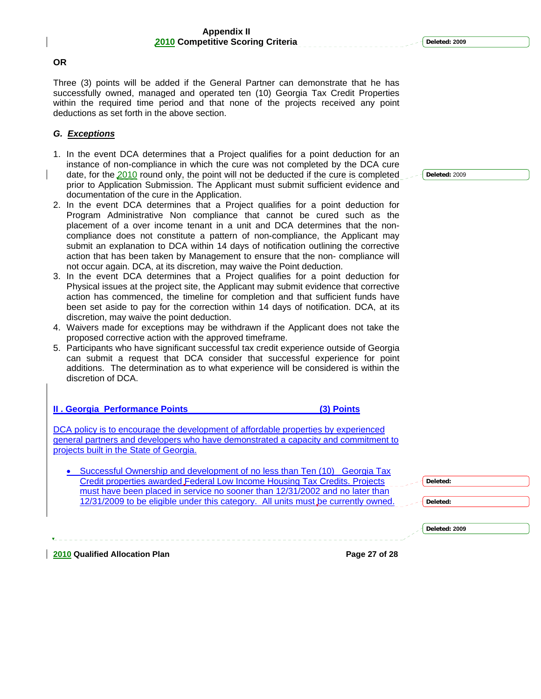#### **OR**

Three (3) points will be added if the General Partner can demonstrate that he has successfully owned, managed and operated ten (10) Georgia Tax Credit Properties within the required time period and that none of the projects received any point deductions as set forth in the above section.

#### *G. Exceptions*

- 1. In the event DCA determines that a Project qualifies for a point deduction for an instance of non-compliance in which the cure was not completed by the DCA cure date, for the 2010 round only, the point will not be deducted if the cure is completed prior to Application Submission. The Applicant must submit sufficient evidence and documentation of the cure in the Application.
- 2. In the event DCA determines that a Project qualifies for a point deduction for Program Administrative Non compliance that cannot be cured such as the placement of a over income tenant in a unit and DCA determines that the noncompliance does not constitute a pattern of non-compliance, the Applicant may submit an explanation to DCA within 14 days of notification outlining the corrective action that has been taken by Management to ensure that the non- compliance will not occur again. DCA, at its discretion, may waive the Point deduction.
- 3. In the event DCA determines that a Project qualifies for a point deduction for Physical issues at the project site, the Applicant may submit evidence that corrective action has commenced, the timeline for completion and that sufficient funds have been set aside to pay for the correction within 14 days of notification. DCA, at its discretion, may waive the point deduction.
- 4. Waivers made for exceptions may be withdrawn if the Applicant does not take the proposed corrective action with the approved timeframe.
- 5. Participants who have significant successful tax credit experience outside of Georgia can submit a request that DCA consider that successful experience for point additions. The determination as to what experience will be considered is within the discretion of DCA.

**II . Georgia Performance Points (3) Points**

DCA policy is to encourage the development of affordable properties by experienced general partners and developers who have demonstrated a capacity and commitment to projects built in the State of Georgia.

| • Successful Ownership and development of no less than Ten (10) Georgia Tax       |
|-----------------------------------------------------------------------------------|
| Credit properties awarded Federal Low Income Housing Tax Credits. Projects        |
| must have been placed in service no sooner than 12/31/2002 and no later than      |
| 12/31/2009 to be eligible under this category. All units must be currently owned. |

**Deleted: 2009**

**Deleted:** 

**Deleted:** 

**2010 Qualified Allocation Plan Page 27 of 28**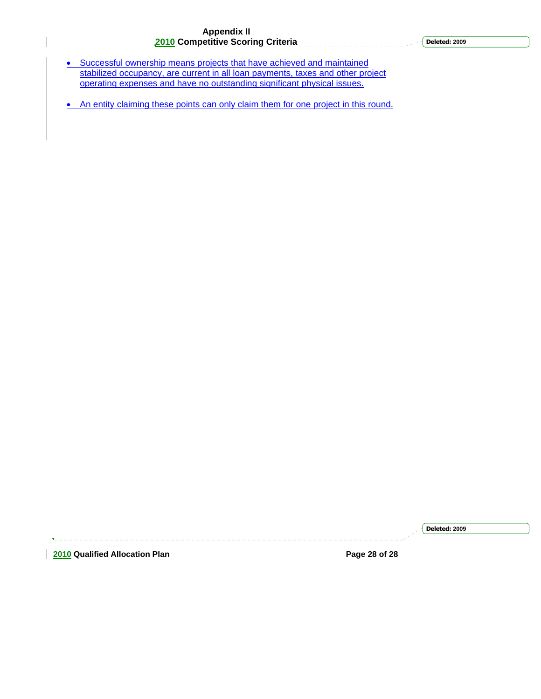- Successful ownership means projects that have achieved and maintained stabilized occupancy, are current in all loan payments, taxes and other project operating expenses and have no outstanding significant physical issues.
- An entity claiming these points can only claim them for one project in this round.